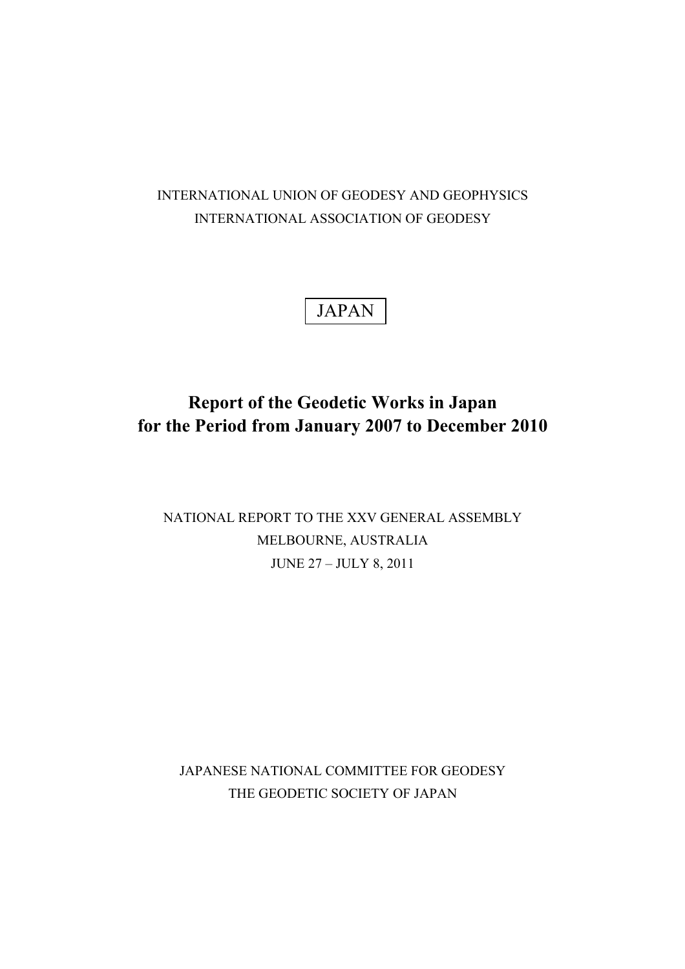## INTERNATIONAL UNION OF GEODESY AND GEOPHYSICS INTERNATIONAL ASSOCIATION OF GEODESY

# JAPAN

## **Report of the Geodetic Works in Japan for the Period from January 2007 to December 2010**

## NATIONAL REPORT TO THE XXV GENERAL ASSEMBLY MELBOURNE, AUSTRALIA JUNE 27 – JULY 8, 2011

JAPANESE NATIONAL COMMITTEE FOR GEODESY THE GEODETIC SOCIETY OF JAPAN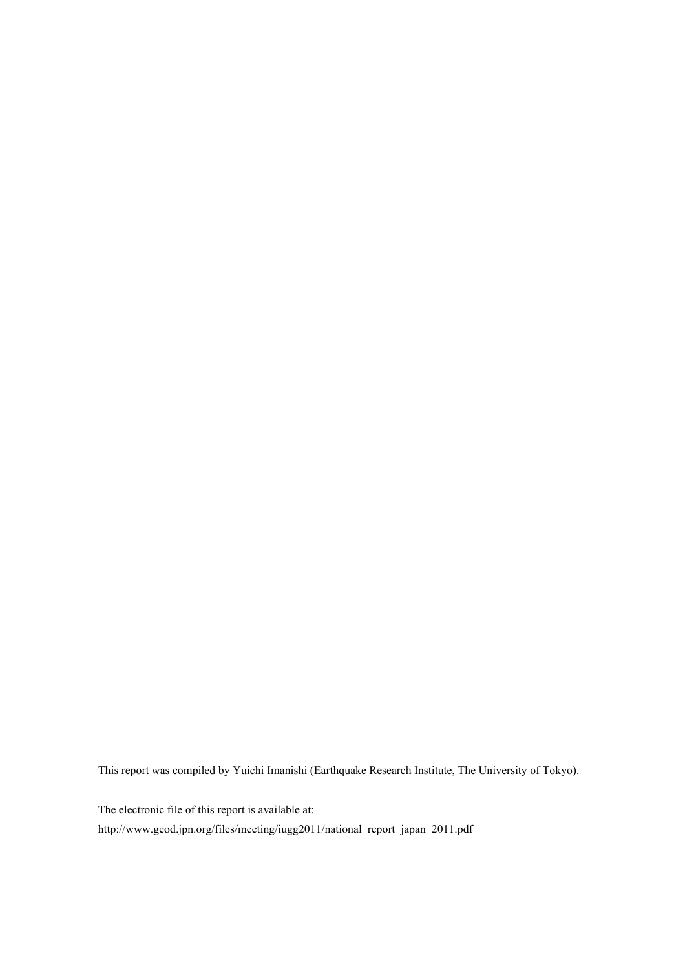This report was compiled by Yuichi Imanishi (Earthquake Research Institute, The University of Tokyo).

The electronic file of this report is available at:

http://www.geod.jpn.org/files/meeting/iugg2011/national\_report\_japan\_2011.pdf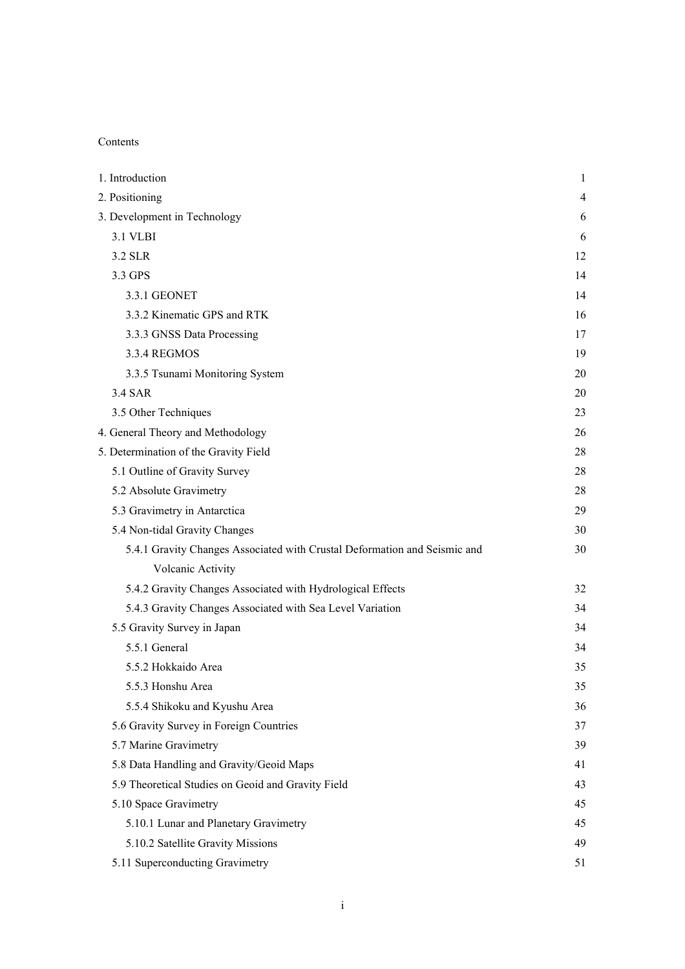## Contents

| 1. Introduction                                                           | 1  |
|---------------------------------------------------------------------------|----|
| 2. Positioning                                                            | 4  |
| 3. Development in Technology                                              | 6  |
| 3.1 VLBI                                                                  | 6  |
| 3.2 SLR                                                                   | 12 |
| 3.3 GPS                                                                   | 14 |
| 3.3.1 GEONET                                                              | 14 |
| 3.3.2 Kinematic GPS and RTK                                               | 16 |
| 3.3.3 GNSS Data Processing                                                | 17 |
| 3.3.4 REGMOS                                                              | 19 |
| 3.3.5 Tsunami Monitoring System                                           | 20 |
| 3.4 SAR                                                                   | 20 |
| 3.5 Other Techniques                                                      | 23 |
| 4. General Theory and Methodology                                         | 26 |
| 5. Determination of the Gravity Field                                     | 28 |
| 5.1 Outline of Gravity Survey                                             | 28 |
| 5.2 Absolute Gravimetry                                                   | 28 |
| 5.3 Gravimetry in Antarctica                                              | 29 |
| 5.4 Non-tidal Gravity Changes                                             | 30 |
| 5.4.1 Gravity Changes Associated with Crustal Deformation and Seismic and | 30 |
| Volcanic Activity                                                         |    |
| 5.4.2 Gravity Changes Associated with Hydrological Effects                | 32 |
| 5.4.3 Gravity Changes Associated with Sea Level Variation                 | 34 |
| 5.5 Gravity Survey in Japan                                               | 34 |
| 5.5.1 General                                                             | 34 |
| 5.5.2 Hokkaido Area                                                       | 35 |
| 5.5.3 Honshu Area                                                         | 35 |
| 5.5.4 Shikoku and Kyushu Area                                             | 36 |
| 5.6 Gravity Survey in Foreign Countries                                   | 37 |
| 5.7 Marine Gravimetry                                                     | 39 |
| 5.8 Data Handling and Gravity/Geoid Maps                                  | 41 |
| 5.9 Theoretical Studies on Geoid and Gravity Field                        | 43 |
| 5.10 Space Gravimetry                                                     | 45 |
| 5.10.1 Lunar and Planetary Gravimetry                                     | 45 |
| 5.10.2 Satellite Gravity Missions                                         | 49 |
| 5.11 Superconducting Gravimetry                                           | 51 |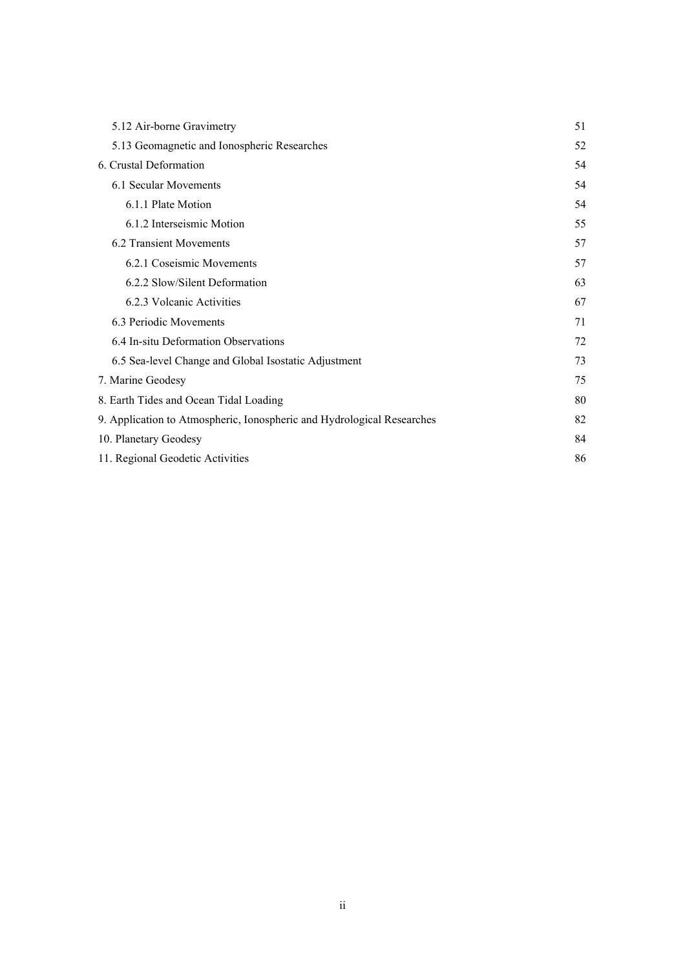| 5.12 Air-borne Gravimetry                                              | 51 |
|------------------------------------------------------------------------|----|
| 5.13 Geomagnetic and Ionospheric Researches                            | 52 |
| 6. Crustal Deformation                                                 | 54 |
| 6.1 Secular Movements                                                  | 54 |
| 6.1.1 Plate Motion                                                     | 54 |
| 6.1.2 Interseismic Motion                                              | 55 |
| 6.2 Transient Movements                                                | 57 |
| 6.2.1 Coseismic Movements                                              | 57 |
| 6.2.2 Slow/Silent Deformation                                          | 63 |
| 6.2.3 Volcanic Activities                                              | 67 |
| 6.3 Periodic Movements                                                 | 71 |
| 6.4 In-situ Deformation Observations                                   | 72 |
| 6.5 Sea-level Change and Global Isostatic Adjustment                   | 73 |
| 7. Marine Geodesy                                                      | 75 |
| 8. Earth Tides and Ocean Tidal Loading                                 | 80 |
| 9. Application to Atmospheric, Ionospheric and Hydrological Researches | 82 |
| 10. Planetary Geodesy                                                  | 84 |
| 11. Regional Geodetic Activities                                       | 86 |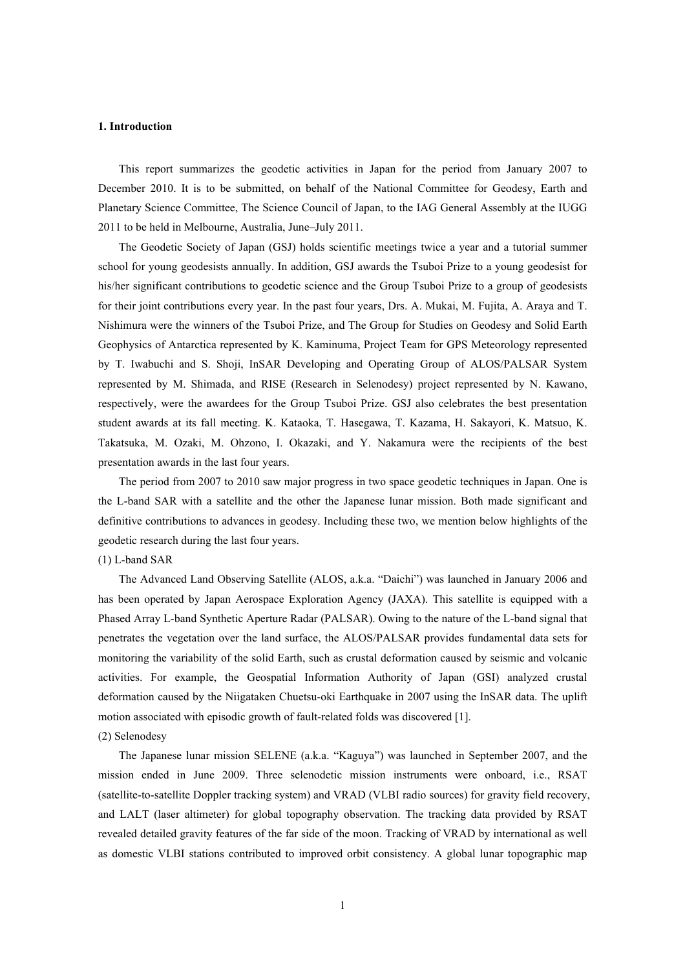#### **1. Introduction**

This report summarizes the geodetic activities in Japan for the period from January 2007 to December 2010. It is to be submitted, on behalf of the National Committee for Geodesy, Earth and Planetary Science Committee, The Science Council of Japan, to the IAG General Assembly at the IUGG 2011 to be held in Melbourne, Australia, June–July 2011.

The Geodetic Society of Japan (GSJ) holds scientific meetings twice a year and a tutorial summer school for young geodesists annually. In addition, GSJ awards the Tsuboi Prize to a young geodesist for his/her significant contributions to geodetic science and the Group Tsuboi Prize to a group of geodesists for their joint contributions every year. In the past four years, Drs. A. Mukai, M. Fujita, A. Araya and T. Nishimura were the winners of the Tsuboi Prize, and The Group for Studies on Geodesy and Solid Earth Geophysics of Antarctica represented by K. Kaminuma, Project Team for GPS Meteorology represented by T. Iwabuchi and S. Shoji, InSAR Developing and Operating Group of ALOS/PALSAR System represented by M. Shimada, and RISE (Research in Selenodesy) project represented by N. Kawano, respectively, were the awardees for the Group Tsuboi Prize. GSJ also celebrates the best presentation student awards at its fall meeting. K. Kataoka, T. Hasegawa, T. Kazama, H. Sakayori, K. Matsuo, K. Takatsuka, M. Ozaki, M. Ohzono, I. Okazaki, and Y. Nakamura were the recipients of the best presentation awards in the last four years.

The period from 2007 to 2010 saw major progress in two space geodetic techniques in Japan. One is the L-band SAR with a satellite and the other the Japanese lunar mission. Both made significant and definitive contributions to advances in geodesy. Including these two, we mention below highlights of the geodetic research during the last four years.

## (1) L-band SAR

The Advanced Land Observing Satellite (ALOS, a.k.a. "Daichi") was launched in January 2006 and has been operated by Japan Aerospace Exploration Agency (JAXA). This satellite is equipped with a Phased Array L-band Synthetic Aperture Radar (PALSAR). Owing to the nature of the L-band signal that penetrates the vegetation over the land surface, the ALOS/PALSAR provides fundamental data sets for monitoring the variability of the solid Earth, such as crustal deformation caused by seismic and volcanic activities. For example, the Geospatial Information Authority of Japan (GSI) analyzed crustal deformation caused by the Niigataken Chuetsu-oki Earthquake in 2007 using the InSAR data. The uplift motion associated with episodic growth of fault-related folds was discovered [1].

## (2) Selenodesy

The Japanese lunar mission SELENE (a.k.a. "Kaguya") was launched in September 2007, and the mission ended in June 2009. Three selenodetic mission instruments were onboard, i.e., RSAT (satellite-to-satellite Doppler tracking system) and VRAD (VLBI radio sources) for gravity field recovery, and LALT (laser altimeter) for global topography observation. The tracking data provided by RSAT revealed detailed gravity features of the far side of the moon. Tracking of VRAD by international as well as domestic VLBI stations contributed to improved orbit consistency. A global lunar topographic map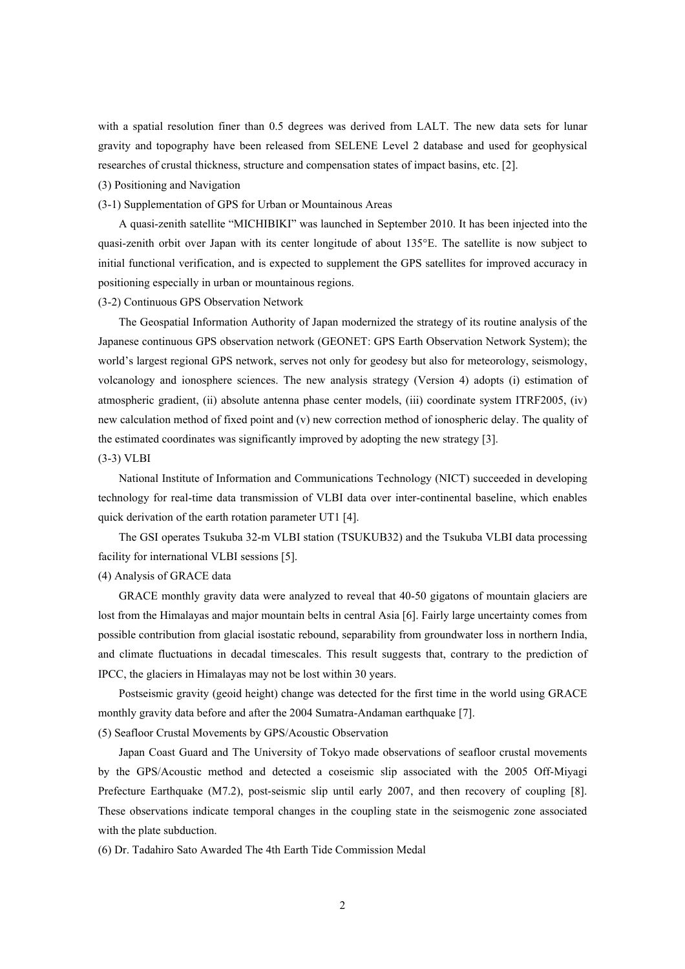with a spatial resolution finer than 0.5 degrees was derived from LALT. The new data sets for lunar gravity and topography have been released from SELENE Level 2 database and used for geophysical researches of crustal thickness, structure and compensation states of impact basins, etc. [2].

#### (3) Positioning and Navigation

#### (3-1) Supplementation of GPS for Urban or Mountainous Areas

A quasi-zenith satellite "MICHIBIKI" was launched in September 2010. It has been injected into the quasi-zenith orbit over Japan with its center longitude of about 135°E. The satellite is now subject to initial functional verification, and is expected to supplement the GPS satellites for improved accuracy in positioning especially in urban or mountainous regions.

## (3-2) Continuous GPS Observation Network

The Geospatial Information Authority of Japan modernized the strategy of its routine analysis of the Japanese continuous GPS observation network (GEONET: GPS Earth Observation Network System); the world's largest regional GPS network, serves not only for geodesy but also for meteorology, seismology, volcanology and ionosphere sciences. The new analysis strategy (Version 4) adopts (i) estimation of atmospheric gradient, (ii) absolute antenna phase center models, (iii) coordinate system ITRF2005, (iv) new calculation method of fixed point and (v) new correction method of ionospheric delay. The quality of the estimated coordinates was significantly improved by adopting the new strategy [3].

#### (3-3) VLBI

National Institute of Information and Communications Technology (NICT) succeeded in developing technology for real-time data transmission of VLBI data over inter-continental baseline, which enables quick derivation of the earth rotation parameter UT1 [4].

The GSI operates Tsukuba 32-m VLBI station (TSUKUB32) and the Tsukuba VLBI data processing facility for international VLBI sessions [5].

#### (4) Analysis of GRACE data

GRACE monthly gravity data were analyzed to reveal that 40-50 gigatons of mountain glaciers are lost from the Himalayas and major mountain belts in central Asia [6]. Fairly large uncertainty comes from possible contribution from glacial isostatic rebound, separability from groundwater loss in northern India, and climate fluctuations in decadal timescales. This result suggests that, contrary to the prediction of IPCC, the glaciers in Himalayas may not be lost within 30 years.

Postseismic gravity (geoid height) change was detected for the first time in the world using GRACE monthly gravity data before and after the 2004 Sumatra-Andaman earthquake [7].

(5) Seafloor Crustal Movements by GPS/Acoustic Observation

Japan Coast Guard and The University of Tokyo made observations of seafloor crustal movements by the GPS/Acoustic method and detected a coseismic slip associated with the 2005 Off-Miyagi Prefecture Earthquake (M7.2), post-seismic slip until early 2007, and then recovery of coupling [8]. These observations indicate temporal changes in the coupling state in the seismogenic zone associated with the plate subduction.

(6) Dr. Tadahiro Sato Awarded The 4th Earth Tide Commission Medal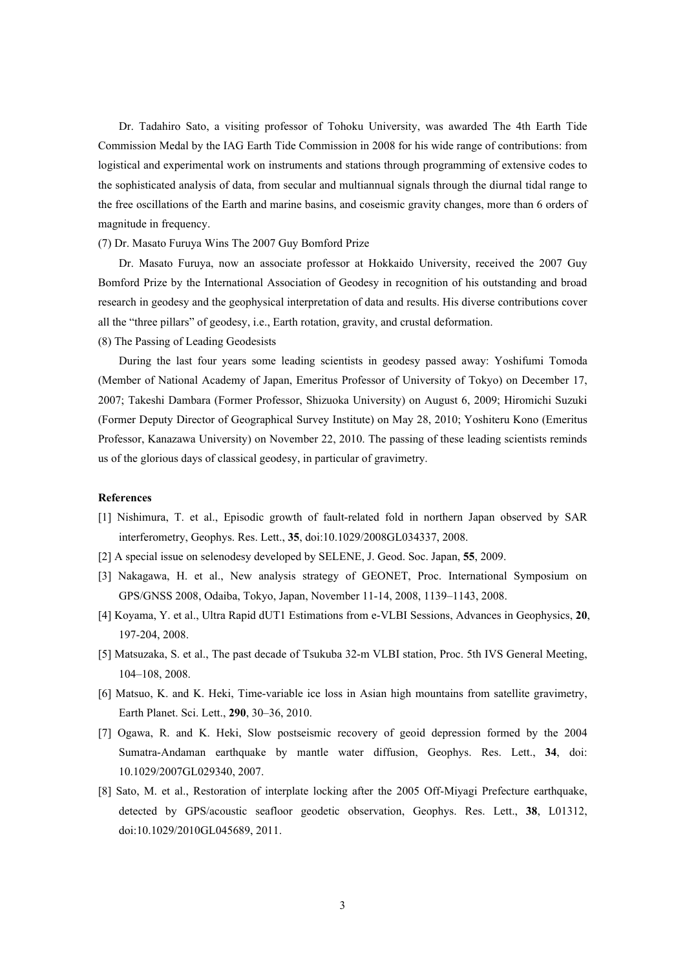Dr. Tadahiro Sato, a visiting professor of Tohoku University, was awarded The 4th Earth Tide Commission Medal by the IAG Earth Tide Commission in 2008 for his wide range of contributions: from logistical and experimental work on instruments and stations through programming of extensive codes to the sophisticated analysis of data, from secular and multiannual signals through the diurnal tidal range to the free oscillations of the Earth and marine basins, and coseismic gravity changes, more than 6 orders of magnitude in frequency.

(7) Dr. Masato Furuya Wins The 2007 Guy Bomford Prize

Dr. Masato Furuya, now an associate professor at Hokkaido University, received the 2007 Guy Bomford Prize by the International Association of Geodesy in recognition of his outstanding and broad research in geodesy and the geophysical interpretation of data and results. His diverse contributions cover all the "three pillars" of geodesy, i.e., Earth rotation, gravity, and crustal deformation.

(8) The Passing of Leading Geodesists

During the last four years some leading scientists in geodesy passed away: Yoshifumi Tomoda (Member of National Academy of Japan, Emeritus Professor of University of Tokyo) on December 17, 2007; Takeshi Dambara (Former Professor, Shizuoka University) on August 6, 2009; Hiromichi Suzuki (Former Deputy Director of Geographical Survey Institute) on May 28, 2010; Yoshiteru Kono (Emeritus Professor, Kanazawa University) on November 22, 2010. The passing of these leading scientists reminds us of the glorious days of classical geodesy, in particular of gravimetry.

### **References**

- [1] Nishimura, T. et al., Episodic growth of fault-related fold in northern Japan observed by SAR interferometry, Geophys. Res. Lett., **35**, doi:10.1029/2008GL034337, 2008.
- [2] A special issue on selenodesy developed by SELENE, J. Geod. Soc. Japan, **55**, 2009.
- [3] Nakagawa, H. et al., New analysis strategy of GEONET, Proc. International Symposium on GPS/GNSS 2008, Odaiba, Tokyo, Japan, November 11-14, 2008, 1139–1143, 2008.
- [4] Koyama, Y. et al., Ultra Rapid dUT1 Estimations from e-VLBI Sessions, Advances in Geophysics, **20**, 197-204, 2008.
- [5] Matsuzaka, S. et al., The past decade of Tsukuba 32-m VLBI station, Proc. 5th IVS General Meeting, 104–108, 2008.
- [6] Matsuo, K. and K. Heki, Time-variable ice loss in Asian high mountains from satellite gravimetry, Earth Planet. Sci. Lett., **290**, 30–36, 2010.
- [7] Ogawa, R. and K. Heki, Slow postseismic recovery of geoid depression formed by the 2004 Sumatra-Andaman earthquake by mantle water diffusion, Geophys. Res. Lett., **34**, doi: 10.1029/2007GL029340, 2007.
- [8] Sato, M. et al., Restoration of interplate locking after the 2005 Off-Miyagi Prefecture earthquake, detected by GPS/acoustic seafloor geodetic observation, Geophys. Res. Lett., **38**, L01312, doi:10.1029/2010GL045689, 2011.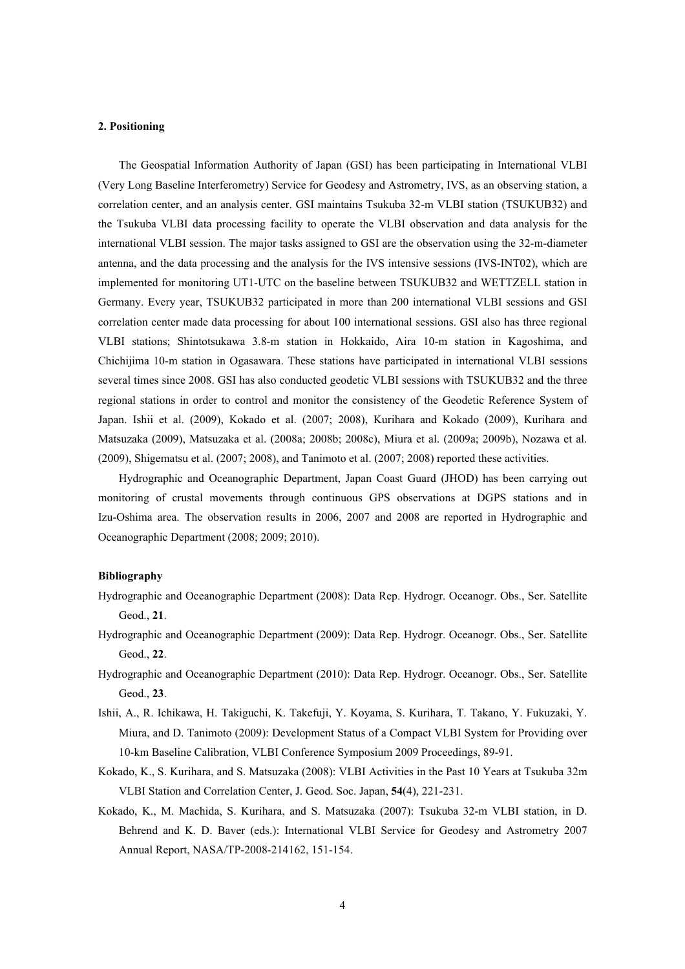#### **2. Positioning**

The Geospatial Information Authority of Japan (GSI) has been participating in International VLBI (Very Long Baseline Interferometry) Service for Geodesy and Astrometry, IVS, as an observing station, a correlation center, and an analysis center. GSI maintains Tsukuba 32-m VLBI station (TSUKUB32) and the Tsukuba VLBI data processing facility to operate the VLBI observation and data analysis for the international VLBI session. The major tasks assigned to GSI are the observation using the 32-m-diameter antenna, and the data processing and the analysis for the IVS intensive sessions (IVS-INT02), which are implemented for monitoring UT1-UTC on the baseline between TSUKUB32 and WETTZELL station in Germany. Every year, TSUKUB32 participated in more than 200 international VLBI sessions and GSI correlation center made data processing for about 100 international sessions. GSI also has three regional VLBI stations; Shintotsukawa 3.8-m station in Hokkaido, Aira 10-m station in Kagoshima, and Chichijima 10-m station in Ogasawara. These stations have participated in international VLBI sessions several times since 2008. GSI has also conducted geodetic VLBI sessions with TSUKUB32 and the three regional stations in order to control and monitor the consistency of the Geodetic Reference System of Japan. Ishii et al. (2009), Kokado et al. (2007; 2008), Kurihara and Kokado (2009), Kurihara and Matsuzaka (2009), Matsuzaka et al. (2008a; 2008b; 2008c), Miura et al. (2009a; 2009b), Nozawa et al. (2009), Shigematsu et al. (2007; 2008), and Tanimoto et al. (2007; 2008) reported these activities.

Hydrographic and Oceanographic Department, Japan Coast Guard (JHOD) has been carrying out monitoring of crustal movements through continuous GPS observations at DGPS stations and in Izu-Oshima area. The observation results in 2006, 2007 and 2008 are reported in Hydrographic and Oceanographic Department (2008; 2009; 2010).

- Hydrographic and Oceanographic Department (2008): Data Rep. Hydrogr. Oceanogr. Obs., Ser. Satellite Geod., **21**.
- Hydrographic and Oceanographic Department (2009): Data Rep. Hydrogr. Oceanogr. Obs., Ser. Satellite Geod., **22**.
- Hydrographic and Oceanographic Department (2010): Data Rep. Hydrogr. Oceanogr. Obs., Ser. Satellite Geod., **23**.
- Ishii, A., R. Ichikawa, H. Takiguchi, K. Takefuji, Y. Koyama, S. Kurihara, T. Takano, Y. Fukuzaki, Y. Miura, and D. Tanimoto (2009): Development Status of a Compact VLBI System for Providing over 10-km Baseline Calibration, VLBI Conference Symposium 2009 Proceedings, 89-91.
- Kokado, K., S. Kurihara, and S. Matsuzaka (2008): VLBI Activities in the Past 10 Years at Tsukuba 32m VLBI Station and Correlation Center, J. Geod. Soc. Japan, **54**(4), 221-231.
- Kokado, K., M. Machida, S. Kurihara, and S. Matsuzaka (2007): Tsukuba 32-m VLBI station, in D. Behrend and K. D. Baver (eds.): International VLBI Service for Geodesy and Astrometry 2007 Annual Report, NASA/TP-2008-214162, 151-154.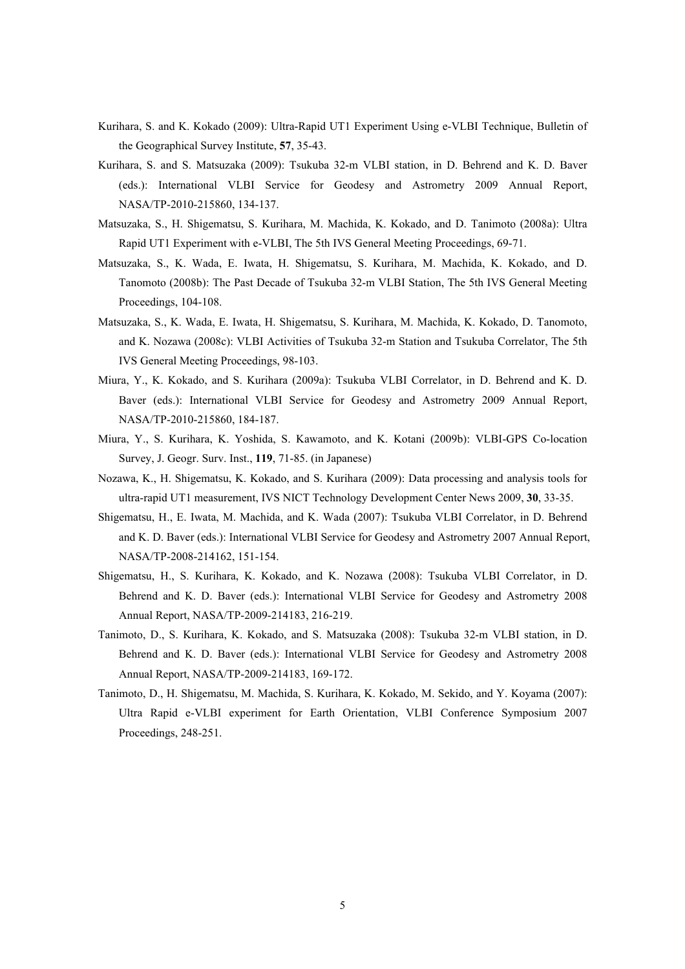- Kurihara, S. and K. Kokado (2009): Ultra-Rapid UT1 Experiment Using e-VLBI Technique, Bulletin of the Geographical Survey Institute, **57**, 35-43.
- Kurihara, S. and S. Matsuzaka (2009): Tsukuba 32-m VLBI station, in D. Behrend and K. D. Baver (eds.): International VLBI Service for Geodesy and Astrometry 2009 Annual Report, NASA/TP-2010-215860, 134-137.
- Matsuzaka, S., H. Shigematsu, S. Kurihara, M. Machida, K. Kokado, and D. Tanimoto (2008a): Ultra Rapid UT1 Experiment with e-VLBI, The 5th IVS General Meeting Proceedings, 69-71.
- Matsuzaka, S., K. Wada, E. Iwata, H. Shigematsu, S. Kurihara, M. Machida, K. Kokado, and D. Tanomoto (2008b): The Past Decade of Tsukuba 32-m VLBI Station, The 5th IVS General Meeting Proceedings, 104-108.
- Matsuzaka, S., K. Wada, E. Iwata, H. Shigematsu, S. Kurihara, M. Machida, K. Kokado, D. Tanomoto, and K. Nozawa (2008c): VLBI Activities of Tsukuba 32-m Station and Tsukuba Correlator, The 5th IVS General Meeting Proceedings, 98-103.
- Miura, Y., K. Kokado, and S. Kurihara (2009a): Tsukuba VLBI Correlator, in D. Behrend and K. D. Baver (eds.): International VLBI Service for Geodesy and Astrometry 2009 Annual Report, NASA/TP-2010-215860, 184-187.
- Miura, Y., S. Kurihara, K. Yoshida, S. Kawamoto, and K. Kotani (2009b): VLBI-GPS Co-location Survey, J. Geogr. Surv. Inst., **119**, 71-85. (in Japanese)
- Nozawa, K., H. Shigematsu, K. Kokado, and S. Kurihara (2009): Data processing and analysis tools for ultra-rapid UT1 measurement, IVS NICT Technology Development Center News 2009, **30**, 33-35.
- Shigematsu, H., E. Iwata, M. Machida, and K. Wada (2007): Tsukuba VLBI Correlator, in D. Behrend and K. D. Baver (eds.): International VLBI Service for Geodesy and Astrometry 2007 Annual Report, NASA/TP-2008-214162, 151-154.
- Shigematsu, H., S. Kurihara, K. Kokado, and K. Nozawa (2008): Tsukuba VLBI Correlator, in D. Behrend and K. D. Baver (eds.): International VLBI Service for Geodesy and Astrometry 2008 Annual Report, NASA/TP-2009-214183, 216-219.
- Tanimoto, D., S. Kurihara, K. Kokado, and S. Matsuzaka (2008): Tsukuba 32-m VLBI station, in D. Behrend and K. D. Baver (eds.): International VLBI Service for Geodesy and Astrometry 2008 Annual Report, NASA/TP-2009-214183, 169-172.
- Tanimoto, D., H. Shigematsu, M. Machida, S. Kurihara, K. Kokado, M. Sekido, and Y. Koyama (2007): Ultra Rapid e-VLBI experiment for Earth Orientation, VLBI Conference Symposium 2007 Proceedings, 248-251.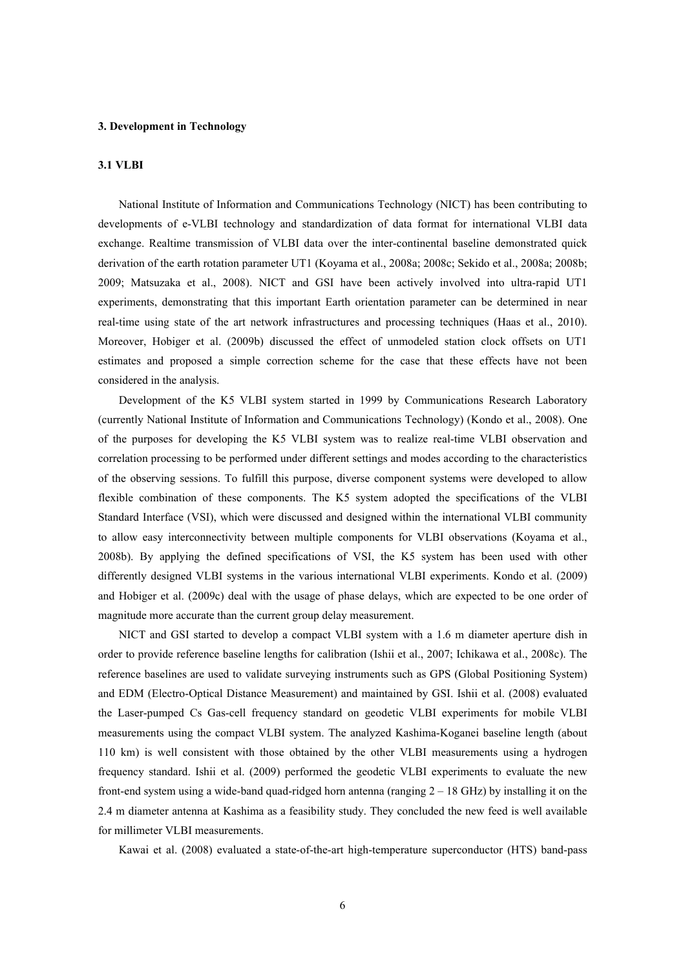#### **3. Development in Technology**

#### **3.1 VLBI**

National Institute of Information and Communications Technology (NICT) has been contributing to developments of e-VLBI technology and standardization of data format for international VLBI data exchange. Realtime transmission of VLBI data over the inter-continental baseline demonstrated quick derivation of the earth rotation parameter UT1 (Koyama et al., 2008a; 2008c; Sekido et al., 2008a; 2008b; 2009; Matsuzaka et al., 2008). NICT and GSI have been actively involved into ultra-rapid UT1 experiments, demonstrating that this important Earth orientation parameter can be determined in near real-time using state of the art network infrastructures and processing techniques (Haas et al., 2010). Moreover, Hobiger et al. (2009b) discussed the effect of unmodeled station clock offsets on UT1 estimates and proposed a simple correction scheme for the case that these effects have not been considered in the analysis.

Development of the K5 VLBI system started in 1999 by Communications Research Laboratory (currently National Institute of Information and Communications Technology) (Kondo et al., 2008). One of the purposes for developing the K5 VLBI system was to realize real-time VLBI observation and correlation processing to be performed under different settings and modes according to the characteristics of the observing sessions. To fulfill this purpose, diverse component systems were developed to allow flexible combination of these components. The K5 system adopted the specifications of the VLBI Standard Interface (VSI), which were discussed and designed within the international VLBI community to allow easy interconnectivity between multiple components for VLBI observations (Koyama et al., 2008b). By applying the defined specifications of VSI, the K5 system has been used with other differently designed VLBI systems in the various international VLBI experiments. Kondo et al. (2009) and Hobiger et al. (2009c) deal with the usage of phase delays, which are expected to be one order of magnitude more accurate than the current group delay measurement.

NICT and GSI started to develop a compact VLBI system with a 1.6 m diameter aperture dish in order to provide reference baseline lengths for calibration (Ishii et al., 2007; Ichikawa et al., 2008c). The reference baselines are used to validate surveying instruments such as GPS (Global Positioning System) and EDM (Electro-Optical Distance Measurement) and maintained by GSI. Ishii et al. (2008) evaluated the Laser-pumped Cs Gas-cell frequency standard on geodetic VLBI experiments for mobile VLBI measurements using the compact VLBI system. The analyzed Kashima-Koganei baseline length (about 110 km) is well consistent with those obtained by the other VLBI measurements using a hydrogen frequency standard. Ishii et al. (2009) performed the geodetic VLBI experiments to evaluate the new front-end system using a wide-band quad-ridged horn antenna (ranging  $2 - 18$  GHz) by installing it on the 2.4 m diameter antenna at Kashima as a feasibility study. They concluded the new feed is well available for millimeter VLBI measurements.

Kawai et al. (2008) evaluated a state-of-the-art high-temperature superconductor (HTS) band-pass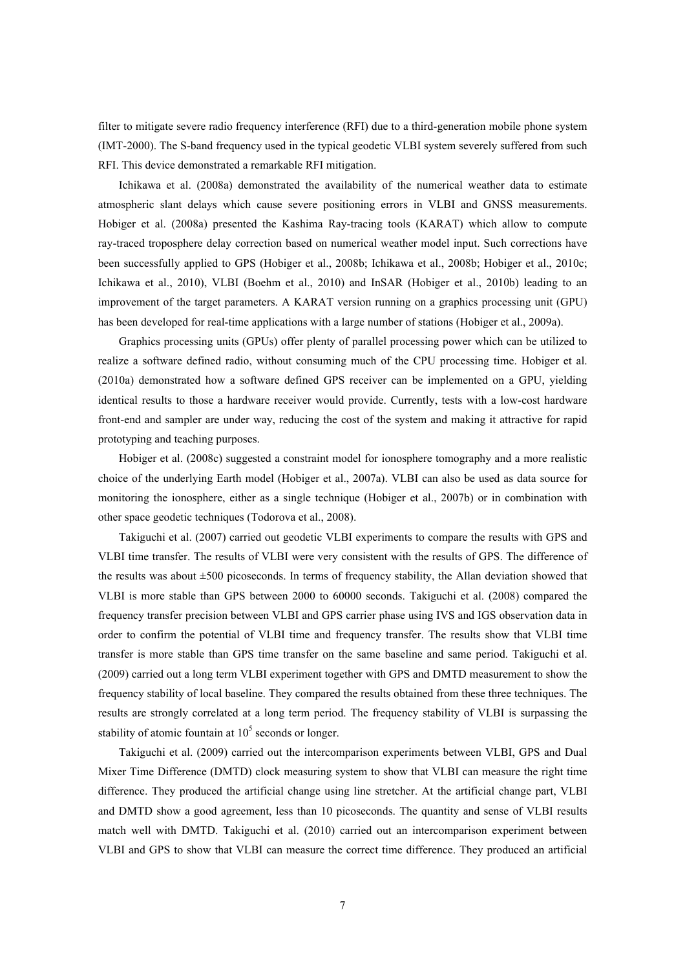filter to mitigate severe radio frequency interference (RFI) due to a third-generation mobile phone system (IMT-2000). The S-band frequency used in the typical geodetic VLBI system severely suffered from such RFI. This device demonstrated a remarkable RFI mitigation.

Ichikawa et al. (2008a) demonstrated the availability of the numerical weather data to estimate atmospheric slant delays which cause severe positioning errors in VLBI and GNSS measurements. Hobiger et al. (2008a) presented the Kashima Ray-tracing tools (KARAT) which allow to compute ray-traced troposphere delay correction based on numerical weather model input. Such corrections have been successfully applied to GPS (Hobiger et al., 2008b; Ichikawa et al., 2008b; Hobiger et al., 2010c; Ichikawa et al., 2010), VLBI (Boehm et al., 2010) and InSAR (Hobiger et al., 2010b) leading to an improvement of the target parameters. A KARAT version running on a graphics processing unit (GPU) has been developed for real-time applications with a large number of stations (Hobiger et al., 2009a).

Graphics processing units (GPUs) offer plenty of parallel processing power which can be utilized to realize a software defined radio, without consuming much of the CPU processing time. Hobiger et al. (2010a) demonstrated how a software defined GPS receiver can be implemented on a GPU, yielding identical results to those a hardware receiver would provide. Currently, tests with a low-cost hardware front-end and sampler are under way, reducing the cost of the system and making it attractive for rapid prototyping and teaching purposes.

Hobiger et al. (2008c) suggested a constraint model for ionosphere tomography and a more realistic choice of the underlying Earth model (Hobiger et al., 2007a). VLBI can also be used as data source for monitoring the ionosphere, either as a single technique (Hobiger et al., 2007b) or in combination with other space geodetic techniques (Todorova et al., 2008).

Takiguchi et al. (2007) carried out geodetic VLBI experiments to compare the results with GPS and VLBI time transfer. The results of VLBI were very consistent with the results of GPS. The difference of the results was about ±500 picoseconds. In terms of frequency stability, the Allan deviation showed that VLBI is more stable than GPS between 2000 to 60000 seconds. Takiguchi et al. (2008) compared the frequency transfer precision between VLBI and GPS carrier phase using IVS and IGS observation data in order to confirm the potential of VLBI time and frequency transfer. The results show that VLBI time transfer is more stable than GPS time transfer on the same baseline and same period. Takiguchi et al. (2009) carried out a long term VLBI experiment together with GPS and DMTD measurement to show the frequency stability of local baseline. They compared the results obtained from these three techniques. The results are strongly correlated at a long term period. The frequency stability of VLBI is surpassing the stability of atomic fountain at  $10<sup>5</sup>$  seconds or longer.

Takiguchi et al. (2009) carried out the intercomparison experiments between VLBI, GPS and Dual Mixer Time Difference (DMTD) clock measuring system to show that VLBI can measure the right time difference. They produced the artificial change using line stretcher. At the artificial change part, VLBI and DMTD show a good agreement, less than 10 picoseconds. The quantity and sense of VLBI results match well with DMTD. Takiguchi et al. (2010) carried out an intercomparison experiment between VLBI and GPS to show that VLBI can measure the correct time difference. They produced an artificial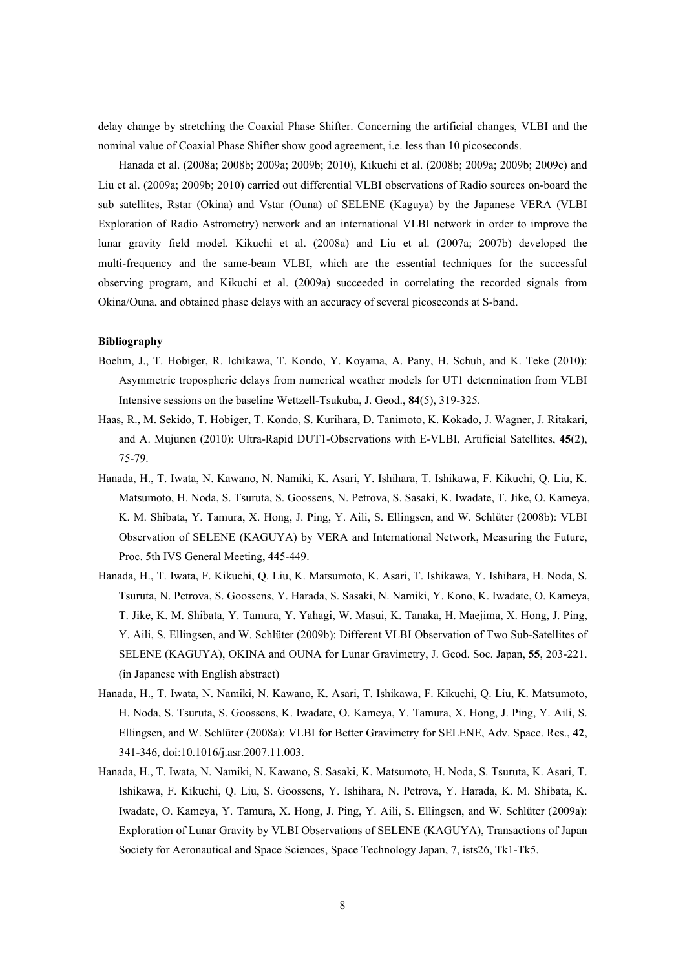delay change by stretching the Coaxial Phase Shifter. Concerning the artificial changes, VLBI and the nominal value of Coaxial Phase Shifter show good agreement, i.e. less than 10 picoseconds.

Hanada et al. (2008a; 2008b; 2009a; 2009b; 2010), Kikuchi et al. (2008b; 2009a; 2009b; 2009c) and Liu et al. (2009a; 2009b; 2010) carried out differential VLBI observations of Radio sources on-board the sub satellites, Rstar (Okina) and Vstar (Ouna) of SELENE (Kaguya) by the Japanese VERA (VLBI Exploration of Radio Astrometry) network and an international VLBI network in order to improve the lunar gravity field model. Kikuchi et al. (2008a) and Liu et al. (2007a; 2007b) developed the multi-frequency and the same-beam VLBI, which are the essential techniques for the successful observing program, and Kikuchi et al. (2009a) succeeded in correlating the recorded signals from Okina/Ouna, and obtained phase delays with an accuracy of several picoseconds at S-band.

- Boehm, J., T. Hobiger, R. Ichikawa, T. Kondo, Y. Koyama, A. Pany, H. Schuh, and K. Teke (2010): Asymmetric tropospheric delays from numerical weather models for UT1 determination from VLBI Intensive sessions on the baseline Wettzell-Tsukuba, J. Geod., **84**(5), 319-325.
- Haas, R., M. Sekido, T. Hobiger, T. Kondo, S. Kurihara, D. Tanimoto, K. Kokado, J. Wagner, J. Ritakari, and A. Mujunen (2010): Ultra-Rapid DUT1-Observations with E-VLBI, Artificial Satellites, **45**(2), 75-79.
- Hanada, H., T. Iwata, N. Kawano, N. Namiki, K. Asari, Y. Ishihara, T. Ishikawa, F. Kikuchi, Q. Liu, K. Matsumoto, H. Noda, S. Tsuruta, S. Goossens, N. Petrova, S. Sasaki, K. Iwadate, T. Jike, O. Kameya, K. M. Shibata, Y. Tamura, X. Hong, J. Ping, Y. Aili, S. Ellingsen, and W. Schlüter (2008b): VLBI Observation of SELENE (KAGUYA) by VERA and International Network, Measuring the Future, Proc. 5th IVS General Meeting, 445-449.
- Hanada, H., T. Iwata, F. Kikuchi, Q. Liu, K. Matsumoto, K. Asari, T. Ishikawa, Y. Ishihara, H. Noda, S. Tsuruta, N. Petrova, S. Goossens, Y. Harada, S. Sasaki, N. Namiki, Y. Kono, K. Iwadate, O. Kameya, T. Jike, K. M. Shibata, Y. Tamura, Y. Yahagi, W. Masui, K. Tanaka, H. Maejima, X. Hong, J. Ping, Y. Aili, S. Ellingsen, and W. Schlüter (2009b): Different VLBI Observation of Two Sub-Satellites of SELENE (KAGUYA), OKINA and OUNA for Lunar Gravimetry, J. Geod. Soc. Japan, **55**, 203-221. (in Japanese with English abstract)
- Hanada, H., T. Iwata, N. Namiki, N. Kawano, K. Asari, T. Ishikawa, F. Kikuchi, Q. Liu, K. Matsumoto, H. Noda, S. Tsuruta, S. Goossens, K. Iwadate, O. Kameya, Y. Tamura, X. Hong, J. Ping, Y. Aili, S. Ellingsen, and W. Schlüter (2008a): VLBI for Better Gravimetry for SELENE, Adv. Space. Res., **42**, 341-346, doi:10.1016/j.asr.2007.11.003.
- Hanada, H., T. Iwata, N. Namiki, N. Kawano, S. Sasaki, K. Matsumoto, H. Noda, S. Tsuruta, K. Asari, T. Ishikawa, F. Kikuchi, Q. Liu, S. Goossens, Y. Ishihara, N. Petrova, Y. Harada, K. M. Shibata, K. Iwadate, O. Kameya, Y. Tamura, X. Hong, J. Ping, Y. Aili, S. Ellingsen, and W. Schlüter (2009a): Exploration of Lunar Gravity by VLBI Observations of SELENE (KAGUYA), Transactions of Japan Society for Aeronautical and Space Sciences, Space Technology Japan, 7, ists26, Tk1-Tk5.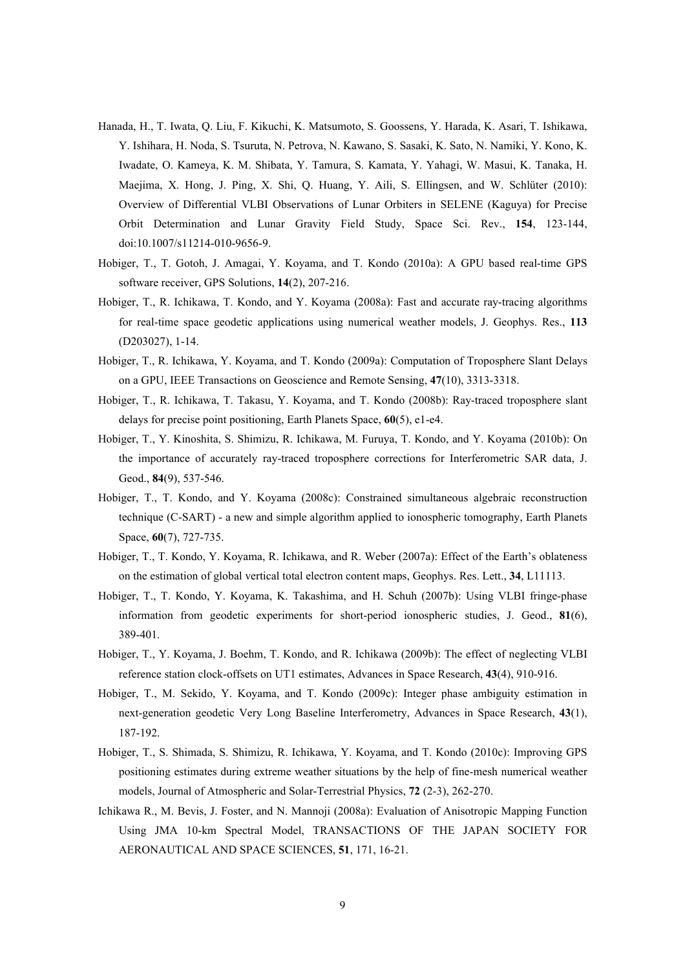- Hanada, H., T. Iwata, Q. Liu, F. Kikuchi, K. Matsumoto, S. Goossens, Y. Harada, K. Asari, T. Ishikawa, Y. Ishihara, H. Noda, S. Tsuruta, N. Petrova, N. Kawano, S. Sasaki, K. Sato, N. Namiki, Y. Kono, K. Iwadate, O. Kameya, K. M. Shibata, Y. Tamura, S. Kamata, Y. Yahagi, W. Masui, K. Tanaka, H. Maejima, X. Hong, J. Ping, X. Shi, Q. Huang, Y. Aili, S. Ellingsen, and W. Schlüter (2010): Overview of Differential VLBI Observations of Lunar Orbiters in SELENE (Kaguya) for Precise Orbit Determination and Lunar Gravity Field Study, Space Sci. Rev., **154**, 123-144, doi:10.1007/s11214-010-9656-9.
- Hobiger, T., T. Gotoh, J. Amagai, Y. Koyama, and T. Kondo (2010a): A GPU based real-time GPS software receiver, GPS Solutions, **14**(2), 207-216.
- Hobiger, T., R. Ichikawa, T. Kondo, and Y. Koyama (2008a): Fast and accurate ray-tracing algorithms for real-time space geodetic applications using numerical weather models, J. Geophys. Res., **113** (D203027), 1-14.
- Hobiger, T., R. Ichikawa, Y. Koyama, and T. Kondo (2009a): Computation of Troposphere Slant Delays on a GPU, IEEE Transactions on Geoscience and Remote Sensing, **47**(10), 3313-3318.
- Hobiger, T., R. Ichikawa, T. Takasu, Y. Koyama, and T. Kondo (2008b): Ray-traced troposphere slant delays for precise point positioning, Earth Planets Space, **60**(5), e1-e4.
- Hobiger, T., Y. Kinoshita, S. Shimizu, R. Ichikawa, M. Furuya, T. Kondo, and Y. Koyama (2010b): On the importance of accurately ray-traced troposphere corrections for Interferometric SAR data, J. Geod., **84**(9), 537-546.
- Hobiger, T., T. Kondo, and Y. Koyama (2008c): Constrained simultaneous algebraic reconstruction technique (C-SART) - a new and simple algorithm applied to ionospheric tomography, Earth Planets Space, **60**(7), 727-735.
- Hobiger, T., T. Kondo, Y. Koyama, R. Ichikawa, and R. Weber (2007a): Effect of the Earth's oblateness on the estimation of global vertical total electron content maps, Geophys. Res. Lett., **34**, L11113.
- Hobiger, T., T. Kondo, Y. Koyama, K. Takashima, and H. Schuh (2007b): Using VLBI fringe-phase information from geodetic experiments for short-period ionospheric studies, J. Geod., **81**(6), 389-401.
- Hobiger, T., Y. Koyama, J. Boehm, T. Kondo, and R. Ichikawa (2009b): The effect of neglecting VLBI reference station clock-offsets on UT1 estimates, Advances in Space Research, **43**(4), 910-916.
- Hobiger, T., M. Sekido, Y. Koyama, and T. Kondo (2009c): Integer phase ambiguity estimation in next-generation geodetic Very Long Baseline Interferometry, Advances in Space Research, **43**(1), 187-192.
- Hobiger, T., S. Shimada, S. Shimizu, R. Ichikawa, Y. Koyama, and T. Kondo (2010c): Improving GPS positioning estimates during extreme weather situations by the help of fine-mesh numerical weather models, Journal of Atmospheric and Solar-Terrestrial Physics, **72** (2-3), 262-270.
- Ichikawa R., M. Bevis, J. Foster, and N. Mannoji (2008a): Evaluation of Anisotropic Mapping Function Using JMA 10-km Spectral Model, TRANSACTIONS OF THE JAPAN SOCIETY FOR AERONAUTICAL AND SPACE SCIENCES, **51**, 171, 16-21.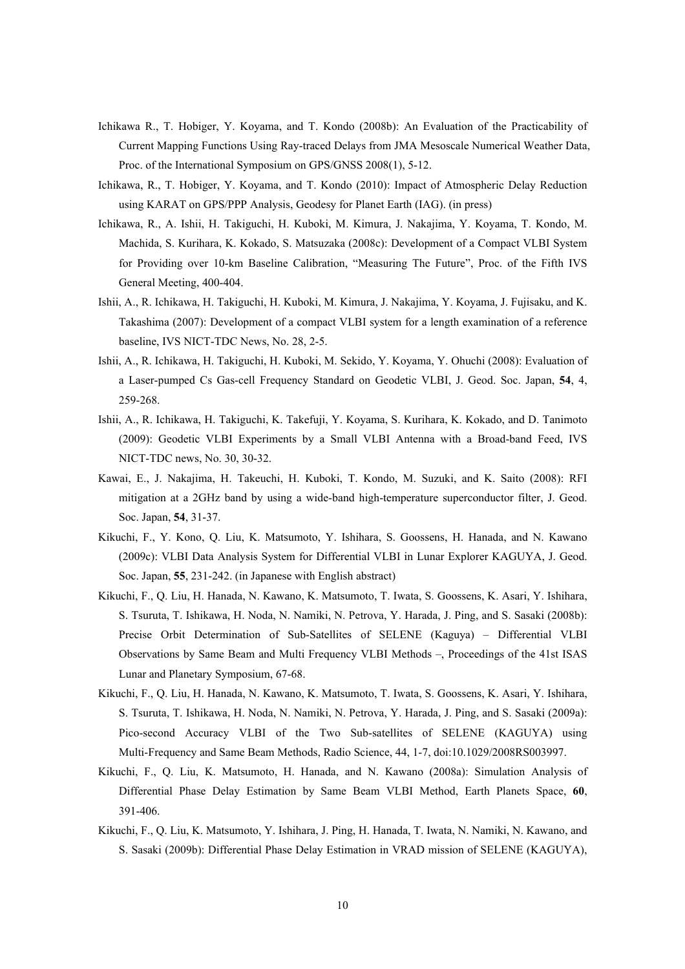- Ichikawa R., T. Hobiger, Y. Koyama, and T. Kondo (2008b): An Evaluation of the Practicability of Current Mapping Functions Using Ray-traced Delays from JMA Mesoscale Numerical Weather Data, Proc. of the International Symposium on GPS/GNSS 2008(1), 5-12.
- Ichikawa, R., T. Hobiger, Y. Koyama, and T. Kondo (2010): Impact of Atmospheric Delay Reduction using KARAT on GPS/PPP Analysis, Geodesy for Planet Earth (IAG). (in press)
- Ichikawa, R., A. Ishii, H. Takiguchi, H. Kuboki, M. Kimura, J. Nakajima, Y. Koyama, T. Kondo, M. Machida, S. Kurihara, K. Kokado, S. Matsuzaka (2008c): Development of a Compact VLBI System for Providing over 10-km Baseline Calibration, "Measuring The Future", Proc. of the Fifth IVS General Meeting, 400-404.
- Ishii, A., R. Ichikawa, H. Takiguchi, H. Kuboki, M. Kimura, J. Nakajima, Y. Koyama, J. Fujisaku, and K. Takashima (2007): Development of a compact VLBI system for a length examination of a reference baseline, IVS NICT-TDC News, No. 28, 2-5.
- Ishii, A., R. Ichikawa, H. Takiguchi, H. Kuboki, M. Sekido, Y. Koyama, Y. Ohuchi (2008): Evaluation of a Laser-pumped Cs Gas-cell Frequency Standard on Geodetic VLBI, J. Geod. Soc. Japan, **54**, 4, 259-268.
- Ishii, A., R. Ichikawa, H. Takiguchi, K. Takefuji, Y. Koyama, S. Kurihara, K. Kokado, and D. Tanimoto (2009): Geodetic VLBI Experiments by a Small VLBI Antenna with a Broad-band Feed, IVS NICT-TDC news, No. 30, 30-32.
- Kawai, E., J. Nakajima, H. Takeuchi, H. Kuboki, T. Kondo, M. Suzuki, and K. Saito (2008): RFI mitigation at a 2GHz band by using a wide-band high-temperature superconductor filter, J. Geod. Soc. Japan, **54**, 31-37.
- Kikuchi, F., Y. Kono, Q. Liu, K. Matsumoto, Y. Ishihara, S. Goossens, H. Hanada, and N. Kawano (2009c): VLBI Data Analysis System for Differential VLBI in Lunar Explorer KAGUYA, J. Geod. Soc. Japan, **55**, 231-242. (in Japanese with English abstract)
- Kikuchi, F., Q. Liu, H. Hanada, N. Kawano, K. Matsumoto, T. Iwata, S. Goossens, K. Asari, Y. Ishihara, S. Tsuruta, T. Ishikawa, H. Noda, N. Namiki, N. Petrova, Y. Harada, J. Ping, and S. Sasaki (2008b): Precise Orbit Determination of Sub-Satellites of SELENE (Kaguya) – Differential VLBI Observations by Same Beam and Multi Frequency VLBI Methods –, Proceedings of the 41st ISAS Lunar and Planetary Symposium, 67-68.
- Kikuchi, F., Q. Liu, H. Hanada, N. Kawano, K. Matsumoto, T. Iwata, S. Goossens, K. Asari, Y. Ishihara, S. Tsuruta, T. Ishikawa, H. Noda, N. Namiki, N. Petrova, Y. Harada, J. Ping, and S. Sasaki (2009a): Pico-second Accuracy VLBI of the Two Sub-satellites of SELENE (KAGUYA) using Multi-Frequency and Same Beam Methods, Radio Science, 44, 1-7, doi:10.1029/2008RS003997.
- Kikuchi, F., Q. Liu, K. Matsumoto, H. Hanada, and N. Kawano (2008a): Simulation Analysis of Differential Phase Delay Estimation by Same Beam VLBI Method, Earth Planets Space, **60**, 391-406.
- Kikuchi, F., Q. Liu, K. Matsumoto, Y. Ishihara, J. Ping, H. Hanada, T. Iwata, N. Namiki, N. Kawano, and S. Sasaki (2009b): Differential Phase Delay Estimation in VRAD mission of SELENE (KAGUYA),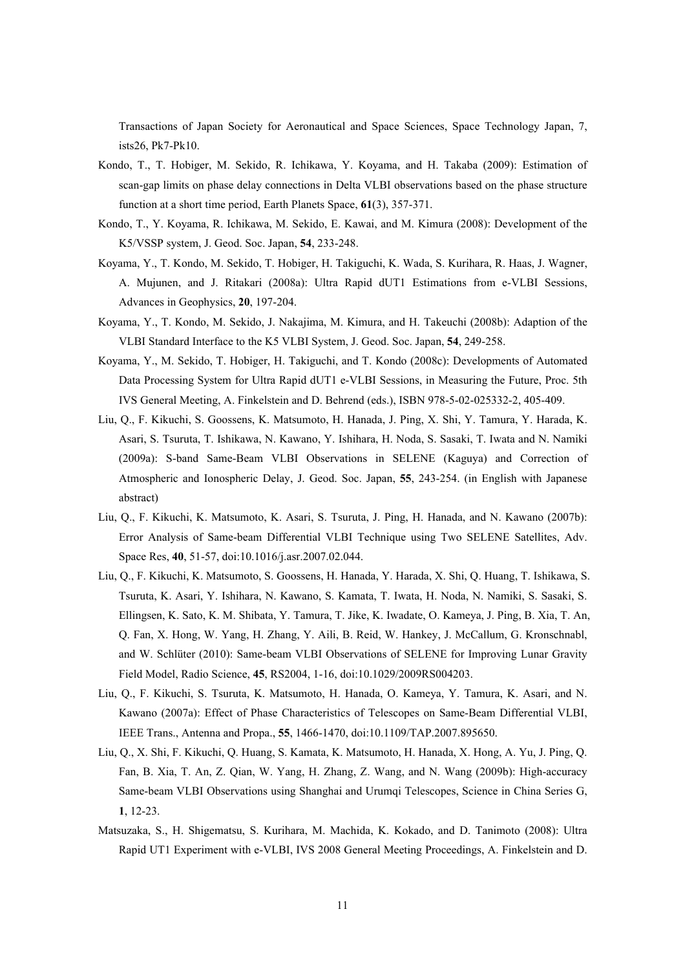Transactions of Japan Society for Aeronautical and Space Sciences, Space Technology Japan, 7, ists26, Pk7-Pk10.

- Kondo, T., T. Hobiger, M. Sekido, R. Ichikawa, Y. Koyama, and H. Takaba (2009): Estimation of scan-gap limits on phase delay connections in Delta VLBI observations based on the phase structure function at a short time period, Earth Planets Space, **61**(3), 357-371.
- Kondo, T., Y. Koyama, R. Ichikawa, M. Sekido, E. Kawai, and M. Kimura (2008): Development of the K5/VSSP system, J. Geod. Soc. Japan, **54**, 233-248.
- Koyama, Y., T. Kondo, M. Sekido, T. Hobiger, H. Takiguchi, K. Wada, S. Kurihara, R. Haas, J. Wagner, A. Mujunen, and J. Ritakari (2008a): Ultra Rapid dUT1 Estimations from e-VLBI Sessions, Advances in Geophysics, **20**, 197-204.
- Koyama, Y., T. Kondo, M. Sekido, J. Nakajima, M. Kimura, and H. Takeuchi (2008b): Adaption of the VLBI Standard Interface to the K5 VLBI System, J. Geod. Soc. Japan, **54**, 249-258.
- Koyama, Y., M. Sekido, T. Hobiger, H. Takiguchi, and T. Kondo (2008c): Developments of Automated Data Processing System for Ultra Rapid dUT1 e-VLBI Sessions, in Measuring the Future, Proc. 5th IVS General Meeting, A. Finkelstein and D. Behrend (eds.), ISBN 978-5-02-025332-2, 405-409.
- Liu, Q., F. Kikuchi, S. Goossens, K. Matsumoto, H. Hanada, J. Ping, X. Shi, Y. Tamura, Y. Harada, K. Asari, S. Tsuruta, T. Ishikawa, N. Kawano, Y. Ishihara, H. Noda, S. Sasaki, T. Iwata and N. Namiki (2009a): S-band Same-Beam VLBI Observations in SELENE (Kaguya) and Correction of Atmospheric and Ionospheric Delay, J. Geod. Soc. Japan, **55**, 243-254. (in English with Japanese abstract)
- Liu, Q., F. Kikuchi, K. Matsumoto, K. Asari, S. Tsuruta, J. Ping, H. Hanada, and N. Kawano (2007b): Error Analysis of Same-beam Differential VLBI Technique using Two SELENE Satellites, Adv. Space Res, **40**, 51-57, doi:10.1016/j.asr.2007.02.044.
- Liu, Q., F. Kikuchi, K. Matsumoto, S. Goossens, H. Hanada, Y. Harada, X. Shi, Q. Huang, T. Ishikawa, S. Tsuruta, K. Asari, Y. Ishihara, N. Kawano, S. Kamata, T. Iwata, H. Noda, N. Namiki, S. Sasaki, S. Ellingsen, K. Sato, K. M. Shibata, Y. Tamura, T. Jike, K. Iwadate, O. Kameya, J. Ping, B. Xia, T. An, Q. Fan, X. Hong, W. Yang, H. Zhang, Y. Aili, B. Reid, W. Hankey, J. McCallum, G. Kronschnabl, and W. Schlüter (2010): Same-beam VLBI Observations of SELENE for Improving Lunar Gravity Field Model, Radio Science, **45**, RS2004, 1-16, doi:10.1029/2009RS004203.
- Liu, Q., F. Kikuchi, S. Tsuruta, K. Matsumoto, H. Hanada, O. Kameya, Y. Tamura, K. Asari, and N. Kawano (2007a): Effect of Phase Characteristics of Telescopes on Same-Beam Differential VLBI, IEEE Trans., Antenna and Propa., **55**, 1466-1470, doi:10.1109/TAP.2007.895650.
- Liu, Q., X. Shi, F. Kikuchi, Q. Huang, S. Kamata, K. Matsumoto, H. Hanada, X. Hong, A. Yu, J. Ping, Q. Fan, B. Xia, T. An, Z. Qian, W. Yang, H. Zhang, Z. Wang, and N. Wang (2009b): High-accuracy Same-beam VLBI Observations using Shanghai and Urumqi Telescopes, Science in China Series G, **1**, 12-23.
- Matsuzaka, S., H. Shigematsu, S. Kurihara, M. Machida, K. Kokado, and D. Tanimoto (2008): Ultra Rapid UT1 Experiment with e-VLBI, IVS 2008 General Meeting Proceedings, A. Finkelstein and D.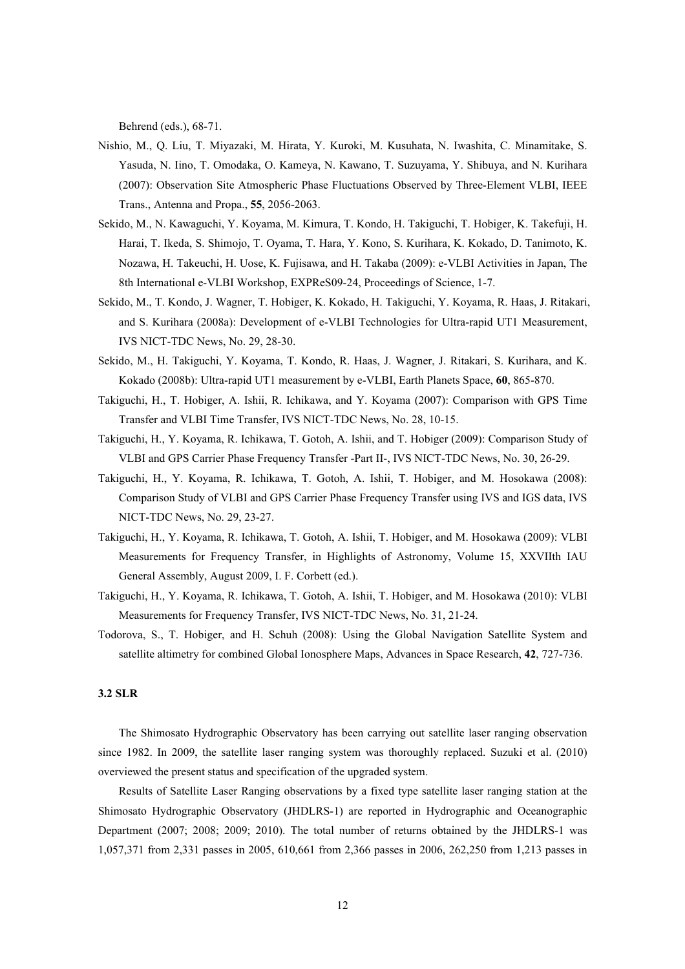Behrend (eds.), 68-71.

- Nishio, M., Q. Liu, T. Miyazaki, M. Hirata, Y. Kuroki, M. Kusuhata, N. Iwashita, C. Minamitake, S. Yasuda, N. Iino, T. Omodaka, O. Kameya, N. Kawano, T. Suzuyama, Y. Shibuya, and N. Kurihara (2007): Observation Site Atmospheric Phase Fluctuations Observed by Three-Element VLBI, IEEE Trans., Antenna and Propa., **55**, 2056-2063.
- Sekido, M., N. Kawaguchi, Y. Koyama, M. Kimura, T. Kondo, H. Takiguchi, T. Hobiger, K. Takefuji, H. Harai, T. Ikeda, S. Shimojo, T. Oyama, T. Hara, Y. Kono, S. Kurihara, K. Kokado, D. Tanimoto, K. Nozawa, H. Takeuchi, H. Uose, K. Fujisawa, and H. Takaba (2009): e-VLBI Activities in Japan, The 8th International e-VLBI Workshop, EXPReS09-24, Proceedings of Science, 1-7.
- Sekido, M., T. Kondo, J. Wagner, T. Hobiger, K. Kokado, H. Takiguchi, Y. Koyama, R. Haas, J. Ritakari, and S. Kurihara (2008a): Development of e-VLBI Technologies for Ultra-rapid UT1 Measurement, IVS NICT-TDC News, No. 29, 28-30.
- Sekido, M., H. Takiguchi, Y. Koyama, T. Kondo, R. Haas, J. Wagner, J. Ritakari, S. Kurihara, and K. Kokado (2008b): Ultra-rapid UT1 measurement by e-VLBI, Earth Planets Space, **60**, 865-870.
- Takiguchi, H., T. Hobiger, A. Ishii, R. Ichikawa, and Y. Koyama (2007): Comparison with GPS Time Transfer and VLBI Time Transfer, IVS NICT-TDC News, No. 28, 10-15.
- Takiguchi, H., Y. Koyama, R. Ichikawa, T. Gotoh, A. Ishii, and T. Hobiger (2009): Comparison Study of VLBI and GPS Carrier Phase Frequency Transfer -Part II-, IVS NICT-TDC News, No. 30, 26-29.
- Takiguchi, H., Y. Koyama, R. Ichikawa, T. Gotoh, A. Ishii, T. Hobiger, and M. Hosokawa (2008): Comparison Study of VLBI and GPS Carrier Phase Frequency Transfer using IVS and IGS data, IVS NICT-TDC News, No. 29, 23-27.
- Takiguchi, H., Y. Koyama, R. Ichikawa, T. Gotoh, A. Ishii, T. Hobiger, and M. Hosokawa (2009): VLBI Measurements for Frequency Transfer, in Highlights of Astronomy, Volume 15, XXVIIth IAU General Assembly, August 2009, I. F. Corbett (ed.).
- Takiguchi, H., Y. Koyama, R. Ichikawa, T. Gotoh, A. Ishii, T. Hobiger, and M. Hosokawa (2010): VLBI Measurements for Frequency Transfer, IVS NICT-TDC News, No. 31, 21-24.
- Todorova, S., T. Hobiger, and H. Schuh (2008): Using the Global Navigation Satellite System and satellite altimetry for combined Global Ionosphere Maps, Advances in Space Research, **42**, 727-736.

#### **3.2 SLR**

The Shimosato Hydrographic Observatory has been carrying out satellite laser ranging observation since 1982. In 2009, the satellite laser ranging system was thoroughly replaced. Suzuki et al. (2010) overviewed the present status and specification of the upgraded system.

Results of Satellite Laser Ranging observations by a fixed type satellite laser ranging station at the Shimosato Hydrographic Observatory (JHDLRS-1) are reported in Hydrographic and Oceanographic Department (2007; 2008; 2009; 2010). The total number of returns obtained by the JHDLRS-1 was 1,057,371 from 2,331 passes in 2005, 610,661 from 2,366 passes in 2006, 262,250 from 1,213 passes in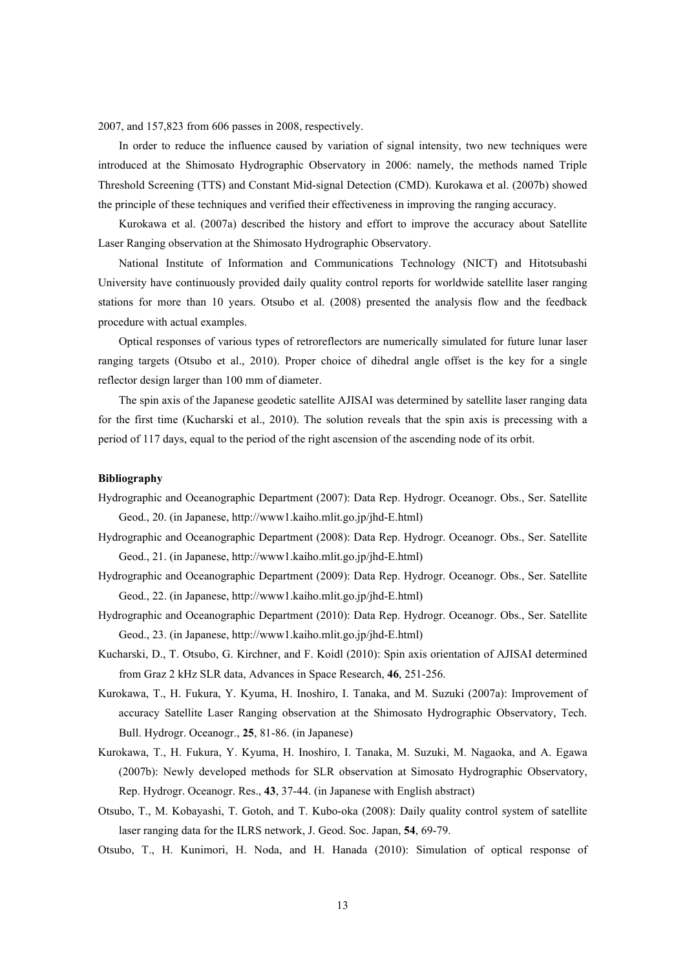2007, and 157,823 from 606 passes in 2008, respectively.

In order to reduce the influence caused by variation of signal intensity, two new techniques were introduced at the Shimosato Hydrographic Observatory in 2006: namely, the methods named Triple Threshold Screening (TTS) and Constant Mid-signal Detection (CMD). Kurokawa et al. (2007b) showed the principle of these techniques and verified their effectiveness in improving the ranging accuracy.

Kurokawa et al. (2007a) described the history and effort to improve the accuracy about Satellite Laser Ranging observation at the Shimosato Hydrographic Observatory.

National Institute of Information and Communications Technology (NICT) and Hitotsubashi University have continuously provided daily quality control reports for worldwide satellite laser ranging stations for more than 10 years. Otsubo et al. (2008) presented the analysis flow and the feedback procedure with actual examples.

Optical responses of various types of retroreflectors are numerically simulated for future lunar laser ranging targets (Otsubo et al., 2010). Proper choice of dihedral angle offset is the key for a single reflector design larger than 100 mm of diameter.

The spin axis of the Japanese geodetic satellite AJISAI was determined by satellite laser ranging data for the first time (Kucharski et al., 2010). The solution reveals that the spin axis is precessing with a period of 117 days, equal to the period of the right ascension of the ascending node of its orbit.

- Hydrographic and Oceanographic Department (2007): Data Rep. Hydrogr. Oceanogr. Obs., Ser. Satellite Geod., 20. (in Japanese, http://www1.kaiho.mlit.go.jp/jhd-E.html)
- Hydrographic and Oceanographic Department (2008): Data Rep. Hydrogr. Oceanogr. Obs., Ser. Satellite Geod., 21. (in Japanese, http://www1.kaiho.mlit.go.jp/jhd-E.html)
- Hydrographic and Oceanographic Department (2009): Data Rep. Hydrogr. Oceanogr. Obs., Ser. Satellite Geod., 22. (in Japanese, http://www1.kaiho.mlit.go.jp/jhd-E.html)
- Hydrographic and Oceanographic Department (2010): Data Rep. Hydrogr. Oceanogr. Obs., Ser. Satellite Geod., 23. (in Japanese, http://www1.kaiho.mlit.go.jp/jhd-E.html)
- Kucharski, D., T. Otsubo, G. Kirchner, and F. Koidl (2010): Spin axis orientation of AJISAI determined from Graz 2 kHz SLR data, Advances in Space Research, **46**, 251-256.
- Kurokawa, T., H. Fukura, Y. Kyuma, H. Inoshiro, I. Tanaka, and M. Suzuki (2007a): Improvement of accuracy Satellite Laser Ranging observation at the Shimosato Hydrographic Observatory, Tech. Bull. Hydrogr. Oceanogr., **25**, 81-86. (in Japanese)
- Kurokawa, T., H. Fukura, Y. Kyuma, H. Inoshiro, I. Tanaka, M. Suzuki, M. Nagaoka, and A. Egawa (2007b): Newly developed methods for SLR observation at Simosato Hydrographic Observatory, Rep. Hydrogr. Oceanogr. Res., **43**, 37-44. (in Japanese with English abstract)
- Otsubo, T., M. Kobayashi, T. Gotoh, and T. Kubo-oka (2008): Daily quality control system of satellite laser ranging data for the ILRS network, J. Geod. Soc. Japan, **54**, 69-79.
- Otsubo, T., H. Kunimori, H. Noda, and H. Hanada (2010): Simulation of optical response of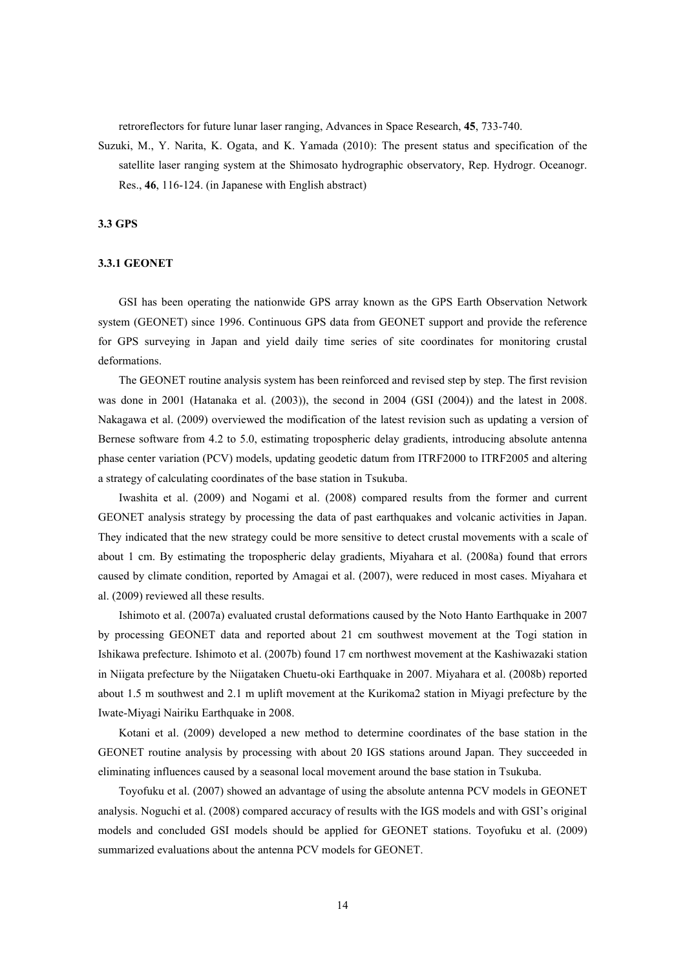retroreflectors for future lunar laser ranging, Advances in Space Research, **45**, 733-740.

Suzuki, M., Y. Narita, K. Ogata, and K. Yamada (2010): The present status and specification of the satellite laser ranging system at the Shimosato hydrographic observatory, Rep. Hydrogr. Oceanogr. Res., **46**, 116-124. (in Japanese with English abstract)

## **3.3 GPS**

#### **3.3.1 GEONET**

GSI has been operating the nationwide GPS array known as the GPS Earth Observation Network system (GEONET) since 1996. Continuous GPS data from GEONET support and provide the reference for GPS surveying in Japan and yield daily time series of site coordinates for monitoring crustal deformations.

The GEONET routine analysis system has been reinforced and revised step by step. The first revision was done in 2001 (Hatanaka et al. (2003)), the second in 2004 (GSI (2004)) and the latest in 2008. Nakagawa et al. (2009) overviewed the modification of the latest revision such as updating a version of Bernese software from 4.2 to 5.0, estimating tropospheric delay gradients, introducing absolute antenna phase center variation (PCV) models, updating geodetic datum from ITRF2000 to ITRF2005 and altering a strategy of calculating coordinates of the base station in Tsukuba.

Iwashita et al. (2009) and Nogami et al. (2008) compared results from the former and current GEONET analysis strategy by processing the data of past earthquakes and volcanic activities in Japan. They indicated that the new strategy could be more sensitive to detect crustal movements with a scale of about 1 cm. By estimating the tropospheric delay gradients, Miyahara et al. (2008a) found that errors caused by climate condition, reported by Amagai et al. (2007), were reduced in most cases. Miyahara et al. (2009) reviewed all these results.

Ishimoto et al. (2007a) evaluated crustal deformations caused by the Noto Hanto Earthquake in 2007 by processing GEONET data and reported about 21 cm southwest movement at the Togi station in Ishikawa prefecture. Ishimoto et al. (2007b) found 17 cm northwest movement at the Kashiwazaki station in Niigata prefecture by the Niigataken Chuetu-oki Earthquake in 2007. Miyahara et al. (2008b) reported about 1.5 m southwest and 2.1 m uplift movement at the Kurikoma2 station in Miyagi prefecture by the Iwate-Miyagi Nairiku Earthquake in 2008.

Kotani et al. (2009) developed a new method to determine coordinates of the base station in the GEONET routine analysis by processing with about 20 IGS stations around Japan. They succeeded in eliminating influences caused by a seasonal local movement around the base station in Tsukuba.

Toyofuku et al. (2007) showed an advantage of using the absolute antenna PCV models in GEONET analysis. Noguchi et al. (2008) compared accuracy of results with the IGS models and with GSI's original models and concluded GSI models should be applied for GEONET stations. Toyofuku et al. (2009) summarized evaluations about the antenna PCV models for GEONET.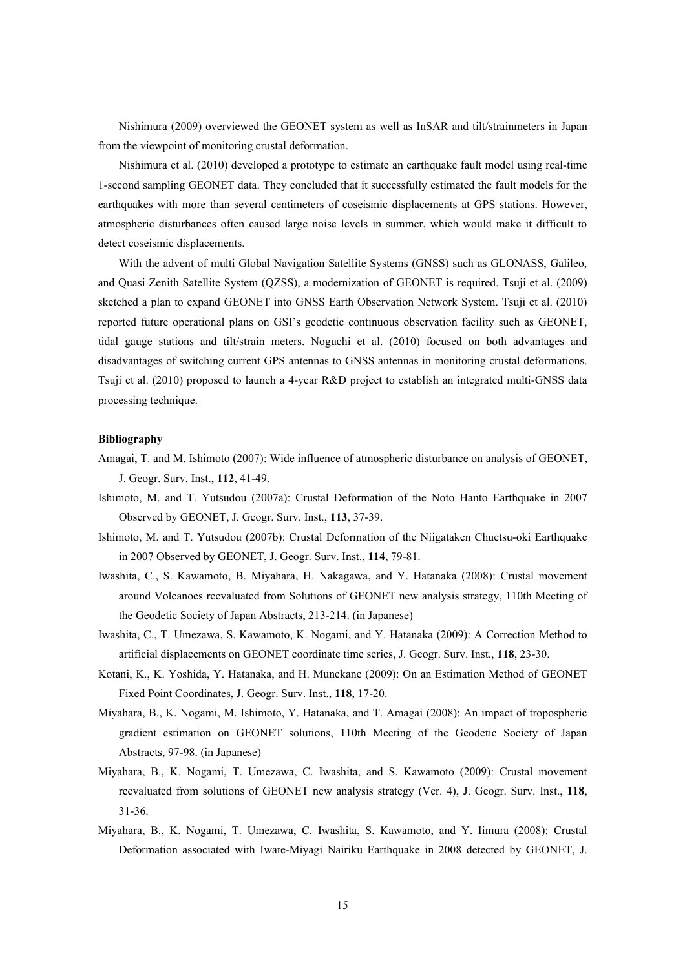Nishimura (2009) overviewed the GEONET system as well as InSAR and tilt/strainmeters in Japan from the viewpoint of monitoring crustal deformation.

Nishimura et al. (2010) developed a prototype to estimate an earthquake fault model using real-time 1-second sampling GEONET data. They concluded that it successfully estimated the fault models for the earthquakes with more than several centimeters of coseismic displacements at GPS stations. However, atmospheric disturbances often caused large noise levels in summer, which would make it difficult to detect coseismic displacements.

With the advent of multi Global Navigation Satellite Systems (GNSS) such as GLONASS, Galileo, and Quasi Zenith Satellite System (QZSS), a modernization of GEONET is required. Tsuji et al. (2009) sketched a plan to expand GEONET into GNSS Earth Observation Network System. Tsuji et al. (2010) reported future operational plans on GSI's geodetic continuous observation facility such as GEONET, tidal gauge stations and tilt/strain meters. Noguchi et al. (2010) focused on both advantages and disadvantages of switching current GPS antennas to GNSS antennas in monitoring crustal deformations. Tsuji et al. (2010) proposed to launch a 4-year R&D project to establish an integrated multi-GNSS data processing technique.

- Amagai, T. and M. Ishimoto (2007): Wide influence of atmospheric disturbance on analysis of GEONET, J. Geogr. Surv. Inst., **112**, 41-49.
- Ishimoto, M. and T. Yutsudou (2007a): Crustal Deformation of the Noto Hanto Earthquake in 2007 Observed by GEONET, J. Geogr. Surv. Inst., **113**, 37-39.
- Ishimoto, M. and T. Yutsudou (2007b): Crustal Deformation of the Niigataken Chuetsu-oki Earthquake in 2007 Observed by GEONET, J. Geogr. Surv. Inst., **114**, 79-81.
- Iwashita, C., S. Kawamoto, B. Miyahara, H. Nakagawa, and Y. Hatanaka (2008): Crustal movement around Volcanoes reevaluated from Solutions of GEONET new analysis strategy, 110th Meeting of the Geodetic Society of Japan Abstracts, 213-214. (in Japanese)
- Iwashita, C., T. Umezawa, S. Kawamoto, K. Nogami, and Y. Hatanaka (2009): A Correction Method to artificial displacements on GEONET coordinate time series, J. Geogr. Surv. Inst., **118**, 23-30.
- Kotani, K., K. Yoshida, Y. Hatanaka, and H. Munekane (2009): On an Estimation Method of GEONET Fixed Point Coordinates, J. Geogr. Surv. Inst., **118**, 17-20.
- Miyahara, B., K. Nogami, M. Ishimoto, Y. Hatanaka, and T. Amagai (2008): An impact of tropospheric gradient estimation on GEONET solutions, 110th Meeting of the Geodetic Society of Japan Abstracts, 97-98. (in Japanese)
- Miyahara, B., K. Nogami, T. Umezawa, C. Iwashita, and S. Kawamoto (2009): Crustal movement reevaluated from solutions of GEONET new analysis strategy (Ver. 4), J. Geogr. Surv. Inst., **118**, 31-36.
- Miyahara, B., K. Nogami, T. Umezawa, C. Iwashita, S. Kawamoto, and Y. Iimura (2008): Crustal Deformation associated with Iwate-Miyagi Nairiku Earthquake in 2008 detected by GEONET, J.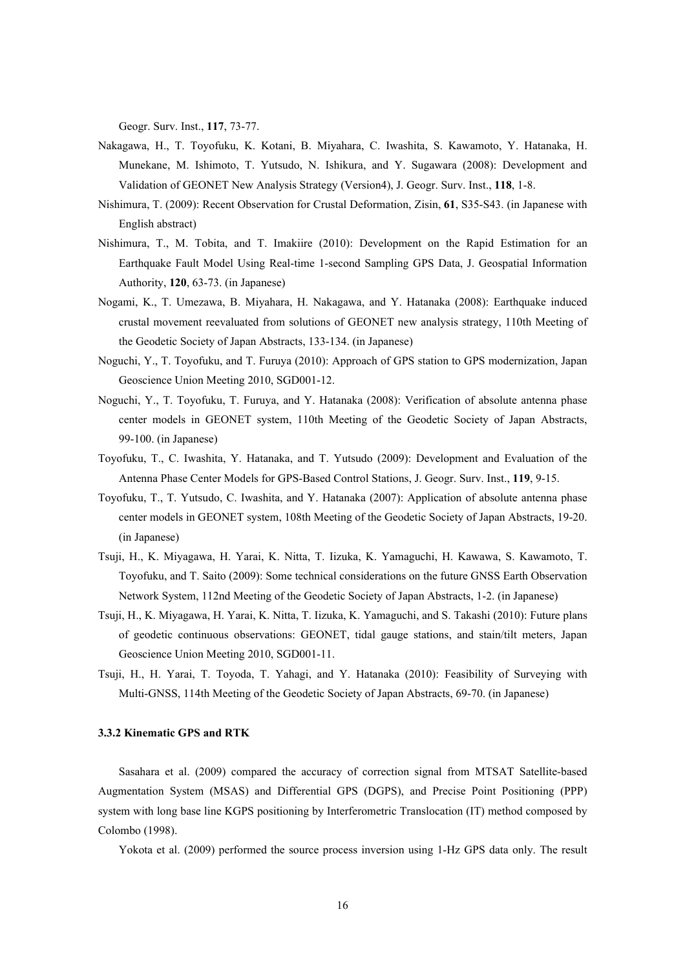Geogr. Surv. Inst., **117**, 73-77.

- Nakagawa, H., T. Toyofuku, K. Kotani, B. Miyahara, C. Iwashita, S. Kawamoto, Y. Hatanaka, H. Munekane, M. Ishimoto, T. Yutsudo, N. Ishikura, and Y. Sugawara (2008): Development and Validation of GEONET New Analysis Strategy (Version4), J. Geogr. Surv. Inst., **118**, 1-8.
- Nishimura, T. (2009): Recent Observation for Crustal Deformation, Zisin, **61**, S35-S43. (in Japanese with English abstract)
- Nishimura, T., M. Tobita, and T. Imakiire (2010): Development on the Rapid Estimation for an Earthquake Fault Model Using Real-time 1-second Sampling GPS Data, J. Geospatial Information Authority, **120**, 63-73. (in Japanese)
- Nogami, K., T. Umezawa, B. Miyahara, H. Nakagawa, and Y. Hatanaka (2008): Earthquake induced crustal movement reevaluated from solutions of GEONET new analysis strategy, 110th Meeting of the Geodetic Society of Japan Abstracts, 133-134. (in Japanese)
- Noguchi, Y., T. Toyofuku, and T. Furuya (2010): Approach of GPS station to GPS modernization, Japan Geoscience Union Meeting 2010, SGD001-12.
- Noguchi, Y., T. Toyofuku, T. Furuya, and Y. Hatanaka (2008): Verification of absolute antenna phase center models in GEONET system, 110th Meeting of the Geodetic Society of Japan Abstracts, 99-100. (in Japanese)
- Toyofuku, T., C. Iwashita, Y. Hatanaka, and T. Yutsudo (2009): Development and Evaluation of the Antenna Phase Center Models for GPS-Based Control Stations, J. Geogr. Surv. Inst., **119**, 9-15.
- Toyofuku, T., T. Yutsudo, C. Iwashita, and Y. Hatanaka (2007): Application of absolute antenna phase center models in GEONET system, 108th Meeting of the Geodetic Society of Japan Abstracts, 19-20. (in Japanese)
- Tsuji, H., K. Miyagawa, H. Yarai, K. Nitta, T. Iizuka, K. Yamaguchi, H. Kawawa, S. Kawamoto, T. Toyofuku, and T. Saito (2009): Some technical considerations on the future GNSS Earth Observation Network System, 112nd Meeting of the Geodetic Society of Japan Abstracts, 1-2. (in Japanese)
- Tsuji, H., K. Miyagawa, H. Yarai, K. Nitta, T. Iizuka, K. Yamaguchi, and S. Takashi (2010): Future plans of geodetic continuous observations: GEONET, tidal gauge stations, and stain/tilt meters, Japan Geoscience Union Meeting 2010, SGD001-11.
- Tsuji, H., H. Yarai, T. Toyoda, T. Yahagi, and Y. Hatanaka (2010): Feasibility of Surveying with Multi-GNSS, 114th Meeting of the Geodetic Society of Japan Abstracts, 69-70. (in Japanese)

#### **3.3.2 Kinematic GPS and RTK**

Sasahara et al. (2009) compared the accuracy of correction signal from MTSAT Satellite-based Augmentation System (MSAS) and Differential GPS (DGPS), and Precise Point Positioning (PPP) system with long base line KGPS positioning by Interferometric Translocation (IT) method composed by Colombo (1998).

Yokota et al. (2009) performed the source process inversion using 1-Hz GPS data only. The result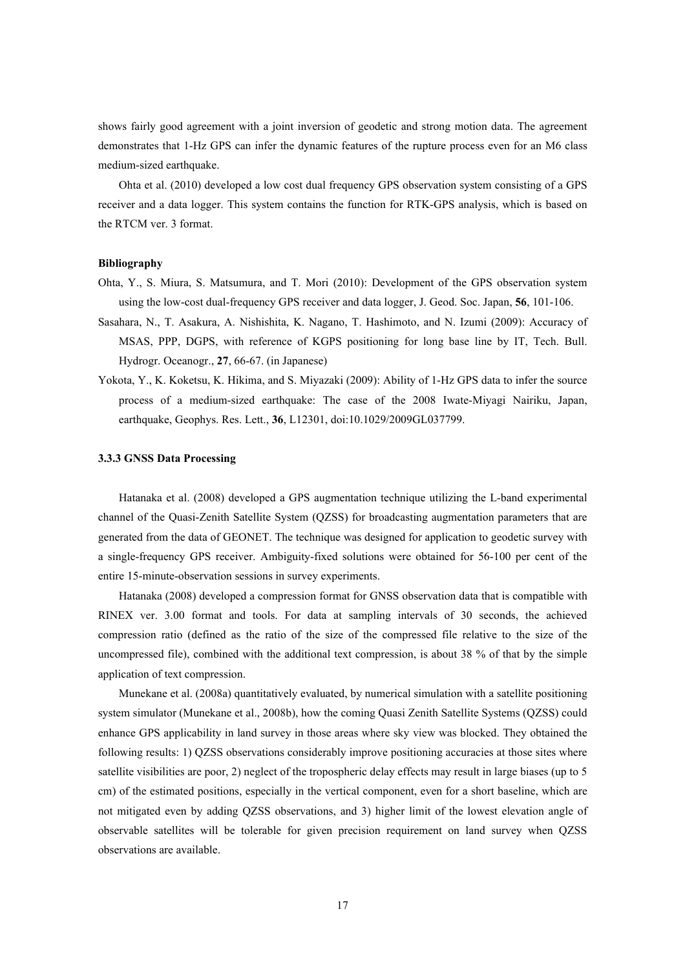shows fairly good agreement with a joint inversion of geodetic and strong motion data. The agreement demonstrates that 1-Hz GPS can infer the dynamic features of the rupture process even for an M6 class medium-sized earthquake.

Ohta et al. (2010) developed a low cost dual frequency GPS observation system consisting of a GPS receiver and a data logger. This system contains the function for RTK-GPS analysis, which is based on the RTCM ver. 3 format.

#### **Bibliography**

- Ohta, Y., S. Miura, S. Matsumura, and T. Mori (2010): Development of the GPS observation system using the low-cost dual-frequency GPS receiver and data logger, J. Geod. Soc. Japan, **56**, 101-106.
- Sasahara, N., T. Asakura, A. Nishishita, K. Nagano, T. Hashimoto, and N. Izumi (2009): Accuracy of MSAS, PPP, DGPS, with reference of KGPS positioning for long base line by IT, Tech. Bull. Hydrogr. Oceanogr., **27**, 66-67. (in Japanese)
- Yokota, Y., K. Koketsu, K. Hikima, and S. Miyazaki (2009): Ability of 1-Hz GPS data to infer the source process of a medium-sized earthquake: The case of the 2008 Iwate-Miyagi Nairiku, Japan, earthquake, Geophys. Res. Lett., **36**, L12301, doi:10.1029/2009GL037799.

### **3.3.3 GNSS Data Processing**

Hatanaka et al. (2008) developed a GPS augmentation technique utilizing the L-band experimental channel of the Quasi-Zenith Satellite System (QZSS) for broadcasting augmentation parameters that are generated from the data of GEONET. The technique was designed for application to geodetic survey with a single-frequency GPS receiver. Ambiguity-fixed solutions were obtained for 56-100 per cent of the entire 15-minute-observation sessions in survey experiments.

Hatanaka (2008) developed a compression format for GNSS observation data that is compatible with RINEX ver. 3.00 format and tools. For data at sampling intervals of 30 seconds, the achieved compression ratio (defined as the ratio of the size of the compressed file relative to the size of the uncompressed file), combined with the additional text compression, is about 38 % of that by the simple application of text compression.

Munekane et al. (2008a) quantitatively evaluated, by numerical simulation with a satellite positioning system simulator (Munekane et al., 2008b), how the coming Quasi Zenith Satellite Systems (QZSS) could enhance GPS applicability in land survey in those areas where sky view was blocked. They obtained the following results: 1) QZSS observations considerably improve positioning accuracies at those sites where satellite visibilities are poor, 2) neglect of the tropospheric delay effects may result in large biases (up to 5 cm) of the estimated positions, especially in the vertical component, even for a short baseline, which are not mitigated even by adding QZSS observations, and 3) higher limit of the lowest elevation angle of observable satellites will be tolerable for given precision requirement on land survey when QZSS observations are available.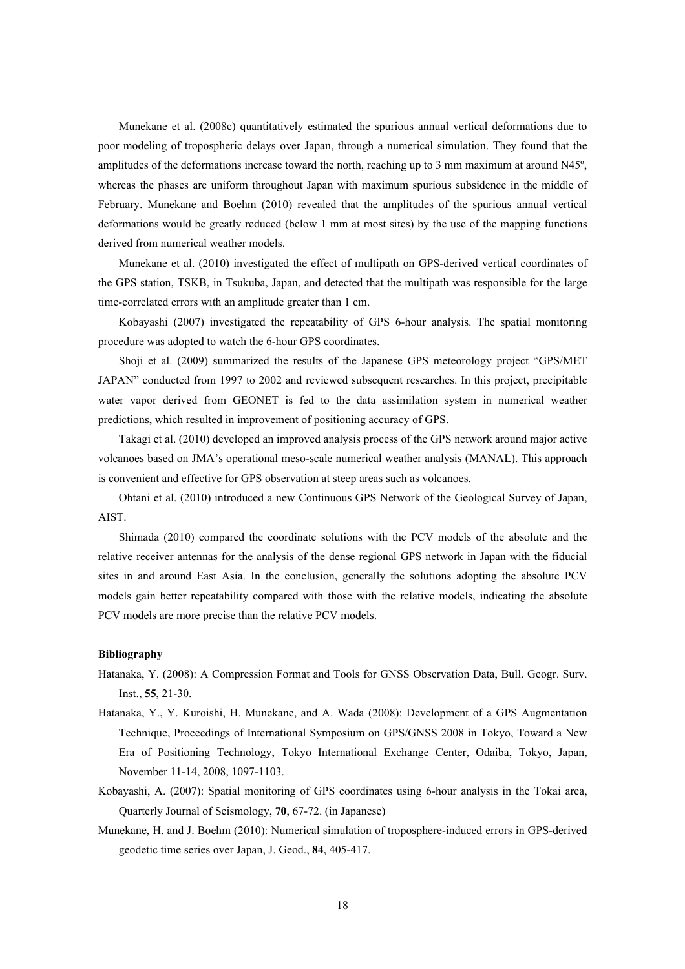Munekane et al. (2008c) quantitatively estimated the spurious annual vertical deformations due to poor modeling of tropospheric delays over Japan, through a numerical simulation. They found that the amplitudes of the deformations increase toward the north, reaching up to 3 mm maximum at around N45º, whereas the phases are uniform throughout Japan with maximum spurious subsidence in the middle of February. Munekane and Boehm (2010) revealed that the amplitudes of the spurious annual vertical deformations would be greatly reduced (below 1 mm at most sites) by the use of the mapping functions derived from numerical weather models.

Munekane et al. (2010) investigated the effect of multipath on GPS-derived vertical coordinates of the GPS station, TSKB, in Tsukuba, Japan, and detected that the multipath was responsible for the large time-correlated errors with an amplitude greater than 1 cm.

Kobayashi (2007) investigated the repeatability of GPS 6-hour analysis. The spatial monitoring procedure was adopted to watch the 6-hour GPS coordinates.

Shoji et al. (2009) summarized the results of the Japanese GPS meteorology project "GPS/MET JAPAN" conducted from 1997 to 2002 and reviewed subsequent researches. In this project, precipitable water vapor derived from GEONET is fed to the data assimilation system in numerical weather predictions, which resulted in improvement of positioning accuracy of GPS.

Takagi et al. (2010) developed an improved analysis process of the GPS network around major active volcanoes based on JMA's operational meso-scale numerical weather analysis (MANAL). This approach is convenient and effective for GPS observation at steep areas such as volcanoes.

Ohtani et al. (2010) introduced a new Continuous GPS Network of the Geological Survey of Japan, AIST.

Shimada (2010) compared the coordinate solutions with the PCV models of the absolute and the relative receiver antennas for the analysis of the dense regional GPS network in Japan with the fiducial sites in and around East Asia. In the conclusion, generally the solutions adopting the absolute PCV models gain better repeatability compared with those with the relative models, indicating the absolute PCV models are more precise than the relative PCV models.

- Hatanaka, Y. (2008): A Compression Format and Tools for GNSS Observation Data, Bull. Geogr. Surv. Inst., **55**, 21-30.
- Hatanaka, Y., Y. Kuroishi, H. Munekane, and A. Wada (2008): Development of a GPS Augmentation Technique, Proceedings of International Symposium on GPS/GNSS 2008 in Tokyo, Toward a New Era of Positioning Technology, Tokyo International Exchange Center, Odaiba, Tokyo, Japan, November 11-14, 2008, 1097-1103.
- Kobayashi, A. (2007): Spatial monitoring of GPS coordinates using 6-hour analysis in the Tokai area, Quarterly Journal of Seismology, **70**, 67-72. (in Japanese)
- Munekane, H. and J. Boehm (2010): Numerical simulation of troposphere-induced errors in GPS-derived geodetic time series over Japan, J. Geod., **84**, 405-417.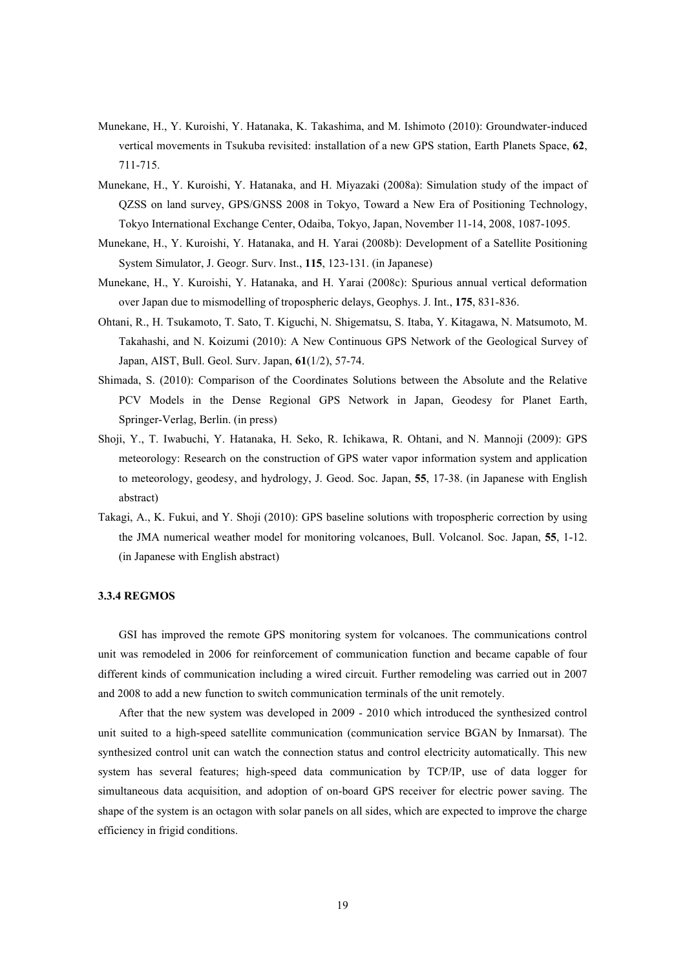- Munekane, H., Y. Kuroishi, Y. Hatanaka, K. Takashima, and M. Ishimoto (2010): Groundwater-induced vertical movements in Tsukuba revisited: installation of a new GPS station, Earth Planets Space, **62**, 711-715.
- Munekane, H., Y. Kuroishi, Y. Hatanaka, and H. Miyazaki (2008a): Simulation study of the impact of QZSS on land survey, GPS/GNSS 2008 in Tokyo, Toward a New Era of Positioning Technology, Tokyo International Exchange Center, Odaiba, Tokyo, Japan, November 11-14, 2008, 1087-1095.
- Munekane, H., Y. Kuroishi, Y. Hatanaka, and H. Yarai (2008b): Development of a Satellite Positioning System Simulator, J. Geogr. Surv. Inst., **115**, 123-131. (in Japanese)
- Munekane, H., Y. Kuroishi, Y. Hatanaka, and H. Yarai (2008c): Spurious annual vertical deformation over Japan due to mismodelling of tropospheric delays, Geophys. J. Int., **175**, 831-836.
- Ohtani, R., H. Tsukamoto, T. Sato, T. Kiguchi, N. Shigematsu, S. Itaba, Y. Kitagawa, N. Matsumoto, M. Takahashi, and N. Koizumi (2010): A New Continuous GPS Network of the Geological Survey of Japan, AIST, Bull. Geol. Surv. Japan, **61**(1/2), 57-74.
- Shimada, S. (2010): Comparison of the Coordinates Solutions between the Absolute and the Relative PCV Models in the Dense Regional GPS Network in Japan, Geodesy for Planet Earth, Springer-Verlag, Berlin. (in press)
- Shoji, Y., T. Iwabuchi, Y. Hatanaka, H. Seko, R. Ichikawa, R. Ohtani, and N. Mannoji (2009): GPS meteorology: Research on the construction of GPS water vapor information system and application to meteorology, geodesy, and hydrology, J. Geod. Soc. Japan, **55**, 17-38. (in Japanese with English abstract)
- Takagi, A., K. Fukui, and Y. Shoji (2010): GPS baseline solutions with tropospheric correction by using the JMA numerical weather model for monitoring volcanoes, Bull. Volcanol. Soc. Japan, **55**, 1-12. (in Japanese with English abstract)

#### **3.3.4 REGMOS**

GSI has improved the remote GPS monitoring system for volcanoes. The communications control unit was remodeled in 2006 for reinforcement of communication function and became capable of four different kinds of communication including a wired circuit. Further remodeling was carried out in 2007 and 2008 to add a new function to switch communication terminals of the unit remotely.

After that the new system was developed in 2009 - 2010 which introduced the synthesized control unit suited to a high-speed satellite communication (communication service BGAN by Inmarsat). The synthesized control unit can watch the connection status and control electricity automatically. This new system has several features; high-speed data communication by TCP/IP, use of data logger for simultaneous data acquisition, and adoption of on-board GPS receiver for electric power saving. The shape of the system is an octagon with solar panels on all sides, which are expected to improve the charge efficiency in frigid conditions.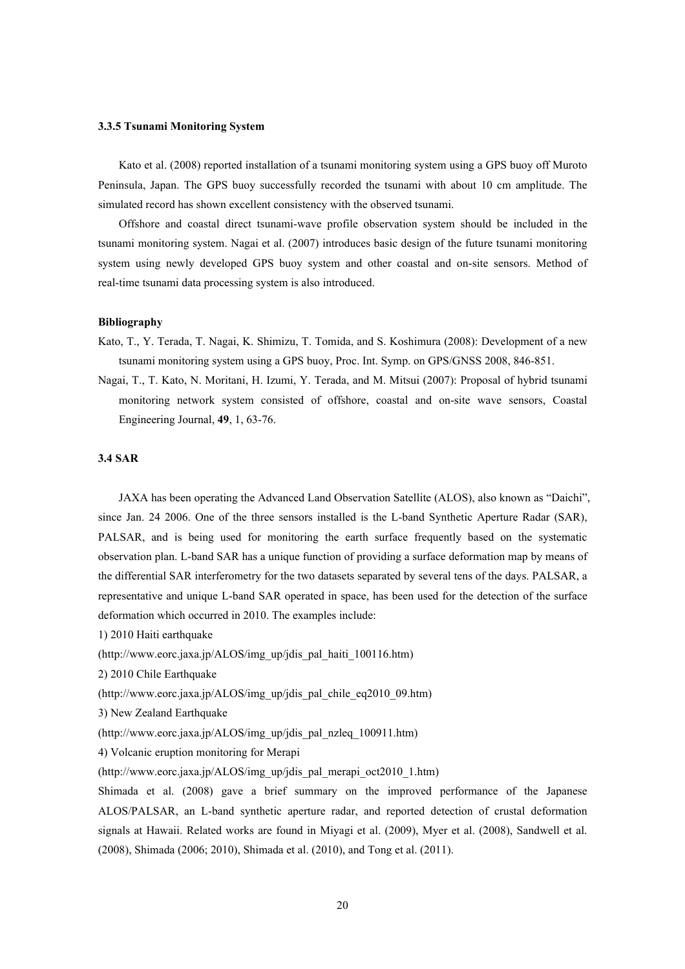#### **3.3.5 Tsunami Monitoring System**

Kato et al. (2008) reported installation of a tsunami monitoring system using a GPS buoy off Muroto Peninsula, Japan. The GPS buoy successfully recorded the tsunami with about 10 cm amplitude. The simulated record has shown excellent consistency with the observed tsunami.

Offshore and coastal direct tsunami-wave profile observation system should be included in the tsunami monitoring system. Nagai et al. (2007) introduces basic design of the future tsunami monitoring system using newly developed GPS buoy system and other coastal and on-site sensors. Method of real-time tsunami data processing system is also introduced.

## **Bibliography**

Kato, T., Y. Terada, T. Nagai, K. Shimizu, T. Tomida, and S. Koshimura (2008): Development of a new tsunami monitoring system using a GPS buoy, Proc. Int. Symp. on GPS/GNSS 2008, 846-851.

Nagai, T., T. Kato, N. Moritani, H. Izumi, Y. Terada, and M. Mitsui (2007): Proposal of hybrid tsunami monitoring network system consisted of offshore, coastal and on-site wave sensors, Coastal Engineering Journal, **49**, 1, 63-76.

### **3.4 SAR**

JAXA has been operating the Advanced Land Observation Satellite (ALOS), also known as "Daichi", since Jan. 24 2006. One of the three sensors installed is the L-band Synthetic Aperture Radar (SAR), PALSAR, and is being used for monitoring the earth surface frequently based on the systematic observation plan. L-band SAR has a unique function of providing a surface deformation map by means of the differential SAR interferometry for the two datasets separated by several tens of the days. PALSAR, a representative and unique L-band SAR operated in space, has been used for the detection of the surface deformation which occurred in 2010. The examples include:

1) 2010 Haiti earthquake

(http://www.eorc.jaxa.jp/ALOS/img\_up/jdis\_pal\_haiti\_100116.htm)

- 2) 2010 Chile Earthquake
- (http://www.eorc.jaxa.jp/ALOS/img\_up/jdis\_pal\_chile\_eq2010\_09.htm)
- 3) New Zealand Earthquake
- (http://www.eorc.jaxa.jp/ALOS/img\_up/jdis\_pal\_nzleq\_100911.htm)

4) Volcanic eruption monitoring for Merapi

(http://www.eorc.jaxa.jp/ALOS/img\_up/jdis\_pal\_merapi\_oct2010\_1.htm)

Shimada et al. (2008) gave a brief summary on the improved performance of the Japanese ALOS/PALSAR, an L-band synthetic aperture radar, and reported detection of crustal deformation signals at Hawaii. Related works are found in Miyagi et al. (2009), Myer et al. (2008), Sandwell et al. (2008), Shimada (2006; 2010), Shimada et al. (2010), and Tong et al. (2011).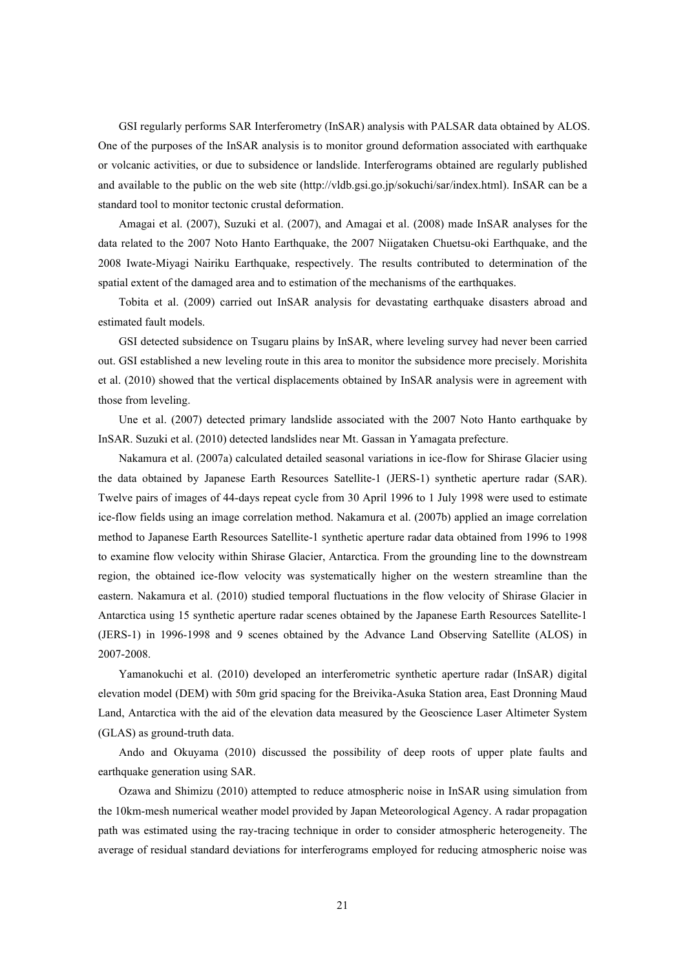GSI regularly performs SAR Interferometry (InSAR) analysis with PALSAR data obtained by ALOS. One of the purposes of the InSAR analysis is to monitor ground deformation associated with earthquake or volcanic activities, or due to subsidence or landslide. Interferograms obtained are regularly published and available to the public on the web site (http://vldb.gsi.go.jp/sokuchi/sar/index.html). InSAR can be a standard tool to monitor tectonic crustal deformation.

Amagai et al. (2007), Suzuki et al. (2007), and Amagai et al. (2008) made InSAR analyses for the data related to the 2007 Noto Hanto Earthquake, the 2007 Niigataken Chuetsu-oki Earthquake, and the 2008 Iwate-Miyagi Nairiku Earthquake, respectively. The results contributed to determination of the spatial extent of the damaged area and to estimation of the mechanisms of the earthquakes.

Tobita et al. (2009) carried out InSAR analysis for devastating earthquake disasters abroad and estimated fault models.

GSI detected subsidence on Tsugaru plains by InSAR, where leveling survey had never been carried out. GSI established a new leveling route in this area to monitor the subsidence more precisely. Morishita et al. (2010) showed that the vertical displacements obtained by InSAR analysis were in agreement with those from leveling.

Une et al. (2007) detected primary landslide associated with the 2007 Noto Hanto earthquake by InSAR. Suzuki et al. (2010) detected landslides near Mt. Gassan in Yamagata prefecture.

Nakamura et al. (2007a) calculated detailed seasonal variations in ice-flow for Shirase Glacier using the data obtained by Japanese Earth Resources Satellite-1 (JERS-1) synthetic aperture radar (SAR). Twelve pairs of images of 44-days repeat cycle from 30 April 1996 to 1 July 1998 were used to estimate ice-flow fields using an image correlation method. Nakamura et al. (2007b) applied an image correlation method to Japanese Earth Resources Satellite-1 synthetic aperture radar data obtained from 1996 to 1998 to examine flow velocity within Shirase Glacier, Antarctica. From the grounding line to the downstream region, the obtained ice-flow velocity was systematically higher on the western streamline than the eastern. Nakamura et al. (2010) studied temporal fluctuations in the flow velocity of Shirase Glacier in Antarctica using 15 synthetic aperture radar scenes obtained by the Japanese Earth Resources Satellite-1 (JERS-1) in 1996-1998 and 9 scenes obtained by the Advance Land Observing Satellite (ALOS) in 2007-2008.

Yamanokuchi et al. (2010) developed an interferometric synthetic aperture radar (InSAR) digital elevation model (DEM) with 50m grid spacing for the Breivika-Asuka Station area, East Dronning Maud Land, Antarctica with the aid of the elevation data measured by the Geoscience Laser Altimeter System (GLAS) as ground-truth data.

Ando and Okuyama (2010) discussed the possibility of deep roots of upper plate faults and earthquake generation using SAR.

Ozawa and Shimizu (2010) attempted to reduce atmospheric noise in InSAR using simulation from the 10km-mesh numerical weather model provided by Japan Meteorological Agency. A radar propagation path was estimated using the ray-tracing technique in order to consider atmospheric heterogeneity. The average of residual standard deviations for interferograms employed for reducing atmospheric noise was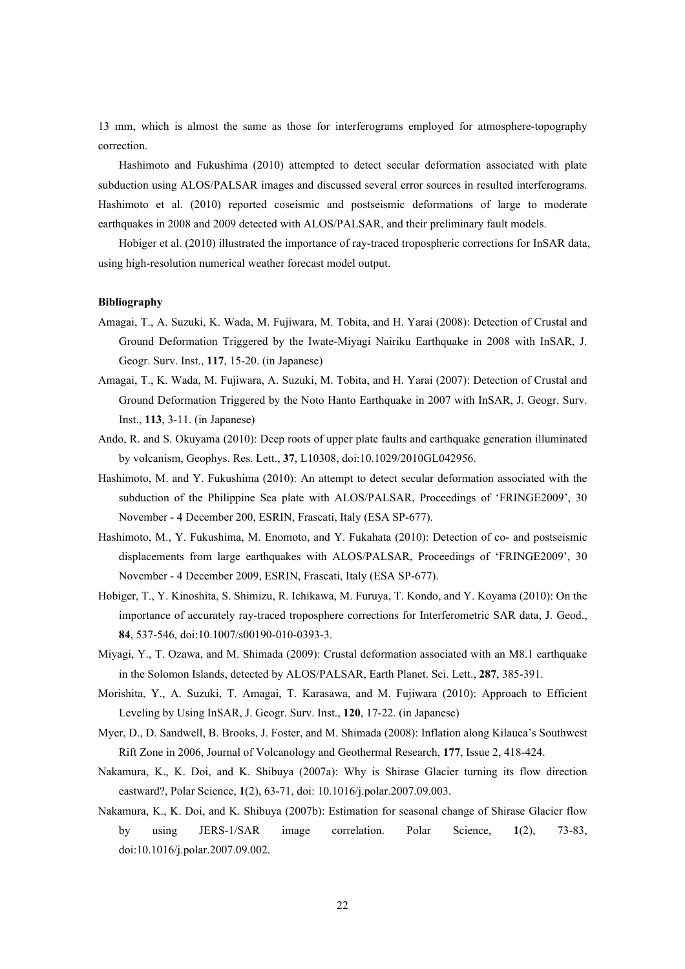13 mm, which is almost the same as those for interferograms employed for atmosphere-topography correction.

Hashimoto and Fukushima (2010) attempted to detect secular deformation associated with plate subduction using ALOS/PALSAR images and discussed several error sources in resulted interferograms. Hashimoto et al. (2010) reported coseismic and postseismic deformations of large to moderate earthquakes in 2008 and 2009 detected with ALOS/PALSAR, and their preliminary fault models.

Hobiger et al. (2010) illustrated the importance of ray-traced tropospheric corrections for InSAR data, using high-resolution numerical weather forecast model output.

- Amagai, T., A. Suzuki, K. Wada, M. Fujiwara, M. Tobita, and H. Yarai (2008): Detection of Crustal and Ground Deformation Triggered by the Iwate-Miyagi Nairiku Earthquake in 2008 with InSAR, J. Geogr. Surv. Inst., **117**, 15-20. (in Japanese)
- Amagai, T., K. Wada, M. Fujiwara, A. Suzuki, M. Tobita, and H. Yarai (2007): Detection of Crustal and Ground Deformation Triggered by the Noto Hanto Earthquake in 2007 with InSAR, J. Geogr. Surv. Inst., **113**, 3-11. (in Japanese)
- Ando, R. and S. Okuyama (2010): Deep roots of upper plate faults and earthquake generation illuminated by volcanism, Geophys. Res. Lett., **37**, L10308, doi:10.1029/2010GL042956.
- Hashimoto, M. and Y. Fukushima (2010): An attempt to detect secular deformation associated with the subduction of the Philippine Sea plate with ALOS/PALSAR, Proceedings of 'FRINGE2009', 30 November - 4 December 200, ESRIN, Frascati, Italy (ESA SP-677).
- Hashimoto, M., Y. Fukushima, M. Enomoto, and Y. Fukahata (2010): Detection of co- and postseismic displacements from large earthquakes with ALOS/PALSAR, Proceedings of 'FRINGE2009', 30 November - 4 December 2009, ESRIN, Frascati, Italy (ESA SP-677).
- Hobiger, T., Y. Kinoshita, S. Shimizu, R. Ichikawa, M. Furuya, T. Kondo, and Y. Koyama (2010): On the importance of accurately ray-traced troposphere corrections for Interferometric SAR data, J. Geod., **84**, 537-546, doi:10.1007/s00190-010-0393-3.
- Miyagi, Y., T. Ozawa, and M. Shimada (2009): Crustal deformation associated with an M8.1 earthquake in the Solomon Islands, detected by ALOS/PALSAR, Earth Planet. Sci. Lett., **287**, 385-391.
- Morishita, Y., A. Suzuki, T. Amagai, T. Karasawa, and M. Fujiwara (2010): Approach to Efficient Leveling by Using InSAR, J. Geogr. Surv. Inst., **120**, 17-22. (in Japanese)
- Myer, D., D. Sandwell, B. Brooks, J. Foster, and M. Shimada (2008): Inflation along Kilauea's Southwest Rift Zone in 2006, Journal of Volcanology and Geothermal Research, **177**, Issue 2, 418-424.
- Nakamura, K., K. Doi, and K. Shibuya (2007a): Why is Shirase Glacier turning its flow direction eastward?, Polar Science, **1**(2), 63-71, doi: 10.1016/j.polar.2007.09.003.
- Nakamura, K., K. Doi, and K. Shibuya (2007b): Estimation for seasonal change of Shirase Glacier flow by using JERS-1/SAR image correlation. Polar Science, **1**(2), 73-83, doi:10.1016/j.polar.2007.09.002.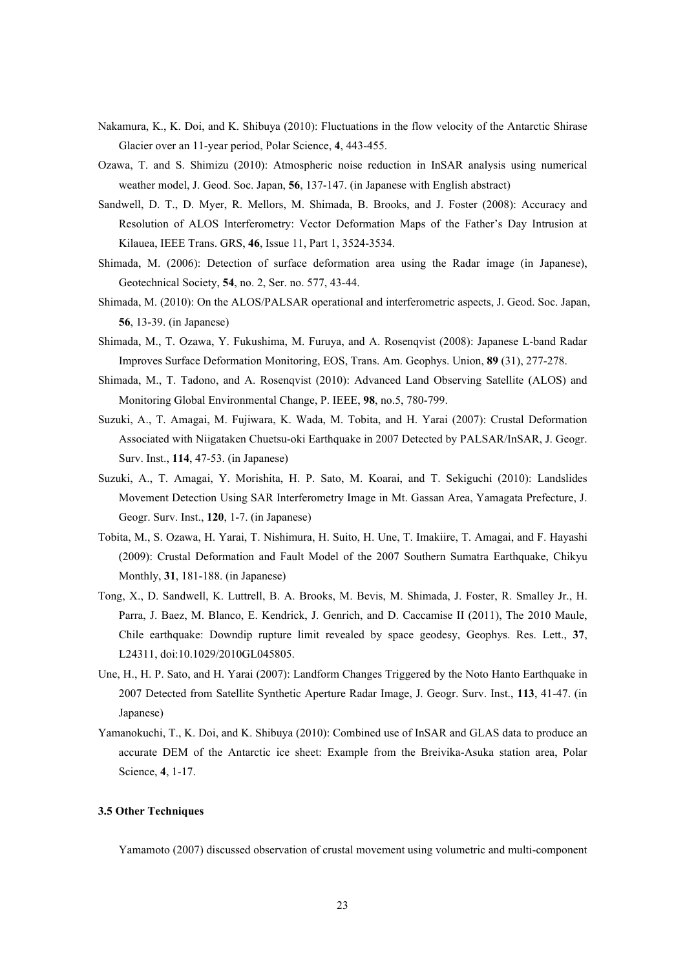- Nakamura, K., K. Doi, and K. Shibuya (2010): Fluctuations in the flow velocity of the Antarctic Shirase Glacier over an 11-year period, Polar Science, **4**, 443-455.
- Ozawa, T. and S. Shimizu (2010): Atmospheric noise reduction in InSAR analysis using numerical weather model, J. Geod. Soc. Japan, **56**, 137-147. (in Japanese with English abstract)
- Sandwell, D. T., D. Myer, R. Mellors, M. Shimada, B. Brooks, and J. Foster (2008): Accuracy and Resolution of ALOS Interferometry: Vector Deformation Maps of the Father's Day Intrusion at Kilauea, IEEE Trans. GRS, **46**, Issue 11, Part 1, 3524-3534.
- Shimada, M. (2006): Detection of surface deformation area using the Radar image (in Japanese), Geotechnical Society, **54**, no. 2, Ser. no. 577, 43-44.
- Shimada, M. (2010): On the ALOS/PALSAR operational and interferometric aspects, J. Geod. Soc. Japan, **56**, 13-39. (in Japanese)
- Shimada, M., T. Ozawa, Y. Fukushima, M. Furuya, and A. Rosenqvist (2008): Japanese L-band Radar Improves Surface Deformation Monitoring, EOS, Trans. Am. Geophys. Union, **89** (31), 277-278.
- Shimada, M., T. Tadono, and A. Rosenqvist (2010): Advanced Land Observing Satellite (ALOS) and Monitoring Global Environmental Change, P. IEEE, **98**, no.5, 780-799.
- Suzuki, A., T. Amagai, M. Fujiwara, K. Wada, M. Tobita, and H. Yarai (2007): Crustal Deformation Associated with Niigataken Chuetsu-oki Earthquake in 2007 Detected by PALSAR/InSAR, J. Geogr. Surv. Inst., **114**, 47-53. (in Japanese)
- Suzuki, A., T. Amagai, Y. Morishita, H. P. Sato, M. Koarai, and T. Sekiguchi (2010): Landslides Movement Detection Using SAR Interferometry Image in Mt. Gassan Area, Yamagata Prefecture, J. Geogr. Surv. Inst., **120**, 1-7. (in Japanese)
- Tobita, M., S. Ozawa, H. Yarai, T. Nishimura, H. Suito, H. Une, T. Imakiire, T. Amagai, and F. Hayashi (2009): Crustal Deformation and Fault Model of the 2007 Southern Sumatra Earthquake, Chikyu Monthly, **31**, 181-188. (in Japanese)
- Tong, X., D. Sandwell, K. Luttrell, B. A. Brooks, M. Bevis, M. Shimada, J. Foster, R. Smalley Jr., H. Parra, J. Baez, M. Blanco, E. Kendrick, J. Genrich, and D. Caccamise II (2011), The 2010 Maule, Chile earthquake: Downdip rupture limit revealed by space geodesy, Geophys. Res. Lett., **37**, L24311, doi:10.1029/2010GL045805.
- Une, H., H. P. Sato, and H. Yarai (2007): Landform Changes Triggered by the Noto Hanto Earthquake in 2007 Detected from Satellite Synthetic Aperture Radar Image, J. Geogr. Surv. Inst., **113**, 41-47. (in Japanese)
- Yamanokuchi, T., K. Doi, and K. Shibuya (2010): Combined use of InSAR and GLAS data to produce an accurate DEM of the Antarctic ice sheet: Example from the Breivika-Asuka station area, Polar Science, **4**, 1-17.

## **3.5 Other Techniques**

Yamamoto (2007) discussed observation of crustal movement using volumetric and multi-component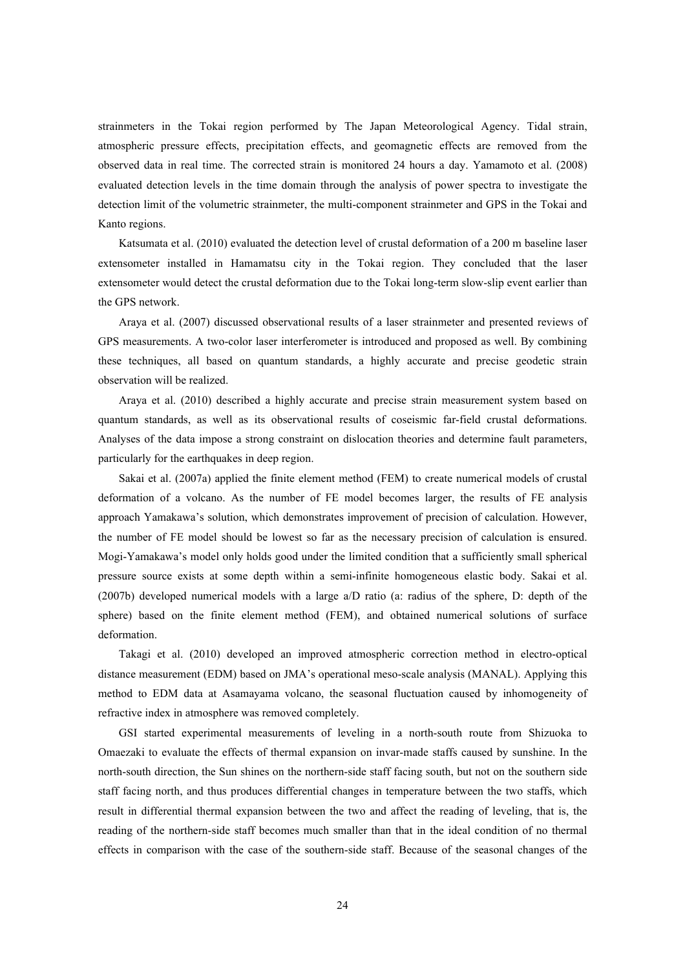strainmeters in the Tokai region performed by The Japan Meteorological Agency. Tidal strain, atmospheric pressure effects, precipitation effects, and geomagnetic effects are removed from the observed data in real time. The corrected strain is monitored 24 hours a day. Yamamoto et al. (2008) evaluated detection levels in the time domain through the analysis of power spectra to investigate the detection limit of the volumetric strainmeter, the multi-component strainmeter and GPS in the Tokai and Kanto regions.

Katsumata et al. (2010) evaluated the detection level of crustal deformation of a 200 m baseline laser extensometer installed in Hamamatsu city in the Tokai region. They concluded that the laser extensometer would detect the crustal deformation due to the Tokai long-term slow-slip event earlier than the GPS network.

Araya et al. (2007) discussed observational results of a laser strainmeter and presented reviews of GPS measurements. A two-color laser interferometer is introduced and proposed as well. By combining these techniques, all based on quantum standards, a highly accurate and precise geodetic strain observation will be realized.

Araya et al. (2010) described a highly accurate and precise strain measurement system based on quantum standards, as well as its observational results of coseismic far-field crustal deformations. Analyses of the data impose a strong constraint on dislocation theories and determine fault parameters, particularly for the earthquakes in deep region.

Sakai et al. (2007a) applied the finite element method (FEM) to create numerical models of crustal deformation of a volcano. As the number of FE model becomes larger, the results of FE analysis approach Yamakawa's solution, which demonstrates improvement of precision of calculation. However, the number of FE model should be lowest so far as the necessary precision of calculation is ensured. Mogi-Yamakawa's model only holds good under the limited condition that a sufficiently small spherical pressure source exists at some depth within a semi-infinite homogeneous elastic body. Sakai et al. (2007b) developed numerical models with a large a/D ratio (a: radius of the sphere, D: depth of the sphere) based on the finite element method (FEM), and obtained numerical solutions of surface deformation.

Takagi et al. (2010) developed an improved atmospheric correction method in electro-optical distance measurement (EDM) based on JMA's operational meso-scale analysis (MANAL). Applying this method to EDM data at Asamayama volcano, the seasonal fluctuation caused by inhomogeneity of refractive index in atmosphere was removed completely.

GSI started experimental measurements of leveling in a north-south route from Shizuoka to Omaezaki to evaluate the effects of thermal expansion on invar-made staffs caused by sunshine. In the north-south direction, the Sun shines on the northern-side staff facing south, but not on the southern side staff facing north, and thus produces differential changes in temperature between the two staffs, which result in differential thermal expansion between the two and affect the reading of leveling, that is, the reading of the northern-side staff becomes much smaller than that in the ideal condition of no thermal effects in comparison with the case of the southern-side staff. Because of the seasonal changes of the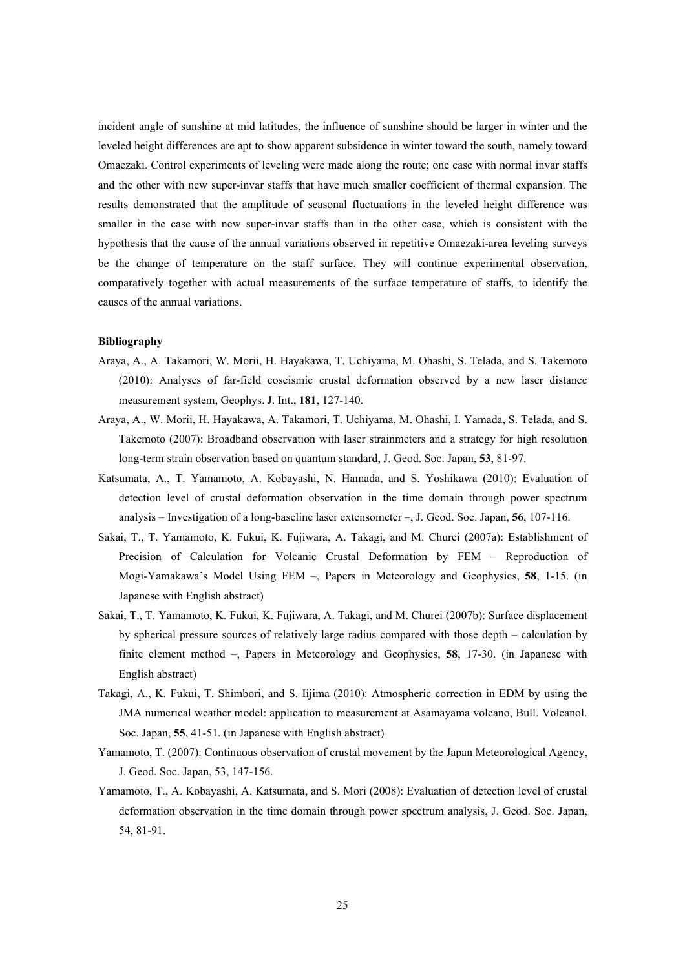incident angle of sunshine at mid latitudes, the influence of sunshine should be larger in winter and the leveled height differences are apt to show apparent subsidence in winter toward the south, namely toward Omaezaki. Control experiments of leveling were made along the route; one case with normal invar staffs and the other with new super-invar staffs that have much smaller coefficient of thermal expansion. The results demonstrated that the amplitude of seasonal fluctuations in the leveled height difference was smaller in the case with new super-invar staffs than in the other case, which is consistent with the hypothesis that the cause of the annual variations observed in repetitive Omaezaki-area leveling surveys be the change of temperature on the staff surface. They will continue experimental observation, comparatively together with actual measurements of the surface temperature of staffs, to identify the causes of the annual variations.

- Araya, A., A. Takamori, W. Morii, H. Hayakawa, T. Uchiyama, M. Ohashi, S. Telada, and S. Takemoto (2010): Analyses of far-field coseismic crustal deformation observed by a new laser distance measurement system, Geophys. J. Int., **181**, 127-140.
- Araya, A., W. Morii, H. Hayakawa, A. Takamori, T. Uchiyama, M. Ohashi, I. Yamada, S. Telada, and S. Takemoto (2007): Broadband observation with laser strainmeters and a strategy for high resolution long-term strain observation based on quantum standard, J. Geod. Soc. Japan, **53**, 81-97.
- Katsumata, A., T. Yamamoto, A. Kobayashi, N. Hamada, and S. Yoshikawa (2010): Evaluation of detection level of crustal deformation observation in the time domain through power spectrum analysis – Investigation of a long-baseline laser extensometer –, J. Geod. Soc. Japan, **56**, 107-116.
- Sakai, T., T. Yamamoto, K. Fukui, K. Fujiwara, A. Takagi, and M. Churei (2007a): Establishment of Precision of Calculation for Volcanic Crustal Deformation by FEM – Reproduction of Mogi-Yamakawa's Model Using FEM –, Papers in Meteorology and Geophysics, **58**, 1-15. (in Japanese with English abstract)
- Sakai, T., T. Yamamoto, K. Fukui, K. Fujiwara, A. Takagi, and M. Churei (2007b): Surface displacement by spherical pressure sources of relatively large radius compared with those depth – calculation by finite element method –, Papers in Meteorology and Geophysics, **58**, 17-30. (in Japanese with English abstract)
- Takagi, A., K. Fukui, T. Shimbori, and S. Iijima (2010): Atmospheric correction in EDM by using the JMA numerical weather model: application to measurement at Asamayama volcano, Bull. Volcanol. Soc. Japan, **55**, 41-51. (in Japanese with English abstract)
- Yamamoto, T. (2007): Continuous observation of crustal movement by the Japan Meteorological Agency, J. Geod. Soc. Japan, 53, 147-156.
- Yamamoto, T., A. Kobayashi, A. Katsumata, and S. Mori (2008): Evaluation of detection level of crustal deformation observation in the time domain through power spectrum analysis, J. Geod. Soc. Japan, 54, 81-91.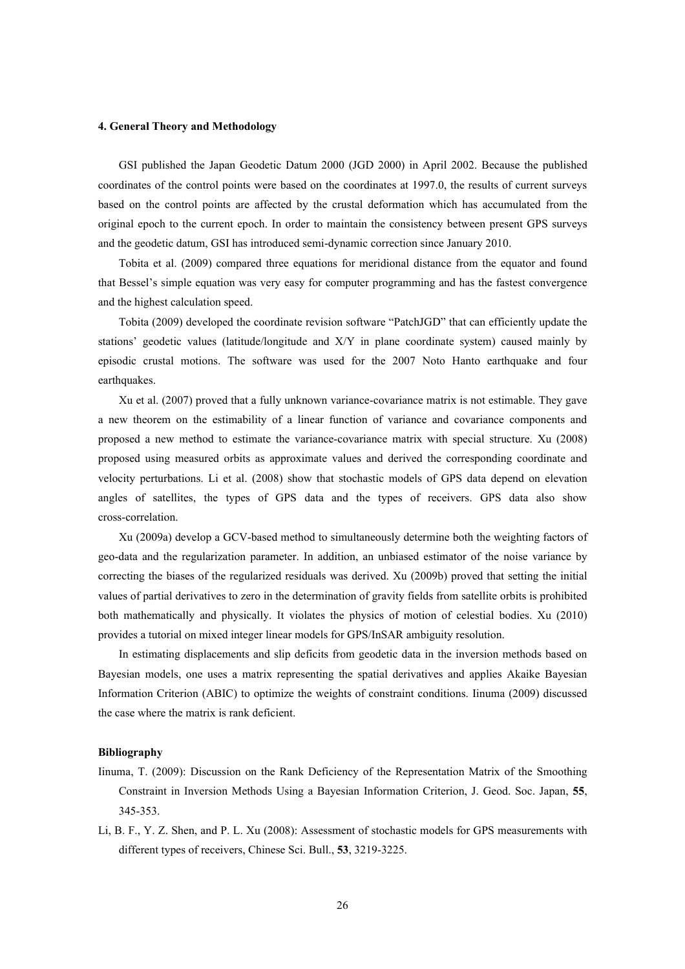#### **4. General Theory and Methodology**

GSI published the Japan Geodetic Datum 2000 (JGD 2000) in April 2002. Because the published coordinates of the control points were based on the coordinates at 1997.0, the results of current surveys based on the control points are affected by the crustal deformation which has accumulated from the original epoch to the current epoch. In order to maintain the consistency between present GPS surveys and the geodetic datum, GSI has introduced semi-dynamic correction since January 2010.

Tobita et al. (2009) compared three equations for meridional distance from the equator and found that Bessel's simple equation was very easy for computer programming and has the fastest convergence and the highest calculation speed.

Tobita (2009) developed the coordinate revision software "PatchJGD" that can efficiently update the stations' geodetic values (latitude/longitude and X/Y in plane coordinate system) caused mainly by episodic crustal motions. The software was used for the 2007 Noto Hanto earthquake and four earthquakes.

Xu et al. (2007) proved that a fully unknown variance-covariance matrix is not estimable. They gave a new theorem on the estimability of a linear function of variance and covariance components and proposed a new method to estimate the variance-covariance matrix with special structure. Xu (2008) proposed using measured orbits as approximate values and derived the corresponding coordinate and velocity perturbations. Li et al. (2008) show that stochastic models of GPS data depend on elevation angles of satellites, the types of GPS data and the types of receivers. GPS data also show cross-correlation.

Xu (2009a) develop a GCV-based method to simultaneously determine both the weighting factors of geo-data and the regularization parameter. In addition, an unbiased estimator of the noise variance by correcting the biases of the regularized residuals was derived. Xu (2009b) proved that setting the initial values of partial derivatives to zero in the determination of gravity fields from satellite orbits is prohibited both mathematically and physically. It violates the physics of motion of celestial bodies. Xu (2010) provides a tutorial on mixed integer linear models for GPS/InSAR ambiguity resolution.

In estimating displacements and slip deficits from geodetic data in the inversion methods based on Bayesian models, one uses a matrix representing the spatial derivatives and applies Akaike Bayesian Information Criterion (ABIC) to optimize the weights of constraint conditions. Iinuma (2009) discussed the case where the matrix is rank deficient.

- Iinuma, T. (2009): Discussion on the Rank Deficiency of the Representation Matrix of the Smoothing Constraint in Inversion Methods Using a Bayesian Information Criterion, J. Geod. Soc. Japan, **55**, 345-353.
- Li, B. F., Y. Z. Shen, and P. L. Xu (2008): Assessment of stochastic models for GPS measurements with different types of receivers, Chinese Sci. Bull., **53**, 3219-3225.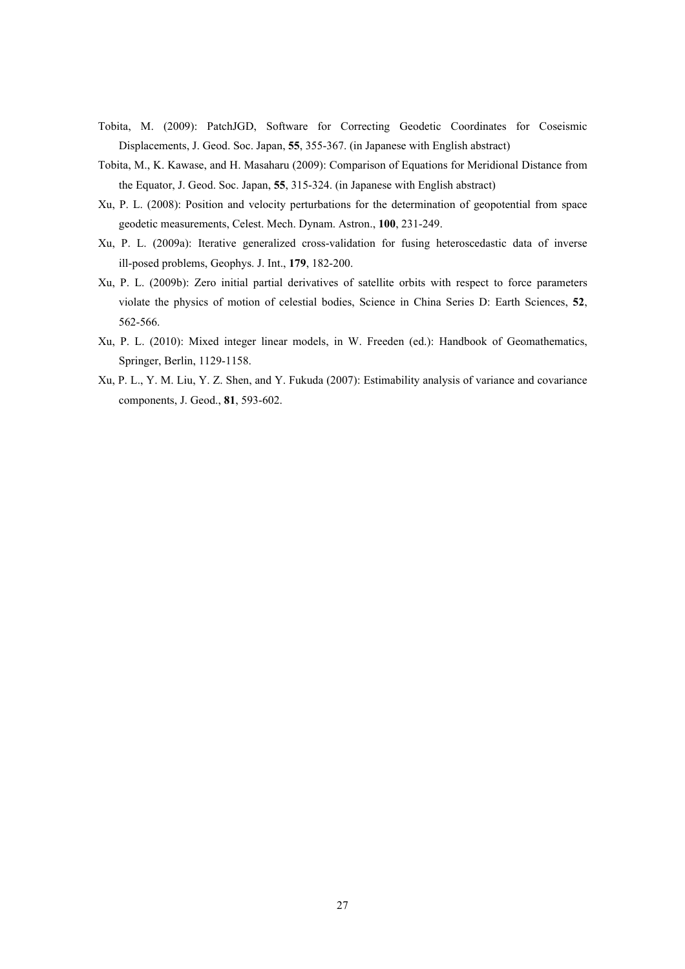- Tobita, M. (2009): PatchJGD, Software for Correcting Geodetic Coordinates for Coseismic Displacements, J. Geod. Soc. Japan, **55**, 355-367. (in Japanese with English abstract)
- Tobita, M., K. Kawase, and H. Masaharu (2009): Comparison of Equations for Meridional Distance from the Equator, J. Geod. Soc. Japan, **55**, 315-324. (in Japanese with English abstract)
- Xu, P. L. (2008): Position and velocity perturbations for the determination of geopotential from space geodetic measurements, Celest. Mech. Dynam. Astron., **100**, 231-249.
- Xu, P. L. (2009a): Iterative generalized cross-validation for fusing heteroscedastic data of inverse ill-posed problems, Geophys. J. Int., **179**, 182-200.
- Xu, P. L. (2009b): Zero initial partial derivatives of satellite orbits with respect to force parameters violate the physics of motion of celestial bodies, Science in China Series D: Earth Sciences, **52**, 562-566.
- Xu, P. L. (2010): Mixed integer linear models, in W. Freeden (ed.): Handbook of Geomathematics, Springer, Berlin, 1129-1158.
- Xu, P. L., Y. M. Liu, Y. Z. Shen, and Y. Fukuda (2007): Estimability analysis of variance and covariance components, J. Geod., **81**, 593-602.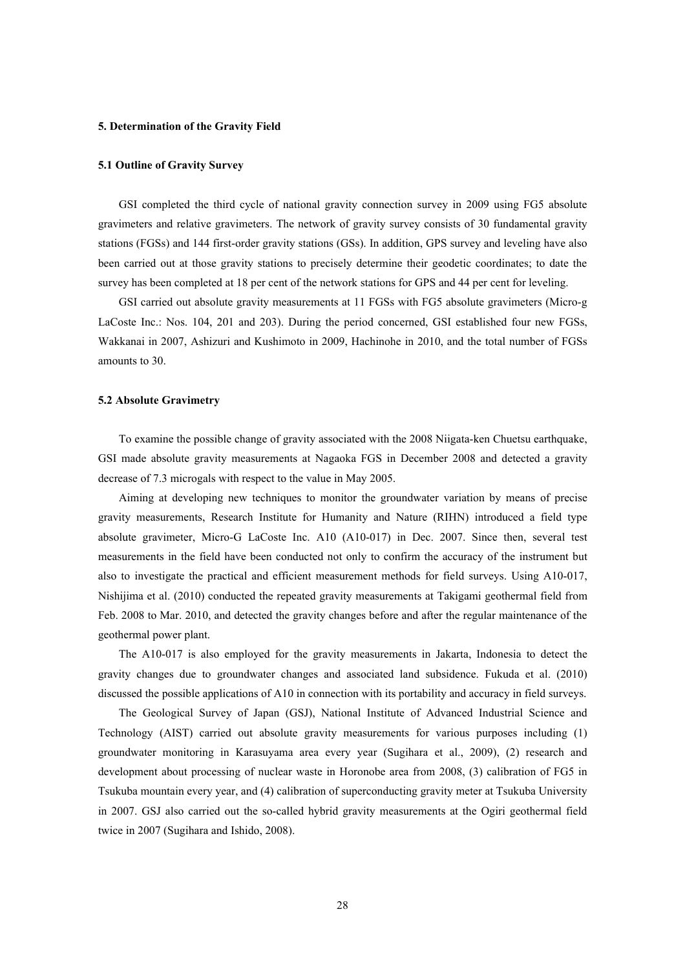#### **5. Determination of the Gravity Field**

#### **5.1 Outline of Gravity Survey**

GSI completed the third cycle of national gravity connection survey in 2009 using FG5 absolute gravimeters and relative gravimeters. The network of gravity survey consists of 30 fundamental gravity stations (FGSs) and 144 first-order gravity stations (GSs). In addition, GPS survey and leveling have also been carried out at those gravity stations to precisely determine their geodetic coordinates; to date the survey has been completed at 18 per cent of the network stations for GPS and 44 per cent for leveling.

GSI carried out absolute gravity measurements at 11 FGSs with FG5 absolute gravimeters (Micro-g LaCoste Inc.: Nos. 104, 201 and 203). During the period concerned, GSI established four new FGSs, Wakkanai in 2007, Ashizuri and Kushimoto in 2009, Hachinohe in 2010, and the total number of FGSs amounts to 30.

#### **5.2 Absolute Gravimetry**

To examine the possible change of gravity associated with the 2008 Niigata-ken Chuetsu earthquake, GSI made absolute gravity measurements at Nagaoka FGS in December 2008 and detected a gravity decrease of 7.3 microgals with respect to the value in May 2005.

Aiming at developing new techniques to monitor the groundwater variation by means of precise gravity measurements, Research Institute for Humanity and Nature (RIHN) introduced a field type absolute gravimeter, Micro-G LaCoste Inc. A10 (A10-017) in Dec. 2007. Since then, several test measurements in the field have been conducted not only to confirm the accuracy of the instrument but also to investigate the practical and efficient measurement methods for field surveys. Using A10-017, Nishijima et al. (2010) conducted the repeated gravity measurements at Takigami geothermal field from Feb. 2008 to Mar. 2010, and detected the gravity changes before and after the regular maintenance of the geothermal power plant.

The A10-017 is also employed for the gravity measurements in Jakarta, Indonesia to detect the gravity changes due to groundwater changes and associated land subsidence. Fukuda et al. (2010) discussed the possible applications of A10 in connection with its portability and accuracy in field surveys.

The Geological Survey of Japan (GSJ), National Institute of Advanced Industrial Science and Technology (AIST) carried out absolute gravity measurements for various purposes including (1) groundwater monitoring in Karasuyama area every year (Sugihara et al., 2009), (2) research and development about processing of nuclear waste in Horonobe area from 2008, (3) calibration of FG5 in Tsukuba mountain every year, and (4) calibration of superconducting gravity meter at Tsukuba University in 2007. GSJ also carried out the so-called hybrid gravity measurements at the Ogiri geothermal field twice in 2007 (Sugihara and Ishido, 2008).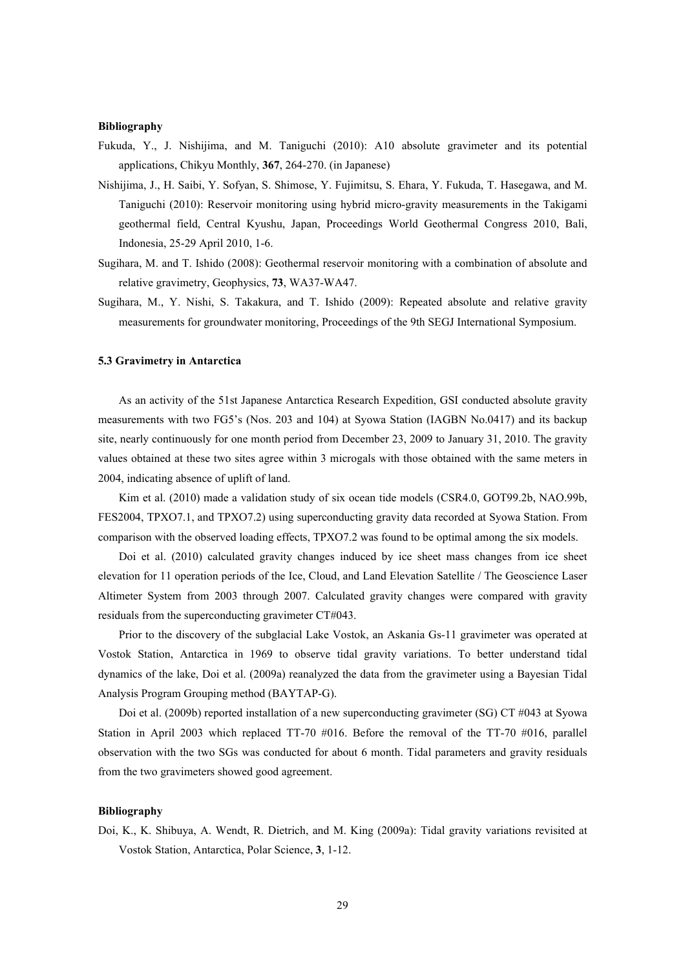#### **Bibliography**

- Fukuda, Y., J. Nishijima, and M. Taniguchi (2010): A10 absolute gravimeter and its potential applications, Chikyu Monthly, **367**, 264-270. (in Japanese)
- Nishijima, J., H. Saibi, Y. Sofyan, S. Shimose, Y. Fujimitsu, S. Ehara, Y. Fukuda, T. Hasegawa, and M. Taniguchi (2010): Reservoir monitoring using hybrid micro-gravity measurements in the Takigami geothermal field, Central Kyushu, Japan, Proceedings World Geothermal Congress 2010, Bali, Indonesia, 25-29 April 2010, 1-6.
- Sugihara, M. and T. Ishido (2008): Geothermal reservoir monitoring with a combination of absolute and relative gravimetry, Geophysics, **73**, WA37-WA47.
- Sugihara, M., Y. Nishi, S. Takakura, and T. Ishido (2009): Repeated absolute and relative gravity measurements for groundwater monitoring, Proceedings of the 9th SEGJ International Symposium.

#### **5.3 Gravimetry in Antarctica**

As an activity of the 51st Japanese Antarctica Research Expedition, GSI conducted absolute gravity measurements with two FG5's (Nos. 203 and 104) at Syowa Station (IAGBN No.0417) and its backup site, nearly continuously for one month period from December 23, 2009 to January 31, 2010. The gravity values obtained at these two sites agree within 3 microgals with those obtained with the same meters in 2004, indicating absence of uplift of land.

Kim et al. (2010) made a validation study of six ocean tide models (CSR4.0, GOT99.2b, NAO.99b, FES2004, TPXO7.1, and TPXO7.2) using superconducting gravity data recorded at Syowa Station. From comparison with the observed loading effects, TPXO7.2 was found to be optimal among the six models.

Doi et al. (2010) calculated gravity changes induced by ice sheet mass changes from ice sheet elevation for 11 operation periods of the Ice, Cloud, and Land Elevation Satellite / The Geoscience Laser Altimeter System from 2003 through 2007. Calculated gravity changes were compared with gravity residuals from the superconducting gravimeter CT#043.

Prior to the discovery of the subglacial Lake Vostok, an Askania Gs-11 gravimeter was operated at Vostok Station, Antarctica in 1969 to observe tidal gravity variations. To better understand tidal dynamics of the lake, Doi et al. (2009a) reanalyzed the data from the gravimeter using a Bayesian Tidal Analysis Program Grouping method (BAYTAP-G).

Doi et al. (2009b) reported installation of a new superconducting gravimeter (SG) CT #043 at Syowa Station in April 2003 which replaced TT-70 #016. Before the removal of the TT-70 #016, parallel observation with the two SGs was conducted for about 6 month. Tidal parameters and gravity residuals from the two gravimeters showed good agreement.

#### **Bibliography**

Doi, K., K. Shibuya, A. Wendt, R. Dietrich, and M. King (2009a): Tidal gravity variations revisited at Vostok Station, Antarctica, Polar Science, **3**, 1-12.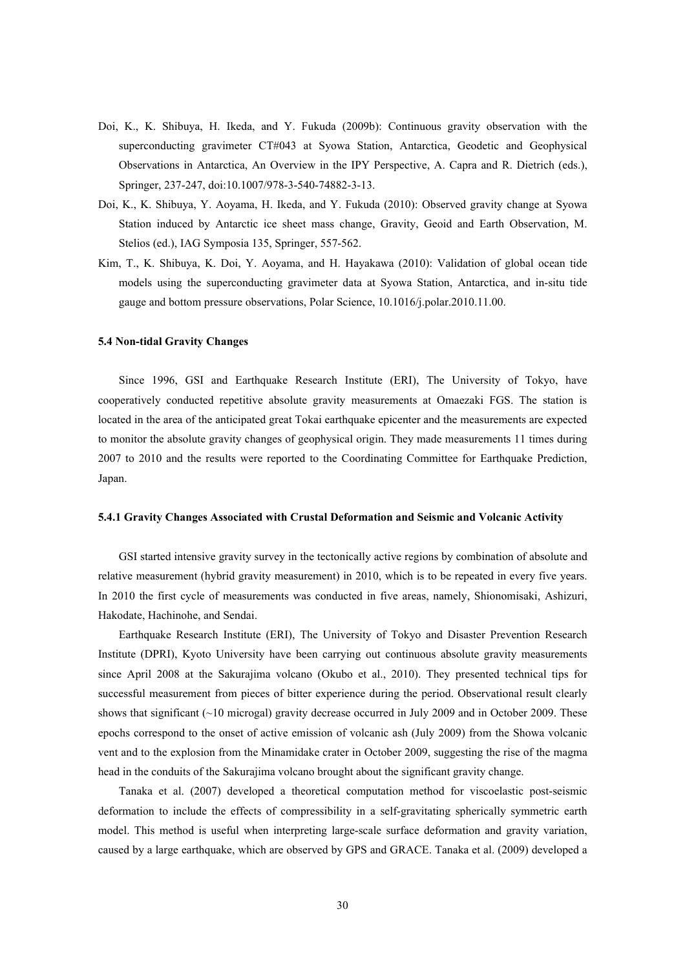- Doi, K., K. Shibuya, H. Ikeda, and Y. Fukuda (2009b): Continuous gravity observation with the superconducting gravimeter CT#043 at Syowa Station, Antarctica, Geodetic and Geophysical Observations in Antarctica, An Overview in the IPY Perspective, A. Capra and R. Dietrich (eds.), Springer, 237-247, doi:10.1007/978-3-540-74882-3-13.
- Doi, K., K. Shibuya, Y. Aoyama, H. Ikeda, and Y. Fukuda (2010): Observed gravity change at Syowa Station induced by Antarctic ice sheet mass change, Gravity, Geoid and Earth Observation, M. Stelios (ed.), IAG Symposia 135, Springer, 557-562.
- Kim, T., K. Shibuya, K. Doi, Y. Aoyama, and H. Hayakawa (2010): Validation of global ocean tide models using the superconducting gravimeter data at Syowa Station, Antarctica, and in-situ tide gauge and bottom pressure observations, Polar Science, 10.1016/j.polar.2010.11.00.

#### **5.4 Non-tidal Gravity Changes**

Since 1996, GSI and Earthquake Research Institute (ERI), The University of Tokyo, have cooperatively conducted repetitive absolute gravity measurements at Omaezaki FGS. The station is located in the area of the anticipated great Tokai earthquake epicenter and the measurements are expected to monitor the absolute gravity changes of geophysical origin. They made measurements 11 times during 2007 to 2010 and the results were reported to the Coordinating Committee for Earthquake Prediction, Japan.

#### **5.4.1 Gravity Changes Associated with Crustal Deformation and Seismic and Volcanic Activity**

GSI started intensive gravity survey in the tectonically active regions by combination of absolute and relative measurement (hybrid gravity measurement) in 2010, which is to be repeated in every five years. In 2010 the first cycle of measurements was conducted in five areas, namely, Shionomisaki, Ashizuri, Hakodate, Hachinohe, and Sendai.

Earthquake Research Institute (ERI), The University of Tokyo and Disaster Prevention Research Institute (DPRI), Kyoto University have been carrying out continuous absolute gravity measurements since April 2008 at the Sakurajima volcano (Okubo et al., 2010). They presented technical tips for successful measurement from pieces of bitter experience during the period. Observational result clearly shows that significant (~10 microgal) gravity decrease occurred in July 2009 and in October 2009. These epochs correspond to the onset of active emission of volcanic ash (July 2009) from the Showa volcanic vent and to the explosion from the Minamidake crater in October 2009, suggesting the rise of the magma head in the conduits of the Sakurajima volcano brought about the significant gravity change.

Tanaka et al. (2007) developed a theoretical computation method for viscoelastic post-seismic deformation to include the effects of compressibility in a self-gravitating spherically symmetric earth model. This method is useful when interpreting large-scale surface deformation and gravity variation, caused by a large earthquake, which are observed by GPS and GRACE. Tanaka et al. (2009) developed a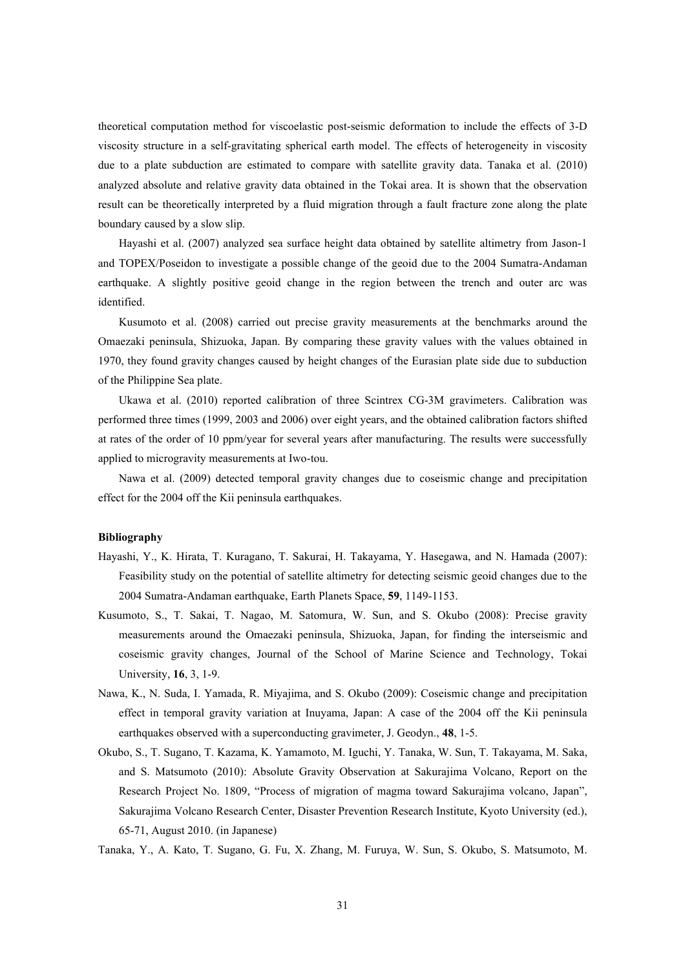theoretical computation method for viscoelastic post-seismic deformation to include the effects of 3-D viscosity structure in a self-gravitating spherical earth model. The effects of heterogeneity in viscosity due to a plate subduction are estimated to compare with satellite gravity data. Tanaka et al. (2010) analyzed absolute and relative gravity data obtained in the Tokai area. It is shown that the observation result can be theoretically interpreted by a fluid migration through a fault fracture zone along the plate boundary caused by a slow slip.

Hayashi et al. (2007) analyzed sea surface height data obtained by satellite altimetry from Jason-1 and TOPEX/Poseidon to investigate a possible change of the geoid due to the 2004 Sumatra-Andaman earthquake. A slightly positive geoid change in the region between the trench and outer arc was identified.

Kusumoto et al. (2008) carried out precise gravity measurements at the benchmarks around the Omaezaki peninsula, Shizuoka, Japan. By comparing these gravity values with the values obtained in 1970, they found gravity changes caused by height changes of the Eurasian plate side due to subduction of the Philippine Sea plate.

Ukawa et al. (2010) reported calibration of three Scintrex CG-3M gravimeters. Calibration was performed three times (1999, 2003 and 2006) over eight years, and the obtained calibration factors shifted at rates of the order of 10 ppm/year for several years after manufacturing. The results were successfully applied to microgravity measurements at Iwo-tou.

Nawa et al. (2009) detected temporal gravity changes due to coseismic change and precipitation effect for the 2004 off the Kii peninsula earthquakes.

#### **Bibliography**

- Hayashi, Y., K. Hirata, T. Kuragano, T. Sakurai, H. Takayama, Y. Hasegawa, and N. Hamada (2007): Feasibility study on the potential of satellite altimetry for detecting seismic geoid changes due to the 2004 Sumatra-Andaman earthquake, Earth Planets Space, **59**, 1149-1153.
- Kusumoto, S., T. Sakai, T. Nagao, M. Satomura, W. Sun, and S. Okubo (2008): Precise gravity measurements around the Omaezaki peninsula, Shizuoka, Japan, for finding the interseismic and coseismic gravity changes, Journal of the School of Marine Science and Technology, Tokai University, **16**, 3, 1-9.
- Nawa, K., N. Suda, I. Yamada, R. Miyajima, and S. Okubo (2009): Coseismic change and precipitation effect in temporal gravity variation at Inuyama, Japan: A case of the 2004 off the Kii peninsula earthquakes observed with a superconducting gravimeter, J. Geodyn., **48**, 1-5.
- Okubo, S., T. Sugano, T. Kazama, K. Yamamoto, M. Iguchi, Y. Tanaka, W. Sun, T. Takayama, M. Saka, and S. Matsumoto (2010): Absolute Gravity Observation at Sakurajima Volcano, Report on the Research Project No. 1809, "Process of migration of magma toward Sakurajima volcano, Japan", Sakurajima Volcano Research Center, Disaster Prevention Research Institute, Kyoto University (ed.), 65-71, August 2010. (in Japanese)

Tanaka, Y., A. Kato, T. Sugano, G. Fu, X. Zhang, M. Furuya, W. Sun, S. Okubo, S. Matsumoto, M.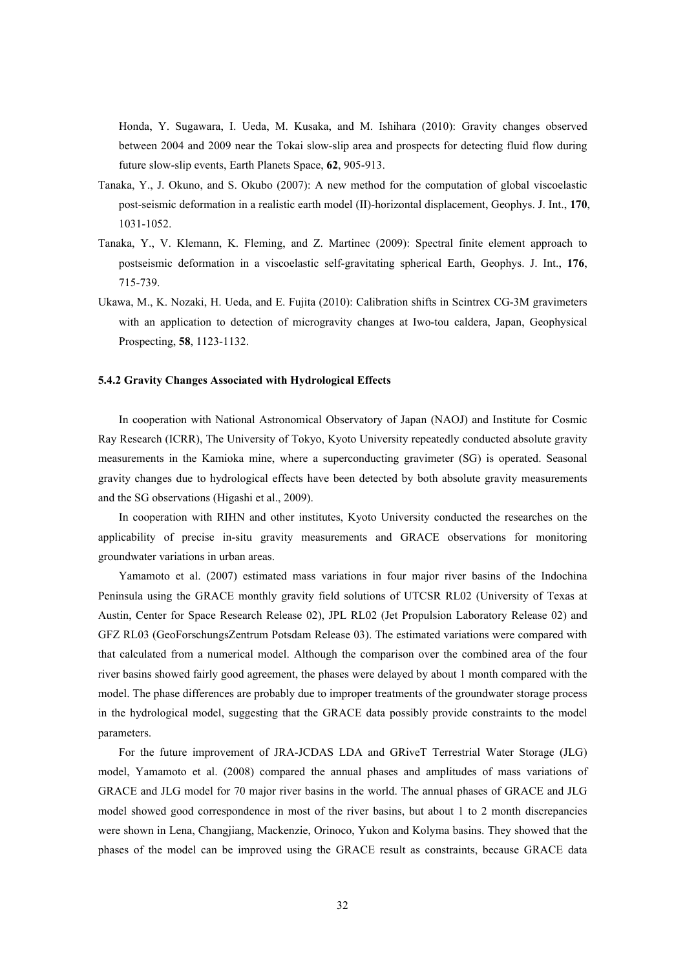Honda, Y. Sugawara, I. Ueda, M. Kusaka, and M. Ishihara (2010): Gravity changes observed between 2004 and 2009 near the Tokai slow-slip area and prospects for detecting fluid flow during future slow-slip events, Earth Planets Space, **62**, 905-913.

- Tanaka, Y., J. Okuno, and S. Okubo (2007): A new method for the computation of global viscoelastic post-seismic deformation in a realistic earth model (II)-horizontal displacement, Geophys. J. Int., **170**, 1031-1052.
- Tanaka, Y., V. Klemann, K. Fleming, and Z. Martinec (2009): Spectral finite element approach to postseismic deformation in a viscoelastic self-gravitating spherical Earth, Geophys. J. Int., **176**, 715-739.
- Ukawa, M., K. Nozaki, H. Ueda, and E. Fujita (2010): Calibration shifts in Scintrex CG-3M gravimeters with an application to detection of microgravity changes at Iwo-tou caldera, Japan, Geophysical Prospecting, **58**, 1123-1132.

#### **5.4.2 Gravity Changes Associated with Hydrological Effects**

In cooperation with National Astronomical Observatory of Japan (NAOJ) and Institute for Cosmic Ray Research (ICRR), The University of Tokyo, Kyoto University repeatedly conducted absolute gravity measurements in the Kamioka mine, where a superconducting gravimeter (SG) is operated. Seasonal gravity changes due to hydrological effects have been detected by both absolute gravity measurements and the SG observations (Higashi et al., 2009).

In cooperation with RIHN and other institutes, Kyoto University conducted the researches on the applicability of precise in-situ gravity measurements and GRACE observations for monitoring groundwater variations in urban areas.

Yamamoto et al. (2007) estimated mass variations in four major river basins of the Indochina Peninsula using the GRACE monthly gravity field solutions of UTCSR RL02 (University of Texas at Austin, Center for Space Research Release 02), JPL RL02 (Jet Propulsion Laboratory Release 02) and GFZ RL03 (GeoForschungsZentrum Potsdam Release 03). The estimated variations were compared with that calculated from a numerical model. Although the comparison over the combined area of the four river basins showed fairly good agreement, the phases were delayed by about 1 month compared with the model. The phase differences are probably due to improper treatments of the groundwater storage process in the hydrological model, suggesting that the GRACE data possibly provide constraints to the model parameters.

For the future improvement of JRA-JCDAS LDA and GRiveT Terrestrial Water Storage (JLG) model, Yamamoto et al. (2008) compared the annual phases and amplitudes of mass variations of GRACE and JLG model for 70 major river basins in the world. The annual phases of GRACE and JLG model showed good correspondence in most of the river basins, but about 1 to 2 month discrepancies were shown in Lena, Changjiang, Mackenzie, Orinoco, Yukon and Kolyma basins. They showed that the phases of the model can be improved using the GRACE result as constraints, because GRACE data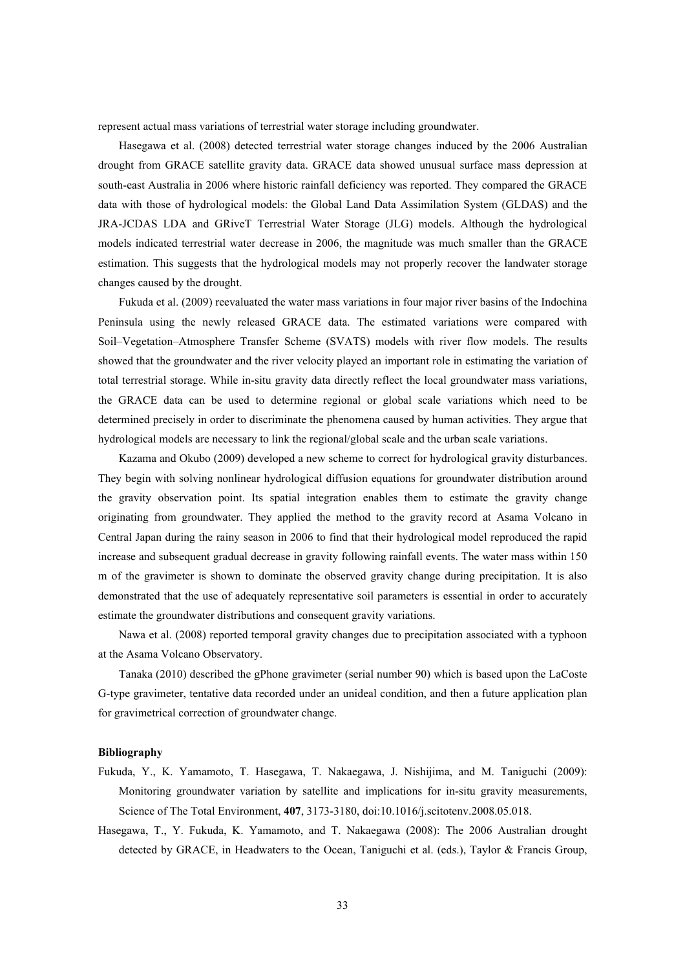represent actual mass variations of terrestrial water storage including groundwater.

Hasegawa et al. (2008) detected terrestrial water storage changes induced by the 2006 Australian drought from GRACE satellite gravity data. GRACE data showed unusual surface mass depression at south-east Australia in 2006 where historic rainfall deficiency was reported. They compared the GRACE data with those of hydrological models: the Global Land Data Assimilation System (GLDAS) and the JRA-JCDAS LDA and GRiveT Terrestrial Water Storage (JLG) models. Although the hydrological models indicated terrestrial water decrease in 2006, the magnitude was much smaller than the GRACE estimation. This suggests that the hydrological models may not properly recover the landwater storage changes caused by the drought.

Fukuda et al. (2009) reevaluated the water mass variations in four major river basins of the Indochina Peninsula using the newly released GRACE data. The estimated variations were compared with Soil–Vegetation–Atmosphere Transfer Scheme (SVATS) models with river flow models. The results showed that the groundwater and the river velocity played an important role in estimating the variation of total terrestrial storage. While in-situ gravity data directly reflect the local groundwater mass variations, the GRACE data can be used to determine regional or global scale variations which need to be determined precisely in order to discriminate the phenomena caused by human activities. They argue that hydrological models are necessary to link the regional/global scale and the urban scale variations.

Kazama and Okubo (2009) developed a new scheme to correct for hydrological gravity disturbances. They begin with solving nonlinear hydrological diffusion equations for groundwater distribution around the gravity observation point. Its spatial integration enables them to estimate the gravity change originating from groundwater. They applied the method to the gravity record at Asama Volcano in Central Japan during the rainy season in 2006 to find that their hydrological model reproduced the rapid increase and subsequent gradual decrease in gravity following rainfall events. The water mass within 150 m of the gravimeter is shown to dominate the observed gravity change during precipitation. It is also demonstrated that the use of adequately representative soil parameters is essential in order to accurately estimate the groundwater distributions and consequent gravity variations.

Nawa et al. (2008) reported temporal gravity changes due to precipitation associated with a typhoon at the Asama Volcano Observatory.

Tanaka (2010) described the gPhone gravimeter (serial number 90) which is based upon the LaCoste G-type gravimeter, tentative data recorded under an unideal condition, and then a future application plan for gravimetrical correction of groundwater change.

- Fukuda, Y., K. Yamamoto, T. Hasegawa, T. Nakaegawa, J. Nishijima, and M. Taniguchi (2009): Monitoring groundwater variation by satellite and implications for in-situ gravity measurements, Science of The Total Environment, **407**, 3173-3180, doi:10.1016/j.scitotenv.2008.05.018.
- Hasegawa, T., Y. Fukuda, K. Yamamoto, and T. Nakaegawa (2008): The 2006 Australian drought detected by GRACE, in Headwaters to the Ocean, Taniguchi et al. (eds.), Taylor & Francis Group,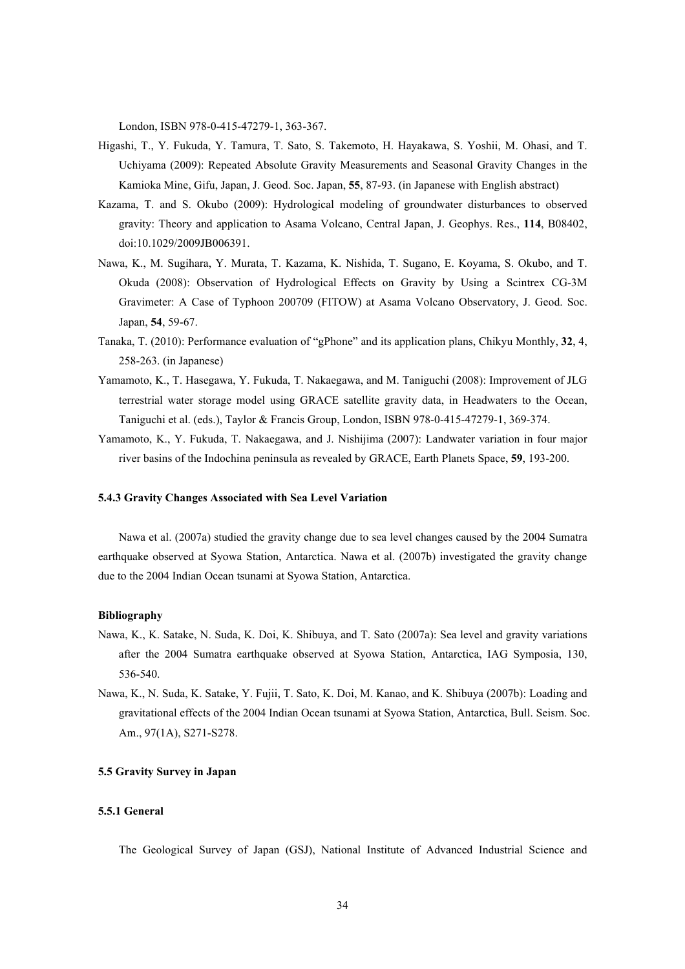London, ISBN 978-0-415-47279-1, 363-367.

- Higashi, T., Y. Fukuda, Y. Tamura, T. Sato, S. Takemoto, H. Hayakawa, S. Yoshii, M. Ohasi, and T. Uchiyama (2009): Repeated Absolute Gravity Measurements and Seasonal Gravity Changes in the Kamioka Mine, Gifu, Japan, J. Geod. Soc. Japan, **55**, 87-93. (in Japanese with English abstract)
- Kazama, T. and S. Okubo (2009): Hydrological modeling of groundwater disturbances to observed gravity: Theory and application to Asama Volcano, Central Japan, J. Geophys. Res., **114**, B08402, doi:10.1029/2009JB006391.
- Nawa, K., M. Sugihara, Y. Murata, T. Kazama, K. Nishida, T. Sugano, E. Koyama, S. Okubo, and T. Okuda (2008): Observation of Hydrological Effects on Gravity by Using a Scintrex CG-3M Gravimeter: A Case of Typhoon 200709 (FITOW) at Asama Volcano Observatory, J. Geod. Soc. Japan, **54**, 59-67.
- Tanaka, T. (2010): Performance evaluation of "gPhone" and its application plans, Chikyu Monthly, **32**, 4, 258-263. (in Japanese)
- Yamamoto, K., T. Hasegawa, Y. Fukuda, T. Nakaegawa, and M. Taniguchi (2008): Improvement of JLG terrestrial water storage model using GRACE satellite gravity data, in Headwaters to the Ocean, Taniguchi et al. (eds.), Taylor & Francis Group, London, ISBN 978-0-415-47279-1, 369-374.
- Yamamoto, K., Y. Fukuda, T. Nakaegawa, and J. Nishijima (2007): Landwater variation in four major river basins of the Indochina peninsula as revealed by GRACE, Earth Planets Space, **59**, 193-200.

# **5.4.3 Gravity Changes Associated with Sea Level Variation**

Nawa et al. (2007a) studied the gravity change due to sea level changes caused by the 2004 Sumatra earthquake observed at Syowa Station, Antarctica. Nawa et al. (2007b) investigated the gravity change due to the 2004 Indian Ocean tsunami at Syowa Station, Antarctica.

### **Bibliography**

- Nawa, K., K. Satake, N. Suda, K. Doi, K. Shibuya, and T. Sato (2007a): Sea level and gravity variations after the 2004 Sumatra earthquake observed at Syowa Station, Antarctica, IAG Symposia, 130, 536-540.
- Nawa, K., N. Suda, K. Satake, Y. Fujii, T. Sato, K. Doi, M. Kanao, and K. Shibuya (2007b): Loading and gravitational effects of the 2004 Indian Ocean tsunami at Syowa Station, Antarctica, Bull. Seism. Soc. Am., 97(1A), S271-S278.

# **5.5 Gravity Survey in Japan**

# **5.5.1 General**

The Geological Survey of Japan (GSJ), National Institute of Advanced Industrial Science and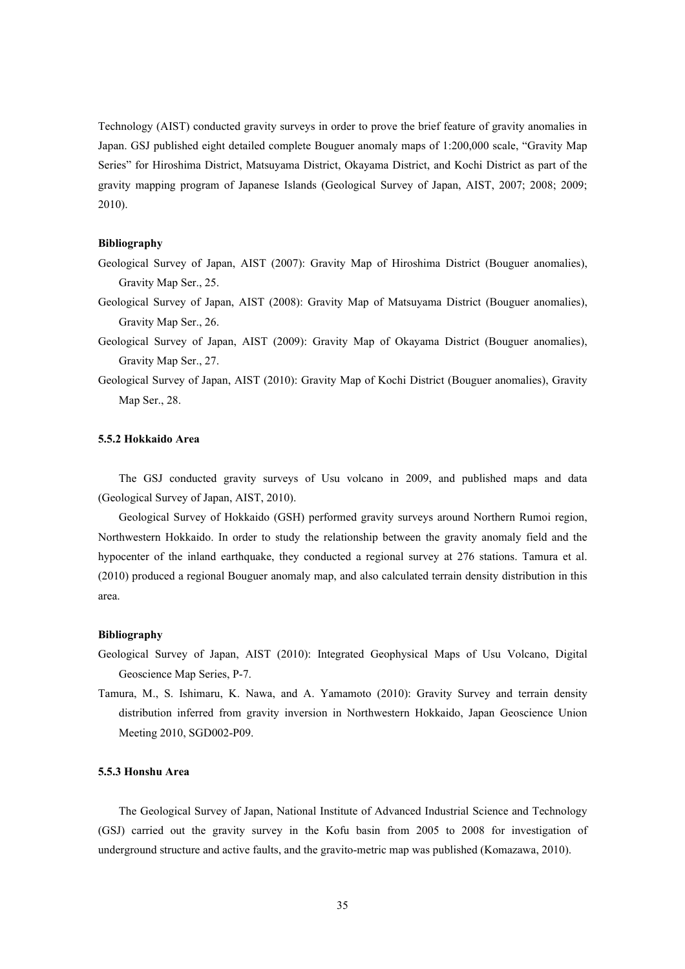Technology (AIST) conducted gravity surveys in order to prove the brief feature of gravity anomalies in Japan. GSJ published eight detailed complete Bouguer anomaly maps of 1:200,000 scale, "Gravity Map Series" for Hiroshima District, Matsuyama District, Okayama District, and Kochi District as part of the gravity mapping program of Japanese Islands (Geological Survey of Japan, AIST, 2007; 2008; 2009; 2010).

### **Bibliography**

- Geological Survey of Japan, AIST (2007): Gravity Map of Hiroshima District (Bouguer anomalies), Gravity Map Ser., 25.
- Geological Survey of Japan, AIST (2008): Gravity Map of Matsuyama District (Bouguer anomalies), Gravity Map Ser., 26.
- Geological Survey of Japan, AIST (2009): Gravity Map of Okayama District (Bouguer anomalies), Gravity Map Ser., 27.
- Geological Survey of Japan, AIST (2010): Gravity Map of Kochi District (Bouguer anomalies), Gravity Map Ser., 28.

### **5.5.2 Hokkaido Area**

The GSJ conducted gravity surveys of Usu volcano in 2009, and published maps and data (Geological Survey of Japan, AIST, 2010).

Geological Survey of Hokkaido (GSH) performed gravity surveys around Northern Rumoi region, Northwestern Hokkaido. In order to study the relationship between the gravity anomaly field and the hypocenter of the inland earthquake, they conducted a regional survey at 276 stations. Tamura et al. (2010) produced a regional Bouguer anomaly map, and also calculated terrain density distribution in this area.

# **Bibliography**

- Geological Survey of Japan, AIST (2010): Integrated Geophysical Maps of Usu Volcano, Digital Geoscience Map Series, P-7.
- Tamura, M., S. Ishimaru, K. Nawa, and A. Yamamoto (2010): Gravity Survey and terrain density distribution inferred from gravity inversion in Northwestern Hokkaido, Japan Geoscience Union Meeting 2010, SGD002-P09.

# **5.5.3 Honshu Area**

The Geological Survey of Japan, National Institute of Advanced Industrial Science and Technology (GSJ) carried out the gravity survey in the Kofu basin from 2005 to 2008 for investigation of underground structure and active faults, and the gravito-metric map was published (Komazawa, 2010).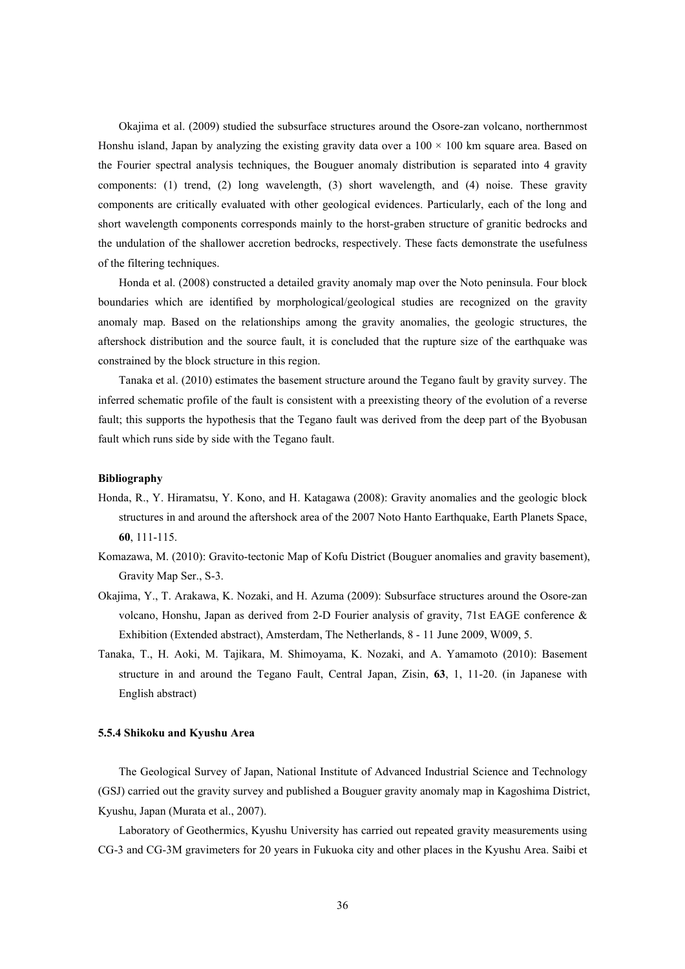Okajima et al. (2009) studied the subsurface structures around the Osore-zan volcano, northernmost Honshu island, Japan by analyzing the existing gravity data over a  $100 \times 100$  km square area. Based on the Fourier spectral analysis techniques, the Bouguer anomaly distribution is separated into 4 gravity components: (1) trend, (2) long wavelength, (3) short wavelength, and (4) noise. These gravity components are critically evaluated with other geological evidences. Particularly, each of the long and short wavelength components corresponds mainly to the horst-graben structure of granitic bedrocks and the undulation of the shallower accretion bedrocks, respectively. These facts demonstrate the usefulness of the filtering techniques.

Honda et al. (2008) constructed a detailed gravity anomaly map over the Noto peninsula. Four block boundaries which are identified by morphological/geological studies are recognized on the gravity anomaly map. Based on the relationships among the gravity anomalies, the geologic structures, the aftershock distribution and the source fault, it is concluded that the rupture size of the earthquake was constrained by the block structure in this region.

Tanaka et al. (2010) estimates the basement structure around the Tegano fault by gravity survey. The inferred schematic profile of the fault is consistent with a preexisting theory of the evolution of a reverse fault; this supports the hypothesis that the Tegano fault was derived from the deep part of the Byobusan fault which runs side by side with the Tegano fault.

# **Bibliography**

- Honda, R., Y. Hiramatsu, Y. Kono, and H. Katagawa (2008): Gravity anomalies and the geologic block structures in and around the aftershock area of the 2007 Noto Hanto Earthquake, Earth Planets Space, **60**, 111-115.
- Komazawa, M. (2010): Gravito-tectonic Map of Kofu District (Bouguer anomalies and gravity basement), Gravity Map Ser., S-3.
- Okajima, Y., T. Arakawa, K. Nozaki, and H. Azuma (2009): Subsurface structures around the Osore-zan volcano, Honshu, Japan as derived from 2-D Fourier analysis of gravity, 71st EAGE conference & Exhibition (Extended abstract), Amsterdam, The Netherlands, 8 - 11 June 2009, W009, 5.
- Tanaka, T., H. Aoki, M. Tajikara, M. Shimoyama, K. Nozaki, and A. Yamamoto (2010): Basement structure in and around the Tegano Fault, Central Japan, Zisin, **63**, 1, 11-20. (in Japanese with English abstract)

### **5.5.4 Shikoku and Kyushu Area**

The Geological Survey of Japan, National Institute of Advanced Industrial Science and Technology (GSJ) carried out the gravity survey and published a Bouguer gravity anomaly map in Kagoshima District, Kyushu, Japan (Murata et al., 2007).

Laboratory of Geothermics, Kyushu University has carried out repeated gravity measurements using CG-3 and CG-3M gravimeters for 20 years in Fukuoka city and other places in the Kyushu Area. Saibi et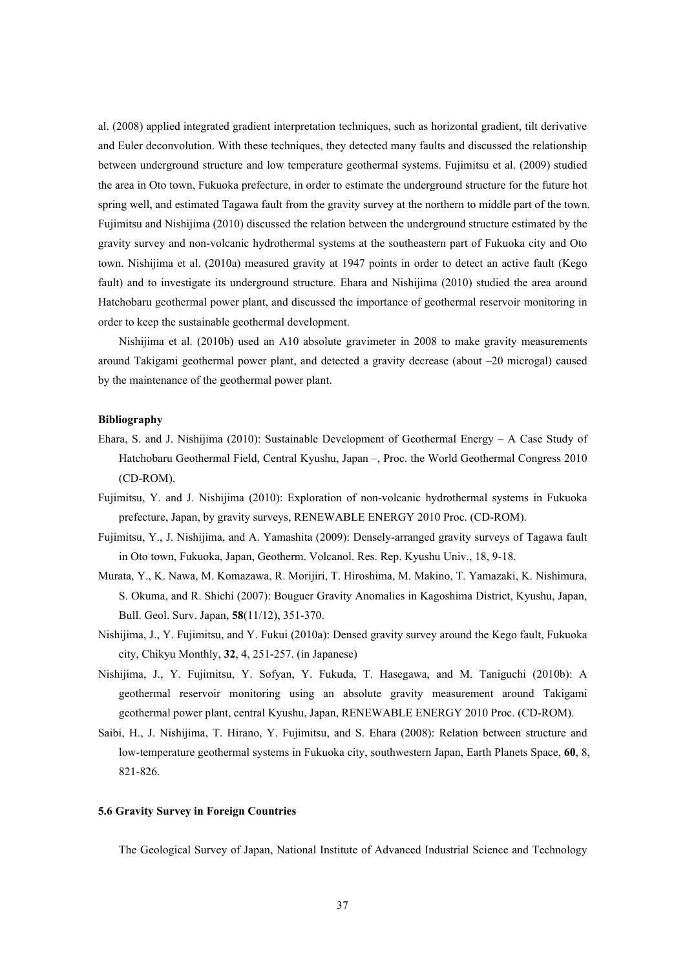al. (2008) applied integrated gradient interpretation techniques, such as horizontal gradient, tilt derivative and Euler deconvolution. With these techniques, they detected many faults and discussed the relationship between underground structure and low temperature geothermal systems. Fujimitsu et al. (2009) studied the area in Oto town, Fukuoka prefecture, in order to estimate the underground structure for the future hot spring well, and estimated Tagawa fault from the gravity survey at the northern to middle part of the town. Fujimitsu and Nishijima (2010) discussed the relation between the underground structure estimated by the gravity survey and non-volcanic hydrothermal systems at the southeastern part of Fukuoka city and Oto town. Nishijima et al. (2010a) measured gravity at 1947 points in order to detect an active fault (Kego fault) and to investigate its underground structure. Ehara and Nishijima (2010) studied the area around Hatchobaru geothermal power plant, and discussed the importance of geothermal reservoir monitoring in order to keep the sustainable geothermal development.

Nishijima et al. (2010b) used an A10 absolute gravimeter in 2008 to make gravity measurements around Takigami geothermal power plant, and detected a gravity decrease (about –20 microgal) caused by the maintenance of the geothermal power plant.

#### **Bibliography**

- Ehara, S. and J. Nishijima (2010): Sustainable Development of Geothermal Energy A Case Study of Hatchobaru Geothermal Field, Central Kyushu, Japan –, Proc. the World Geothermal Congress 2010 (CD-ROM).
- Fujimitsu, Y. and J. Nishijima (2010): Exploration of non-volcanic hydrothermal systems in Fukuoka prefecture, Japan, by gravity surveys, RENEWABLE ENERGY 2010 Proc. (CD-ROM).
- Fujimitsu, Y., J. Nishijima, and A. Yamashita (2009): Densely-arranged gravity surveys of Tagawa fault in Oto town, Fukuoka, Japan, Geotherm. Volcanol. Res. Rep. Kyushu Univ., 18, 9-18.
- Murata, Y., K. Nawa, M. Komazawa, R. Morijiri, T. Hiroshima, M. Makino, T. Yamazaki, K. Nishimura, S. Okuma, and R. Shichi (2007): Bouguer Gravity Anomalies in Kagoshima District, Kyushu, Japan, Bull. Geol. Surv. Japan, **58**(11/12), 351-370.
- Nishijima, J., Y. Fujimitsu, and Y. Fukui (2010a): Densed gravity survey around the Kego fault, Fukuoka city, Chikyu Monthly, **32**, 4, 251-257. (in Japanese)
- Nishijima, J., Y. Fujimitsu, Y. Sofyan, Y. Fukuda, T. Hasegawa, and M. Taniguchi (2010b): A geothermal reservoir monitoring using an absolute gravity measurement around Takigami geothermal power plant, central Kyushu, Japan, RENEWABLE ENERGY 2010 Proc. (CD-ROM).
- Saibi, H., J. Nishijima, T. Hirano, Y. Fujimitsu, and S. Ehara (2008): Relation between structure and low-temperature geothermal systems in Fukuoka city, southwestern Japan, Earth Planets Space, **60**, 8, 821-826.

# **5.6 Gravity Survey in Foreign Countries**

The Geological Survey of Japan, National Institute of Advanced Industrial Science and Technology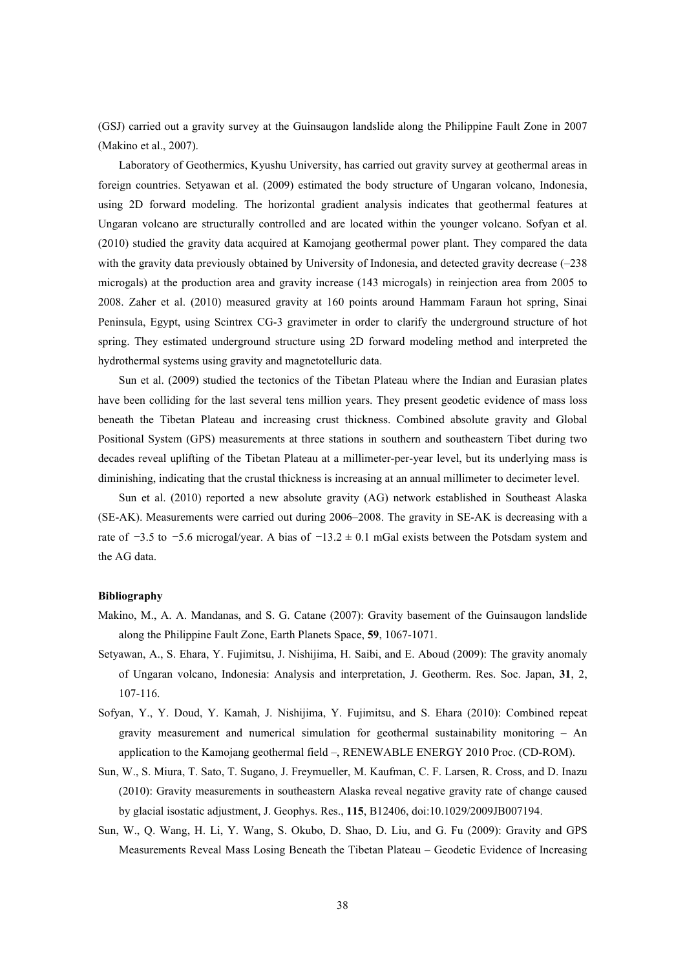(GSJ) carried out a gravity survey at the Guinsaugon landslide along the Philippine Fault Zone in 2007 (Makino et al., 2007).

Laboratory of Geothermics, Kyushu University, has carried out gravity survey at geothermal areas in foreign countries. Setyawan et al. (2009) estimated the body structure of Ungaran volcano, Indonesia, using 2D forward modeling. The horizontal gradient analysis indicates that geothermal features at Ungaran volcano are structurally controlled and are located within the younger volcano. Sofyan et al. (2010) studied the gravity data acquired at Kamojang geothermal power plant. They compared the data with the gravity data previously obtained by University of Indonesia, and detected gravity decrease (-238) microgals) at the production area and gravity increase (143 microgals) in reinjection area from 2005 to 2008. Zaher et al. (2010) measured gravity at 160 points around Hammam Faraun hot spring, Sinai Peninsula, Egypt, using Scintrex CG-3 gravimeter in order to clarify the underground structure of hot spring. They estimated underground structure using 2D forward modeling method and interpreted the hydrothermal systems using gravity and magnetotelluric data.

Sun et al. (2009) studied the tectonics of the Tibetan Plateau where the Indian and Eurasian plates have been colliding for the last several tens million years. They present geodetic evidence of mass loss beneath the Tibetan Plateau and increasing crust thickness. Combined absolute gravity and Global Positional System (GPS) measurements at three stations in southern and southeastern Tibet during two decades reveal uplifting of the Tibetan Plateau at a millimeter-per-year level, but its underlying mass is diminishing, indicating that the crustal thickness is increasing at an annual millimeter to decimeter level.

Sun et al. (2010) reported a new absolute gravity (AG) network established in Southeast Alaska (SE-AK). Measurements were carried out during 2006–2008. The gravity in SE-AK is decreasing with a rate of  $-3.5$  to  $-5.6$  microgal/year. A bias of  $-13.2 \pm 0.1$  mGal exists between the Potsdam system and the AG data.

- Makino, M., A. A. Mandanas, and S. G. Catane (2007): Gravity basement of the Guinsaugon landslide along the Philippine Fault Zone, Earth Planets Space, **59**, 1067-1071.
- Setyawan, A., S. Ehara, Y. Fujimitsu, J. Nishijima, H. Saibi, and E. Aboud (2009): The gravity anomaly of Ungaran volcano, Indonesia: Analysis and interpretation, J. Geotherm. Res. Soc. Japan, **31**, 2, 107-116.
- Sofyan, Y., Y. Doud, Y. Kamah, J. Nishijima, Y. Fujimitsu, and S. Ehara (2010): Combined repeat gravity measurement and numerical simulation for geothermal sustainability monitoring – An application to the Kamojang geothermal field –, RENEWABLE ENERGY 2010 Proc. (CD-ROM).
- Sun, W., S. Miura, T. Sato, T. Sugano, J. Freymueller, M. Kaufman, C. F. Larsen, R. Cross, and D. Inazu (2010): Gravity measurements in southeastern Alaska reveal negative gravity rate of change caused by glacial isostatic adjustment, J. Geophys. Res., **115**, B12406, doi:10.1029/2009JB007194.
- Sun, W., Q. Wang, H. Li, Y. Wang, S. Okubo, D. Shao, D. Liu, and G. Fu (2009): Gravity and GPS Measurements Reveal Mass Losing Beneath the Tibetan Plateau – Geodetic Evidence of Increasing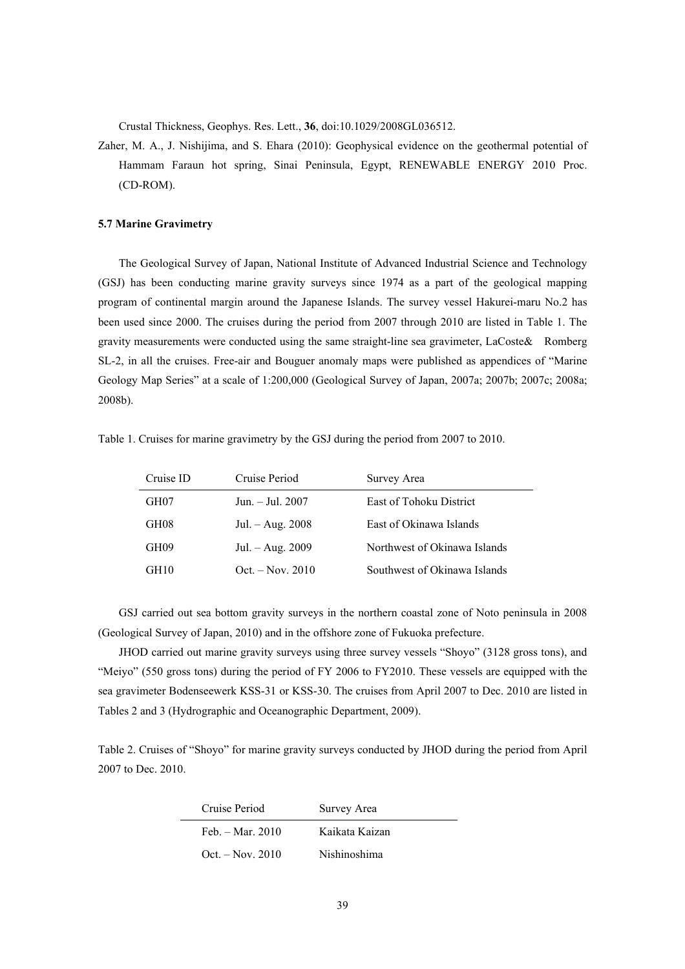Crustal Thickness, Geophys. Res. Lett., **36**, doi:10.1029/2008GL036512.

Zaher, M. A., J. Nishijima, and S. Ehara (2010): Geophysical evidence on the geothermal potential of Hammam Faraun hot spring, Sinai Peninsula, Egypt, RENEWABLE ENERGY 2010 Proc. (CD-ROM).

# **5.7 Marine Gravimetry**

The Geological Survey of Japan, National Institute of Advanced Industrial Science and Technology (GSJ) has been conducting marine gravity surveys since 1974 as a part of the geological mapping program of continental margin around the Japanese Islands. The survey vessel Hakurei-maru No.2 has been used since 2000. The cruises during the period from 2007 through 2010 are listed in Table 1. The gravity measurements were conducted using the same straight-line sea gravimeter, LaCoste& Romberg SL-2, in all the cruises. Free-air and Bouguer anomaly maps were published as appendices of "Marine Geology Map Series" at a scale of 1:200,000 (Geological Survey of Japan, 2007a; 2007b; 2007c; 2008a; 2008b).

Table 1. Cruises for marine gravimetry by the GSJ during the period from 2007 to 2010.

| Cruise ID | Cruise Period      | Survey Area                  |
|-----------|--------------------|------------------------------|
| GH07      | Jun. $-$ Jul. 2007 | East of Tohoku District      |
| GH08      | $Jul. - Aug. 2008$ | East of Okinawa Islands      |
| GH09      | Jul. – Aug. 2009   | Northwest of Okinawa Islands |
| GH10      | $Oct. - Nov. 2010$ | Southwest of Okinawa Islands |

GSJ carried out sea bottom gravity surveys in the northern coastal zone of Noto peninsula in 2008 (Geological Survey of Japan, 2010) and in the offshore zone of Fukuoka prefecture.

JHOD carried out marine gravity surveys using three survey vessels "Shoyo" (3128 gross tons), and "Meiyo" (550 gross tons) during the period of FY 2006 to FY2010. These vessels are equipped with the sea gravimeter Bodenseewerk KSS-31 or KSS-30. The cruises from April 2007 to Dec. 2010 are listed in Tables 2 and 3 (Hydrographic and Oceanographic Department, 2009).

Table 2. Cruises of "Shoyo" for marine gravity surveys conducted by JHOD during the period from April 2007 to Dec. 2010.

| Cruise Period      | Survey Area    |
|--------------------|----------------|
| Feb. $-$ Mar. 2010 | Kaikata Kaizan |
| $Oct. - Nov. 2010$ | Nishinoshima   |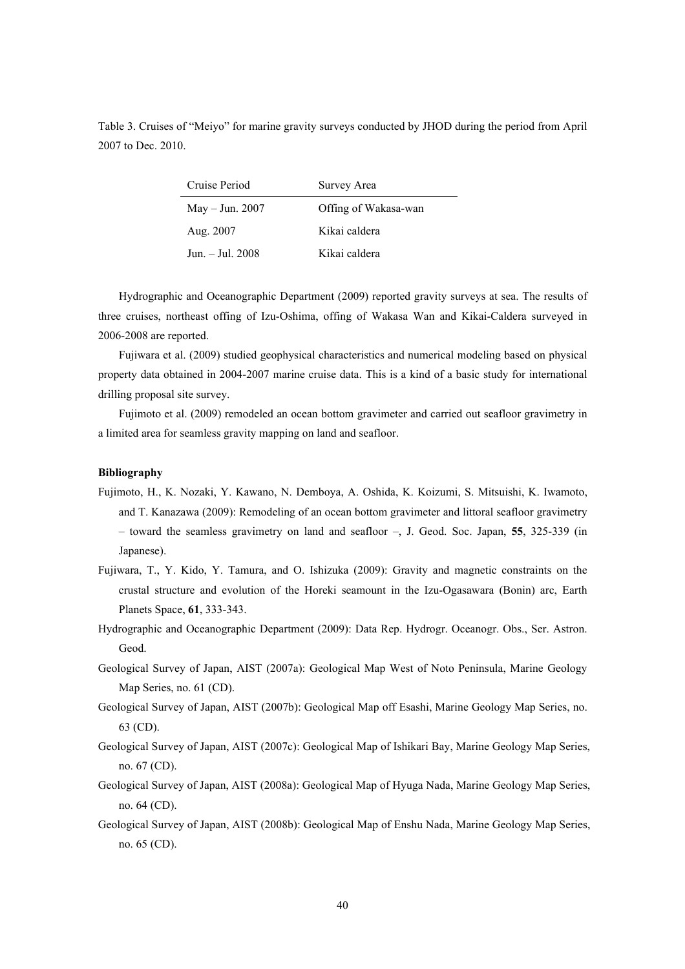Table 3. Cruises of "Meiyo" for marine gravity surveys conducted by JHOD during the period from April 2007 to Dec. 2010.

| Cruise Period     | Survey Area          |
|-------------------|----------------------|
| May $-$ Jun. 2007 | Offing of Wakasa-wan |
| Aug. 2007         | Kikai caldera        |
| Jun. - Jul. 2008  | Kikai caldera        |

Hydrographic and Oceanographic Department (2009) reported gravity surveys at sea. The results of three cruises, northeast offing of Izu-Oshima, offing of Wakasa Wan and Kikai-Caldera surveyed in 2006-2008 are reported.

Fujiwara et al. (2009) studied geophysical characteristics and numerical modeling based on physical property data obtained in 2004-2007 marine cruise data. This is a kind of a basic study for international drilling proposal site survey.

Fujimoto et al. (2009) remodeled an ocean bottom gravimeter and carried out seafloor gravimetry in a limited area for seamless gravity mapping on land and seafloor.

- Fujimoto, H., K. Nozaki, Y. Kawano, N. Demboya, A. Oshida, K. Koizumi, S. Mitsuishi, K. Iwamoto, and T. Kanazawa (2009): Remodeling of an ocean bottom gravimeter and littoral seafloor gravimetry – toward the seamless gravimetry on land and seafloor –, J. Geod. Soc. Japan, **55**, 325-339 (in Japanese).
- Fujiwara, T., Y. Kido, Y. Tamura, and O. Ishizuka (2009): Gravity and magnetic constraints on the crustal structure and evolution of the Horeki seamount in the Izu-Ogasawara (Bonin) arc, Earth Planets Space, **61**, 333-343.
- Hydrographic and Oceanographic Department (2009): Data Rep. Hydrogr. Oceanogr. Obs., Ser. Astron. Geod.
- Geological Survey of Japan, AIST (2007a): Geological Map West of Noto Peninsula, Marine Geology Map Series, no. 61 (CD).
- Geological Survey of Japan, AIST (2007b): Geological Map off Esashi, Marine Geology Map Series, no. 63 (CD).
- Geological Survey of Japan, AIST (2007c): Geological Map of Ishikari Bay, Marine Geology Map Series, no. 67 (CD).
- Geological Survey of Japan, AIST (2008a): Geological Map of Hyuga Nada, Marine Geology Map Series, no. 64 (CD).
- Geological Survey of Japan, AIST (2008b): Geological Map of Enshu Nada, Marine Geology Map Series, no. 65 (CD).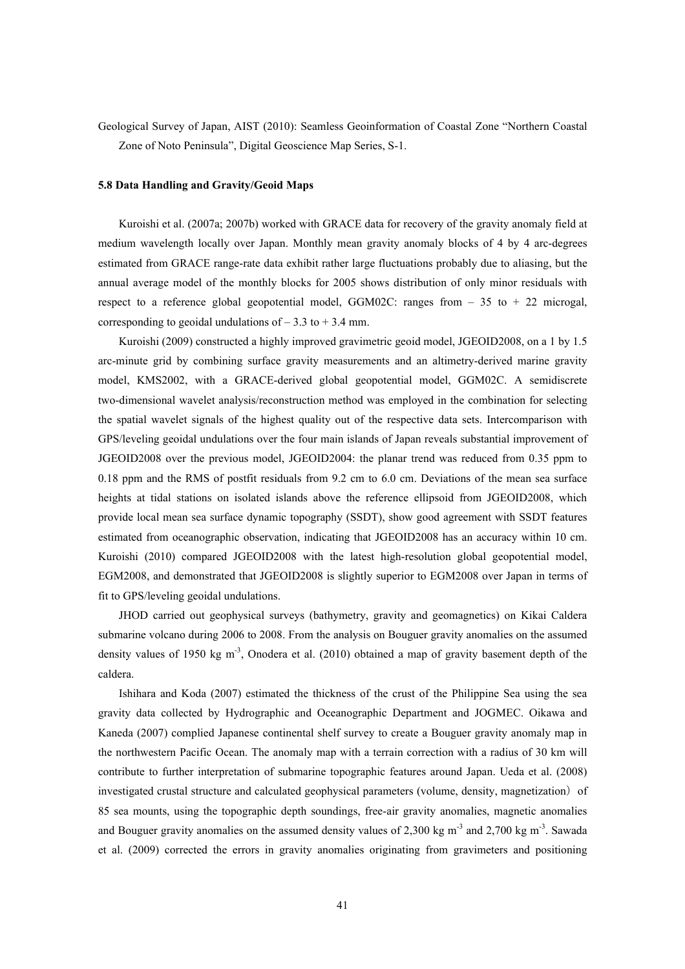Geological Survey of Japan, AIST (2010): Seamless Geoinformation of Coastal Zone "Northern Coastal Zone of Noto Peninsula", Digital Geoscience Map Series, S-1.

### **5.8 Data Handling and Gravity/Geoid Maps**

Kuroishi et al. (2007a; 2007b) worked with GRACE data for recovery of the gravity anomaly field at medium wavelength locally over Japan. Monthly mean gravity anomaly blocks of 4 by 4 arc-degrees estimated from GRACE range-rate data exhibit rather large fluctuations probably due to aliasing, but the annual average model of the monthly blocks for 2005 shows distribution of only minor residuals with respect to a reference global geopotential model, GGM02C: ranges from  $-35$  to  $+22$  microgal, corresponding to geoidal undulations of  $-3.3$  to  $+3.4$  mm.

Kuroishi (2009) constructed a highly improved gravimetric geoid model, JGEOID2008, on a 1 by 1.5 arc-minute grid by combining surface gravity measurements and an altimetry-derived marine gravity model, KMS2002, with a GRACE-derived global geopotential model, GGM02C. A semidiscrete two-dimensional wavelet analysis/reconstruction method was employed in the combination for selecting the spatial wavelet signals of the highest quality out of the respective data sets. Intercomparison with GPS/leveling geoidal undulations over the four main islands of Japan reveals substantial improvement of JGEOID2008 over the previous model, JGEOID2004: the planar trend was reduced from 0.35 ppm to 0.18 ppm and the RMS of postfit residuals from 9.2 cm to 6.0 cm. Deviations of the mean sea surface heights at tidal stations on isolated islands above the reference ellipsoid from JGEOID2008, which provide local mean sea surface dynamic topography (SSDT), show good agreement with SSDT features estimated from oceanographic observation, indicating that JGEOID2008 has an accuracy within 10 cm. Kuroishi (2010) compared JGEOID2008 with the latest high-resolution global geopotential model, EGM2008, and demonstrated that JGEOID2008 is slightly superior to EGM2008 over Japan in terms of fit to GPS/leveling geoidal undulations.

JHOD carried out geophysical surveys (bathymetry, gravity and geomagnetics) on Kikai Caldera submarine volcano during 2006 to 2008. From the analysis on Bouguer gravity anomalies on the assumed density values of 1950 kg m<sup>-3</sup>, Onodera et al. (2010) obtained a map of gravity basement depth of the caldera.

Ishihara and Koda (2007) estimated the thickness of the crust of the Philippine Sea using the sea gravity data collected by Hydrographic and Oceanographic Department and JOGMEC. Oikawa and Kaneda (2007) complied Japanese continental shelf survey to create a Bouguer gravity anomaly map in the northwestern Pacific Ocean. The anomaly map with a terrain correction with a radius of 30 km will contribute to further interpretation of submarine topographic features around Japan. Ueda et al. (2008) investigated crustal structure and calculated geophysical parameters (volume, density, magnetization) of 85 sea mounts, using the topographic depth soundings, free-air gravity anomalies, magnetic anomalies and Bouguer gravity anomalies on the assumed density values of 2,300 kg m<sup>-3</sup> and 2,700 kg m<sup>-3</sup>. Sawada et al. (2009) corrected the errors in gravity anomalies originating from gravimeters and positioning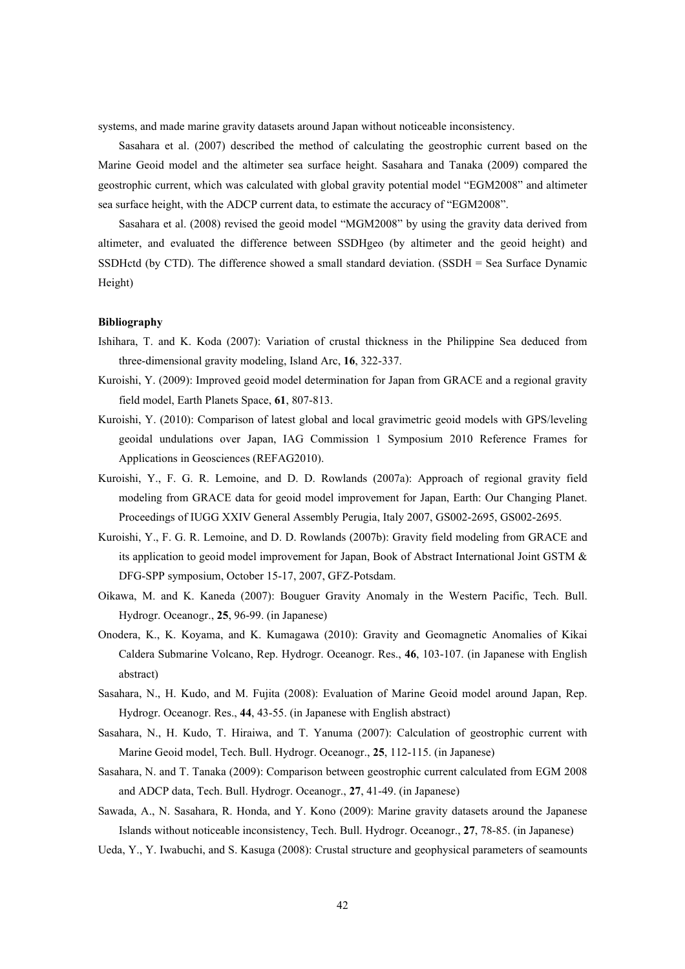systems, and made marine gravity datasets around Japan without noticeable inconsistency.

Sasahara et al. (2007) described the method of calculating the geostrophic current based on the Marine Geoid model and the altimeter sea surface height. Sasahara and Tanaka (2009) compared the geostrophic current, which was calculated with global gravity potential model "EGM2008" and altimeter sea surface height, with the ADCP current data, to estimate the accuracy of "EGM2008".

Sasahara et al. (2008) revised the geoid model "MGM2008" by using the gravity data derived from altimeter, and evaluated the difference between SSDHgeo (by altimeter and the geoid height) and SSDHctd (by CTD). The difference showed a small standard deviation. (SSDH = Sea Surface Dynamic Height)

- Ishihara, T. and K. Koda (2007): Variation of crustal thickness in the Philippine Sea deduced from three-dimensional gravity modeling, Island Arc, **16**, 322-337.
- Kuroishi, Y. (2009): Improved geoid model determination for Japan from GRACE and a regional gravity field model, Earth Planets Space, **61**, 807-813.
- Kuroishi, Y. (2010): Comparison of latest global and local gravimetric geoid models with GPS/leveling geoidal undulations over Japan, IAG Commission 1 Symposium 2010 Reference Frames for Applications in Geosciences (REFAG2010).
- Kuroishi, Y., F. G. R. Lemoine, and D. D. Rowlands (2007a): Approach of regional gravity field modeling from GRACE data for geoid model improvement for Japan, Earth: Our Changing Planet. Proceedings of IUGG XXIV General Assembly Perugia, Italy 2007, GS002-2695, GS002-2695.
- Kuroishi, Y., F. G. R. Lemoine, and D. D. Rowlands (2007b): Gravity field modeling from GRACE and its application to geoid model improvement for Japan, Book of Abstract International Joint GSTM & DFG-SPP symposium, October 15-17, 2007, GFZ-Potsdam.
- Oikawa, M. and K. Kaneda (2007): Bouguer Gravity Anomaly in the Western Pacific, Tech. Bull. Hydrogr. Oceanogr., **25**, 96-99. (in Japanese)
- Onodera, K., K. Koyama, and K. Kumagawa (2010): Gravity and Geomagnetic Anomalies of Kikai Caldera Submarine Volcano, Rep. Hydrogr. Oceanogr. Res., **46**, 103-107. (in Japanese with English abstract)
- Sasahara, N., H. Kudo, and M. Fujita (2008): Evaluation of Marine Geoid model around Japan, Rep. Hydrogr. Oceanogr. Res., **44**, 43-55. (in Japanese with English abstract)
- Sasahara, N., H. Kudo, T. Hiraiwa, and T. Yanuma (2007): Calculation of geostrophic current with Marine Geoid model, Tech. Bull. Hydrogr. Oceanogr., **25**, 112-115. (in Japanese)
- Sasahara, N. and T. Tanaka (2009): Comparison between geostrophic current calculated from EGM 2008 and ADCP data, Tech. Bull. Hydrogr. Oceanogr., **27**, 41-49. (in Japanese)
- Sawada, A., N. Sasahara, R. Honda, and Y. Kono (2009): Marine gravity datasets around the Japanese Islands without noticeable inconsistency, Tech. Bull. Hydrogr. Oceanogr., **27**, 78-85. (in Japanese)
- Ueda, Y., Y. Iwabuchi, and S. Kasuga (2008): Crustal structure and geophysical parameters of seamounts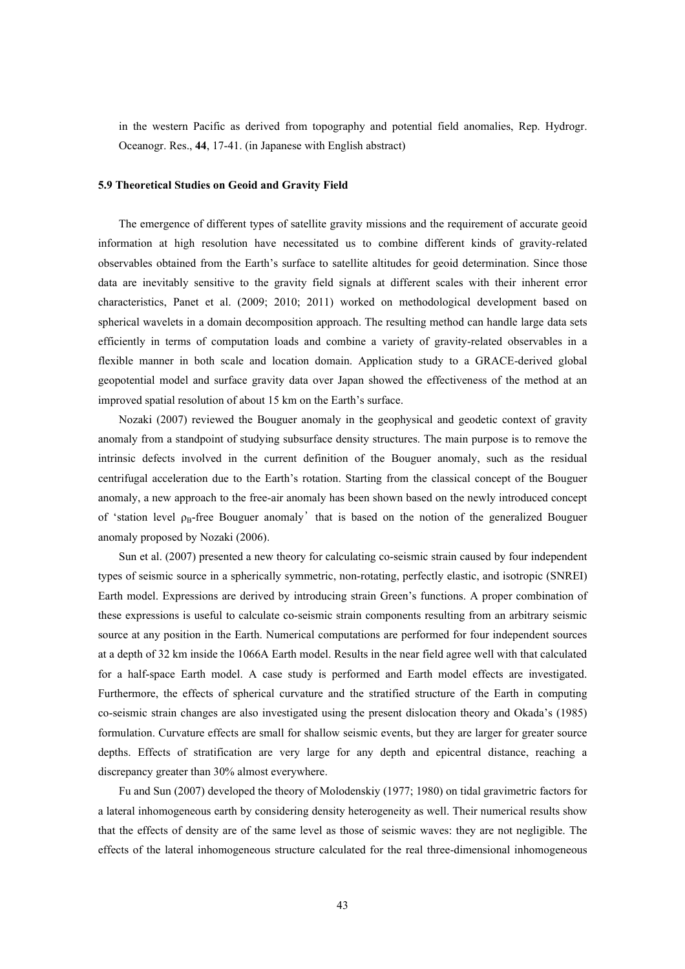in the western Pacific as derived from topography and potential field anomalies, Rep. Hydrogr. Oceanogr. Res., **44**, 17-41. (in Japanese with English abstract)

### **5.9 Theoretical Studies on Geoid and Gravity Field**

The emergence of different types of satellite gravity missions and the requirement of accurate geoid information at high resolution have necessitated us to combine different kinds of gravity-related observables obtained from the Earth's surface to satellite altitudes for geoid determination. Since those data are inevitably sensitive to the gravity field signals at different scales with their inherent error characteristics, Panet et al. (2009; 2010; 2011) worked on methodological development based on spherical wavelets in a domain decomposition approach. The resulting method can handle large data sets efficiently in terms of computation loads and combine a variety of gravity-related observables in a flexible manner in both scale and location domain. Application study to a GRACE-derived global geopotential model and surface gravity data over Japan showed the effectiveness of the method at an improved spatial resolution of about 15 km on the Earth's surface.

Nozaki (2007) reviewed the Bouguer anomaly in the geophysical and geodetic context of gravity anomaly from a standpoint of studying subsurface density structures. The main purpose is to remove the intrinsic defects involved in the current definition of the Bouguer anomaly, such as the residual centrifugal acceleration due to the Earth's rotation. Starting from the classical concept of the Bouguer anomaly, a new approach to the free-air anomaly has been shown based on the newly introduced concept of 'station level  $\rho_B$ -free Bouguer anomaly' that is based on the notion of the generalized Bouguer anomaly proposed by Nozaki (2006).

Sun et al. (2007) presented a new theory for calculating co-seismic strain caused by four independent types of seismic source in a spherically symmetric, non-rotating, perfectly elastic, and isotropic (SNREI) Earth model. Expressions are derived by introducing strain Green's functions. A proper combination of these expressions is useful to calculate co-seismic strain components resulting from an arbitrary seismic source at any position in the Earth. Numerical computations are performed for four independent sources at a depth of 32 km inside the 1066A Earth model. Results in the near field agree well with that calculated for a half-space Earth model. A case study is performed and Earth model effects are investigated. Furthermore, the effects of spherical curvature and the stratified structure of the Earth in computing co-seismic strain changes are also investigated using the present dislocation theory and Okada's (1985) formulation. Curvature effects are small for shallow seismic events, but they are larger for greater source depths. Effects of stratification are very large for any depth and epicentral distance, reaching a discrepancy greater than 30% almost everywhere.

Fu and Sun (2007) developed the theory of Molodenskiy (1977; 1980) on tidal gravimetric factors for a lateral inhomogeneous earth by considering density heterogeneity as well. Their numerical results show that the effects of density are of the same level as those of seismic waves: they are not negligible. The effects of the lateral inhomogeneous structure calculated for the real three-dimensional inhomogeneous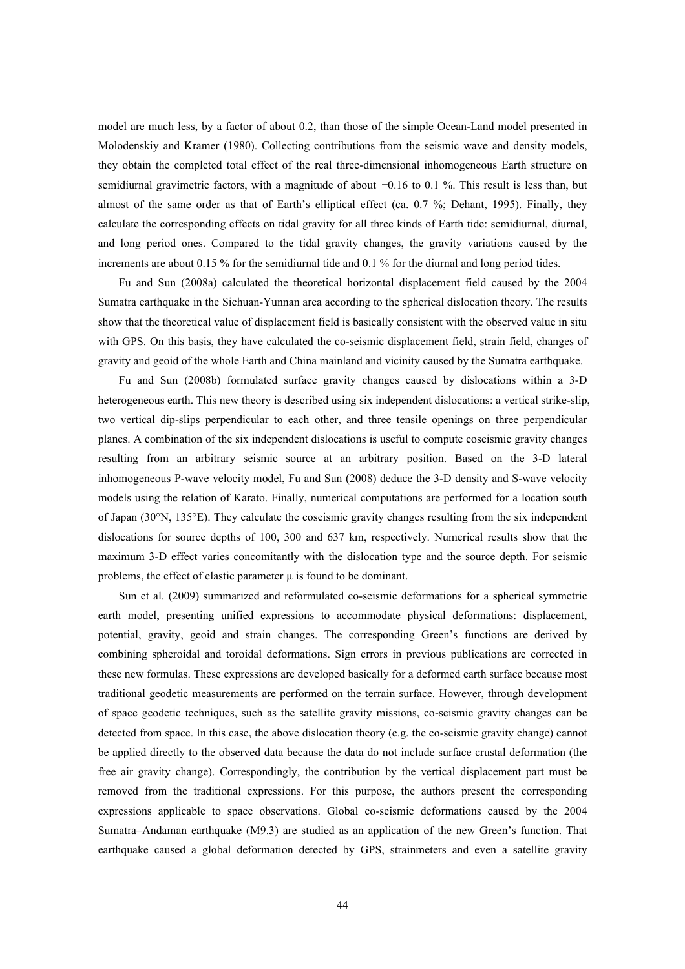model are much less, by a factor of about 0.2, than those of the simple Ocean-Land model presented in Molodenskiy and Kramer (1980). Collecting contributions from the seismic wave and density models, they obtain the completed total effect of the real three-dimensional inhomogeneous Earth structure on semidiurnal gravimetric factors, with a magnitude of about  $-0.16$  to 0.1 %. This result is less than, but almost of the same order as that of Earth's elliptical effect (ca. 0.7 %; Dehant, 1995). Finally, they calculate the corresponding effects on tidal gravity for all three kinds of Earth tide: semidiurnal, diurnal, and long period ones. Compared to the tidal gravity changes, the gravity variations caused by the increments are about 0.15 % for the semidiurnal tide and 0.1 % for the diurnal and long period tides.

Fu and Sun (2008a) calculated the theoretical horizontal displacement field caused by the 2004 Sumatra earthquake in the Sichuan-Yunnan area according to the spherical dislocation theory. The results show that the theoretical value of displacement field is basically consistent with the observed value in situ with GPS. On this basis, they have calculated the co-seismic displacement field, strain field, changes of gravity and geoid of the whole Earth and China mainland and vicinity caused by the Sumatra earthquake.

Fu and Sun (2008b) formulated surface gravity changes caused by dislocations within a 3-D heterogeneous earth. This new theory is described using six independent dislocations: a vertical strike-slip, two vertical dip-slips perpendicular to each other, and three tensile openings on three perpendicular planes. A combination of the six independent dislocations is useful to compute coseismic gravity changes resulting from an arbitrary seismic source at an arbitrary position. Based on the 3-D lateral inhomogeneous P-wave velocity model, Fu and Sun (2008) deduce the 3-D density and S-wave velocity models using the relation of Karato. Finally, numerical computations are performed for a location south of Japan (30°N, 135°E). They calculate the coseismic gravity changes resulting from the six independent dislocations for source depths of 100, 300 and 637 km, respectively. Numerical results show that the maximum 3-D effect varies concomitantly with the dislocation type and the source depth. For seismic problems, the effect of elastic parameter  $\mu$  is found to be dominant.

Sun et al. (2009) summarized and reformulated co-seismic deformations for a spherical symmetric earth model, presenting unified expressions to accommodate physical deformations: displacement, potential, gravity, geoid and strain changes. The corresponding Green's functions are derived by combining spheroidal and toroidal deformations. Sign errors in previous publications are corrected in these new formulas. These expressions are developed basically for a deformed earth surface because most traditional geodetic measurements are performed on the terrain surface. However, through development of space geodetic techniques, such as the satellite gravity missions, co-seismic gravity changes can be detected from space. In this case, the above dislocation theory (e.g. the co-seismic gravity change) cannot be applied directly to the observed data because the data do not include surface crustal deformation (the free air gravity change). Correspondingly, the contribution by the vertical displacement part must be removed from the traditional expressions. For this purpose, the authors present the corresponding expressions applicable to space observations. Global co-seismic deformations caused by the 2004 Sumatra–Andaman earthquake (M9.3) are studied as an application of the new Green's function. That earthquake caused a global deformation detected by GPS, strainmeters and even a satellite gravity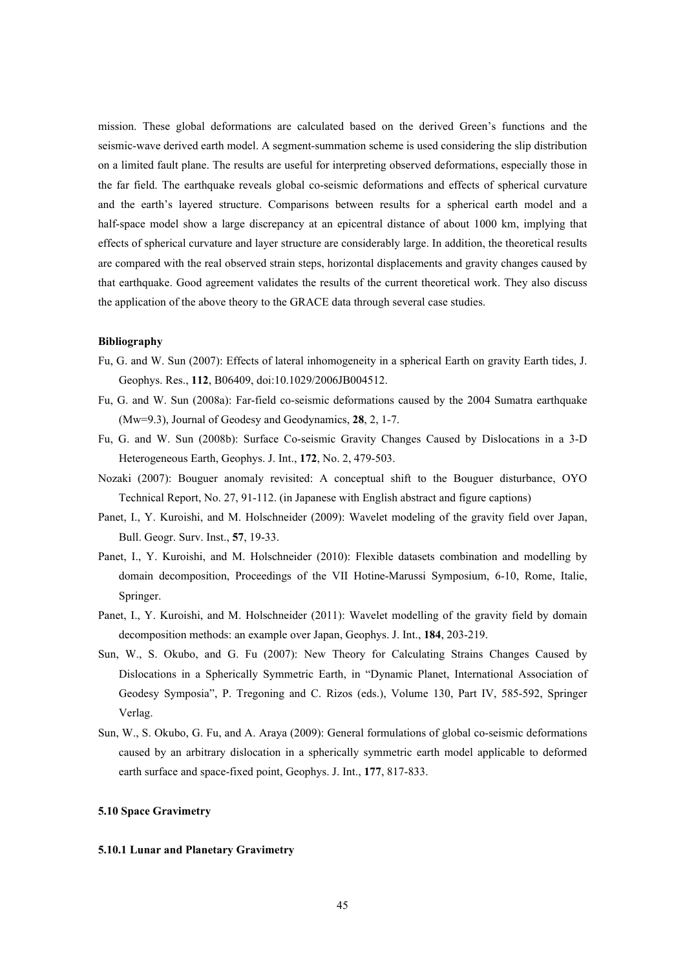mission. These global deformations are calculated based on the derived Green's functions and the seismic-wave derived earth model. A segment-summation scheme is used considering the slip distribution on a limited fault plane. The results are useful for interpreting observed deformations, especially those in the far field. The earthquake reveals global co-seismic deformations and effects of spherical curvature and the earth's layered structure. Comparisons between results for a spherical earth model and a half-space model show a large discrepancy at an epicentral distance of about 1000 km, implying that effects of spherical curvature and layer structure are considerably large. In addition, the theoretical results are compared with the real observed strain steps, horizontal displacements and gravity changes caused by that earthquake. Good agreement validates the results of the current theoretical work. They also discuss the application of the above theory to the GRACE data through several case studies.

### **Bibliography**

- Fu, G. and W. Sun (2007): Effects of lateral inhomogeneity in a spherical Earth on gravity Earth tides, J. Geophys. Res., **112**, B06409, doi:10.1029/2006JB004512.
- Fu, G. and W. Sun (2008a): Far-field co-seismic deformations caused by the 2004 Sumatra earthquake (Mw=9.3), Journal of Geodesy and Geodynamics, **28**, 2, 1-7.
- Fu, G. and W. Sun (2008b): Surface Co-seismic Gravity Changes Caused by Dislocations in a 3-D Heterogeneous Earth, Geophys. J. Int., **172**, No. 2, 479-503.
- Nozaki (2007): Bouguer anomaly revisited: A conceptual shift to the Bouguer disturbance, OYO Technical Report, No. 27, 91-112. (in Japanese with English abstract and figure captions)
- Panet, I., Y. Kuroishi, and M. Holschneider (2009): Wavelet modeling of the gravity field over Japan, Bull. Geogr. Surv. Inst., **57**, 19-33.
- Panet, I., Y. Kuroishi, and M. Holschneider (2010): Flexible datasets combination and modelling by domain decomposition, Proceedings of the VII Hotine-Marussi Symposium, 6-10, Rome, Italie, Springer.
- Panet, I., Y. Kuroishi, and M. Holschneider (2011): Wavelet modelling of the gravity field by domain decomposition methods: an example over Japan, Geophys. J. Int., **184**, 203-219.
- Sun, W., S. Okubo, and G. Fu (2007): New Theory for Calculating Strains Changes Caused by Dislocations in a Spherically Symmetric Earth, in "Dynamic Planet, International Association of Geodesy Symposia", P. Tregoning and C. Rizos (eds.), Volume 130, Part IV, 585-592, Springer Verlag.
- Sun, W., S. Okubo, G. Fu, and A. Araya (2009): General formulations of global co-seismic deformations caused by an arbitrary dislocation in a spherically symmetric earth model applicable to deformed earth surface and space-fixed point, Geophys. J. Int., **177**, 817-833.

# **5.10 Space Gravimetry**

# **5.10.1 Lunar and Planetary Gravimetry**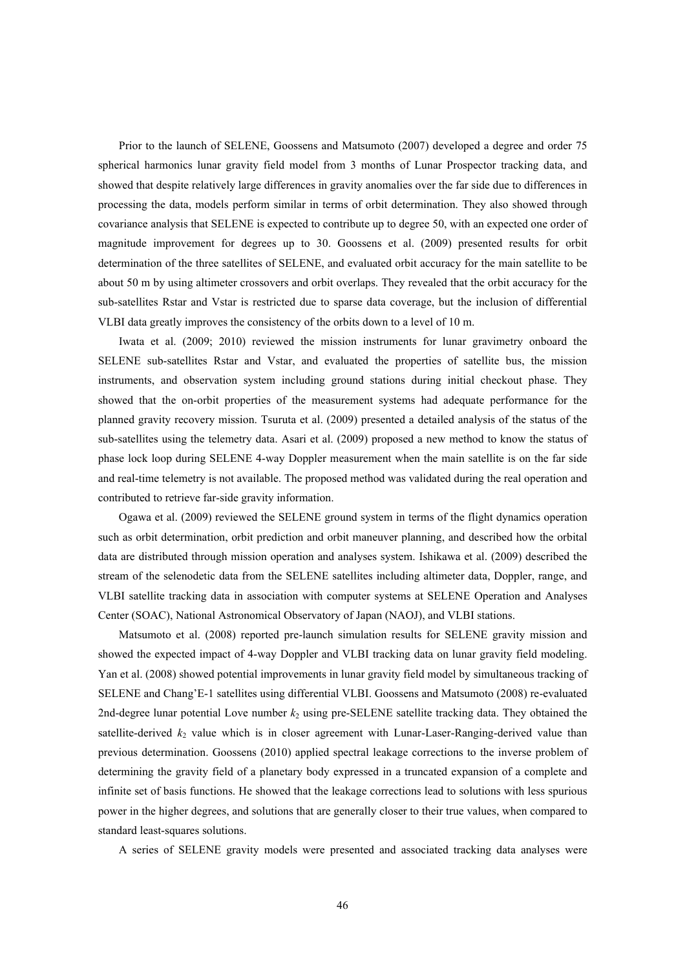Prior to the launch of SELENE, Goossens and Matsumoto (2007) developed a degree and order 75 spherical harmonics lunar gravity field model from 3 months of Lunar Prospector tracking data, and showed that despite relatively large differences in gravity anomalies over the far side due to differences in processing the data, models perform similar in terms of orbit determination. They also showed through covariance analysis that SELENE is expected to contribute up to degree 50, with an expected one order of magnitude improvement for degrees up to 30. Goossens et al. (2009) presented results for orbit determination of the three satellites of SELENE, and evaluated orbit accuracy for the main satellite to be about 50 m by using altimeter crossovers and orbit overlaps. They revealed that the orbit accuracy for the sub-satellites Rstar and Vstar is restricted due to sparse data coverage, but the inclusion of differential VLBI data greatly improves the consistency of the orbits down to a level of 10 m.

Iwata et al. (2009; 2010) reviewed the mission instruments for lunar gravimetry onboard the SELENE sub-satellites Rstar and Vstar, and evaluated the properties of satellite bus, the mission instruments, and observation system including ground stations during initial checkout phase. They showed that the on-orbit properties of the measurement systems had adequate performance for the planned gravity recovery mission. Tsuruta et al. (2009) presented a detailed analysis of the status of the sub-satellites using the telemetry data. Asari et al. (2009) proposed a new method to know the status of phase lock loop during SELENE 4-way Doppler measurement when the main satellite is on the far side and real-time telemetry is not available. The proposed method was validated during the real operation and contributed to retrieve far-side gravity information.

Ogawa et al. (2009) reviewed the SELENE ground system in terms of the flight dynamics operation such as orbit determination, orbit prediction and orbit maneuver planning, and described how the orbital data are distributed through mission operation and analyses system. Ishikawa et al. (2009) described the stream of the selenodetic data from the SELENE satellites including altimeter data, Doppler, range, and VLBI satellite tracking data in association with computer systems at SELENE Operation and Analyses Center (SOAC), National Astronomical Observatory of Japan (NAOJ), and VLBI stations.

Matsumoto et al. (2008) reported pre-launch simulation results for SELENE gravity mission and showed the expected impact of 4-way Doppler and VLBI tracking data on lunar gravity field modeling. Yan et al. (2008) showed potential improvements in lunar gravity field model by simultaneous tracking of SELENE and Chang'E-1 satellites using differential VLBI. Goossens and Matsumoto (2008) re-evaluated 2nd-degree lunar potential Love number *k*2 using pre-SELENE satellite tracking data. They obtained the satellite-derived  $k_2$  value which is in closer agreement with Lunar-Laser-Ranging-derived value than previous determination. Goossens (2010) applied spectral leakage corrections to the inverse problem of determining the gravity field of a planetary body expressed in a truncated expansion of a complete and infinite set of basis functions. He showed that the leakage corrections lead to solutions with less spurious power in the higher degrees, and solutions that are generally closer to their true values, when compared to standard least-squares solutions.

A series of SELENE gravity models were presented and associated tracking data analyses were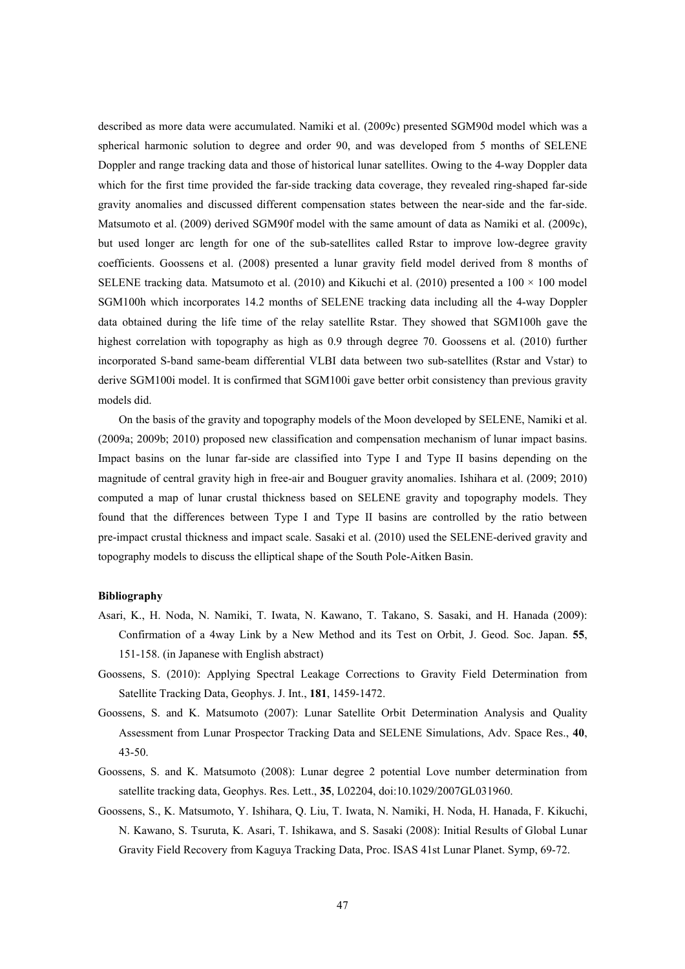described as more data were accumulated. Namiki et al. (2009c) presented SGM90d model which was a spherical harmonic solution to degree and order 90, and was developed from 5 months of SELENE Doppler and range tracking data and those of historical lunar satellites. Owing to the 4-way Doppler data which for the first time provided the far-side tracking data coverage, they revealed ring-shaped far-side gravity anomalies and discussed different compensation states between the near-side and the far-side. Matsumoto et al. (2009) derived SGM90f model with the same amount of data as Namiki et al. (2009c), but used longer arc length for one of the sub-satellites called Rstar to improve low-degree gravity coefficients. Goossens et al. (2008) presented a lunar gravity field model derived from 8 months of SELENE tracking data. Matsumoto et al. (2010) and Kikuchi et al. (2010) presented a  $100 \times 100$  model SGM100h which incorporates 14.2 months of SELENE tracking data including all the 4-way Doppler data obtained during the life time of the relay satellite Rstar. They showed that SGM100h gave the highest correlation with topography as high as 0.9 through degree 70. Goossens et al. (2010) further incorporated S-band same-beam differential VLBI data between two sub-satellites (Rstar and Vstar) to derive SGM100i model. It is confirmed that SGM100i gave better orbit consistency than previous gravity models did.

On the basis of the gravity and topography models of the Moon developed by SELENE, Namiki et al. (2009a; 2009b; 2010) proposed new classification and compensation mechanism of lunar impact basins. Impact basins on the lunar far-side are classified into Type I and Type II basins depending on the magnitude of central gravity high in free-air and Bouguer gravity anomalies. Ishihara et al. (2009; 2010) computed a map of lunar crustal thickness based on SELENE gravity and topography models. They found that the differences between Type I and Type II basins are controlled by the ratio between pre-impact crustal thickness and impact scale. Sasaki et al. (2010) used the SELENE-derived gravity and topography models to discuss the elliptical shape of the South Pole-Aitken Basin.

- Asari, K., H. Noda, N. Namiki, T. Iwata, N. Kawano, T. Takano, S. Sasaki, and H. Hanada (2009): Confirmation of a 4way Link by a New Method and its Test on Orbit, J. Geod. Soc. Japan. **55**, 151-158. (in Japanese with English abstract)
- Goossens, S. (2010): Applying Spectral Leakage Corrections to Gravity Field Determination from Satellite Tracking Data, Geophys. J. Int., **181**, 1459-1472.
- Goossens, S. and K. Matsumoto (2007): Lunar Satellite Orbit Determination Analysis and Quality Assessment from Lunar Prospector Tracking Data and SELENE Simulations, Adv. Space Res., **40**, 43-50.
- Goossens, S. and K. Matsumoto (2008): Lunar degree 2 potential Love number determination from satellite tracking data, Geophys. Res. Lett., **35**, L02204, doi:10.1029/2007GL031960.
- Goossens, S., K. Matsumoto, Y. Ishihara, Q. Liu, T. Iwata, N. Namiki, H. Noda, H. Hanada, F. Kikuchi, N. Kawano, S. Tsuruta, K. Asari, T. Ishikawa, and S. Sasaki (2008): Initial Results of Global Lunar Gravity Field Recovery from Kaguya Tracking Data, Proc. ISAS 41st Lunar Planet. Symp, 69-72.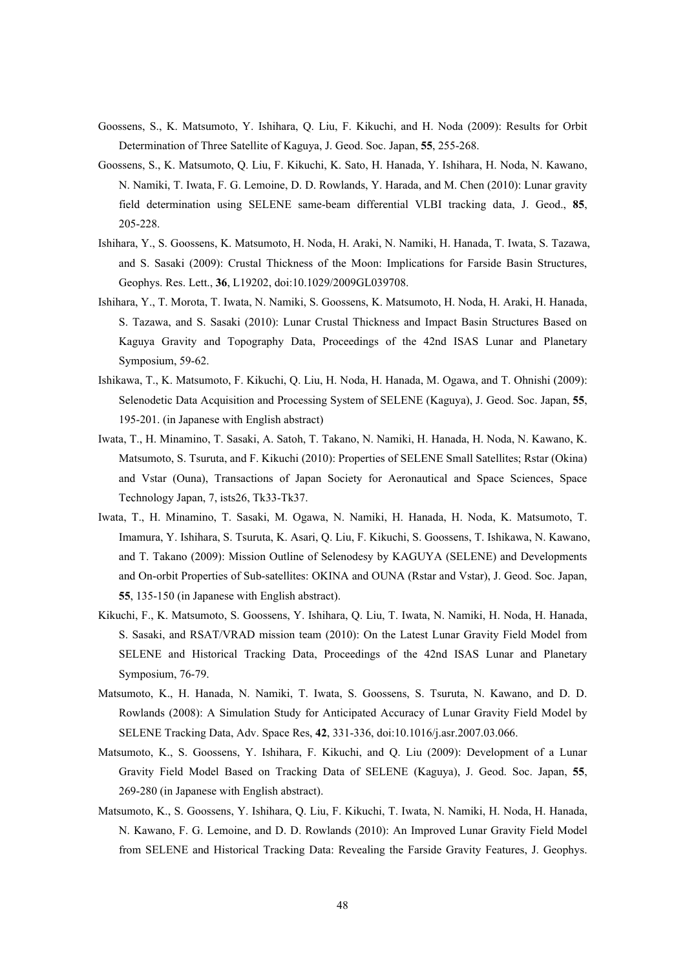- Goossens, S., K. Matsumoto, Y. Ishihara, Q. Liu, F. Kikuchi, and H. Noda (2009): Results for Orbit Determination of Three Satellite of Kaguya, J. Geod. Soc. Japan, **55**, 255-268.
- Goossens, S., K. Matsumoto, Q. Liu, F. Kikuchi, K. Sato, H. Hanada, Y. Ishihara, H. Noda, N. Kawano, N. Namiki, T. Iwata, F. G. Lemoine, D. D. Rowlands, Y. Harada, and M. Chen (2010): Lunar gravity field determination using SELENE same-beam differential VLBI tracking data, J. Geod., **85**, 205-228.
- Ishihara, Y., S. Goossens, K. Matsumoto, H. Noda, H. Araki, N. Namiki, H. Hanada, T. Iwata, S. Tazawa, and S. Sasaki (2009): Crustal Thickness of the Moon: Implications for Farside Basin Structures, Geophys. Res. Lett., **36**, L19202, doi:10.1029/2009GL039708.
- Ishihara, Y., T. Morota, T. Iwata, N. Namiki, S. Goossens, K. Matsumoto, H. Noda, H. Araki, H. Hanada, S. Tazawa, and S. Sasaki (2010): Lunar Crustal Thickness and Impact Basin Structures Based on Kaguya Gravity and Topography Data, Proceedings of the 42nd ISAS Lunar and Planetary Symposium, 59-62.
- Ishikawa, T., K. Matsumoto, F. Kikuchi, Q. Liu, H. Noda, H. Hanada, M. Ogawa, and T. Ohnishi (2009): Selenodetic Data Acquisition and Processing System of SELENE (Kaguya), J. Geod. Soc. Japan, **55**, 195-201. (in Japanese with English abstract)
- Iwata, T., H. Minamino, T. Sasaki, A. Satoh, T. Takano, N. Namiki, H. Hanada, H. Noda, N. Kawano, K. Matsumoto, S. Tsuruta, and F. Kikuchi (2010): Properties of SELENE Small Satellites; Rstar (Okina) and Vstar (Ouna), Transactions of Japan Society for Aeronautical and Space Sciences, Space Technology Japan, 7, ists26, Tk33-Tk37.
- Iwata, T., H. Minamino, T. Sasaki, M. Ogawa, N. Namiki, H. Hanada, H. Noda, K. Matsumoto, T. Imamura, Y. Ishihara, S. Tsuruta, K. Asari, Q. Liu, F. Kikuchi, S. Goossens, T. Ishikawa, N. Kawano, and T. Takano (2009): Mission Outline of Selenodesy by KAGUYA (SELENE) and Developments and On-orbit Properties of Sub-satellites: OKINA and OUNA (Rstar and Vstar), J. Geod. Soc. Japan, **55**, 135-150 (in Japanese with English abstract).
- Kikuchi, F., K. Matsumoto, S. Goossens, Y. Ishihara, Q. Liu, T. Iwata, N. Namiki, H. Noda, H. Hanada, S. Sasaki, and RSAT/VRAD mission team (2010): On the Latest Lunar Gravity Field Model from SELENE and Historical Tracking Data, Proceedings of the 42nd ISAS Lunar and Planetary Symposium, 76-79.
- Matsumoto, K., H. Hanada, N. Namiki, T. Iwata, S. Goossens, S. Tsuruta, N. Kawano, and D. D. Rowlands (2008): A Simulation Study for Anticipated Accuracy of Lunar Gravity Field Model by SELENE Tracking Data, Adv. Space Res, **42**, 331-336, doi:10.1016/j.asr.2007.03.066.
- Matsumoto, K., S. Goossens, Y. Ishihara, F. Kikuchi, and Q. Liu (2009): Development of a Lunar Gravity Field Model Based on Tracking Data of SELENE (Kaguya), J. Geod. Soc. Japan, **55**, 269-280 (in Japanese with English abstract).
- Matsumoto, K., S. Goossens, Y. Ishihara, Q. Liu, F. Kikuchi, T. Iwata, N. Namiki, H. Noda, H. Hanada, N. Kawano, F. G. Lemoine, and D. D. Rowlands (2010): An Improved Lunar Gravity Field Model from SELENE and Historical Tracking Data: Revealing the Farside Gravity Features, J. Geophys.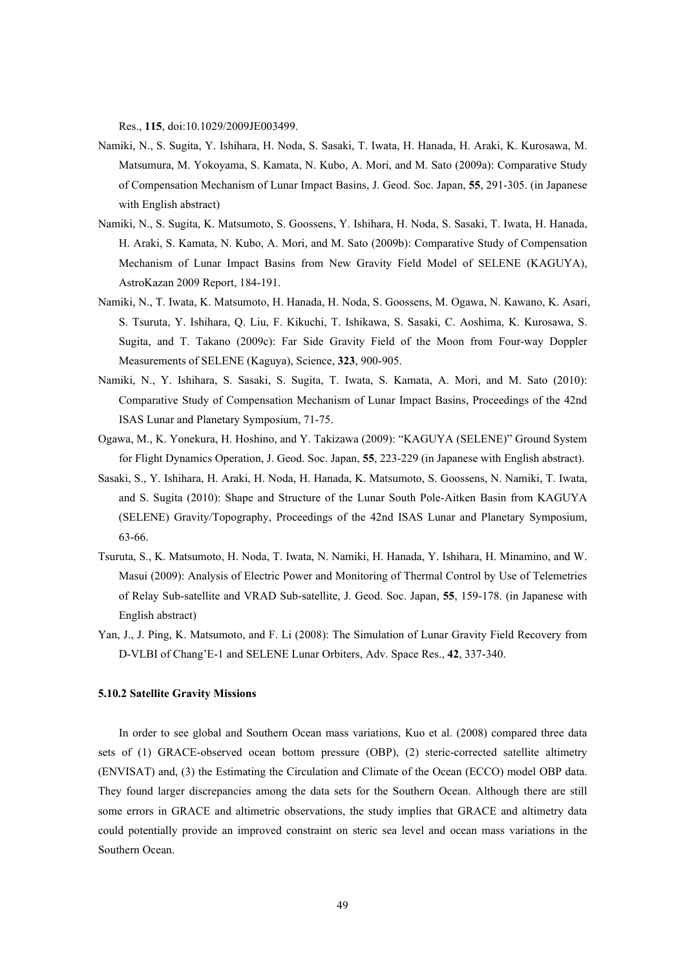Res., **115**, doi:10.1029/2009JE003499.

- Namiki, N., S. Sugita, Y. Ishihara, H. Noda, S. Sasaki, T. Iwata, H. Hanada, H. Araki, K. Kurosawa, M. Matsumura, M. Yokoyama, S. Kamata, N. Kubo, A. Mori, and M. Sato (2009a): Comparative Study of Compensation Mechanism of Lunar Impact Basins, J. Geod. Soc. Japan, **55**, 291-305. (in Japanese with English abstract)
- Namiki, N., S. Sugita, K. Matsumoto, S. Goossens, Y. Ishihara, H. Noda, S. Sasaki, T. Iwata, H. Hanada, H. Araki, S. Kamata, N. Kubo, A. Mori, and M. Sato (2009b): Comparative Study of Compensation Mechanism of Lunar Impact Basins from New Gravity Field Model of SELENE (KAGUYA), AstroKazan 2009 Report, 184-191.
- Namiki, N., T. Iwata, K. Matsumoto, H. Hanada, H. Noda, S. Goossens, M. Ogawa, N. Kawano, K. Asari, S. Tsuruta, Y. Ishihara, Q. Liu, F. Kikuchi, T. Ishikawa, S. Sasaki, C. Aoshima, K. Kurosawa, S. Sugita, and T. Takano (2009c): Far Side Gravity Field of the Moon from Four-way Doppler Measurements of SELENE (Kaguya), Science, **323**, 900-905.
- Namiki, N., Y. Ishihara, S. Sasaki, S. Sugita, T. Iwata, S. Kamata, A. Mori, and M. Sato (2010): Comparative Study of Compensation Mechanism of Lunar Impact Basins, Proceedings of the 42nd ISAS Lunar and Planetary Symposium, 71-75.
- Ogawa, M., K. Yonekura, H. Hoshino, and Y. Takizawa (2009): "KAGUYA (SELENE)" Ground System for Flight Dynamics Operation, J. Geod. Soc. Japan, **55**, 223-229 (in Japanese with English abstract).
- Sasaki, S., Y. Ishihara, H. Araki, H. Noda, H. Hanada, K. Matsumoto, S. Goossens, N. Namiki, T. Iwata, and S. Sugita (2010): Shape and Structure of the Lunar South Pole-Aitken Basin from KAGUYA (SELENE) Gravity/Topography, Proceedings of the 42nd ISAS Lunar and Planetary Symposium, 63-66.
- Tsuruta, S., K. Matsumoto, H. Noda, T. Iwata, N. Namiki, H. Hanada, Y. Ishihara, H. Minamino, and W. Masui (2009): Analysis of Electric Power and Monitoring of Thermal Control by Use of Telemetries of Relay Sub-satellite and VRAD Sub-satellite, J. Geod. Soc. Japan, **55**, 159-178. (in Japanese with English abstract)
- Yan, J., J. Ping, K. Matsumoto, and F. Li (2008): The Simulation of Lunar Gravity Field Recovery from D-VLBI of Chang'E-1 and SELENE Lunar Orbiters, Adv. Space Res., **42**, 337-340.

### **5.10.2 Satellite Gravity Missions**

In order to see global and Southern Ocean mass variations, Kuo et al. (2008) compared three data sets of (1) GRACE-observed ocean bottom pressure (OBP), (2) steric-corrected satellite altimetry (ENVISAT) and, (3) the Estimating the Circulation and Climate of the Ocean (ECCO) model OBP data. They found larger discrepancies among the data sets for the Southern Ocean. Although there are still some errors in GRACE and altimetric observations, the study implies that GRACE and altimetry data could potentially provide an improved constraint on steric sea level and ocean mass variations in the Southern Ocean.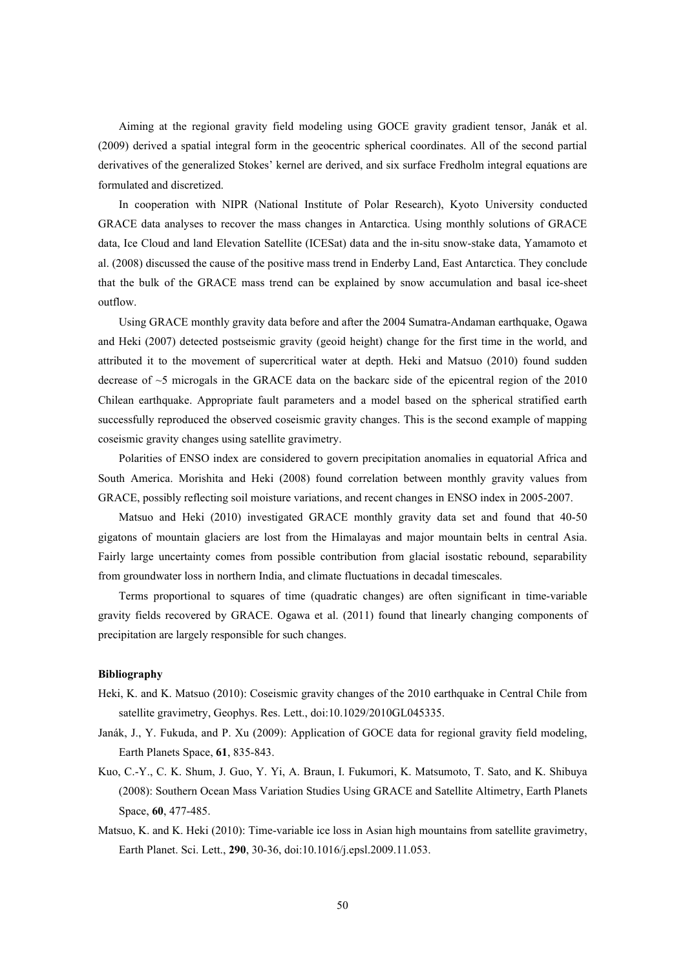Aiming at the regional gravity field modeling using GOCE gravity gradient tensor, Janák et al. (2009) derived a spatial integral form in the geocentric spherical coordinates. All of the second partial derivatives of the generalized Stokes' kernel are derived, and six surface Fredholm integral equations are formulated and discretized.

In cooperation with NIPR (National Institute of Polar Research), Kyoto University conducted GRACE data analyses to recover the mass changes in Antarctica. Using monthly solutions of GRACE data, Ice Cloud and land Elevation Satellite (ICESat) data and the in-situ snow-stake data, Yamamoto et al. (2008) discussed the cause of the positive mass trend in Enderby Land, East Antarctica. They conclude that the bulk of the GRACE mass trend can be explained by snow accumulation and basal ice-sheet outflow.

Using GRACE monthly gravity data before and after the 2004 Sumatra-Andaman earthquake, Ogawa and Heki (2007) detected postseismic gravity (geoid height) change for the first time in the world, and attributed it to the movement of supercritical water at depth. Heki and Matsuo (2010) found sudden decrease of ~5 microgals in the GRACE data on the backarc side of the epicentral region of the 2010 Chilean earthquake. Appropriate fault parameters and a model based on the spherical stratified earth successfully reproduced the observed coseismic gravity changes. This is the second example of mapping coseismic gravity changes using satellite gravimetry.

Polarities of ENSO index are considered to govern precipitation anomalies in equatorial Africa and South America. Morishita and Heki (2008) found correlation between monthly gravity values from GRACE, possibly reflecting soil moisture variations, and recent changes in ENSO index in 2005-2007.

Matsuo and Heki (2010) investigated GRACE monthly gravity data set and found that 40-50 gigatons of mountain glaciers are lost from the Himalayas and major mountain belts in central Asia. Fairly large uncertainty comes from possible contribution from glacial isostatic rebound, separability from groundwater loss in northern India, and climate fluctuations in decadal timescales.

Terms proportional to squares of time (quadratic changes) are often significant in time-variable gravity fields recovered by GRACE. Ogawa et al. (2011) found that linearly changing components of precipitation are largely responsible for such changes.

- Heki, K. and K. Matsuo (2010): Coseismic gravity changes of the 2010 earthquake in Central Chile from satellite gravimetry, Geophys. Res. Lett., doi:10.1029/2010GL045335.
- Janák, J., Y. Fukuda, and P. Xu (2009): Application of GOCE data for regional gravity field modeling, Earth Planets Space, **61**, 835-843.
- Kuo, C.-Y., C. K. Shum, J. Guo, Y. Yi, A. Braun, I. Fukumori, K. Matsumoto, T. Sato, and K. Shibuya (2008): Southern Ocean Mass Variation Studies Using GRACE and Satellite Altimetry, Earth Planets Space, **60**, 477-485.
- Matsuo, K. and K. Heki (2010): Time-variable ice loss in Asian high mountains from satellite gravimetry, Earth Planet. Sci. Lett., **290**, 30-36, doi:10.1016/j.epsl.2009.11.053.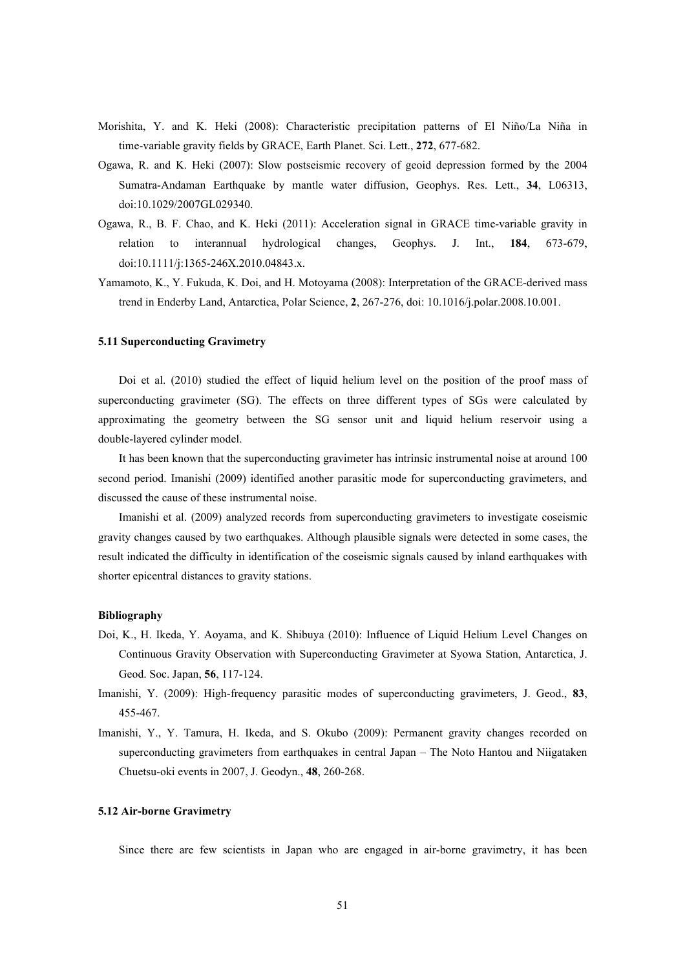- Morishita, Y. and K. Heki (2008): Characteristic precipitation patterns of El Niño/La Niña in time-variable gravity fields by GRACE, Earth Planet. Sci. Lett., **272**, 677-682.
- Ogawa, R. and K. Heki (2007): Slow postseismic recovery of geoid depression formed by the 2004 Sumatra-Andaman Earthquake by mantle water diffusion, Geophys. Res. Lett., **34**, L06313, doi:10.1029/2007GL029340.
- Ogawa, R., B. F. Chao, and K. Heki (2011): Acceleration signal in GRACE time-variable gravity in relation to interannual hydrological changes, Geophys. J. Int., **184**, 673-679, doi:10.1111/j:1365-246X.2010.04843.x.
- Yamamoto, K., Y. Fukuda, K. Doi, and H. Motoyama (2008): Interpretation of the GRACE-derived mass trend in Enderby Land, Antarctica, Polar Science, **2**, 267-276, doi: 10.1016/j.polar.2008.10.001.

#### **5.11 Superconducting Gravimetry**

Doi et al. (2010) studied the effect of liquid helium level on the position of the proof mass of superconducting gravimeter (SG). The effects on three different types of SGs were calculated by approximating the geometry between the SG sensor unit and liquid helium reservoir using a double-layered cylinder model.

It has been known that the superconducting gravimeter has intrinsic instrumental noise at around 100 second period. Imanishi (2009) identified another parasitic mode for superconducting gravimeters, and discussed the cause of these instrumental noise.

Imanishi et al. (2009) analyzed records from superconducting gravimeters to investigate coseismic gravity changes caused by two earthquakes. Although plausible signals were detected in some cases, the result indicated the difficulty in identification of the coseismic signals caused by inland earthquakes with shorter epicentral distances to gravity stations.

#### **Bibliography**

- Doi, K., H. Ikeda, Y. Aoyama, and K. Shibuya (2010): Influence of Liquid Helium Level Changes on Continuous Gravity Observation with Superconducting Gravimeter at Syowa Station, Antarctica, J. Geod. Soc. Japan, **56**, 117-124.
- Imanishi, Y. (2009): High-frequency parasitic modes of superconducting gravimeters, J. Geod., **83**, 455-467.
- Imanishi, Y., Y. Tamura, H. Ikeda, and S. Okubo (2009): Permanent gravity changes recorded on superconducting gravimeters from earthquakes in central Japan – The Noto Hantou and Niigataken Chuetsu-oki events in 2007, J. Geodyn., **48**, 260-268.

# **5.12 Air-borne Gravimetry**

Since there are few scientists in Japan who are engaged in air-borne gravimetry, it has been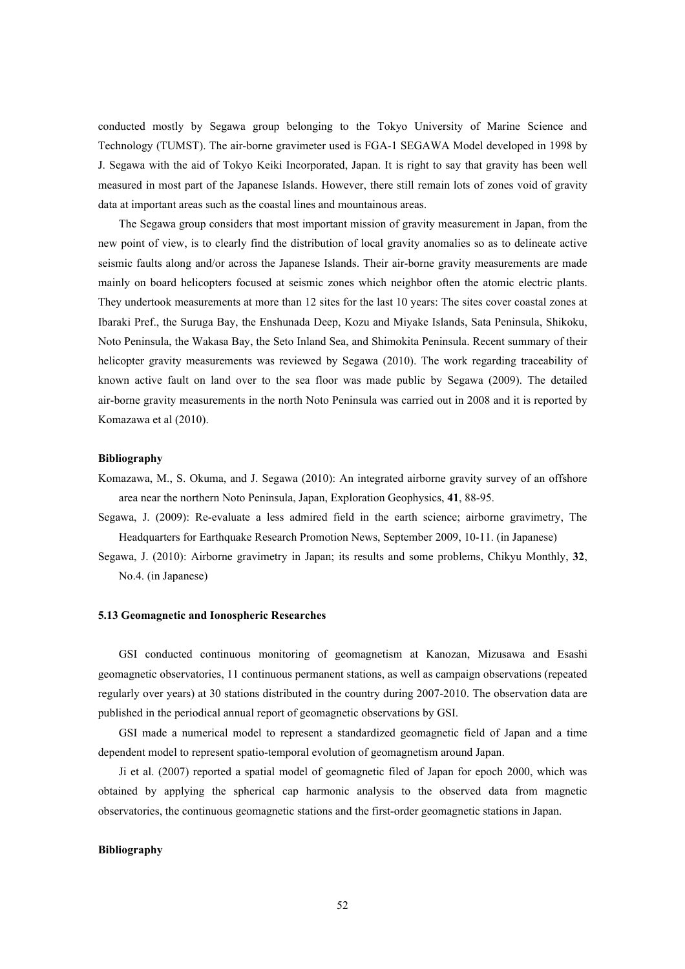conducted mostly by Segawa group belonging to the Tokyo University of Marine Science and Technology (TUMST). The air-borne gravimeter used is FGA-1 SEGAWA Model developed in 1998 by J. Segawa with the aid of Tokyo Keiki Incorporated, Japan. It is right to say that gravity has been well measured in most part of the Japanese Islands. However, there still remain lots of zones void of gravity data at important areas such as the coastal lines and mountainous areas.

The Segawa group considers that most important mission of gravity measurement in Japan, from the new point of view, is to clearly find the distribution of local gravity anomalies so as to delineate active seismic faults along and/or across the Japanese Islands. Their air-borne gravity measurements are made mainly on board helicopters focused at seismic zones which neighbor often the atomic electric plants. They undertook measurements at more than 12 sites for the last 10 years: The sites cover coastal zones at Ibaraki Pref., the Suruga Bay, the Enshunada Deep, Kozu and Miyake Islands, Sata Peninsula, Shikoku, Noto Peninsula, the Wakasa Bay, the Seto Inland Sea, and Shimokita Peninsula. Recent summary of their helicopter gravity measurements was reviewed by Segawa (2010). The work regarding traceability of known active fault on land over to the sea floor was made public by Segawa (2009). The detailed air-borne gravity measurements in the north Noto Peninsula was carried out in 2008 and it is reported by Komazawa et al (2010).

# **Bibliography**

- Komazawa, M., S. Okuma, and J. Segawa (2010): An integrated airborne gravity survey of an offshore area near the northern Noto Peninsula, Japan, Exploration Geophysics, **41**, 88-95.
- Segawa, J. (2009): Re-evaluate a less admired field in the earth science; airborne gravimetry, The Headquarters for Earthquake Research Promotion News, September 2009, 10-11. (in Japanese)
- Segawa, J. (2010): Airborne gravimetry in Japan; its results and some problems, Chikyu Monthly, **32**, No.4. (in Japanese)

### **5.13 Geomagnetic and Ionospheric Researches**

GSI conducted continuous monitoring of geomagnetism at Kanozan, Mizusawa and Esashi geomagnetic observatories, 11 continuous permanent stations, as well as campaign observations (repeated regularly over years) at 30 stations distributed in the country during 2007-2010. The observation data are published in the periodical annual report of geomagnetic observations by GSI.

GSI made a numerical model to represent a standardized geomagnetic field of Japan and a time dependent model to represent spatio-temporal evolution of geomagnetism around Japan.

Ji et al. (2007) reported a spatial model of geomagnetic filed of Japan for epoch 2000, which was obtained by applying the spherical cap harmonic analysis to the observed data from magnetic observatories, the continuous geomagnetic stations and the first-order geomagnetic stations in Japan.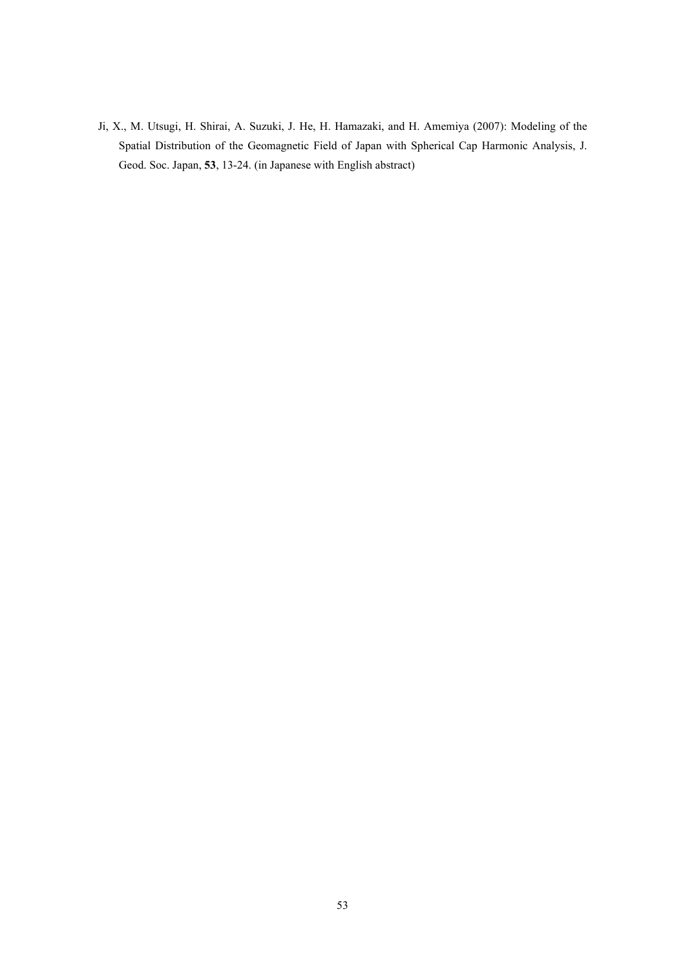Ji, X., M. Utsugi, H. Shirai, A. Suzuki, J. He, H. Hamazaki, and H. Amemiya (2007): Modeling of the Spatial Distribution of the Geomagnetic Field of Japan with Spherical Cap Harmonic Analysis, J. Geod. Soc. Japan, **53**, 13-24. (in Japanese with English abstract)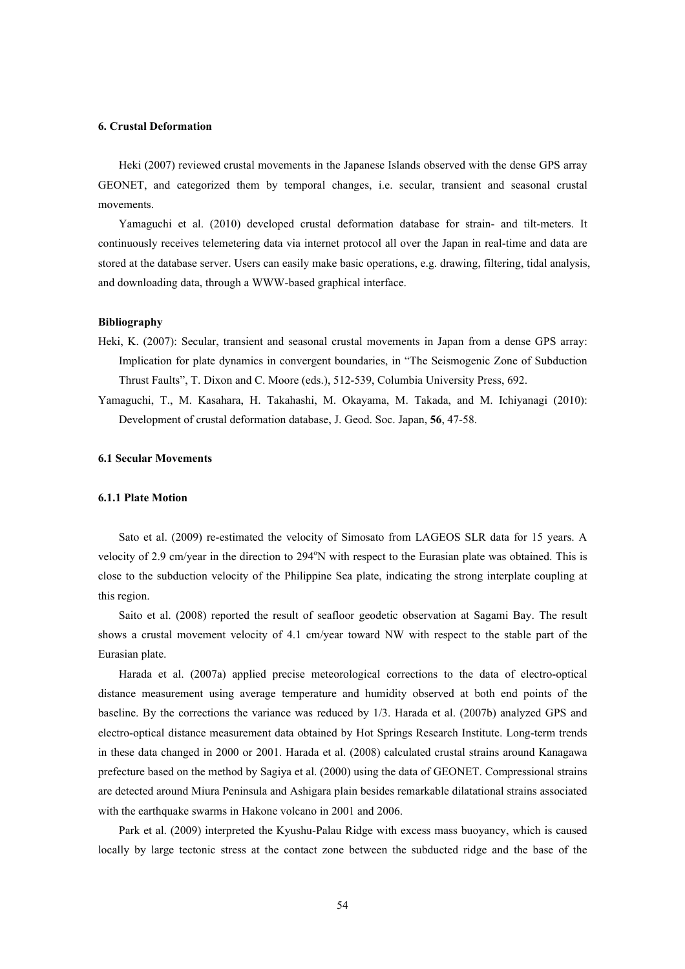#### **6. Crustal Deformation**

Heki (2007) reviewed crustal movements in the Japanese Islands observed with the dense GPS array GEONET, and categorized them by temporal changes, i.e. secular, transient and seasonal crustal movements.

Yamaguchi et al. (2010) developed crustal deformation database for strain- and tilt-meters. It continuously receives telemetering data via internet protocol all over the Japan in real-time and data are stored at the database server. Users can easily make basic operations, e.g. drawing, filtering, tidal analysis, and downloading data, through a WWW-based graphical interface.

### **Bibliography**

- Heki, K. (2007): Secular, transient and seasonal crustal movements in Japan from a dense GPS array: Implication for plate dynamics in convergent boundaries, in "The Seismogenic Zone of Subduction Thrust Faults", T. Dixon and C. Moore (eds.), 512-539, Columbia University Press, 692.
- Yamaguchi, T., M. Kasahara, H. Takahashi, M. Okayama, M. Takada, and M. Ichiyanagi (2010): Development of crustal deformation database, J. Geod. Soc. Japan, **56**, 47-58.

# **6.1 Secular Movements**

### **6.1.1 Plate Motion**

Sato et al. (2009) re-estimated the velocity of Simosato from LAGEOS SLR data for 15 years. A velocity of 2.9 cm/year in the direction to 294°N with respect to the Eurasian plate was obtained. This is close to the subduction velocity of the Philippine Sea plate, indicating the strong interplate coupling at this region.

Saito et al. (2008) reported the result of seafloor geodetic observation at Sagami Bay. The result shows a crustal movement velocity of 4.1 cm/year toward NW with respect to the stable part of the Eurasian plate.

Harada et al. (2007a) applied precise meteorological corrections to the data of electro-optical distance measurement using average temperature and humidity observed at both end points of the baseline. By the corrections the variance was reduced by 1/3. Harada et al. (2007b) analyzed GPS and electro-optical distance measurement data obtained by Hot Springs Research Institute. Long-term trends in these data changed in 2000 or 2001. Harada et al. (2008) calculated crustal strains around Kanagawa prefecture based on the method by Sagiya et al. (2000) using the data of GEONET. Compressional strains are detected around Miura Peninsula and Ashigara plain besides remarkable dilatational strains associated with the earthquake swarms in Hakone volcano in 2001 and 2006.

Park et al. (2009) interpreted the Kyushu-Palau Ridge with excess mass buoyancy, which is caused locally by large tectonic stress at the contact zone between the subducted ridge and the base of the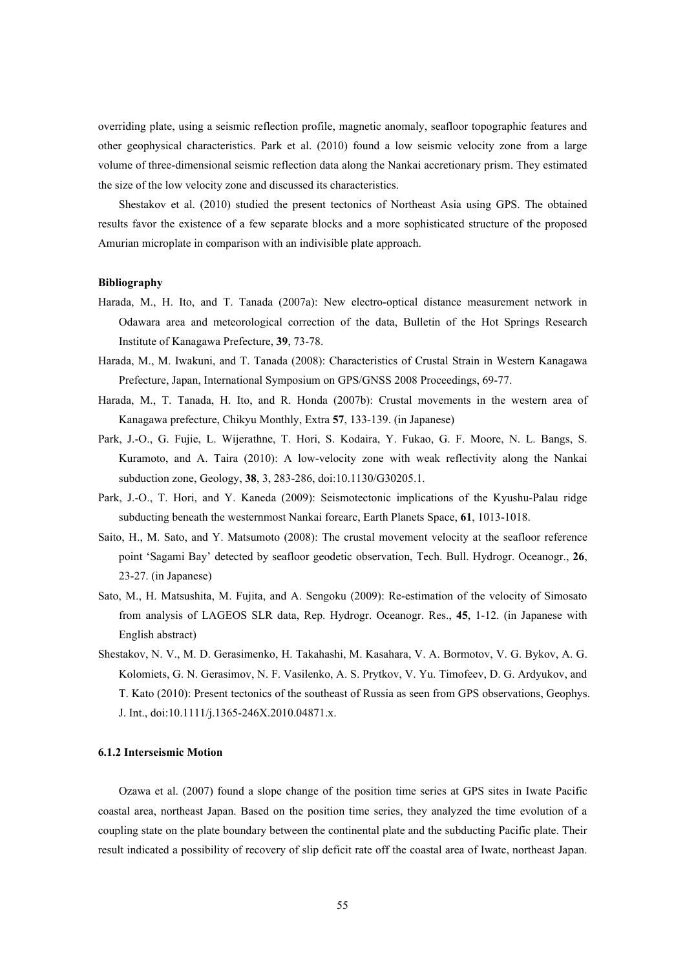overriding plate, using a seismic reflection profile, magnetic anomaly, seafloor topographic features and other geophysical characteristics. Park et al. (2010) found a low seismic velocity zone from a large volume of three-dimensional seismic reflection data along the Nankai accretionary prism. They estimated the size of the low velocity zone and discussed its characteristics.

Shestakov et al. (2010) studied the present tectonics of Northeast Asia using GPS. The obtained results favor the existence of a few separate blocks and a more sophisticated structure of the proposed Amurian microplate in comparison with an indivisible plate approach.

### **Bibliography**

- Harada, M., H. Ito, and T. Tanada (2007a): New electro-optical distance measurement network in Odawara area and meteorological correction of the data, Bulletin of the Hot Springs Research Institute of Kanagawa Prefecture, **39**, 73-78.
- Harada, M., M. Iwakuni, and T. Tanada (2008): Characteristics of Crustal Strain in Western Kanagawa Prefecture, Japan, International Symposium on GPS/GNSS 2008 Proceedings, 69-77.
- Harada, M., T. Tanada, H. Ito, and R. Honda (2007b): Crustal movements in the western area of Kanagawa prefecture, Chikyu Monthly, Extra **57**, 133-139. (in Japanese)
- Park, J.-O., G. Fujie, L. Wijerathne, T. Hori, S. Kodaira, Y. Fukao, G. F. Moore, N. L. Bangs, S. Kuramoto, and A. Taira (2010): A low-velocity zone with weak reflectivity along the Nankai subduction zone, Geology, **38**, 3, 283-286, doi:10.1130/G30205.1.
- Park, J.-O., T. Hori, and Y. Kaneda (2009): Seismotectonic implications of the Kyushu-Palau ridge subducting beneath the westernmost Nankai forearc, Earth Planets Space, **61**, 1013-1018.
- Saito, H., M. Sato, and Y. Matsumoto (2008): The crustal movement velocity at the seafloor reference point 'Sagami Bay' detected by seafloor geodetic observation, Tech. Bull. Hydrogr. Oceanogr., **26**, 23-27. (in Japanese)
- Sato, M., H. Matsushita, M. Fujita, and A. Sengoku (2009): Re-estimation of the velocity of Simosato from analysis of LAGEOS SLR data, Rep. Hydrogr. Oceanogr. Res., **45**, 1-12. (in Japanese with English abstract)
- Shestakov, N. V., M. D. Gerasimenko, H. Takahashi, M. Kasahara, V. A. Bormotov, V. G. Bykov, A. G. Kolomiets, G. N. Gerasimov, N. F. Vasilenko, A. S. Prytkov, V. Yu. Timofeev, D. G. Ardyukov, and T. Kato (2010): Present tectonics of the southeast of Russia as seen from GPS observations, Geophys. J. Int., doi:10.1111/j.1365-246X.2010.04871.x.

### **6.1.2 Interseismic Motion**

Ozawa et al. (2007) found a slope change of the position time series at GPS sites in Iwate Pacific coastal area, northeast Japan. Based on the position time series, they analyzed the time evolution of a coupling state on the plate boundary between the continental plate and the subducting Pacific plate. Their result indicated a possibility of recovery of slip deficit rate off the coastal area of Iwate, northeast Japan.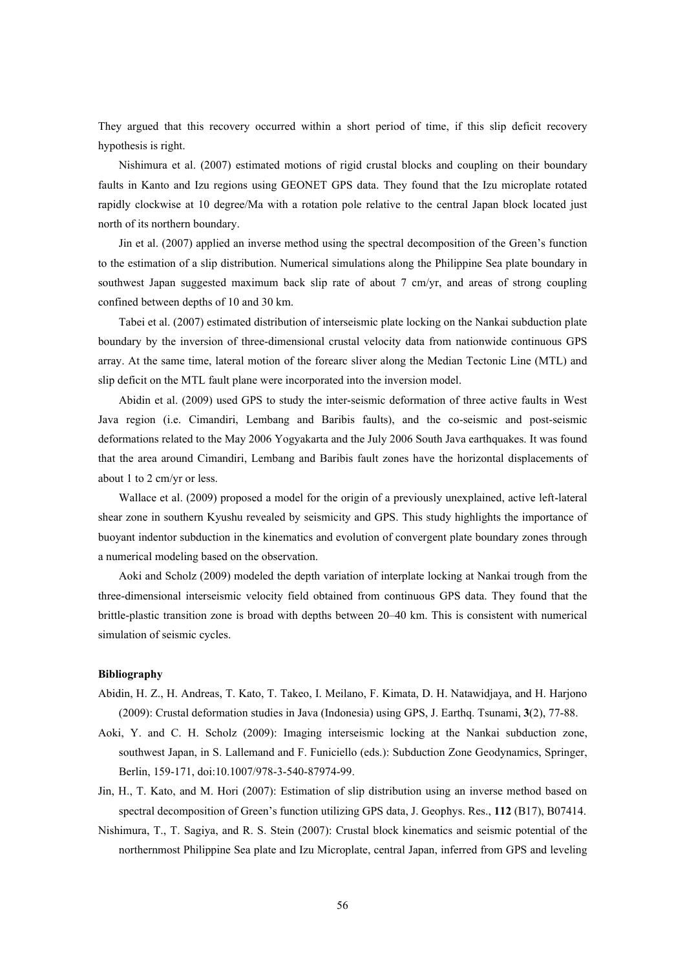They argued that this recovery occurred within a short period of time, if this slip deficit recovery hypothesis is right.

Nishimura et al. (2007) estimated motions of rigid crustal blocks and coupling on their boundary faults in Kanto and Izu regions using GEONET GPS data. They found that the Izu microplate rotated rapidly clockwise at 10 degree/Ma with a rotation pole relative to the central Japan block located just north of its northern boundary.

Jin et al. (2007) applied an inverse method using the spectral decomposition of the Green's function to the estimation of a slip distribution. Numerical simulations along the Philippine Sea plate boundary in southwest Japan suggested maximum back slip rate of about 7 cm/yr, and areas of strong coupling confined between depths of 10 and 30 km.

Tabei et al. (2007) estimated distribution of interseismic plate locking on the Nankai subduction plate boundary by the inversion of three-dimensional crustal velocity data from nationwide continuous GPS array. At the same time, lateral motion of the forearc sliver along the Median Tectonic Line (MTL) and slip deficit on the MTL fault plane were incorporated into the inversion model.

Abidin et al. (2009) used GPS to study the inter-seismic deformation of three active faults in West Java region (i.e. Cimandiri, Lembang and Baribis faults), and the co-seismic and post-seismic deformations related to the May 2006 Yogyakarta and the July 2006 South Java earthquakes. It was found that the area around Cimandiri, Lembang and Baribis fault zones have the horizontal displacements of about 1 to 2 cm/yr or less.

Wallace et al. (2009) proposed a model for the origin of a previously unexplained, active left-lateral shear zone in southern Kyushu revealed by seismicity and GPS. This study highlights the importance of buoyant indentor subduction in the kinematics and evolution of convergent plate boundary zones through a numerical modeling based on the observation.

Aoki and Scholz (2009) modeled the depth variation of interplate locking at Nankai trough from the three-dimensional interseismic velocity field obtained from continuous GPS data. They found that the brittle-plastic transition zone is broad with depths between 20–40 km. This is consistent with numerical simulation of seismic cycles.

- Abidin, H. Z., H. Andreas, T. Kato, T. Takeo, I. Meilano, F. Kimata, D. H. Natawidjaya, and H. Harjono (2009): Crustal deformation studies in Java (Indonesia) using GPS, J. Earthq. Tsunami, **3**(2), 77-88.
- Aoki, Y. and C. H. Scholz (2009): Imaging interseismic locking at the Nankai subduction zone, southwest Japan, in S. Lallemand and F. Funiciello (eds.): Subduction Zone Geodynamics, Springer, Berlin, 159-171, doi:10.1007/978-3-540-87974-99.
- Jin, H., T. Kato, and M. Hori (2007): Estimation of slip distribution using an inverse method based on spectral decomposition of Green's function utilizing GPS data, J. Geophys. Res., **112** (B17), B07414.
- Nishimura, T., T. Sagiya, and R. S. Stein (2007): Crustal block kinematics and seismic potential of the northernmost Philippine Sea plate and Izu Microplate, central Japan, inferred from GPS and leveling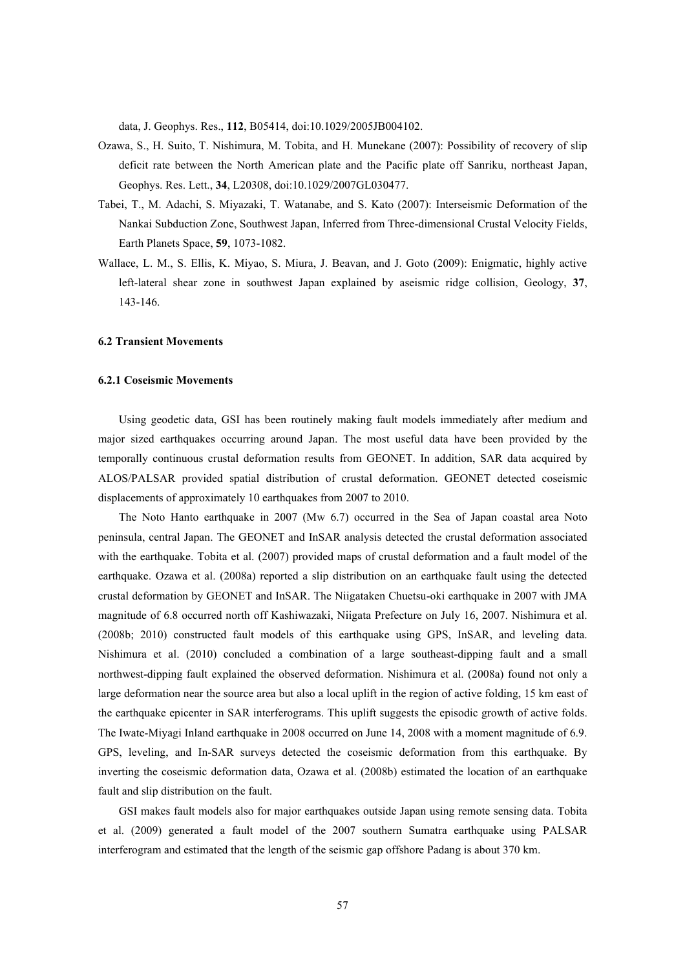data, J. Geophys. Res., **112**, B05414, doi:10.1029/2005JB004102.

- Ozawa, S., H. Suito, T. Nishimura, M. Tobita, and H. Munekane (2007): Possibility of recovery of slip deficit rate between the North American plate and the Pacific plate off Sanriku, northeast Japan, Geophys. Res. Lett., **34**, L20308, doi:10.1029/2007GL030477.
- Tabei, T., M. Adachi, S. Miyazaki, T. Watanabe, and S. Kato (2007): Interseismic Deformation of the Nankai Subduction Zone, Southwest Japan, Inferred from Three-dimensional Crustal Velocity Fields, Earth Planets Space, **59**, 1073-1082.
- Wallace, L. M., S. Ellis, K. Miyao, S. Miura, J. Beavan, and J. Goto (2009): Enigmatic, highly active left-lateral shear zone in southwest Japan explained by aseismic ridge collision, Geology, **37**, 143-146.

### **6.2 Transient Movements**

#### **6.2.1 Coseismic Movements**

Using geodetic data, GSI has been routinely making fault models immediately after medium and major sized earthquakes occurring around Japan. The most useful data have been provided by the temporally continuous crustal deformation results from GEONET. In addition, SAR data acquired by ALOS/PALSAR provided spatial distribution of crustal deformation. GEONET detected coseismic displacements of approximately 10 earthquakes from 2007 to 2010.

The Noto Hanto earthquake in 2007 (Mw 6.7) occurred in the Sea of Japan coastal area Noto peninsula, central Japan. The GEONET and InSAR analysis detected the crustal deformation associated with the earthquake. Tobita et al. (2007) provided maps of crustal deformation and a fault model of the earthquake. Ozawa et al. (2008a) reported a slip distribution on an earthquake fault using the detected crustal deformation by GEONET and InSAR. The Niigataken Chuetsu-oki earthquake in 2007 with JMA magnitude of 6.8 occurred north off Kashiwazaki, Niigata Prefecture on July 16, 2007. Nishimura et al. (2008b; 2010) constructed fault models of this earthquake using GPS, InSAR, and leveling data. Nishimura et al. (2010) concluded a combination of a large southeast-dipping fault and a small northwest-dipping fault explained the observed deformation. Nishimura et al. (2008a) found not only a large deformation near the source area but also a local uplift in the region of active folding, 15 km east of the earthquake epicenter in SAR interferograms. This uplift suggests the episodic growth of active folds. The Iwate-Miyagi Inland earthquake in 2008 occurred on June 14, 2008 with a moment magnitude of 6.9. GPS, leveling, and In-SAR surveys detected the coseismic deformation from this earthquake. By inverting the coseismic deformation data, Ozawa et al. (2008b) estimated the location of an earthquake fault and slip distribution on the fault.

GSI makes fault models also for major earthquakes outside Japan using remote sensing data. Tobita et al. (2009) generated a fault model of the 2007 southern Sumatra earthquake using PALSAR interferogram and estimated that the length of the seismic gap offshore Padang is about 370 km.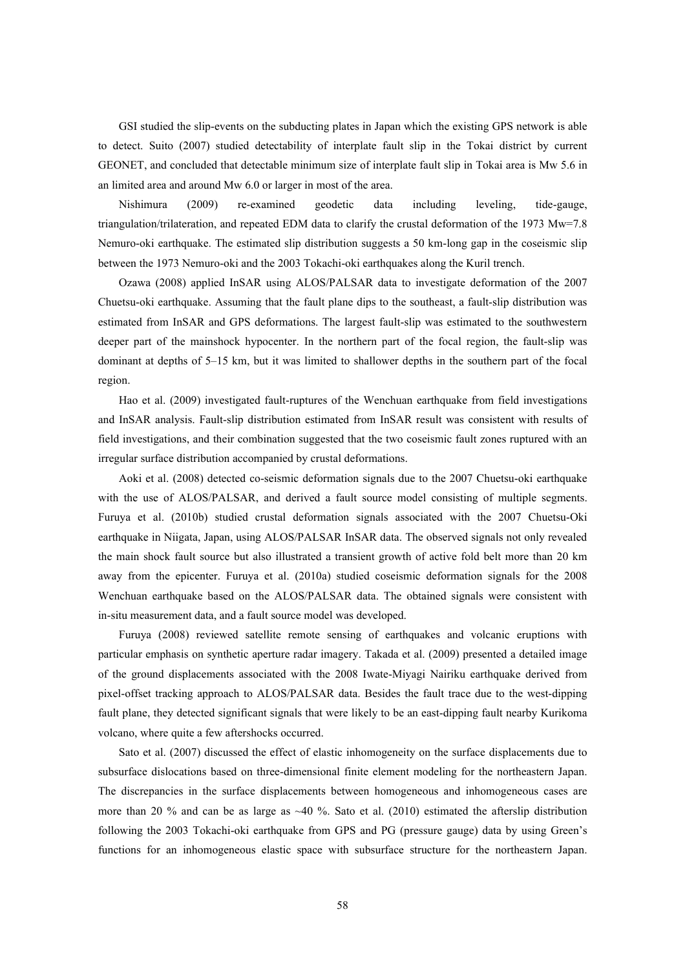GSI studied the slip-events on the subducting plates in Japan which the existing GPS network is able to detect. Suito (2007) studied detectability of interplate fault slip in the Tokai district by current GEONET, and concluded that detectable minimum size of interplate fault slip in Tokai area is Mw 5.6 in an limited area and around Mw 6.0 or larger in most of the area.

Nishimura (2009) re-examined geodetic data including leveling, tide-gauge, triangulation/trilateration, and repeated EDM data to clarify the crustal deformation of the 1973 Mw=7.8 Nemuro-oki earthquake. The estimated slip distribution suggests a 50 km-long gap in the coseismic slip between the 1973 Nemuro-oki and the 2003 Tokachi-oki earthquakes along the Kuril trench.

Ozawa (2008) applied InSAR using ALOS/PALSAR data to investigate deformation of the 2007 Chuetsu-oki earthquake. Assuming that the fault plane dips to the southeast, a fault-slip distribution was estimated from InSAR and GPS deformations. The largest fault-slip was estimated to the southwestern deeper part of the mainshock hypocenter. In the northern part of the focal region, the fault-slip was dominant at depths of 5–15 km, but it was limited to shallower depths in the southern part of the focal region.

Hao et al. (2009) investigated fault-ruptures of the Wenchuan earthquake from field investigations and InSAR analysis. Fault-slip distribution estimated from InSAR result was consistent with results of field investigations, and their combination suggested that the two coseismic fault zones ruptured with an irregular surface distribution accompanied by crustal deformations.

Aoki et al. (2008) detected co-seismic deformation signals due to the 2007 Chuetsu-oki earthquake with the use of ALOS/PALSAR, and derived a fault source model consisting of multiple segments. Furuya et al. (2010b) studied crustal deformation signals associated with the 2007 Chuetsu-Oki earthquake in Niigata, Japan, using ALOS/PALSAR InSAR data. The observed signals not only revealed the main shock fault source but also illustrated a transient growth of active fold belt more than 20 km away from the epicenter. Furuya et al. (2010a) studied coseismic deformation signals for the 2008 Wenchuan earthquake based on the ALOS/PALSAR data. The obtained signals were consistent with in-situ measurement data, and a fault source model was developed.

Furuya (2008) reviewed satellite remote sensing of earthquakes and volcanic eruptions with particular emphasis on synthetic aperture radar imagery. Takada et al. (2009) presented a detailed image of the ground displacements associated with the 2008 Iwate-Miyagi Nairiku earthquake derived from pixel-offset tracking approach to ALOS/PALSAR data. Besides the fault trace due to the west-dipping fault plane, they detected significant signals that were likely to be an east-dipping fault nearby Kurikoma volcano, where quite a few aftershocks occurred.

Sato et al. (2007) discussed the effect of elastic inhomogeneity on the surface displacements due to subsurface dislocations based on three-dimensional finite element modeling for the northeastern Japan. The discrepancies in the surface displacements between homogeneous and inhomogeneous cases are more than 20 % and can be as large as  $\sim$  40 %. Sato et al. (2010) estimated the afterslip distribution following the 2003 Tokachi-oki earthquake from GPS and PG (pressure gauge) data by using Green's functions for an inhomogeneous elastic space with subsurface structure for the northeastern Japan.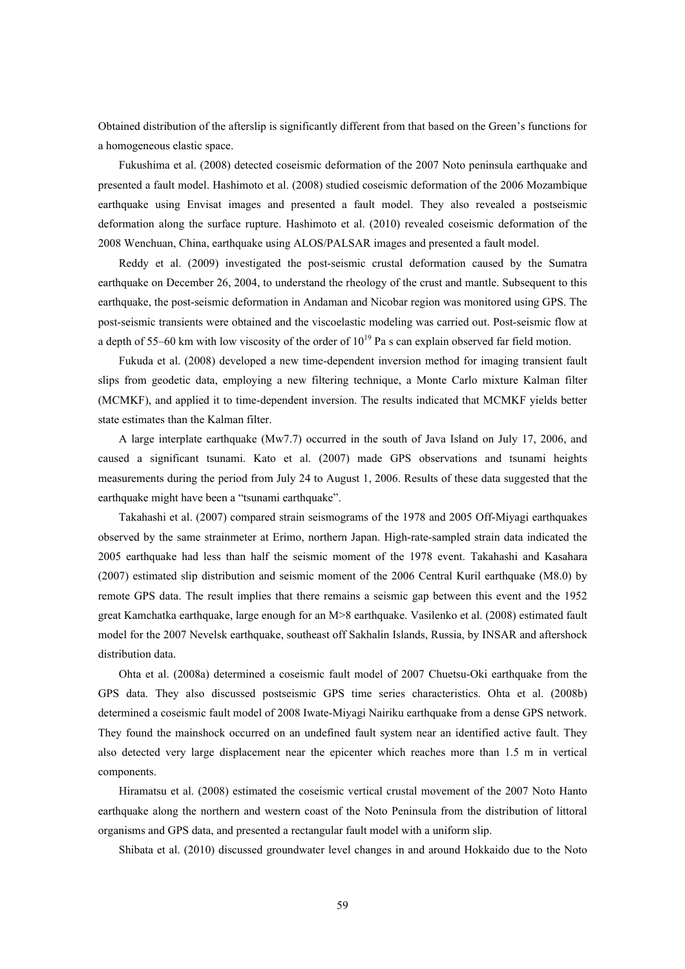Obtained distribution of the afterslip is significantly different from that based on the Green's functions for a homogeneous elastic space.

Fukushima et al. (2008) detected coseismic deformation of the 2007 Noto peninsula earthquake and presented a fault model. Hashimoto et al. (2008) studied coseismic deformation of the 2006 Mozambique earthquake using Envisat images and presented a fault model. They also revealed a postseismic deformation along the surface rupture. Hashimoto et al. (2010) revealed coseismic deformation of the 2008 Wenchuan, China, earthquake using ALOS/PALSAR images and presented a fault model.

Reddy et al. (2009) investigated the post-seismic crustal deformation caused by the Sumatra earthquake on December 26, 2004, to understand the rheology of the crust and mantle. Subsequent to this earthquake, the post-seismic deformation in Andaman and Nicobar region was monitored using GPS. The post-seismic transients were obtained and the viscoelastic modeling was carried out. Post-seismic flow at a depth of 55–60 km with low viscosity of the order of  $10^{19}$  Pa s can explain observed far field motion.

Fukuda et al. (2008) developed a new time-dependent inversion method for imaging transient fault slips from geodetic data, employing a new filtering technique, a Monte Carlo mixture Kalman filter (MCMKF), and applied it to time-dependent inversion. The results indicated that MCMKF yields better state estimates than the Kalman filter.

A large interplate earthquake (Mw7.7) occurred in the south of Java Island on July 17, 2006, and caused a significant tsunami. Kato et al. (2007) made GPS observations and tsunami heights measurements during the period from July 24 to August 1, 2006. Results of these data suggested that the earthquake might have been a "tsunami earthquake".

Takahashi et al. (2007) compared strain seismograms of the 1978 and 2005 Off-Miyagi earthquakes observed by the same strainmeter at Erimo, northern Japan. High-rate-sampled strain data indicated the 2005 earthquake had less than half the seismic moment of the 1978 event. Takahashi and Kasahara (2007) estimated slip distribution and seismic moment of the 2006 Central Kuril earthquake (M8.0) by remote GPS data. The result implies that there remains a seismic gap between this event and the 1952 great Kamchatka earthquake, large enough for an M>8 earthquake. Vasilenko et al. (2008) estimated fault model for the 2007 Nevelsk earthquake, southeast off Sakhalin Islands, Russia, by INSAR and aftershock distribution data.

Ohta et al. (2008a) determined a coseismic fault model of 2007 Chuetsu-Oki earthquake from the GPS data. They also discussed postseismic GPS time series characteristics. Ohta et al. (2008b) determined a coseismic fault model of 2008 Iwate-Miyagi Nairiku earthquake from a dense GPS network. They found the mainshock occurred on an undefined fault system near an identified active fault. They also detected very large displacement near the epicenter which reaches more than 1.5 m in vertical components.

Hiramatsu et al. (2008) estimated the coseismic vertical crustal movement of the 2007 Noto Hanto earthquake along the northern and western coast of the Noto Peninsula from the distribution of littoral organisms and GPS data, and presented a rectangular fault model with a uniform slip.

Shibata et al. (2010) discussed groundwater level changes in and around Hokkaido due to the Noto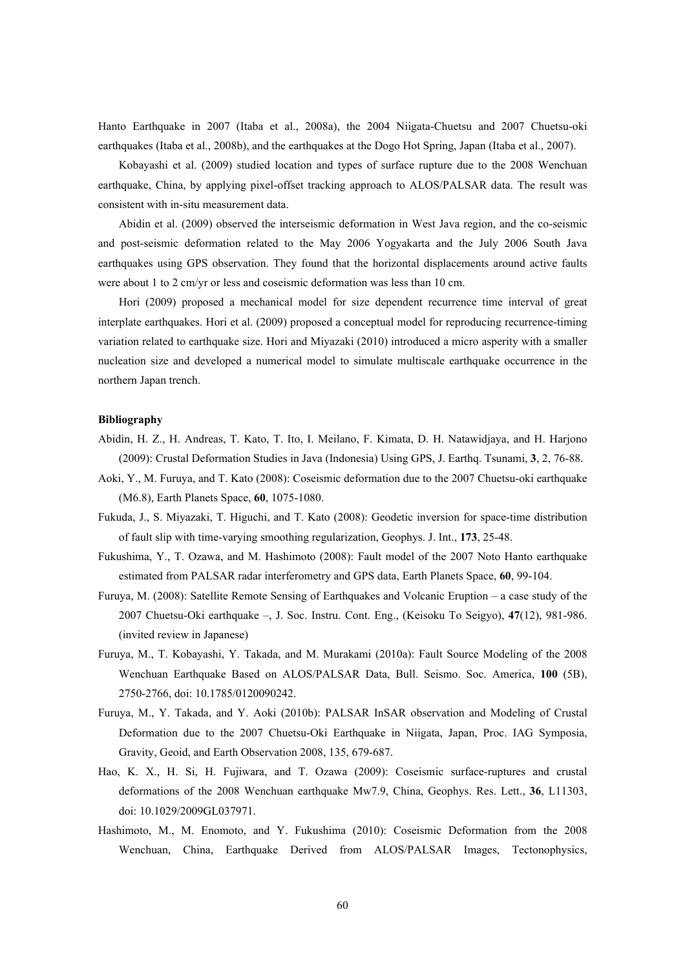Hanto Earthquake in 2007 (Itaba et al., 2008a), the 2004 Niigata-Chuetsu and 2007 Chuetsu-oki earthquakes (Itaba et al., 2008b), and the earthquakes at the Dogo Hot Spring, Japan (Itaba et al., 2007).

Kobayashi et al. (2009) studied location and types of surface rupture due to the 2008 Wenchuan earthquake, China, by applying pixel-offset tracking approach to ALOS/PALSAR data. The result was consistent with in-situ measurement data.

Abidin et al. (2009) observed the interseismic deformation in West Java region, and the co-seismic and post-seismic deformation related to the May 2006 Yogyakarta and the July 2006 South Java earthquakes using GPS observation. They found that the horizontal displacements around active faults were about 1 to 2 cm/yr or less and coseismic deformation was less than 10 cm.

Hori (2009) proposed a mechanical model for size dependent recurrence time interval of great interplate earthquakes. Hori et al. (2009) proposed a conceptual model for reproducing recurrence-timing variation related to earthquake size. Hori and Miyazaki (2010) introduced a micro asperity with a smaller nucleation size and developed a numerical model to simulate multiscale earthquake occurrence in the northern Japan trench.

- Abidin, H. Z., H. Andreas, T. Kato, T. Ito, I. Meilano, F. Kimata, D. H. Natawidjaya, and H. Harjono (2009): Crustal Deformation Studies in Java (Indonesia) Using GPS, J. Earthq. Tsunami, **3**, 2, 76-88.
- Aoki, Y., M. Furuya, and T. Kato (2008): Coseismic deformation due to the 2007 Chuetsu-oki earthquake (M6.8), Earth Planets Space, **60**, 1075-1080.
- Fukuda, J., S. Miyazaki, T. Higuchi, and T. Kato (2008): Geodetic inversion for space-time distribution of fault slip with time-varying smoothing regularization, Geophys. J. Int., **173**, 25-48.
- Fukushima, Y., T. Ozawa, and M. Hashimoto (2008): Fault model of the 2007 Noto Hanto earthquake estimated from PALSAR radar interferometry and GPS data, Earth Planets Space, **60**, 99-104.
- Furuya, M. (2008): Satellite Remote Sensing of Earthquakes and Volcanic Eruption a case study of the 2007 Chuetsu-Oki earthquake –, J. Soc. Instru. Cont. Eng., (Keisoku To Seigyo), **47**(12), 981-986. (invited review in Japanese)
- Furuya, M., T. Kobayashi, Y. Takada, and M. Murakami (2010a): Fault Source Modeling of the 2008 Wenchuan Earthquake Based on ALOS/PALSAR Data, Bull. Seismo. Soc. America, **100** (5B), 2750-2766, doi: 10.1785/0120090242.
- Furuya, M., Y. Takada, and Y. Aoki (2010b): PALSAR InSAR observation and Modeling of Crustal Deformation due to the 2007 Chuetsu-Oki Earthquake in Niigata, Japan, Proc. IAG Symposia, Gravity, Geoid, and Earth Observation 2008, 135, 679-687.
- Hao, K. X., H. Si, H. Fujiwara, and T. Ozawa (2009): Coseismic surface-ruptures and crustal deformations of the 2008 Wenchuan earthquake Mw7.9, China, Geophys. Res. Lett., **36**, L11303, doi: 10.1029/2009GL037971.
- Hashimoto, M., M. Enomoto, and Y. Fukushima (2010): Coseismic Deformation from the 2008 Wenchuan, China, Earthquake Derived from ALOS/PALSAR Images, Tectonophysics,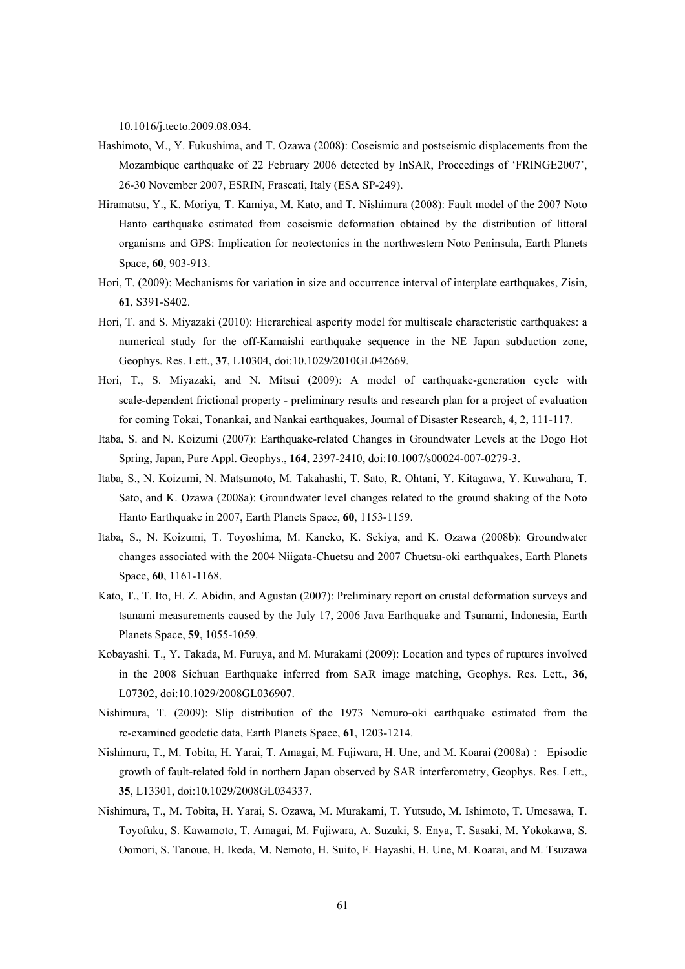10.1016/j.tecto.2009.08.034.

- Hashimoto, M., Y. Fukushima, and T. Ozawa (2008): Coseismic and postseismic displacements from the Mozambique earthquake of 22 February 2006 detected by InSAR, Proceedings of 'FRINGE2007', 26-30 November 2007, ESRIN, Frascati, Italy (ESA SP-249).
- Hiramatsu, Y., K. Moriya, T. Kamiya, M. Kato, and T. Nishimura (2008): Fault model of the 2007 Noto Hanto earthquake estimated from coseismic deformation obtained by the distribution of littoral organisms and GPS: Implication for neotectonics in the northwestern Noto Peninsula, Earth Planets Space, **60**, 903-913.
- Hori, T. (2009): Mechanisms for variation in size and occurrence interval of interplate earthquakes, Zisin, **61**, S391-S402.
- Hori, T. and S. Miyazaki (2010): Hierarchical asperity model for multiscale characteristic earthquakes: a numerical study for the off-Kamaishi earthquake sequence in the NE Japan subduction zone, Geophys. Res. Lett., **37**, L10304, doi:10.1029/2010GL042669.
- Hori, T., S. Miyazaki, and N. Mitsui (2009): A model of earthquake-generation cycle with scale-dependent frictional property - preliminary results and research plan for a project of evaluation for coming Tokai, Tonankai, and Nankai earthquakes, Journal of Disaster Research, **4**, 2, 111-117.
- Itaba, S. and N. Koizumi (2007): Earthquake-related Changes in Groundwater Levels at the Dogo Hot Spring, Japan, Pure Appl. Geophys., **164**, 2397-2410, doi:10.1007/s00024-007-0279-3.
- Itaba, S., N. Koizumi, N. Matsumoto, M. Takahashi, T. Sato, R. Ohtani, Y. Kitagawa, Y. Kuwahara, T. Sato, and K. Ozawa (2008a): Groundwater level changes related to the ground shaking of the Noto Hanto Earthquake in 2007, Earth Planets Space, **60**, 1153-1159.
- Itaba, S., N. Koizumi, T. Toyoshima, M. Kaneko, K. Sekiya, and K. Ozawa (2008b): Groundwater changes associated with the 2004 Niigata-Chuetsu and 2007 Chuetsu-oki earthquakes, Earth Planets Space, **60**, 1161-1168.
- Kato, T., T. Ito, H. Z. Abidin, and Agustan (2007): Preliminary report on crustal deformation surveys and tsunami measurements caused by the July 17, 2006 Java Earthquake and Tsunami, Indonesia, Earth Planets Space, **59**, 1055-1059.
- Kobayashi. T., Y. Takada, M. Furuya, and M. Murakami (2009): Location and types of ruptures involved in the 2008 Sichuan Earthquake inferred from SAR image matching, Geophys. Res. Lett., **36**, L07302, doi:10.1029/2008GL036907.
- Nishimura, T. (2009): Slip distribution of the 1973 Nemuro-oki earthquake estimated from the re-examined geodetic data, Earth Planets Space, **61**, 1203-1214.
- Nishimura, T., M. Tobita, H. Yarai, T. Amagai, M. Fujiwara, H. Une, and M. Koarai (2008a): Episodic growth of fault-related fold in northern Japan observed by SAR interferometry, Geophys. Res. Lett., **35**, L13301, doi:10.1029/2008GL034337.
- Nishimura, T., M. Tobita, H. Yarai, S. Ozawa, M. Murakami, T. Yutsudo, M. Ishimoto, T. Umesawa, T. Toyofuku, S. Kawamoto, T. Amagai, M. Fujiwara, A. Suzuki, S. Enya, T. Sasaki, M. Yokokawa, S. Oomori, S. Tanoue, H. Ikeda, M. Nemoto, H. Suito, F. Hayashi, H. Une, M. Koarai, and M. Tsuzawa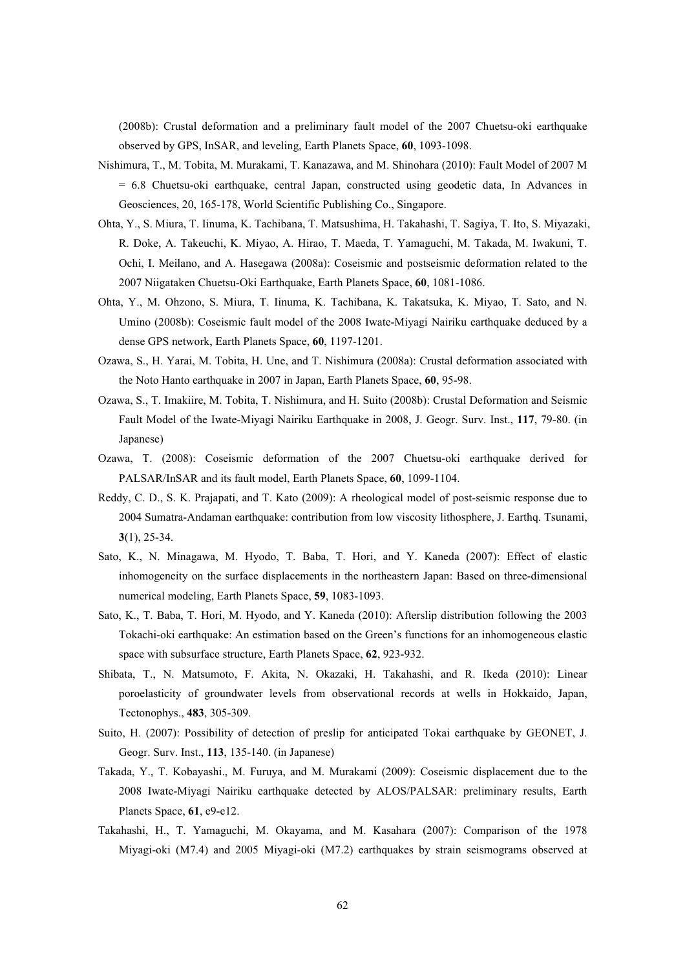(2008b): Crustal deformation and a preliminary fault model of the 2007 Chuetsu-oki earthquake observed by GPS, InSAR, and leveling, Earth Planets Space, **60**, 1093-1098.

- Nishimura, T., M. Tobita, M. Murakami, T. Kanazawa, and M. Shinohara (2010): Fault Model of 2007 M = 6.8 Chuetsu-oki earthquake, central Japan, constructed using geodetic data, In Advances in Geosciences, 20, 165-178, World Scientific Publishing Co., Singapore.
- Ohta, Y., S. Miura, T. Iinuma, K. Tachibana, T. Matsushima, H. Takahashi, T. Sagiya, T. Ito, S. Miyazaki, R. Doke, A. Takeuchi, K. Miyao, A. Hirao, T. Maeda, T. Yamaguchi, M. Takada, M. Iwakuni, T. Ochi, I. Meilano, and A. Hasegawa (2008a): Coseismic and postseismic deformation related to the 2007 Niigataken Chuetsu-Oki Earthquake, Earth Planets Space, **60**, 1081-1086.
- Ohta, Y., M. Ohzono, S. Miura, T. Iinuma, K. Tachibana, K. Takatsuka, K. Miyao, T. Sato, and N. Umino (2008b): Coseismic fault model of the 2008 Iwate-Miyagi Nairiku earthquake deduced by a dense GPS network, Earth Planets Space, **60**, 1197-1201.
- Ozawa, S., H. Yarai, M. Tobita, H. Une, and T. Nishimura (2008a): Crustal deformation associated with the Noto Hanto earthquake in 2007 in Japan, Earth Planets Space, **60**, 95-98.
- Ozawa, S., T. Imakiire, M. Tobita, T. Nishimura, and H. Suito (2008b): Crustal Deformation and Seismic Fault Model of the Iwate-Miyagi Nairiku Earthquake in 2008, J. Geogr. Surv. Inst., **117**, 79-80. (in Japanese)
- Ozawa, T. (2008): Coseismic deformation of the 2007 Chuetsu-oki earthquake derived for PALSAR/InSAR and its fault model, Earth Planets Space, **60**, 1099-1104.
- Reddy, C. D., S. K. Prajapati, and T. Kato (2009): A rheological model of post-seismic response due to 2004 Sumatra-Andaman earthquake: contribution from low viscosity lithosphere, J. Earthq. Tsunami, **3**(1), 25-34.
- Sato, K., N. Minagawa, M. Hyodo, T. Baba, T. Hori, and Y. Kaneda (2007): Effect of elastic inhomogeneity on the surface displacements in the northeastern Japan: Based on three-dimensional numerical modeling, Earth Planets Space, **59**, 1083-1093.
- Sato, K., T. Baba, T. Hori, M. Hyodo, and Y. Kaneda (2010): Afterslip distribution following the 2003 Tokachi-oki earthquake: An estimation based on the Green's functions for an inhomogeneous elastic space with subsurface structure, Earth Planets Space, **62**, 923-932.
- Shibata, T., N. Matsumoto, F. Akita, N. Okazaki, H. Takahashi, and R. Ikeda (2010): Linear poroelasticity of groundwater levels from observational records at wells in Hokkaido, Japan, Tectonophys., **483**, 305-309.
- Suito, H. (2007): Possibility of detection of preslip for anticipated Tokai earthquake by GEONET, J. Geogr. Surv. Inst., **113**, 135-140. (in Japanese)
- Takada, Y., T. Kobayashi., M. Furuya, and M. Murakami (2009): Coseismic displacement due to the 2008 Iwate-Miyagi Nairiku earthquake detected by ALOS/PALSAR: preliminary results, Earth Planets Space, **61**, e9-e12.
- Takahashi, H., T. Yamaguchi, M. Okayama, and M. Kasahara (2007): Comparison of the 1978 Miyagi-oki (M7.4) and 2005 Miyagi-oki (M7.2) earthquakes by strain seismograms observed at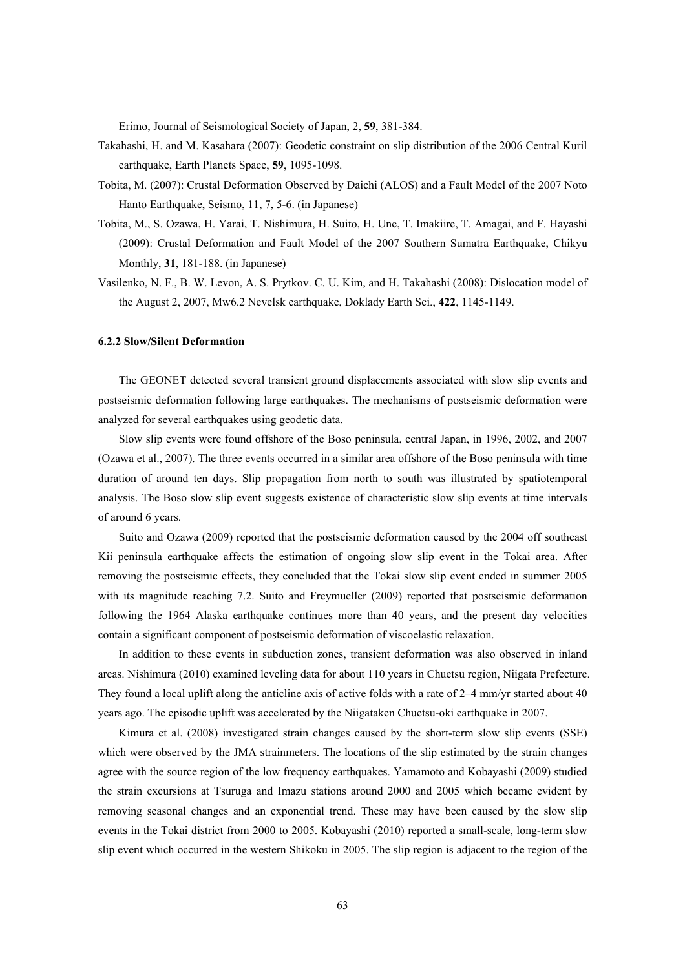Erimo, Journal of Seismological Society of Japan, 2, **59**, 381-384.

- Takahashi, H. and M. Kasahara (2007): Geodetic constraint on slip distribution of the 2006 Central Kuril earthquake, Earth Planets Space, **59**, 1095-1098.
- Tobita, M. (2007): Crustal Deformation Observed by Daichi (ALOS) and a Fault Model of the 2007 Noto Hanto Earthquake, Seismo, 11, 7, 5-6. (in Japanese)
- Tobita, M., S. Ozawa, H. Yarai, T. Nishimura, H. Suito, H. Une, T. Imakiire, T. Amagai, and F. Hayashi (2009): Crustal Deformation and Fault Model of the 2007 Southern Sumatra Earthquake, Chikyu Monthly, **31**, 181-188. (in Japanese)
- Vasilenko, N. F., B. W. Levon, A. S. Prytkov. C. U. Kim, and H. Takahashi (2008): Dislocation model of the August 2, 2007, Mw6.2 Nevelsk earthquake, Doklady Earth Sci., **422**, 1145-1149.

#### **6.2.2 Slow/Silent Deformation**

The GEONET detected several transient ground displacements associated with slow slip events and postseismic deformation following large earthquakes. The mechanisms of postseismic deformation were analyzed for several earthquakes using geodetic data.

Slow slip events were found offshore of the Boso peninsula, central Japan, in 1996, 2002, and 2007 (Ozawa et al., 2007). The three events occurred in a similar area offshore of the Boso peninsula with time duration of around ten days. Slip propagation from north to south was illustrated by spatiotemporal analysis. The Boso slow slip event suggests existence of characteristic slow slip events at time intervals of around 6 years.

Suito and Ozawa (2009) reported that the postseismic deformation caused by the 2004 off southeast Kii peninsula earthquake affects the estimation of ongoing slow slip event in the Tokai area. After removing the postseismic effects, they concluded that the Tokai slow slip event ended in summer 2005 with its magnitude reaching 7.2. Suito and Freymueller (2009) reported that postseismic deformation following the 1964 Alaska earthquake continues more than 40 years, and the present day velocities contain a significant component of postseismic deformation of viscoelastic relaxation.

In addition to these events in subduction zones, transient deformation was also observed in inland areas. Nishimura (2010) examined leveling data for about 110 years in Chuetsu region, Niigata Prefecture. They found a local uplift along the anticline axis of active folds with a rate of 2–4 mm/yr started about 40 years ago. The episodic uplift was accelerated by the Niigataken Chuetsu-oki earthquake in 2007.

Kimura et al. (2008) investigated strain changes caused by the short-term slow slip events (SSE) which were observed by the JMA strainmeters. The locations of the slip estimated by the strain changes agree with the source region of the low frequency earthquakes. Yamamoto and Kobayashi (2009) studied the strain excursions at Tsuruga and Imazu stations around 2000 and 2005 which became evident by removing seasonal changes and an exponential trend. These may have been caused by the slow slip events in the Tokai district from 2000 to 2005. Kobayashi (2010) reported a small-scale, long-term slow slip event which occurred in the western Shikoku in 2005. The slip region is adjacent to the region of the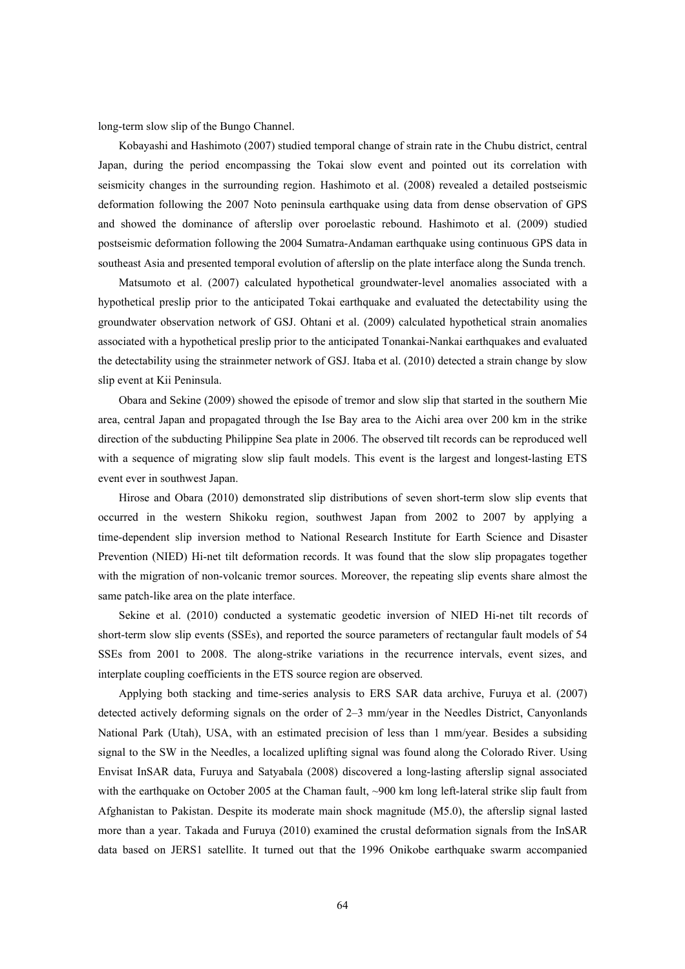long-term slow slip of the Bungo Channel.

Kobayashi and Hashimoto (2007) studied temporal change of strain rate in the Chubu district, central Japan, during the period encompassing the Tokai slow event and pointed out its correlation with seismicity changes in the surrounding region. Hashimoto et al. (2008) revealed a detailed postseismic deformation following the 2007 Noto peninsula earthquake using data from dense observation of GPS and showed the dominance of afterslip over poroelastic rebound. Hashimoto et al. (2009) studied postseismic deformation following the 2004 Sumatra-Andaman earthquake using continuous GPS data in southeast Asia and presented temporal evolution of afterslip on the plate interface along the Sunda trench.

Matsumoto et al. (2007) calculated hypothetical groundwater-level anomalies associated with a hypothetical preslip prior to the anticipated Tokai earthquake and evaluated the detectability using the groundwater observation network of GSJ. Ohtani et al. (2009) calculated hypothetical strain anomalies associated with a hypothetical preslip prior to the anticipated Tonankai-Nankai earthquakes and evaluated the detectability using the strainmeter network of GSJ. Itaba et al. (2010) detected a strain change by slow slip event at Kii Peninsula.

Obara and Sekine (2009) showed the episode of tremor and slow slip that started in the southern Mie area, central Japan and propagated through the Ise Bay area to the Aichi area over 200 km in the strike direction of the subducting Philippine Sea plate in 2006. The observed tilt records can be reproduced well with a sequence of migrating slow slip fault models. This event is the largest and longest-lasting ETS event ever in southwest Japan.

Hirose and Obara (2010) demonstrated slip distributions of seven short-term slow slip events that occurred in the western Shikoku region, southwest Japan from 2002 to 2007 by applying a time-dependent slip inversion method to National Research Institute for Earth Science and Disaster Prevention (NIED) Hi-net tilt deformation records. It was found that the slow slip propagates together with the migration of non-volcanic tremor sources. Moreover, the repeating slip events share almost the same patch-like area on the plate interface.

Sekine et al. (2010) conducted a systematic geodetic inversion of NIED Hi-net tilt records of short-term slow slip events (SSEs), and reported the source parameters of rectangular fault models of 54 SSEs from 2001 to 2008. The along-strike variations in the recurrence intervals, event sizes, and interplate coupling coefficients in the ETS source region are observed.

Applying both stacking and time-series analysis to ERS SAR data archive, Furuya et al. (2007) detected actively deforming signals on the order of 2–3 mm/year in the Needles District, Canyonlands National Park (Utah), USA, with an estimated precision of less than 1 mm/year. Besides a subsiding signal to the SW in the Needles, a localized uplifting signal was found along the Colorado River. Using Envisat InSAR data, Furuya and Satyabala (2008) discovered a long-lasting afterslip signal associated with the earthquake on October 2005 at the Chaman fault, ~900 km long left-lateral strike slip fault from Afghanistan to Pakistan. Despite its moderate main shock magnitude (M5.0), the afterslip signal lasted more than a year. Takada and Furuya (2010) examined the crustal deformation signals from the InSAR data based on JERS1 satellite. It turned out that the 1996 Onikobe earthquake swarm accompanied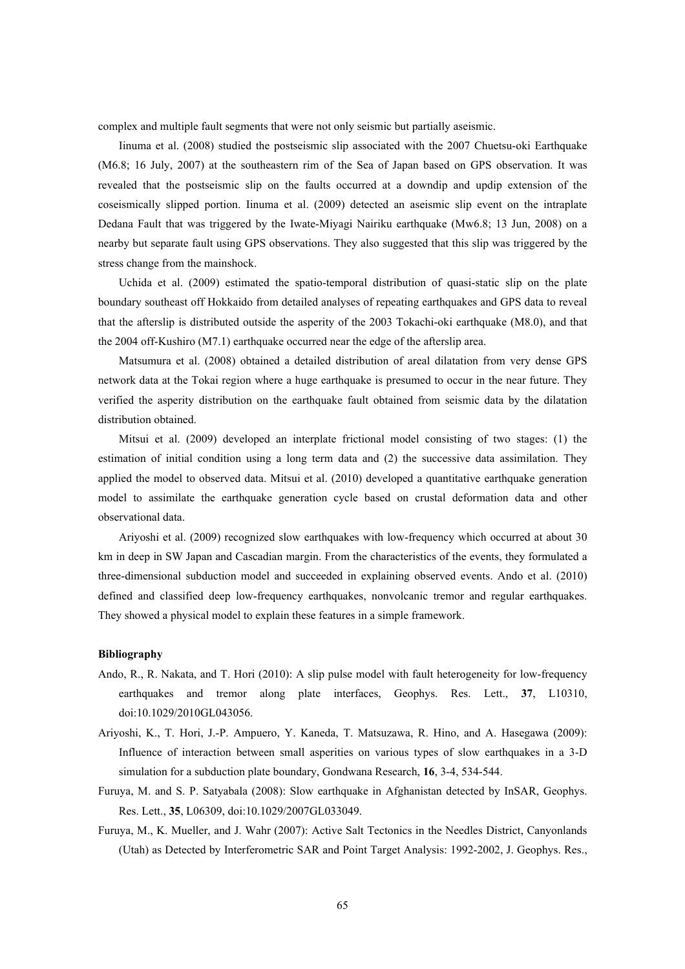complex and multiple fault segments that were not only seismic but partially aseismic.

Iinuma et al. (2008) studied the postseismic slip associated with the 2007 Chuetsu-oki Earthquake (M6.8; 16 July, 2007) at the southeastern rim of the Sea of Japan based on GPS observation. It was revealed that the postseismic slip on the faults occurred at a downdip and updip extension of the coseismically slipped portion. Iinuma et al. (2009) detected an aseismic slip event on the intraplate Dedana Fault that was triggered by the Iwate-Miyagi Nairiku earthquake (Mw6.8; 13 Jun, 2008) on a nearby but separate fault using GPS observations. They also suggested that this slip was triggered by the stress change from the mainshock.

Uchida et al. (2009) estimated the spatio-temporal distribution of quasi-static slip on the plate boundary southeast off Hokkaido from detailed analyses of repeating earthquakes and GPS data to reveal that the afterslip is distributed outside the asperity of the 2003 Tokachi-oki earthquake (M8.0), and that the 2004 off-Kushiro (M7.1) earthquake occurred near the edge of the afterslip area.

Matsumura et al. (2008) obtained a detailed distribution of areal dilatation from very dense GPS network data at the Tokai region where a huge earthquake is presumed to occur in the near future. They verified the asperity distribution on the earthquake fault obtained from seismic data by the dilatation distribution obtained.

Mitsui et al. (2009) developed an interplate frictional model consisting of two stages: (1) the estimation of initial condition using a long term data and (2) the successive data assimilation. They applied the model to observed data. Mitsui et al. (2010) developed a quantitative earthquake generation model to assimilate the earthquake generation cycle based on crustal deformation data and other observational data.

Ariyoshi et al. (2009) recognized slow earthquakes with low-frequency which occurred at about 30 km in deep in SW Japan and Cascadian margin. From the characteristics of the events, they formulated a three-dimensional subduction model and succeeded in explaining observed events. Ando et al. (2010) defined and classified deep low-frequency earthquakes, nonvolcanic tremor and regular earthquakes. They showed a physical model to explain these features in a simple framework.

- Ando, R., R. Nakata, and T. Hori (2010): A slip pulse model with fault heterogeneity for low-frequency earthquakes and tremor along plate interfaces, Geophys. Res. Lett., **37**, L10310, doi:10.1029/2010GL043056.
- Ariyoshi, K., T. Hori, J.-P. Ampuero, Y. Kaneda, T. Matsuzawa, R. Hino, and A. Hasegawa (2009): Influence of interaction between small asperities on various types of slow earthquakes in a 3-D simulation for a subduction plate boundary, Gondwana Research, **16**, 3-4, 534-544.
- Furuya, M. and S. P. Satyabala (2008): Slow earthquake in Afghanistan detected by InSAR, Geophys. Res. Lett., **35**, L06309, doi:10.1029/2007GL033049.
- Furuya, M., K. Mueller, and J. Wahr (2007): Active Salt Tectonics in the Needles District, Canyonlands (Utah) as Detected by Interferometric SAR and Point Target Analysis: 1992-2002, J. Geophys. Res.,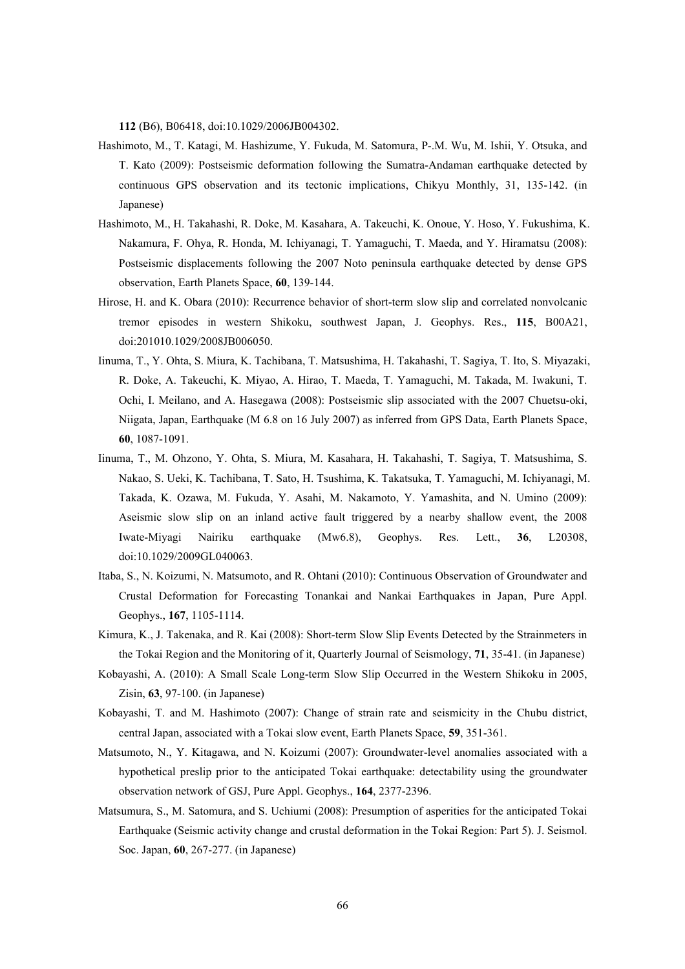**112** (B6), B06418, doi:10.1029/2006JB004302.

- Hashimoto, M., T. Katagi, M. Hashizume, Y. Fukuda, M. Satomura, P-.M. Wu, M. Ishii, Y. Otsuka, and T. Kato (2009): Postseismic deformation following the Sumatra-Andaman earthquake detected by continuous GPS observation and its tectonic implications, Chikyu Monthly, 31, 135-142. (in Japanese)
- Hashimoto, M., H. Takahashi, R. Doke, M. Kasahara, A. Takeuchi, K. Onoue, Y. Hoso, Y. Fukushima, K. Nakamura, F. Ohya, R. Honda, M. Ichiyanagi, T. Yamaguchi, T. Maeda, and Y. Hiramatsu (2008): Postseismic displacements following the 2007 Noto peninsula earthquake detected by dense GPS observation, Earth Planets Space, **60**, 139-144.
- Hirose, H. and K. Obara (2010): Recurrence behavior of short-term slow slip and correlated nonvolcanic tremor episodes in western Shikoku, southwest Japan, J. Geophys. Res., **115**, B00A21, doi:201010.1029/2008JB006050.
- Iinuma, T., Y. Ohta, S. Miura, K. Tachibana, T. Matsushima, H. Takahashi, T. Sagiya, T. Ito, S. Miyazaki, R. Doke, A. Takeuchi, K. Miyao, A. Hirao, T. Maeda, T. Yamaguchi, M. Takada, M. Iwakuni, T. Ochi, I. Meilano, and A. Hasegawa (2008): Postseismic slip associated with the 2007 Chuetsu-oki, Niigata, Japan, Earthquake (M 6.8 on 16 July 2007) as inferred from GPS Data, Earth Planets Space, **60**, 1087-1091.
- Iinuma, T., M. Ohzono, Y. Ohta, S. Miura, M. Kasahara, H. Takahashi, T. Sagiya, T. Matsushima, S. Nakao, S. Ueki, K. Tachibana, T. Sato, H. Tsushima, K. Takatsuka, T. Yamaguchi, M. Ichiyanagi, M. Takada, K. Ozawa, M. Fukuda, Y. Asahi, M. Nakamoto, Y. Yamashita, and N. Umino (2009): Aseismic slow slip on an inland active fault triggered by a nearby shallow event, the 2008 Iwate-Miyagi Nairiku earthquake (Mw6.8), Geophys. Res. Lett., **36**, L20308, doi:10.1029/2009GL040063.
- Itaba, S., N. Koizumi, N. Matsumoto, and R. Ohtani (2010): Continuous Observation of Groundwater and Crustal Deformation for Forecasting Tonankai and Nankai Earthquakes in Japan, Pure Appl. Geophys., **167**, 1105-1114.
- Kimura, K., J. Takenaka, and R. Kai (2008): Short-term Slow Slip Events Detected by the Strainmeters in the Tokai Region and the Monitoring of it, Quarterly Journal of Seismology, **71**, 35-41. (in Japanese)
- Kobayashi, A. (2010): A Small Scale Long-term Slow Slip Occurred in the Western Shikoku in 2005, Zisin, **63**, 97-100. (in Japanese)
- Kobayashi, T. and M. Hashimoto (2007): Change of strain rate and seismicity in the Chubu district, central Japan, associated with a Tokai slow event, Earth Planets Space, **59**, 351-361.
- Matsumoto, N., Y. Kitagawa, and N. Koizumi (2007): Groundwater-level anomalies associated with a hypothetical preslip prior to the anticipated Tokai earthquake: detectability using the groundwater observation network of GSJ, Pure Appl. Geophys., **164**, 2377-2396.
- Matsumura, S., M. Satomura, and S. Uchiumi (2008): Presumption of asperities for the anticipated Tokai Earthquake (Seismic activity change and crustal deformation in the Tokai Region: Part 5). J. Seismol. Soc. Japan, **60**, 267-277. (in Japanese)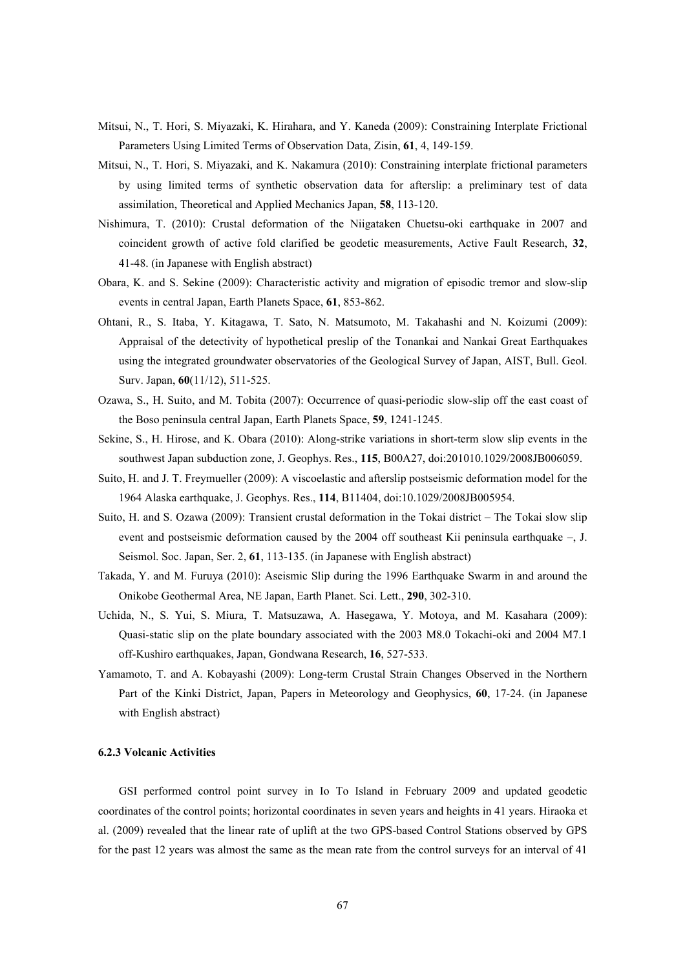- Mitsui, N., T. Hori, S. Miyazaki, K. Hirahara, and Y. Kaneda (2009): Constraining Interplate Frictional Parameters Using Limited Terms of Observation Data, Zisin, **61**, 4, 149-159.
- Mitsui, N., T. Hori, S. Miyazaki, and K. Nakamura (2010): Constraining interplate frictional parameters by using limited terms of synthetic observation data for afterslip: a preliminary test of data assimilation, Theoretical and Applied Mechanics Japan, **58**, 113-120.
- Nishimura, T. (2010): Crustal deformation of the Niigataken Chuetsu-oki earthquake in 2007 and coincident growth of active fold clarified be geodetic measurements, Active Fault Research, **32**, 41-48. (in Japanese with English abstract)
- Obara, K. and S. Sekine (2009): Characteristic activity and migration of episodic tremor and slow-slip events in central Japan, Earth Planets Space, **61**, 853-862.
- Ohtani, R., S. Itaba, Y. Kitagawa, T. Sato, N. Matsumoto, M. Takahashi and N. Koizumi (2009): Appraisal of the detectivity of hypothetical preslip of the Tonankai and Nankai Great Earthquakes using the integrated groundwater observatories of the Geological Survey of Japan, AIST, Bull. Geol. Surv. Japan, **60**(11/12), 511-525.
- Ozawa, S., H. Suito, and M. Tobita (2007): Occurrence of quasi-periodic slow-slip off the east coast of the Boso peninsula central Japan, Earth Planets Space, **59**, 1241-1245.
- Sekine, S., H. Hirose, and K. Obara (2010): Along-strike variations in short-term slow slip events in the southwest Japan subduction zone, J. Geophys. Res., **115**, B00A27, doi:201010.1029/2008JB006059.
- Suito, H. and J. T. Freymueller (2009): A viscoelastic and afterslip postseismic deformation model for the 1964 Alaska earthquake, J. Geophys. Res., **114**, B11404, doi:10.1029/2008JB005954.
- Suito, H. and S. Ozawa (2009): Transient crustal deformation in the Tokai district The Tokai slow slip event and postseismic deformation caused by the 2004 off southeast Kii peninsula earthquake –, J. Seismol. Soc. Japan, Ser. 2, **61**, 113-135. (in Japanese with English abstract)
- Takada, Y. and M. Furuya (2010): Aseismic Slip during the 1996 Earthquake Swarm in and around the Onikobe Geothermal Area, NE Japan, Earth Planet. Sci. Lett., **290**, 302-310.
- Uchida, N., S. Yui, S. Miura, T. Matsuzawa, A. Hasegawa, Y. Motoya, and M. Kasahara (2009): Quasi-static slip on the plate boundary associated with the 2003 M8.0 Tokachi-oki and 2004 M7.1 off-Kushiro earthquakes, Japan, Gondwana Research, **16**, 527-533.
- Yamamoto, T. and A. Kobayashi (2009): Long-term Crustal Strain Changes Observed in the Northern Part of the Kinki District, Japan, Papers in Meteorology and Geophysics, **60**, 17-24. (in Japanese with English abstract)

### **6.2.3 Volcanic Activities**

GSI performed control point survey in Io To Island in February 2009 and updated geodetic coordinates of the control points; horizontal coordinates in seven years and heights in 41 years. Hiraoka et al. (2009) revealed that the linear rate of uplift at the two GPS-based Control Stations observed by GPS for the past 12 years was almost the same as the mean rate from the control surveys for an interval of 41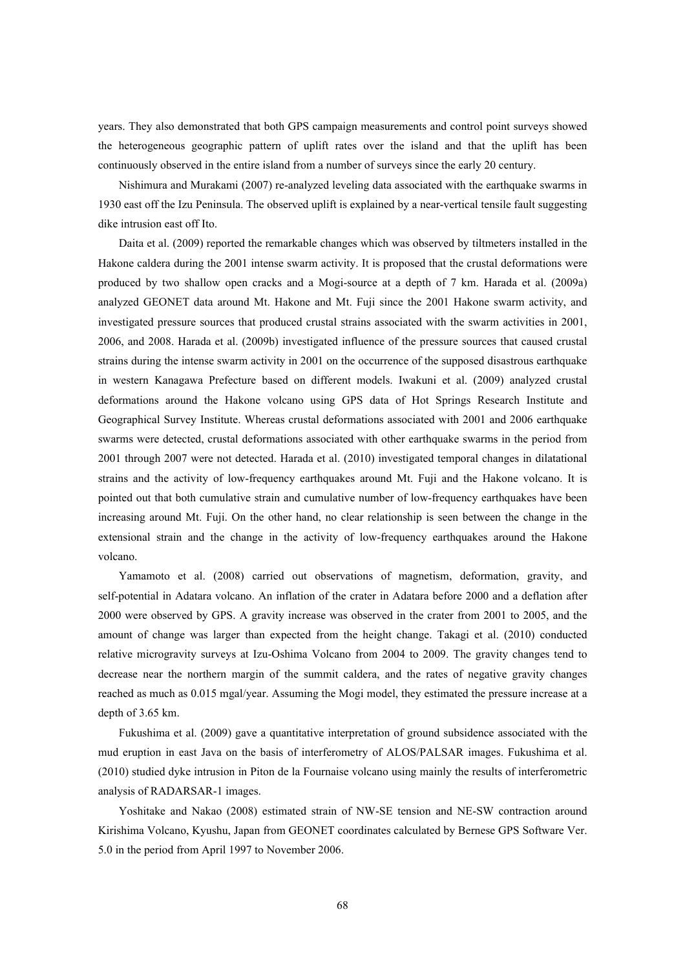years. They also demonstrated that both GPS campaign measurements and control point surveys showed the heterogeneous geographic pattern of uplift rates over the island and that the uplift has been continuously observed in the entire island from a number of surveys since the early 20 century.

Nishimura and Murakami (2007) re-analyzed leveling data associated with the earthquake swarms in 1930 east off the Izu Peninsula. The observed uplift is explained by a near-vertical tensile fault suggesting dike intrusion east off Ito.

Daita et al. (2009) reported the remarkable changes which was observed by tiltmeters installed in the Hakone caldera during the 2001 intense swarm activity. It is proposed that the crustal deformations were produced by two shallow open cracks and a Mogi-source at a depth of 7 km. Harada et al. (2009a) analyzed GEONET data around Mt. Hakone and Mt. Fuji since the 2001 Hakone swarm activity, and investigated pressure sources that produced crustal strains associated with the swarm activities in 2001, 2006, and 2008. Harada et al. (2009b) investigated influence of the pressure sources that caused crustal strains during the intense swarm activity in 2001 on the occurrence of the supposed disastrous earthquake in western Kanagawa Prefecture based on different models. Iwakuni et al. (2009) analyzed crustal deformations around the Hakone volcano using GPS data of Hot Springs Research Institute and Geographical Survey Institute. Whereas crustal deformations associated with 2001 and 2006 earthquake swarms were detected, crustal deformations associated with other earthquake swarms in the period from 2001 through 2007 were not detected. Harada et al. (2010) investigated temporal changes in dilatational strains and the activity of low-frequency earthquakes around Mt. Fuji and the Hakone volcano. It is pointed out that both cumulative strain and cumulative number of low-frequency earthquakes have been increasing around Mt. Fuji. On the other hand, no clear relationship is seen between the change in the extensional strain and the change in the activity of low-frequency earthquakes around the Hakone volcano.

Yamamoto et al. (2008) carried out observations of magnetism, deformation, gravity, and self-potential in Adatara volcano. An inflation of the crater in Adatara before 2000 and a deflation after 2000 were observed by GPS. A gravity increase was observed in the crater from 2001 to 2005, and the amount of change was larger than expected from the height change. Takagi et al. (2010) conducted relative microgravity surveys at Izu-Oshima Volcano from 2004 to 2009. The gravity changes tend to decrease near the northern margin of the summit caldera, and the rates of negative gravity changes reached as much as 0.015 mgal/year. Assuming the Mogi model, they estimated the pressure increase at a depth of 3.65 km.

Fukushima et al. (2009) gave a quantitative interpretation of ground subsidence associated with the mud eruption in east Java on the basis of interferometry of ALOS/PALSAR images. Fukushima et al. (2010) studied dyke intrusion in Piton de la Fournaise volcano using mainly the results of interferometric analysis of RADARSAR-1 images.

Yoshitake and Nakao (2008) estimated strain of NW-SE tension and NE-SW contraction around Kirishima Volcano, Kyushu, Japan from GEONET coordinates calculated by Bernese GPS Software Ver. 5.0 in the period from April 1997 to November 2006.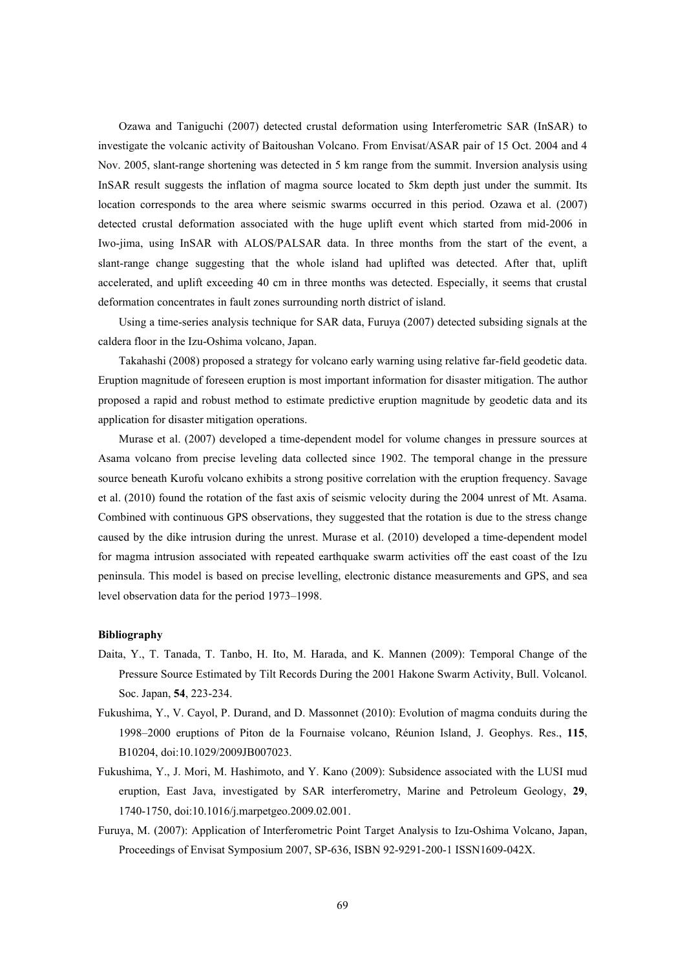Ozawa and Taniguchi (2007) detected crustal deformation using Interferometric SAR (InSAR) to investigate the volcanic activity of Baitoushan Volcano. From Envisat/ASAR pair of 15 Oct. 2004 and 4 Nov. 2005, slant-range shortening was detected in 5 km range from the summit. Inversion analysis using InSAR result suggests the inflation of magma source located to 5km depth just under the summit. Its location corresponds to the area where seismic swarms occurred in this period. Ozawa et al. (2007) detected crustal deformation associated with the huge uplift event which started from mid-2006 in Iwo-jima, using InSAR with ALOS/PALSAR data. In three months from the start of the event, a slant-range change suggesting that the whole island had uplifted was detected. After that, uplift accelerated, and uplift exceeding 40 cm in three months was detected. Especially, it seems that crustal deformation concentrates in fault zones surrounding north district of island.

Using a time-series analysis technique for SAR data, Furuya (2007) detected subsiding signals at the caldera floor in the Izu-Oshima volcano, Japan.

Takahashi (2008) proposed a strategy for volcano early warning using relative far-field geodetic data. Eruption magnitude of foreseen eruption is most important information for disaster mitigation. The author proposed a rapid and robust method to estimate predictive eruption magnitude by geodetic data and its application for disaster mitigation operations.

Murase et al. (2007) developed a time-dependent model for volume changes in pressure sources at Asama volcano from precise leveling data collected since 1902. The temporal change in the pressure source beneath Kurofu volcano exhibits a strong positive correlation with the eruption frequency. Savage et al. (2010) found the rotation of the fast axis of seismic velocity during the 2004 unrest of Mt. Asama. Combined with continuous GPS observations, they suggested that the rotation is due to the stress change caused by the dike intrusion during the unrest. Murase et al. (2010) developed a time-dependent model for magma intrusion associated with repeated earthquake swarm activities off the east coast of the Izu peninsula. This model is based on precise levelling, electronic distance measurements and GPS, and sea level observation data for the period 1973–1998.

- Daita, Y., T. Tanada, T. Tanbo, H. Ito, M. Harada, and K. Mannen (2009): Temporal Change of the Pressure Source Estimated by Tilt Records During the 2001 Hakone Swarm Activity, Bull. Volcanol. Soc. Japan, **54**, 223-234.
- Fukushima, Y., V. Cayol, P. Durand, and D. Massonnet (2010): Evolution of magma conduits during the 1998–2000 eruptions of Piton de la Fournaise volcano, Réunion Island, J. Geophys. Res., **115**, B10204, doi:10.1029/2009JB007023.
- Fukushima, Y., J. Mori, M. Hashimoto, and Y. Kano (2009): Subsidence associated with the LUSI mud eruption, East Java, investigated by SAR interferometry, Marine and Petroleum Geology, **29**, 1740-1750, doi:10.1016/j.marpetgeo.2009.02.001.
- Furuya, M. (2007): Application of Interferometric Point Target Analysis to Izu-Oshima Volcano, Japan, Proceedings of Envisat Symposium 2007, SP-636, ISBN 92-9291-200-1 ISSN1609-042X.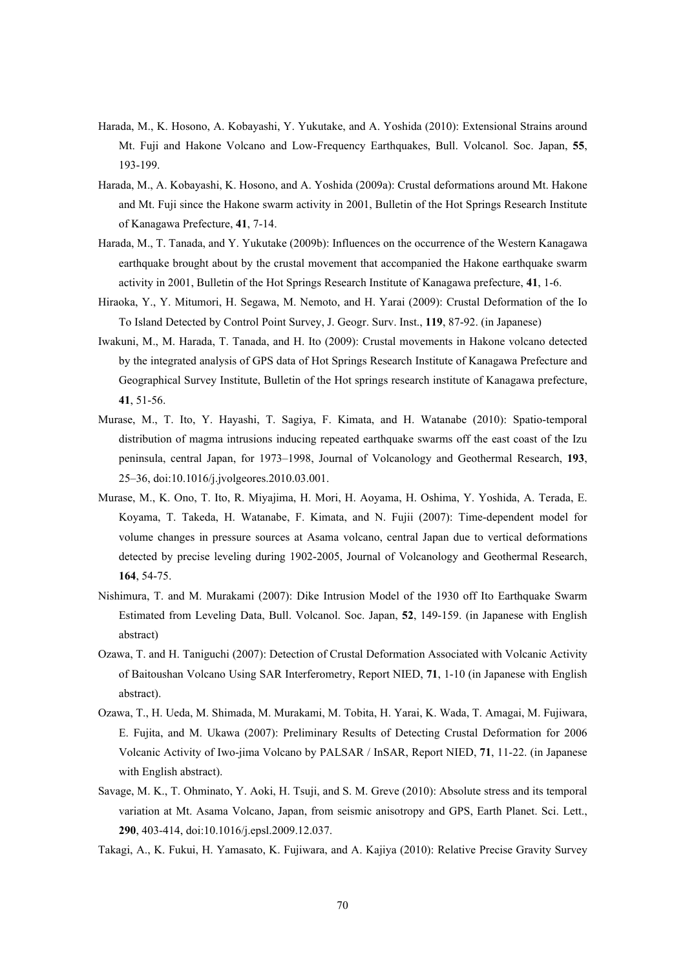- Harada, M., K. Hosono, A. Kobayashi, Y. Yukutake, and A. Yoshida (2010): Extensional Strains around Mt. Fuji and Hakone Volcano and Low-Frequency Earthquakes, Bull. Volcanol. Soc. Japan, **55**, 193-199.
- Harada, M., A. Kobayashi, K. Hosono, and A. Yoshida (2009a): Crustal deformations around Mt. Hakone and Mt. Fuji since the Hakone swarm activity in 2001, Bulletin of the Hot Springs Research Institute of Kanagawa Prefecture, **41**, 7-14.
- Harada, M., T. Tanada, and Y. Yukutake (2009b): Influences on the occurrence of the Western Kanagawa earthquake brought about by the crustal movement that accompanied the Hakone earthquake swarm activity in 2001, Bulletin of the Hot Springs Research Institute of Kanagawa prefecture, **41**, 1-6.
- Hiraoka, Y., Y. Mitumori, H. Segawa, M. Nemoto, and H. Yarai (2009): Crustal Deformation of the Io To Island Detected by Control Point Survey, J. Geogr. Surv. Inst., **119**, 87-92. (in Japanese)
- Iwakuni, M., M. Harada, T. Tanada, and H. Ito (2009): Crustal movements in Hakone volcano detected by the integrated analysis of GPS data of Hot Springs Research Institute of Kanagawa Prefecture and Geographical Survey Institute, Bulletin of the Hot springs research institute of Kanagawa prefecture, **41**, 51-56.
- Murase, M., T. Ito, Y. Hayashi, T. Sagiya, F. Kimata, and H. Watanabe (2010): Spatio-temporal distribution of magma intrusions inducing repeated earthquake swarms off the east coast of the Izu peninsula, central Japan, for 1973–1998, Journal of Volcanology and Geothermal Research, **193**, 25–36, doi:10.1016/j.jvolgeores.2010.03.001.
- Murase, M., K. Ono, T. Ito, R. Miyajima, H. Mori, H. Aoyama, H. Oshima, Y. Yoshida, A. Terada, E. Koyama, T. Takeda, H. Watanabe, F. Kimata, and N. Fujii (2007): Time-dependent model for volume changes in pressure sources at Asama volcano, central Japan due to vertical deformations detected by precise leveling during 1902-2005, Journal of Volcanology and Geothermal Research, **164**, 54-75.
- Nishimura, T. and M. Murakami (2007): Dike Intrusion Model of the 1930 off Ito Earthquake Swarm Estimated from Leveling Data, Bull. Volcanol. Soc. Japan, **52**, 149-159. (in Japanese with English abstract)
- Ozawa, T. and H. Taniguchi (2007): Detection of Crustal Deformation Associated with Volcanic Activity of Baitoushan Volcano Using SAR Interferometry, Report NIED, **71**, 1-10 (in Japanese with English abstract).
- Ozawa, T., H. Ueda, M. Shimada, M. Murakami, M. Tobita, H. Yarai, K. Wada, T. Amagai, M. Fujiwara, E. Fujita, and M. Ukawa (2007): Preliminary Results of Detecting Crustal Deformation for 2006 Volcanic Activity of Iwo-jima Volcano by PALSAR / InSAR, Report NIED, **71**, 11-22. (in Japanese with English abstract).
- Savage, M. K., T. Ohminato, Y. Aoki, H. Tsuji, and S. M. Greve (2010): Absolute stress and its temporal variation at Mt. Asama Volcano, Japan, from seismic anisotropy and GPS, Earth Planet. Sci. Lett., **290**, 403-414, doi:10.1016/j.epsl.2009.12.037.
- Takagi, A., K. Fukui, H. Yamasato, K. Fujiwara, and A. Kajiya (2010): Relative Precise Gravity Survey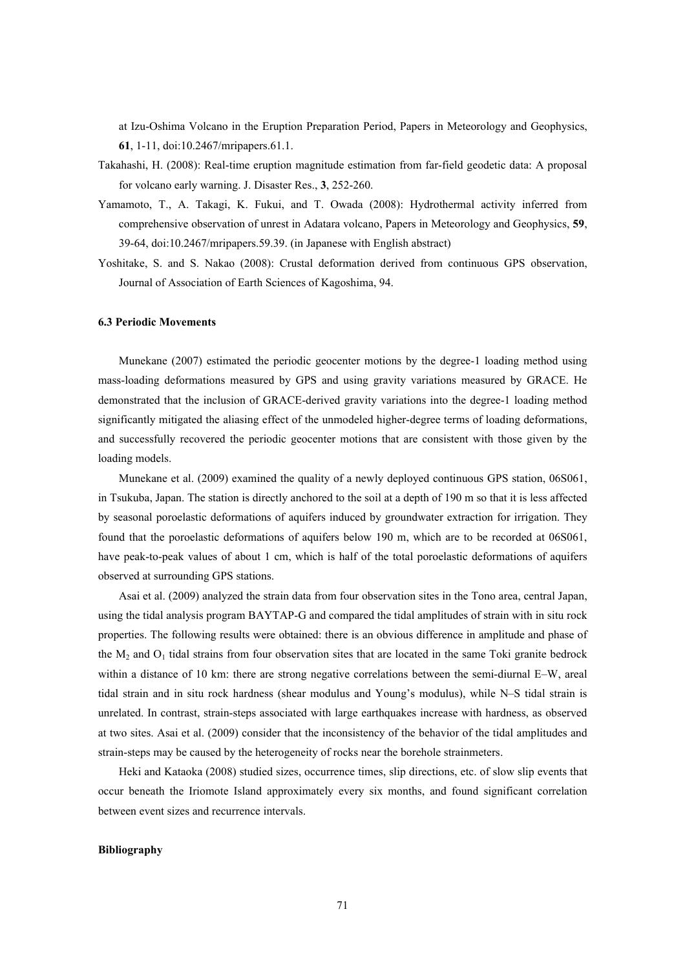at Izu-Oshima Volcano in the Eruption Preparation Period, Papers in Meteorology and Geophysics, **61**, 1-11, doi:10.2467/mripapers.61.1.

- Takahashi, H. (2008): Real-time eruption magnitude estimation from far-field geodetic data: A proposal for volcano early warning. J. Disaster Res., **3**, 252-260.
- Yamamoto, T., A. Takagi, K. Fukui, and T. Owada (2008): Hydrothermal activity inferred from comprehensive observation of unrest in Adatara volcano, Papers in Meteorology and Geophysics, **59**, 39-64, doi:10.2467/mripapers.59.39. (in Japanese with English abstract)
- Yoshitake, S. and S. Nakao (2008): Crustal deformation derived from continuous GPS observation, Journal of Association of Earth Sciences of Kagoshima, 94.

## **6.3 Periodic Movements**

Munekane (2007) estimated the periodic geocenter motions by the degree-1 loading method using mass-loading deformations measured by GPS and using gravity variations measured by GRACE. He demonstrated that the inclusion of GRACE-derived gravity variations into the degree-1 loading method significantly mitigated the aliasing effect of the unmodeled higher-degree terms of loading deformations, and successfully recovered the periodic geocenter motions that are consistent with those given by the loading models.

Munekane et al. (2009) examined the quality of a newly deployed continuous GPS station, 06S061, in Tsukuba, Japan. The station is directly anchored to the soil at a depth of 190 m so that it is less affected by seasonal poroelastic deformations of aquifers induced by groundwater extraction for irrigation. They found that the poroelastic deformations of aquifers below 190 m, which are to be recorded at 06S061, have peak-to-peak values of about 1 cm, which is half of the total poroelastic deformations of aquifers observed at surrounding GPS stations.

Asai et al. (2009) analyzed the strain data from four observation sites in the Tono area, central Japan, using the tidal analysis program BAYTAP-G and compared the tidal amplitudes of strain with in situ rock properties. The following results were obtained: there is an obvious difference in amplitude and phase of the  $M_2$  and  $O_1$  tidal strains from four observation sites that are located in the same Toki granite bedrock within a distance of 10 km: there are strong negative correlations between the semi-diurnal E–W, areal tidal strain and in situ rock hardness (shear modulus and Young's modulus), while N–S tidal strain is unrelated. In contrast, strain-steps associated with large earthquakes increase with hardness, as observed at two sites. Asai et al. (2009) consider that the inconsistency of the behavior of the tidal amplitudes and strain-steps may be caused by the heterogeneity of rocks near the borehole strainmeters.

Heki and Kataoka (2008) studied sizes, occurrence times, slip directions, etc. of slow slip events that occur beneath the Iriomote Island approximately every six months, and found significant correlation between event sizes and recurrence intervals.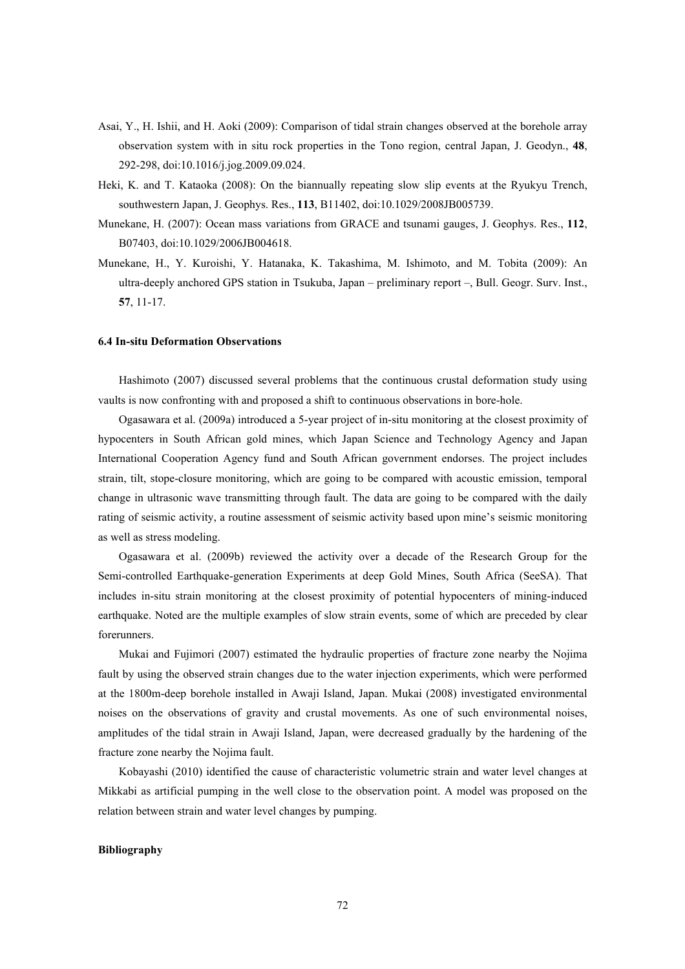- Asai, Y., H. Ishii, and H. Aoki (2009): Comparison of tidal strain changes observed at the borehole array observation system with in situ rock properties in the Tono region, central Japan, J. Geodyn., **48**, 292-298, doi:10.1016/j.jog.2009.09.024.
- Heki, K. and T. Kataoka (2008): On the biannually repeating slow slip events at the Ryukyu Trench, southwestern Japan, J. Geophys. Res., **113**, B11402, doi:10.1029/2008JB005739.
- Munekane, H. (2007): Ocean mass variations from GRACE and tsunami gauges, J. Geophys. Res., **112**, B07403, doi:10.1029/2006JB004618.
- Munekane, H., Y. Kuroishi, Y. Hatanaka, K. Takashima, M. Ishimoto, and M. Tobita (2009): An ultra-deeply anchored GPS station in Tsukuba, Japan – preliminary report –, Bull. Geogr. Surv. Inst., **57**, 11-17.

#### **6.4 In-situ Deformation Observations**

Hashimoto (2007) discussed several problems that the continuous crustal deformation study using vaults is now confronting with and proposed a shift to continuous observations in bore-hole.

Ogasawara et al. (2009a) introduced a 5-year project of in-situ monitoring at the closest proximity of hypocenters in South African gold mines, which Japan Science and Technology Agency and Japan International Cooperation Agency fund and South African government endorses. The project includes strain, tilt, stope-closure monitoring, which are going to be compared with acoustic emission, temporal change in ultrasonic wave transmitting through fault. The data are going to be compared with the daily rating of seismic activity, a routine assessment of seismic activity based upon mine's seismic monitoring as well as stress modeling.

Ogasawara et al. (2009b) reviewed the activity over a decade of the Research Group for the Semi-controlled Earthquake-generation Experiments at deep Gold Mines, South Africa (SeeSA). That includes in-situ strain monitoring at the closest proximity of potential hypocenters of mining-induced earthquake. Noted are the multiple examples of slow strain events, some of which are preceded by clear forerunners.

Mukai and Fujimori (2007) estimated the hydraulic properties of fracture zone nearby the Nojima fault by using the observed strain changes due to the water injection experiments, which were performed at the 1800m-deep borehole installed in Awaji Island, Japan. Mukai (2008) investigated environmental noises on the observations of gravity and crustal movements. As one of such environmental noises, amplitudes of the tidal strain in Awaji Island, Japan, were decreased gradually by the hardening of the fracture zone nearby the Nojima fault.

Kobayashi (2010) identified the cause of characteristic volumetric strain and water level changes at Mikkabi as artificial pumping in the well close to the observation point. A model was proposed on the relation between strain and water level changes by pumping.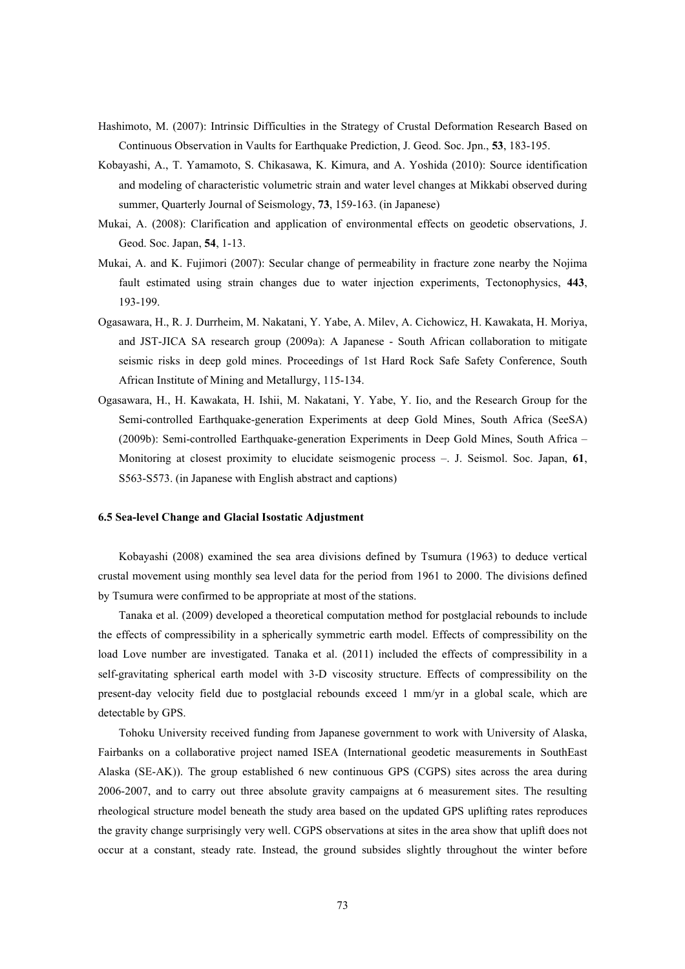- Hashimoto, M. (2007): Intrinsic Difficulties in the Strategy of Crustal Deformation Research Based on Continuous Observation in Vaults for Earthquake Prediction, J. Geod. Soc. Jpn., **53**, 183-195.
- Kobayashi, A., T. Yamamoto, S. Chikasawa, K. Kimura, and A. Yoshida (2010): Source identification and modeling of characteristic volumetric strain and water level changes at Mikkabi observed during summer, Quarterly Journal of Seismology, **73**, 159-163. (in Japanese)
- Mukai, A. (2008): Clarification and application of environmental effects on geodetic observations, J. Geod. Soc. Japan, **54**, 1-13.
- Mukai, A. and K. Fujimori (2007): Secular change of permeability in fracture zone nearby the Nojima fault estimated using strain changes due to water injection experiments, Tectonophysics, **443**, 193-199.
- Ogasawara, H., R. J. Durrheim, M. Nakatani, Y. Yabe, A. Milev, A. Cichowicz, H. Kawakata, H. Moriya, and JST-JICA SA research group (2009a): A Japanese - South African collaboration to mitigate seismic risks in deep gold mines. Proceedings of 1st Hard Rock Safe Safety Conference, South African Institute of Mining and Metallurgy, 115-134.
- Ogasawara, H., H. Kawakata, H. Ishii, M. Nakatani, Y. Yabe, Y. Iio, and the Research Group for the Semi-controlled Earthquake-generation Experiments at deep Gold Mines, South Africa (SeeSA) (2009b): Semi-controlled Earthquake-generation Experiments in Deep Gold Mines, South Africa – Monitoring at closest proximity to elucidate seismogenic process –. J. Seismol. Soc. Japan, **61**, S563-S573. (in Japanese with English abstract and captions)

### **6.5 Sea-level Change and Glacial Isostatic Adjustment**

Kobayashi (2008) examined the sea area divisions defined by Tsumura (1963) to deduce vertical crustal movement using monthly sea level data for the period from 1961 to 2000. The divisions defined by Tsumura were confirmed to be appropriate at most of the stations.

Tanaka et al. (2009) developed a theoretical computation method for postglacial rebounds to include the effects of compressibility in a spherically symmetric earth model. Effects of compressibility on the load Love number are investigated. Tanaka et al. (2011) included the effects of compressibility in a self-gravitating spherical earth model with 3-D viscosity structure. Effects of compressibility on the present-day velocity field due to postglacial rebounds exceed 1 mm/yr in a global scale, which are detectable by GPS.

Tohoku University received funding from Japanese government to work with University of Alaska, Fairbanks on a collaborative project named ISEA (International geodetic measurements in SouthEast Alaska (SE-AK)). The group established 6 new continuous GPS (CGPS) sites across the area during 2006-2007, and to carry out three absolute gravity campaigns at 6 measurement sites. The resulting rheological structure model beneath the study area based on the updated GPS uplifting rates reproduces the gravity change surprisingly very well. CGPS observations at sites in the area show that uplift does not occur at a constant, steady rate. Instead, the ground subsides slightly throughout the winter before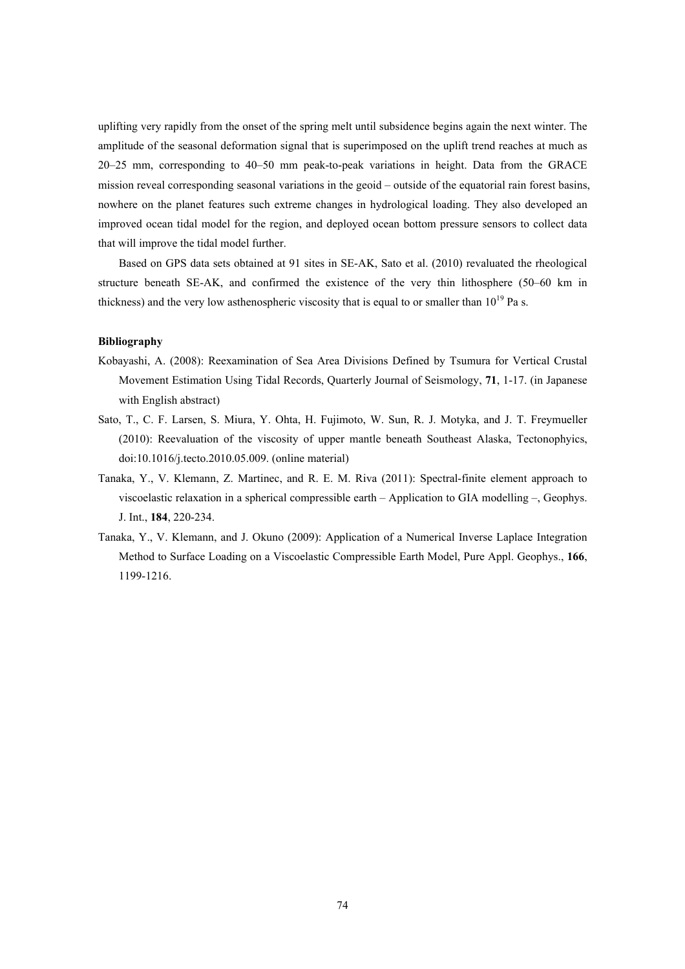uplifting very rapidly from the onset of the spring melt until subsidence begins again the next winter. The amplitude of the seasonal deformation signal that is superimposed on the uplift trend reaches at much as 20–25 mm, corresponding to 40–50 mm peak-to-peak variations in height. Data from the GRACE mission reveal corresponding seasonal variations in the geoid – outside of the equatorial rain forest basins, nowhere on the planet features such extreme changes in hydrological loading. They also developed an improved ocean tidal model for the region, and deployed ocean bottom pressure sensors to collect data that will improve the tidal model further.

Based on GPS data sets obtained at 91 sites in SE-AK, Sato et al. (2010) revaluated the rheological structure beneath SE-AK, and confirmed the existence of the very thin lithosphere (50–60 km in thickness) and the very low asthenospheric viscosity that is equal to or smaller than  $10^{19}$  Pa s.

- Kobayashi, A. (2008): Reexamination of Sea Area Divisions Defined by Tsumura for Vertical Crustal Movement Estimation Using Tidal Records, Quarterly Journal of Seismology, **71**, 1-17. (in Japanese with English abstract)
- Sato, T., C. F. Larsen, S. Miura, Y. Ohta, H. Fujimoto, W. Sun, R. J. Motyka, and J. T. Freymueller (2010): Reevaluation of the viscosity of upper mantle beneath Southeast Alaska, Tectonophyics, doi:10.1016/j.tecto.2010.05.009. (online material)
- Tanaka, Y., V. Klemann, Z. Martinec, and R. E. M. Riva (2011): Spectral-finite element approach to viscoelastic relaxation in a spherical compressible earth – Application to GIA modelling –, Geophys. J. Int., **184**, 220-234.
- Tanaka, Y., V. Klemann, and J. Okuno (2009): Application of a Numerical Inverse Laplace Integration Method to Surface Loading on a Viscoelastic Compressible Earth Model, Pure Appl. Geophys., **166**, 1199-1216.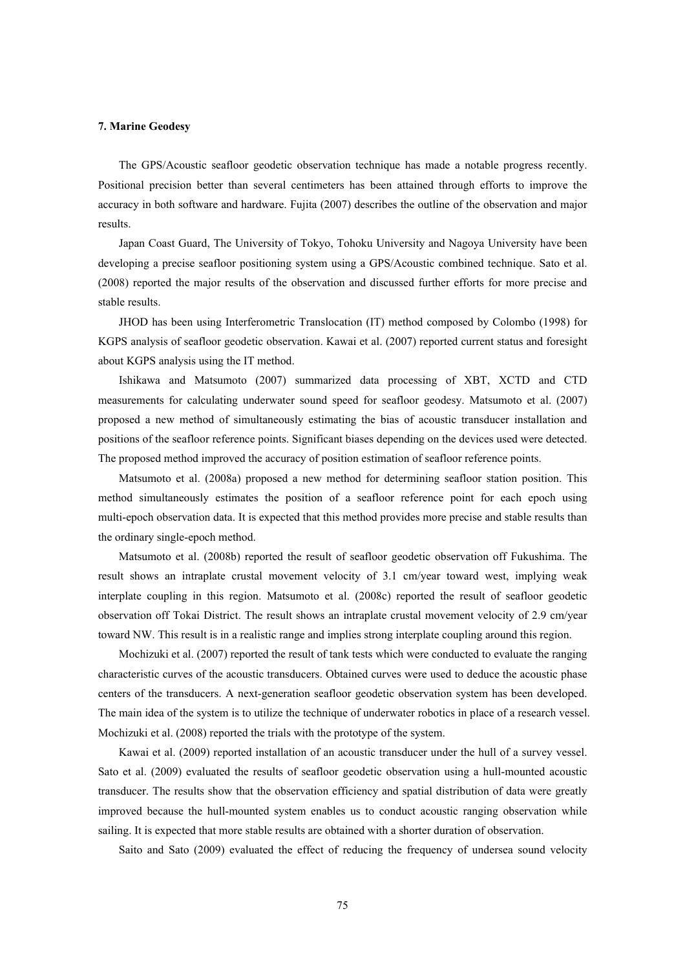### **7. Marine Geodesy**

The GPS/Acoustic seafloor geodetic observation technique has made a notable progress recently. Positional precision better than several centimeters has been attained through efforts to improve the accuracy in both software and hardware. Fujita (2007) describes the outline of the observation and major results.

Japan Coast Guard, The University of Tokyo, Tohoku University and Nagoya University have been developing a precise seafloor positioning system using a GPS/Acoustic combined technique. Sato et al. (2008) reported the major results of the observation and discussed further efforts for more precise and stable results.

JHOD has been using Interferometric Translocation (IT) method composed by Colombo (1998) for KGPS analysis of seafloor geodetic observation. Kawai et al. (2007) reported current status and foresight about KGPS analysis using the IT method.

Ishikawa and Matsumoto (2007) summarized data processing of XBT, XCTD and CTD measurements for calculating underwater sound speed for seafloor geodesy. Matsumoto et al. (2007) proposed a new method of simultaneously estimating the bias of acoustic transducer installation and positions of the seafloor reference points. Significant biases depending on the devices used were detected. The proposed method improved the accuracy of position estimation of seafloor reference points.

Matsumoto et al. (2008a) proposed a new method for determining seafloor station position. This method simultaneously estimates the position of a seafloor reference point for each epoch using multi-epoch observation data. It is expected that this method provides more precise and stable results than the ordinary single-epoch method.

Matsumoto et al. (2008b) reported the result of seafloor geodetic observation off Fukushima. The result shows an intraplate crustal movement velocity of 3.1 cm/year toward west, implying weak interplate coupling in this region. Matsumoto et al. (2008c) reported the result of seafloor geodetic observation off Tokai District. The result shows an intraplate crustal movement velocity of 2.9 cm/year toward NW. This result is in a realistic range and implies strong interplate coupling around this region.

Mochizuki et al. (2007) reported the result of tank tests which were conducted to evaluate the ranging characteristic curves of the acoustic transducers. Obtained curves were used to deduce the acoustic phase centers of the transducers. A next-generation seafloor geodetic observation system has been developed. The main idea of the system is to utilize the technique of underwater robotics in place of a research vessel. Mochizuki et al. (2008) reported the trials with the prototype of the system.

Kawai et al. (2009) reported installation of an acoustic transducer under the hull of a survey vessel. Sato et al. (2009) evaluated the results of seafloor geodetic observation using a hull-mounted acoustic transducer. The results show that the observation efficiency and spatial distribution of data were greatly improved because the hull-mounted system enables us to conduct acoustic ranging observation while sailing. It is expected that more stable results are obtained with a shorter duration of observation.

Saito and Sato (2009) evaluated the effect of reducing the frequency of undersea sound velocity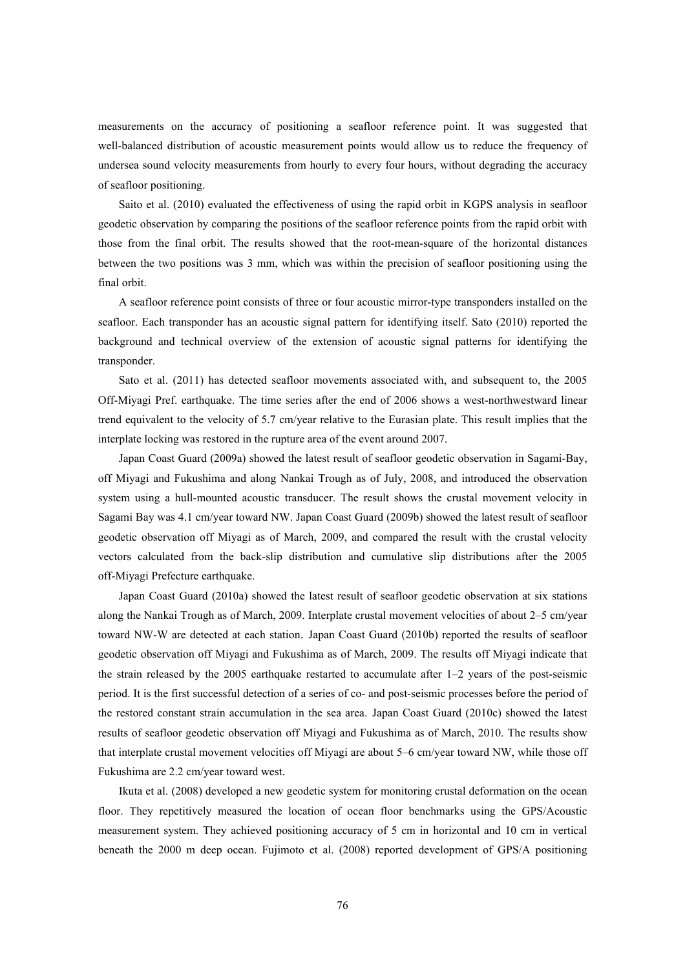measurements on the accuracy of positioning a seafloor reference point. It was suggested that well-balanced distribution of acoustic measurement points would allow us to reduce the frequency of undersea sound velocity measurements from hourly to every four hours, without degrading the accuracy of seafloor positioning.

Saito et al. (2010) evaluated the effectiveness of using the rapid orbit in KGPS analysis in seafloor geodetic observation by comparing the positions of the seafloor reference points from the rapid orbit with those from the final orbit. The results showed that the root-mean-square of the horizontal distances between the two positions was 3 mm, which was within the precision of seafloor positioning using the final orbit.

A seafloor reference point consists of three or four acoustic mirror-type transponders installed on the seafloor. Each transponder has an acoustic signal pattern for identifying itself. Sato (2010) reported the background and technical overview of the extension of acoustic signal patterns for identifying the transponder.

Sato et al. (2011) has detected seafloor movements associated with, and subsequent to, the 2005 Off-Miyagi Pref. earthquake. The time series after the end of 2006 shows a west-northwestward linear trend equivalent to the velocity of 5.7 cm/year relative to the Eurasian plate. This result implies that the interplate locking was restored in the rupture area of the event around 2007.

Japan Coast Guard (2009a) showed the latest result of seafloor geodetic observation in Sagami-Bay, off Miyagi and Fukushima and along Nankai Trough as of July, 2008, and introduced the observation system using a hull-mounted acoustic transducer. The result shows the crustal movement velocity in Sagami Bay was 4.1 cm/year toward NW. Japan Coast Guard (2009b) showed the latest result of seafloor geodetic observation off Miyagi as of March, 2009, and compared the result with the crustal velocity vectors calculated from the back-slip distribution and cumulative slip distributions after the 2005 off-Miyagi Prefecture earthquake.

Japan Coast Guard (2010a) showed the latest result of seafloor geodetic observation at six stations along the Nankai Trough as of March, 2009. Interplate crustal movement velocities of about 2–5 cm/year toward NW-W are detected at each station. Japan Coast Guard (2010b) reported the results of seafloor geodetic observation off Miyagi and Fukushima as of March, 2009. The results off Miyagi indicate that the strain released by the  $2005$  earthquake restarted to accumulate after  $1-2$  years of the post-seismic period. It is the first successful detection of a series of co- and post-seismic processes before the period of the restored constant strain accumulation in the sea area. Japan Coast Guard (2010c) showed the latest results of seafloor geodetic observation off Miyagi and Fukushima as of March, 2010. The results show that interplate crustal movement velocities off Miyagi are about 5–6 cm/year toward NW, while those off Fukushima are 2.2 cm/year toward west.

Ikuta et al. (2008) developed a new geodetic system for monitoring crustal deformation on the ocean floor. They repetitively measured the location of ocean floor benchmarks using the GPS/Acoustic measurement system. They achieved positioning accuracy of 5 cm in horizontal and 10 cm in vertical beneath the 2000 m deep ocean. Fujimoto et al. (2008) reported development of GPS/A positioning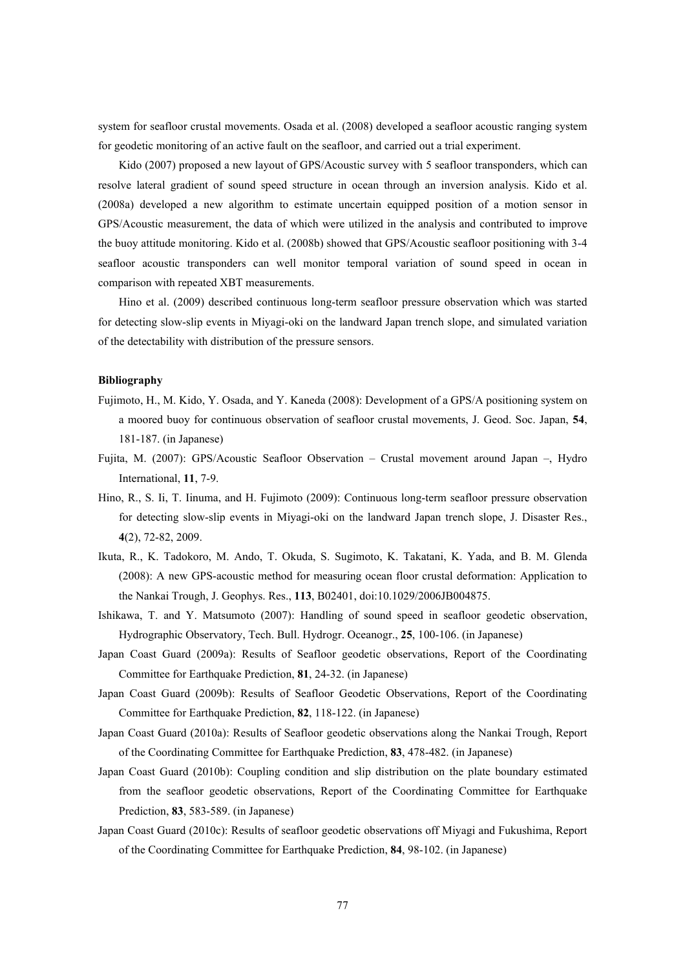system for seafloor crustal movements. Osada et al. (2008) developed a seafloor acoustic ranging system for geodetic monitoring of an active fault on the seafloor, and carried out a trial experiment.

Kido (2007) proposed a new layout of GPS/Acoustic survey with 5 seafloor transponders, which can resolve lateral gradient of sound speed structure in ocean through an inversion analysis. Kido et al. (2008a) developed a new algorithm to estimate uncertain equipped position of a motion sensor in GPS/Acoustic measurement, the data of which were utilized in the analysis and contributed to improve the buoy attitude monitoring. Kido et al. (2008b) showed that GPS/Acoustic seafloor positioning with 3-4 seafloor acoustic transponders can well monitor temporal variation of sound speed in ocean in comparison with repeated XBT measurements.

Hino et al. (2009) described continuous long-term seafloor pressure observation which was started for detecting slow-slip events in Miyagi-oki on the landward Japan trench slope, and simulated variation of the detectability with distribution of the pressure sensors.

- Fujimoto, H., M. Kido, Y. Osada, and Y. Kaneda (2008): Development of a GPS/A positioning system on a moored buoy for continuous observation of seafloor crustal movements, J. Geod. Soc. Japan, **54**, 181-187. (in Japanese)
- Fujita, M. (2007): GPS/Acoustic Seafloor Observation Crustal movement around Japan –, Hydro International, **11**, 7-9.
- Hino, R., S. Ii, T. Iinuma, and H. Fujimoto (2009): Continuous long-term seafloor pressure observation for detecting slow-slip events in Miyagi-oki on the landward Japan trench slope, J. Disaster Res., **4**(2), 72-82, 2009.
- Ikuta, R., K. Tadokoro, M. Ando, T. Okuda, S. Sugimoto, K. Takatani, K. Yada, and B. M. Glenda (2008): A new GPS-acoustic method for measuring ocean floor crustal deformation: Application to the Nankai Trough, J. Geophys. Res., **113**, B02401, doi:10.1029/2006JB004875.
- Ishikawa, T. and Y. Matsumoto (2007): Handling of sound speed in seafloor geodetic observation, Hydrographic Observatory, Tech. Bull. Hydrogr. Oceanogr., **25**, 100-106. (in Japanese)
- Japan Coast Guard (2009a): Results of Seafloor geodetic observations, Report of the Coordinating Committee for Earthquake Prediction, **81**, 24-32. (in Japanese)
- Japan Coast Guard (2009b): Results of Seafloor Geodetic Observations, Report of the Coordinating Committee for Earthquake Prediction, **82**, 118-122. (in Japanese)
- Japan Coast Guard (2010a): Results of Seafloor geodetic observations along the Nankai Trough, Report of the Coordinating Committee for Earthquake Prediction, **83**, 478-482. (in Japanese)
- Japan Coast Guard (2010b): Coupling condition and slip distribution on the plate boundary estimated from the seafloor geodetic observations, Report of the Coordinating Committee for Earthquake Prediction, **83**, 583-589. (in Japanese)
- Japan Coast Guard (2010c): Results of seafloor geodetic observations off Miyagi and Fukushima, Report of the Coordinating Committee for Earthquake Prediction, **84**, 98-102. (in Japanese)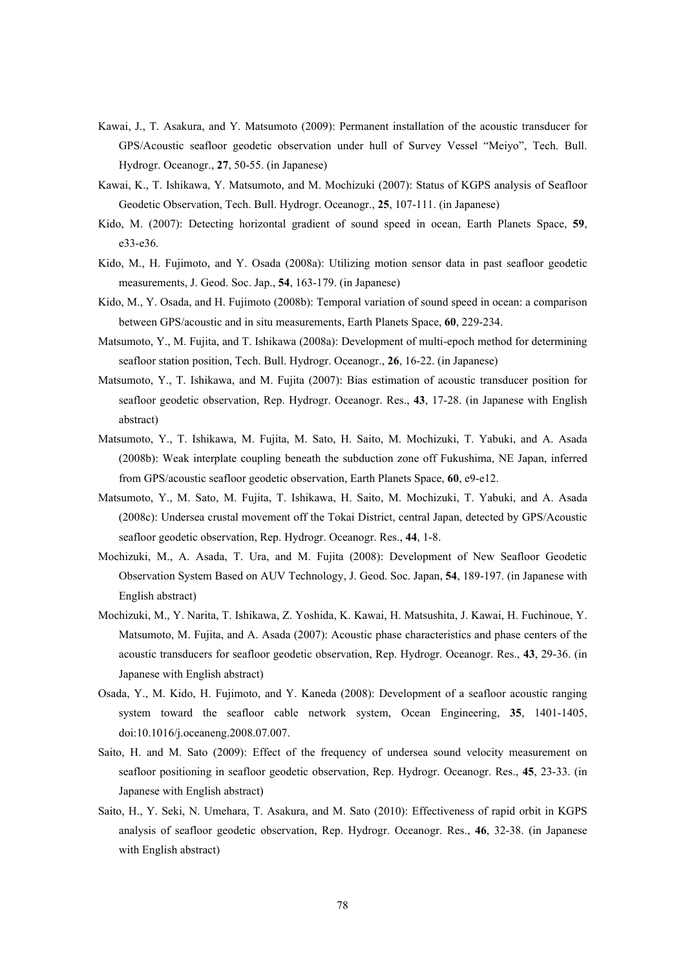- Kawai, J., T. Asakura, and Y. Matsumoto (2009): Permanent installation of the acoustic transducer for GPS/Acoustic seafloor geodetic observation under hull of Survey Vessel "Meiyo", Tech. Bull. Hydrogr. Oceanogr., **27**, 50-55. (in Japanese)
- Kawai, K., T. Ishikawa, Y. Matsumoto, and M. Mochizuki (2007): Status of KGPS analysis of Seafloor Geodetic Observation, Tech. Bull. Hydrogr. Oceanogr., **25**, 107-111. (in Japanese)
- Kido, M. (2007): Detecting horizontal gradient of sound speed in ocean, Earth Planets Space, **59**, e33-e36.
- Kido, M., H. Fujimoto, and Y. Osada (2008a): Utilizing motion sensor data in past seafloor geodetic measurements, J. Geod. Soc. Jap., **54**, 163-179. (in Japanese)
- Kido, M., Y. Osada, and H. Fujimoto (2008b): Temporal variation of sound speed in ocean: a comparison between GPS/acoustic and in situ measurements, Earth Planets Space, **60**, 229-234.
- Matsumoto, Y., M. Fujita, and T. Ishikawa (2008a): Development of multi-epoch method for determining seafloor station position, Tech. Bull. Hydrogr. Oceanogr., **26**, 16-22. (in Japanese)
- Matsumoto, Y., T. Ishikawa, and M. Fujita (2007): Bias estimation of acoustic transducer position for seafloor geodetic observation, Rep. Hydrogr. Oceanogr. Res., **43**, 17-28. (in Japanese with English abstract)
- Matsumoto, Y., T. Ishikawa, M. Fujita, M. Sato, H. Saito, M. Mochizuki, T. Yabuki, and A. Asada (2008b): Weak interplate coupling beneath the subduction zone off Fukushima, NE Japan, inferred from GPS/acoustic seafloor geodetic observation, Earth Planets Space, **60**, e9-e12.
- Matsumoto, Y., M. Sato, M. Fujita, T. Ishikawa, H. Saito, M. Mochizuki, T. Yabuki, and A. Asada (2008c): Undersea crustal movement off the Tokai District, central Japan, detected by GPS/Acoustic seafloor geodetic observation, Rep. Hydrogr. Oceanogr. Res., **44**, 1-8.
- Mochizuki, M., A. Asada, T. Ura, and M. Fujita (2008): Development of New Seafloor Geodetic Observation System Based on AUV Technology, J. Geod. Soc. Japan, **54**, 189-197. (in Japanese with English abstract)
- Mochizuki, M., Y. Narita, T. Ishikawa, Z. Yoshida, K. Kawai, H. Matsushita, J. Kawai, H. Fuchinoue, Y. Matsumoto, M. Fujita, and A. Asada (2007): Acoustic phase characteristics and phase centers of the acoustic transducers for seafloor geodetic observation, Rep. Hydrogr. Oceanogr. Res., **43**, 29-36. (in Japanese with English abstract)
- Osada, Y., M. Kido, H. Fujimoto, and Y. Kaneda (2008): Development of a seafloor acoustic ranging system toward the seafloor cable network system, Ocean Engineering, **35**, 1401-1405, doi:10.1016/j.oceaneng.2008.07.007.
- Saito, H. and M. Sato (2009): Effect of the frequency of undersea sound velocity measurement on seafloor positioning in seafloor geodetic observation, Rep. Hydrogr. Oceanogr. Res., **45**, 23-33. (in Japanese with English abstract)
- Saito, H., Y. Seki, N. Umehara, T. Asakura, and M. Sato (2010): Effectiveness of rapid orbit in KGPS analysis of seafloor geodetic observation, Rep. Hydrogr. Oceanogr. Res., **46**, 32-38. (in Japanese with English abstract)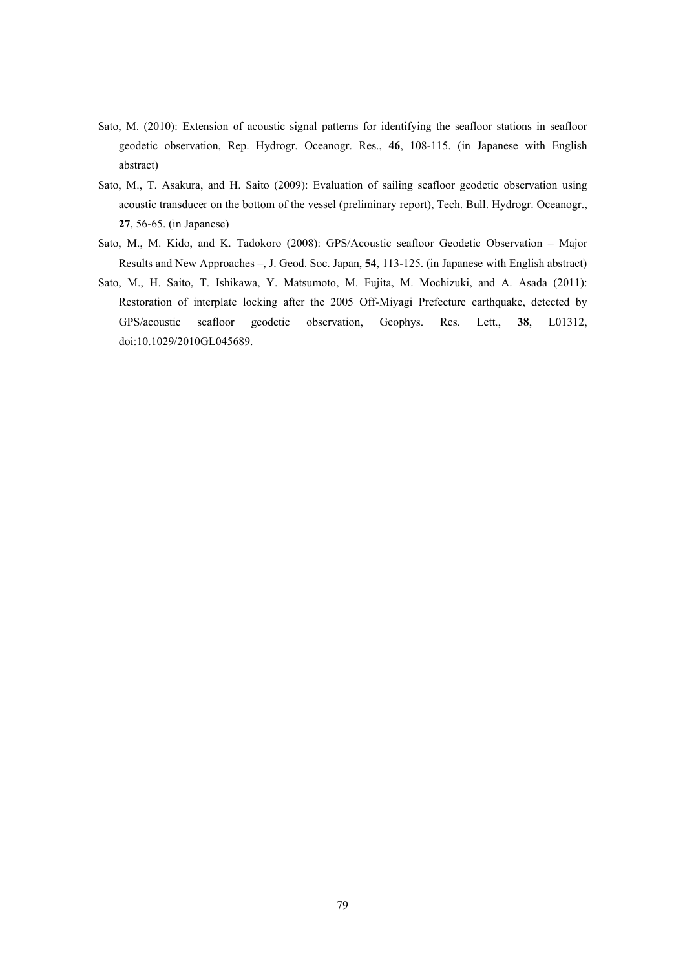- Sato, M. (2010): Extension of acoustic signal patterns for identifying the seafloor stations in seafloor geodetic observation, Rep. Hydrogr. Oceanogr. Res., **46**, 108-115. (in Japanese with English abstract)
- Sato, M., T. Asakura, and H. Saito (2009): Evaluation of sailing seafloor geodetic observation using acoustic transducer on the bottom of the vessel (preliminary report), Tech. Bull. Hydrogr. Oceanogr., **27**, 56-65. (in Japanese)
- Sato, M., M. Kido, and K. Tadokoro (2008): GPS/Acoustic seafloor Geodetic Observation Major Results and New Approaches –, J. Geod. Soc. Japan, **54**, 113-125. (in Japanese with English abstract)
- Sato, M., H. Saito, T. Ishikawa, Y. Matsumoto, M. Fujita, M. Mochizuki, and A. Asada (2011): Restoration of interplate locking after the 2005 Off-Miyagi Prefecture earthquake, detected by GPS/acoustic seafloor geodetic observation, Geophys. Res. Lett., **38**, L01312, doi:10.1029/2010GL045689.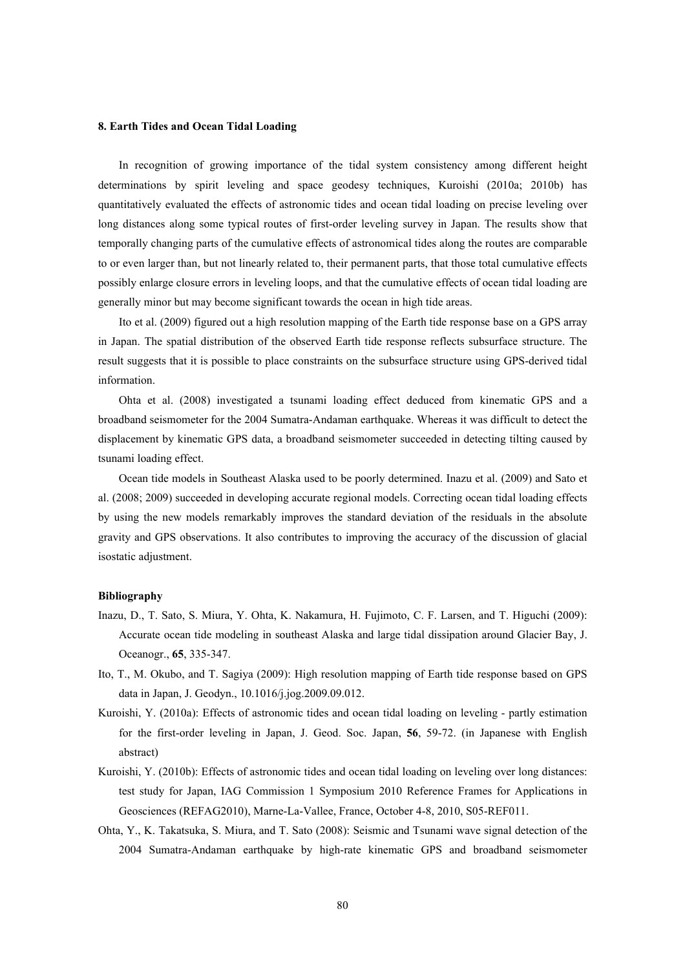### **8. Earth Tides and Ocean Tidal Loading**

In recognition of growing importance of the tidal system consistency among different height determinations by spirit leveling and space geodesy techniques, Kuroishi (2010a; 2010b) has quantitatively evaluated the effects of astronomic tides and ocean tidal loading on precise leveling over long distances along some typical routes of first-order leveling survey in Japan. The results show that temporally changing parts of the cumulative effects of astronomical tides along the routes are comparable to or even larger than, but not linearly related to, their permanent parts, that those total cumulative effects possibly enlarge closure errors in leveling loops, and that the cumulative effects of ocean tidal loading are generally minor but may become significant towards the ocean in high tide areas.

Ito et al. (2009) figured out a high resolution mapping of the Earth tide response base on a GPS array in Japan. The spatial distribution of the observed Earth tide response reflects subsurface structure. The result suggests that it is possible to place constraints on the subsurface structure using GPS-derived tidal information.

Ohta et al. (2008) investigated a tsunami loading effect deduced from kinematic GPS and a broadband seismometer for the 2004 Sumatra-Andaman earthquake. Whereas it was difficult to detect the displacement by kinematic GPS data, a broadband seismometer succeeded in detecting tilting caused by tsunami loading effect.

Ocean tide models in Southeast Alaska used to be poorly determined. Inazu et al. (2009) and Sato et al. (2008; 2009) succeeded in developing accurate regional models. Correcting ocean tidal loading effects by using the new models remarkably improves the standard deviation of the residuals in the absolute gravity and GPS observations. It also contributes to improving the accuracy of the discussion of glacial isostatic adjustment.

- Inazu, D., T. Sato, S. Miura, Y. Ohta, K. Nakamura, H. Fujimoto, C. F. Larsen, and T. Higuchi (2009): Accurate ocean tide modeling in southeast Alaska and large tidal dissipation around Glacier Bay, J. Oceanogr., **65**, 335-347.
- Ito, T., M. Okubo, and T. Sagiya (2009): High resolution mapping of Earth tide response based on GPS data in Japan, J. Geodyn., 10.1016/j.jog.2009.09.012.
- Kuroishi, Y. (2010a): Effects of astronomic tides and ocean tidal loading on leveling partly estimation for the first-order leveling in Japan, J. Geod. Soc. Japan, **56**, 59-72. (in Japanese with English abstract)
- Kuroishi, Y. (2010b): Effects of astronomic tides and ocean tidal loading on leveling over long distances: test study for Japan, IAG Commission 1 Symposium 2010 Reference Frames for Applications in Geosciences (REFAG2010), Marne-La-Vallee, France, October 4-8, 2010, S05-REF011.
- Ohta, Y., K. Takatsuka, S. Miura, and T. Sato (2008): Seismic and Tsunami wave signal detection of the 2004 Sumatra-Andaman earthquake by high-rate kinematic GPS and broadband seismometer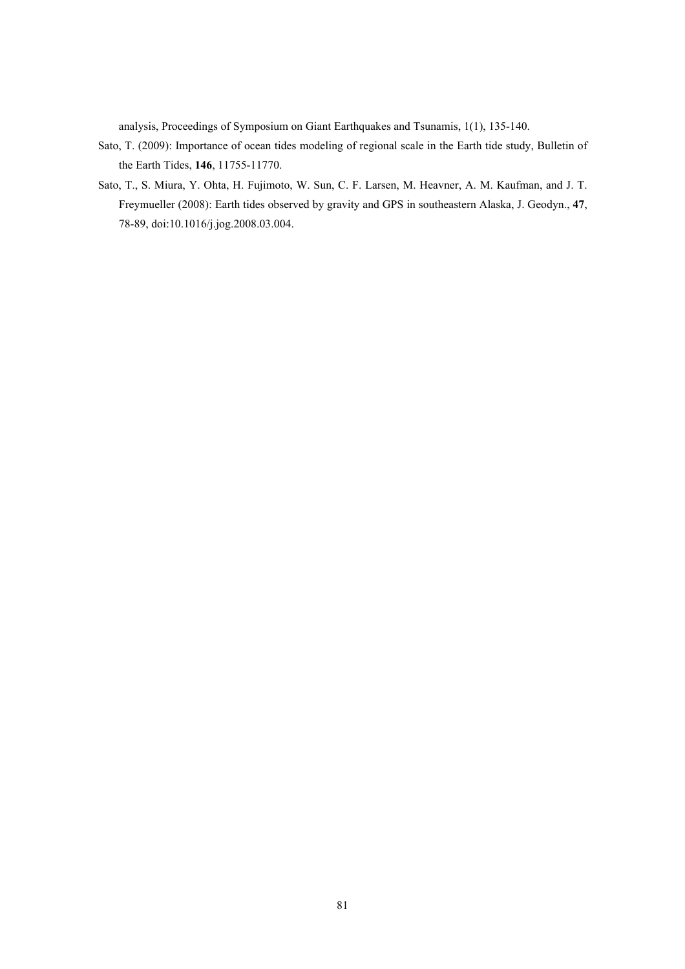analysis, Proceedings of Symposium on Giant Earthquakes and Tsunamis, 1(1), 135-140.

- Sato, T. (2009): Importance of ocean tides modeling of regional scale in the Earth tide study, Bulletin of the Earth Tides, **146**, 11755-11770.
- Sato, T., S. Miura, Y. Ohta, H. Fujimoto, W. Sun, C. F. Larsen, M. Heavner, A. M. Kaufman, and J. T. Freymueller (2008): Earth tides observed by gravity and GPS in southeastern Alaska, J. Geodyn., **47**, 78-89, doi:10.1016/j.jog.2008.03.004.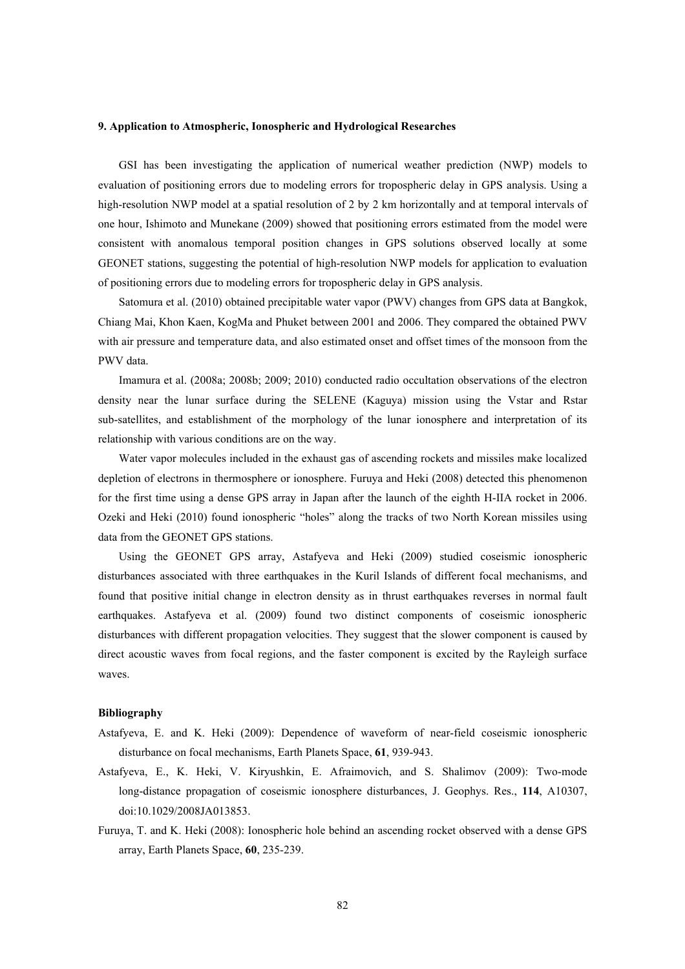#### **9. Application to Atmospheric, Ionospheric and Hydrological Researches**

GSI has been investigating the application of numerical weather prediction (NWP) models to evaluation of positioning errors due to modeling errors for tropospheric delay in GPS analysis. Using a high-resolution NWP model at a spatial resolution of 2 by 2 km horizontally and at temporal intervals of one hour, Ishimoto and Munekane (2009) showed that positioning errors estimated from the model were consistent with anomalous temporal position changes in GPS solutions observed locally at some GEONET stations, suggesting the potential of high-resolution NWP models for application to evaluation of positioning errors due to modeling errors for tropospheric delay in GPS analysis.

Satomura et al. (2010) obtained precipitable water vapor (PWV) changes from GPS data at Bangkok, Chiang Mai, Khon Kaen, KogMa and Phuket between 2001 and 2006. They compared the obtained PWV with air pressure and temperature data, and also estimated onset and offset times of the monsoon from the PWV data.

Imamura et al. (2008a; 2008b; 2009; 2010) conducted radio occultation observations of the electron density near the lunar surface during the SELENE (Kaguya) mission using the Vstar and Rstar sub-satellites, and establishment of the morphology of the lunar ionosphere and interpretation of its relationship with various conditions are on the way.

Water vapor molecules included in the exhaust gas of ascending rockets and missiles make localized depletion of electrons in thermosphere or ionosphere. Furuya and Heki (2008) detected this phenomenon for the first time using a dense GPS array in Japan after the launch of the eighth H-IIA rocket in 2006. Ozeki and Heki (2010) found ionospheric "holes" along the tracks of two North Korean missiles using data from the GEONET GPS stations.

Using the GEONET GPS array, Astafyeva and Heki (2009) studied coseismic ionospheric disturbances associated with three earthquakes in the Kuril Islands of different focal mechanisms, and found that positive initial change in electron density as in thrust earthquakes reverses in normal fault earthquakes. Astafyeva et al. (2009) found two distinct components of coseismic ionospheric disturbances with different propagation velocities. They suggest that the slower component is caused by direct acoustic waves from focal regions, and the faster component is excited by the Rayleigh surface waves.

- Astafyeva, E. and K. Heki (2009): Dependence of waveform of near-field coseismic ionospheric disturbance on focal mechanisms, Earth Planets Space, **61**, 939-943.
- Astafyeva, E., K. Heki, V. Kiryushkin, E. Afraimovich, and S. Shalimov (2009): Two-mode long-distance propagation of coseismic ionosphere disturbances, J. Geophys. Res., **114**, A10307, doi:10.1029/2008JA013853.
- Furuya, T. and K. Heki (2008): Ionospheric hole behind an ascending rocket observed with a dense GPS array, Earth Planets Space, **60**, 235-239.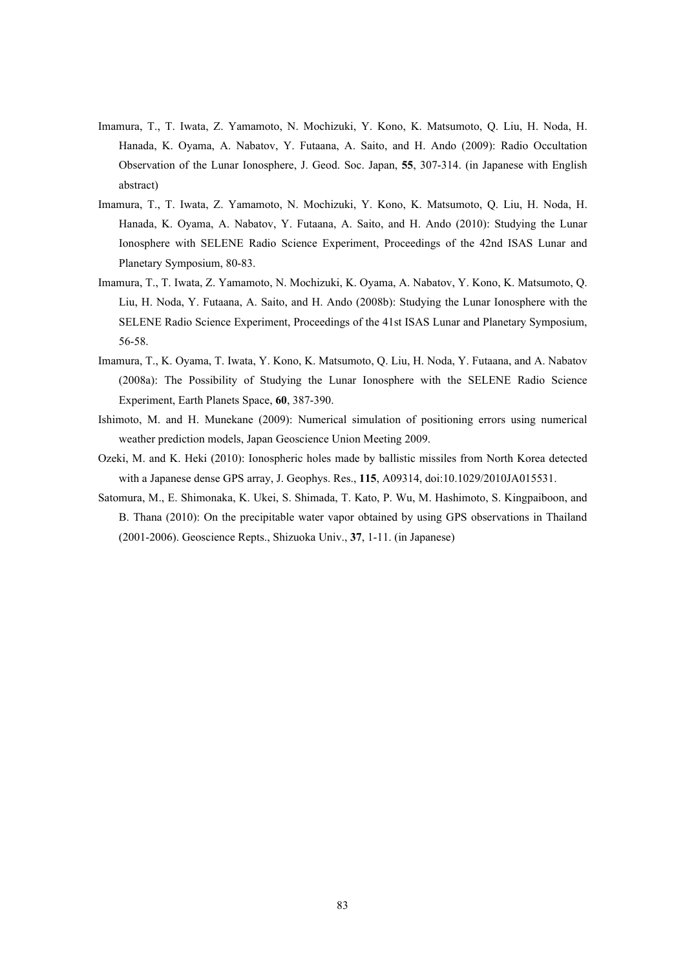- Imamura, T., T. Iwata, Z. Yamamoto, N. Mochizuki, Y. Kono, K. Matsumoto, Q. Liu, H. Noda, H. Hanada, K. Oyama, A. Nabatov, Y. Futaana, A. Saito, and H. Ando (2009): Radio Occultation Observation of the Lunar Ionosphere, J. Geod. Soc. Japan, **55**, 307-314. (in Japanese with English abstract)
- Imamura, T., T. Iwata, Z. Yamamoto, N. Mochizuki, Y. Kono, K. Matsumoto, Q. Liu, H. Noda, H. Hanada, K. Oyama, A. Nabatov, Y. Futaana, A. Saito, and H. Ando (2010): Studying the Lunar Ionosphere with SELENE Radio Science Experiment, Proceedings of the 42nd ISAS Lunar and Planetary Symposium, 80-83.
- Imamura, T., T. Iwata, Z. Yamamoto, N. Mochizuki, K. Oyama, A. Nabatov, Y. Kono, K. Matsumoto, Q. Liu, H. Noda, Y. Futaana, A. Saito, and H. Ando (2008b): Studying the Lunar Ionosphere with the SELENE Radio Science Experiment, Proceedings of the 41st ISAS Lunar and Planetary Symposium, 56-58.
- Imamura, T., K. Oyama, T. Iwata, Y. Kono, K. Matsumoto, Q. Liu, H. Noda, Y. Futaana, and A. Nabatov (2008a): The Possibility of Studying the Lunar Ionosphere with the SELENE Radio Science Experiment, Earth Planets Space, **60**, 387-390.
- Ishimoto, M. and H. Munekane (2009): Numerical simulation of positioning errors using numerical weather prediction models, Japan Geoscience Union Meeting 2009.
- Ozeki, M. and K. Heki (2010): Ionospheric holes made by ballistic missiles from North Korea detected with a Japanese dense GPS array, J. Geophys. Res., **115**, A09314, doi:10.1029/2010JA015531.
- Satomura, M., E. Shimonaka, K. Ukei, S. Shimada, T. Kato, P. Wu, M. Hashimoto, S. Kingpaiboon, and B. Thana (2010): On the precipitable water vapor obtained by using GPS observations in Thailand (2001-2006). Geoscience Repts., Shizuoka Univ., **37**, 1-11. (in Japanese)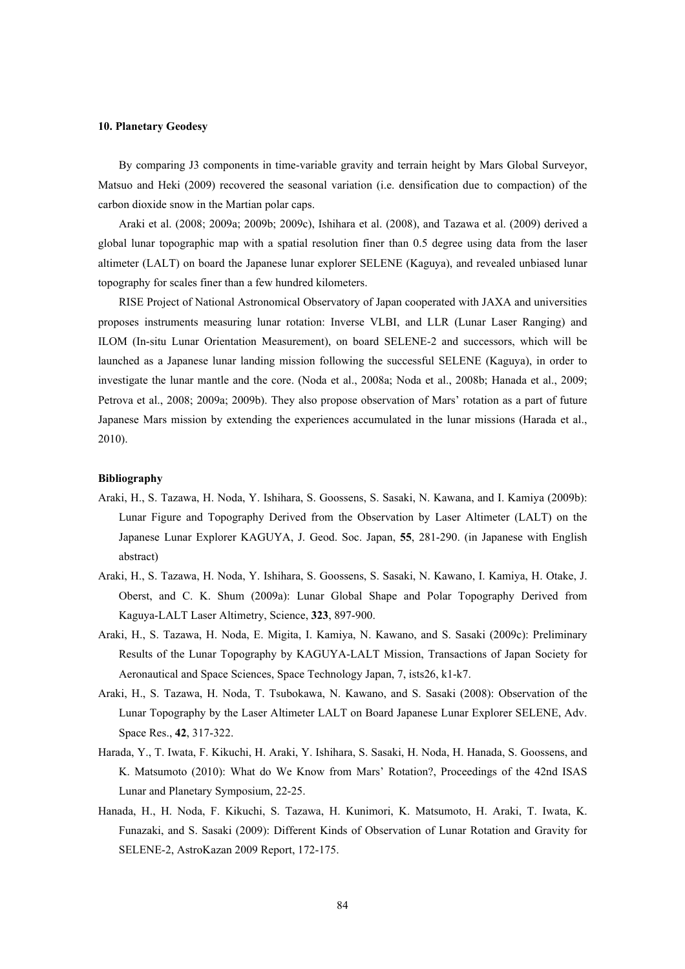### **10. Planetary Geodesy**

By comparing J3 components in time-variable gravity and terrain height by Mars Global Surveyor, Matsuo and Heki (2009) recovered the seasonal variation (i.e. densification due to compaction) of the carbon dioxide snow in the Martian polar caps.

Araki et al. (2008; 2009a; 2009b; 2009c), Ishihara et al. (2008), and Tazawa et al. (2009) derived a global lunar topographic map with a spatial resolution finer than 0.5 degree using data from the laser altimeter (LALT) on board the Japanese lunar explorer SELENE (Kaguya), and revealed unbiased lunar topography for scales finer than a few hundred kilometers.

RISE Project of National Astronomical Observatory of Japan cooperated with JAXA and universities proposes instruments measuring lunar rotation: Inverse VLBI, and LLR (Lunar Laser Ranging) and ILOM (In-situ Lunar Orientation Measurement), on board SELENE-2 and successors, which will be launched as a Japanese lunar landing mission following the successful SELENE (Kaguya), in order to investigate the lunar mantle and the core. (Noda et al., 2008a; Noda et al., 2008b; Hanada et al., 2009; Petrova et al., 2008; 2009a; 2009b). They also propose observation of Mars' rotation as a part of future Japanese Mars mission by extending the experiences accumulated in the lunar missions (Harada et al., 2010).

- Araki, H., S. Tazawa, H. Noda, Y. Ishihara, S. Goossens, S. Sasaki, N. Kawana, and I. Kamiya (2009b): Lunar Figure and Topography Derived from the Observation by Laser Altimeter (LALT) on the Japanese Lunar Explorer KAGUYA, J. Geod. Soc. Japan, **55**, 281-290. (in Japanese with English abstract)
- Araki, H., S. Tazawa, H. Noda, Y. Ishihara, S. Goossens, S. Sasaki, N. Kawano, I. Kamiya, H. Otake, J. Oberst, and C. K. Shum (2009a): Lunar Global Shape and Polar Topography Derived from Kaguya-LALT Laser Altimetry, Science, **323**, 897-900.
- Araki, H., S. Tazawa, H. Noda, E. Migita, I. Kamiya, N. Kawano, and S. Sasaki (2009c): Preliminary Results of the Lunar Topography by KAGUYA-LALT Mission, Transactions of Japan Society for Aeronautical and Space Sciences, Space Technology Japan, 7, ists26, k1-k7.
- Araki, H., S. Tazawa, H. Noda, T. Tsubokawa, N. Kawano, and S. Sasaki (2008): Observation of the Lunar Topography by the Laser Altimeter LALT on Board Japanese Lunar Explorer SELENE, Adv. Space Res., **42**, 317-322.
- Harada, Y., T. Iwata, F. Kikuchi, H. Araki, Y. Ishihara, S. Sasaki, H. Noda, H. Hanada, S. Goossens, and K. Matsumoto (2010): What do We Know from Mars' Rotation?, Proceedings of the 42nd ISAS Lunar and Planetary Symposium, 22-25.
- Hanada, H., H. Noda, F. Kikuchi, S. Tazawa, H. Kunimori, K. Matsumoto, H. Araki, T. Iwata, K. Funazaki, and S. Sasaki (2009): Different Kinds of Observation of Lunar Rotation and Gravity for SELENE-2, AstroKazan 2009 Report, 172-175.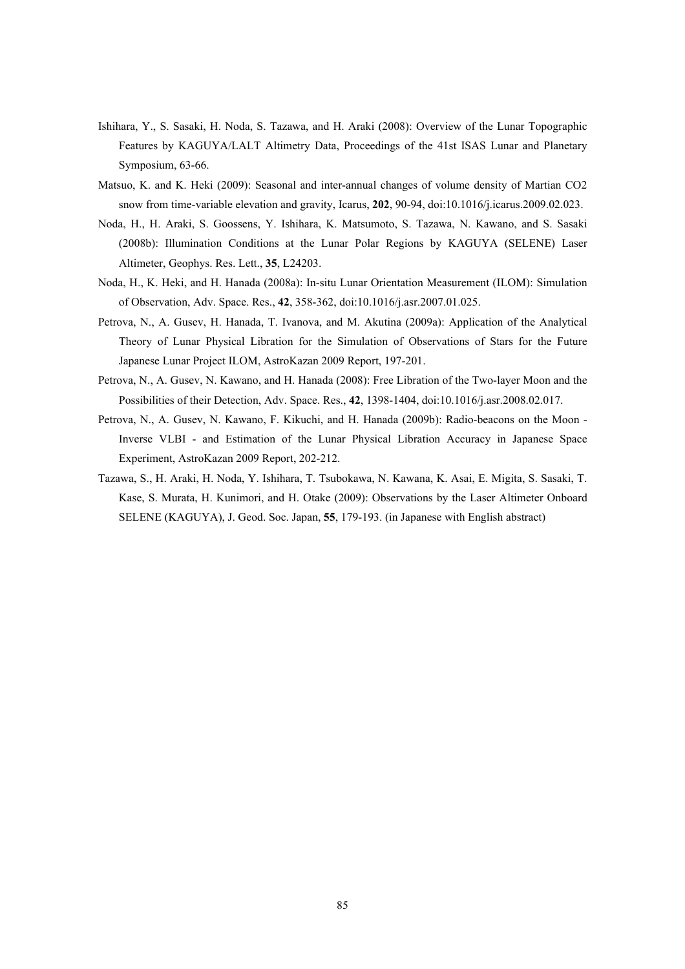- Ishihara, Y., S. Sasaki, H. Noda, S. Tazawa, and H. Araki (2008): Overview of the Lunar Topographic Features by KAGUYA/LALT Altimetry Data, Proceedings of the 41st ISAS Lunar and Planetary Symposium, 63-66.
- Matsuo, K. and K. Heki (2009): Seasonal and inter-annual changes of volume density of Martian CO2 snow from time-variable elevation and gravity, Icarus, **202**, 90-94, doi:10.1016/j.icarus.2009.02.023.
- Noda, H., H. Araki, S. Goossens, Y. Ishihara, K. Matsumoto, S. Tazawa, N. Kawano, and S. Sasaki (2008b): Illumination Conditions at the Lunar Polar Regions by KAGUYA (SELENE) Laser Altimeter, Geophys. Res. Lett., **35**, L24203.
- Noda, H., K. Heki, and H. Hanada (2008a): In-situ Lunar Orientation Measurement (ILOM): Simulation of Observation, Adv. Space. Res., **42**, 358-362, doi:10.1016/j.asr.2007.01.025.
- Petrova, N., A. Gusev, H. Hanada, T. Ivanova, and M. Akutina (2009a): Application of the Analytical Theory of Lunar Physical Libration for the Simulation of Observations of Stars for the Future Japanese Lunar Project ILOM, AstroKazan 2009 Report, 197-201.
- Petrova, N., A. Gusev, N. Kawano, and H. Hanada (2008): Free Libration of the Two-layer Moon and the Possibilities of their Detection, Adv. Space. Res., **42**, 1398-1404, doi:10.1016/j.asr.2008.02.017.
- Petrova, N., A. Gusev, N. Kawano, F. Kikuchi, and H. Hanada (2009b): Radio-beacons on the Moon Inverse VLBI - and Estimation of the Lunar Physical Libration Accuracy in Japanese Space Experiment, AstroKazan 2009 Report, 202-212.
- Tazawa, S., H. Araki, H. Noda, Y. Ishihara, T. Tsubokawa, N. Kawana, K. Asai, E. Migita, S. Sasaki, T. Kase, S. Murata, H. Kunimori, and H. Otake (2009): Observations by the Laser Altimeter Onboard SELENE (KAGUYA), J. Geod. Soc. Japan, **55**, 179-193. (in Japanese with English abstract)